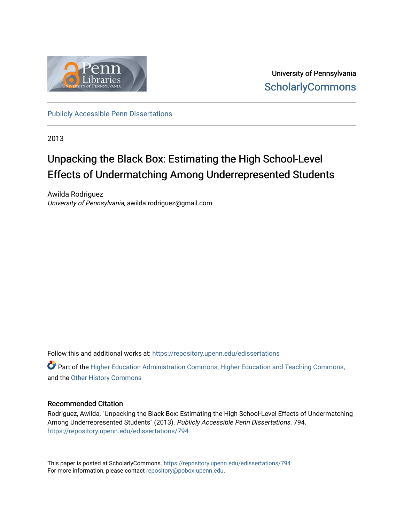

University of Pennsylvania **ScholarlyCommons** 

[Publicly Accessible Penn Dissertations](https://repository.upenn.edu/edissertations)

2013

# Unpacking the Black Box: Estimating the High School-Level Effects of Undermatching Among Underrepresented Students

Awilda Rodriguez University of Pennsylvania, awilda.rodriguez@gmail.com

Follow this and additional works at: [https://repository.upenn.edu/edissertations](https://repository.upenn.edu/edissertations?utm_source=repository.upenn.edu%2Fedissertations%2F794&utm_medium=PDF&utm_campaign=PDFCoverPages) 

**P** Part of the [Higher Education Administration Commons,](http://network.bepress.com/hgg/discipline/791?utm_source=repository.upenn.edu%2Fedissertations%2F794&utm_medium=PDF&utm_campaign=PDFCoverPages) [Higher Education and Teaching Commons,](http://network.bepress.com/hgg/discipline/806?utm_source=repository.upenn.edu%2Fedissertations%2F794&utm_medium=PDF&utm_campaign=PDFCoverPages) and the [Other History Commons](http://network.bepress.com/hgg/discipline/508?utm_source=repository.upenn.edu%2Fedissertations%2F794&utm_medium=PDF&utm_campaign=PDFCoverPages) 

### Recommended Citation

Rodriguez, Awilda, "Unpacking the Black Box: Estimating the High School-Level Effects of Undermatching Among Underrepresented Students" (2013). Publicly Accessible Penn Dissertations. 794. [https://repository.upenn.edu/edissertations/794](https://repository.upenn.edu/edissertations/794?utm_source=repository.upenn.edu%2Fedissertations%2F794&utm_medium=PDF&utm_campaign=PDFCoverPages) 

This paper is posted at ScholarlyCommons.<https://repository.upenn.edu/edissertations/794> For more information, please contact [repository@pobox.upenn.edu.](mailto:repository@pobox.upenn.edu)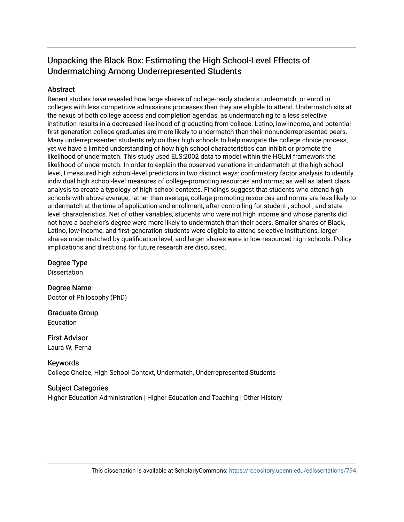## Unpacking the Black Box: Estimating the High School-Level Effects of Undermatching Among Underrepresented Students

## Abstract

Recent studies have revealed how large shares of college-ready students undermatch, or enroll in colleges with less competitive admissions processes than they are eligible to attend. Undermatch sits at the nexus of both college access and completion agendas, as undermatching to a less selective institution results in a decreased likelihood of graduating from college. Latino, low-income, and potential first generation college graduates are more likely to undermatch than their nonunderrepresented peers. Many underrepresented students rely on their high schools to help navigate the college choice process, yet we have a limited understanding of how high school characteristics can inhibit or promote the likelihood of undermatch. This study used ELS:2002 data to model within the HGLM framework the likelihood of undermatch. In order to explain the observed variations in undermatch at the high schoollevel, I measured high school-level predictors in two distinct ways: confirmatory factor analysis to identify individual high school-level measures of college-promoting resources and norms; as well as latent class analysis to create a typology of high school contexts. Findings suggest that students who attend high schools with above average, rather than average, college-promoting resources and norms are less likely to undermatch at the time of application and enrollment, after controlling for student-, school-, and statelevel characteristics. Net of other variables, students who were not high income and whose parents did not have a bachelor's degree were more likely to undermatch than their peers. Smaller shares of Black, Latino, low-income, and first-generation students were eligible to attend selective institutions, larger shares undermatched by qualification level, and larger shares were in low-resourced high schools. Policy implications and directions for future research are discussed.

Degree Type

Dissertation

Degree Name Doctor of Philosophy (PhD)

Graduate Group Education

First Advisor Laura W. Perna

Keywords College Choice, High School Context, Undermatch, Underrepresented Students

## Subject Categories

Higher Education Administration | Higher Education and Teaching | Other History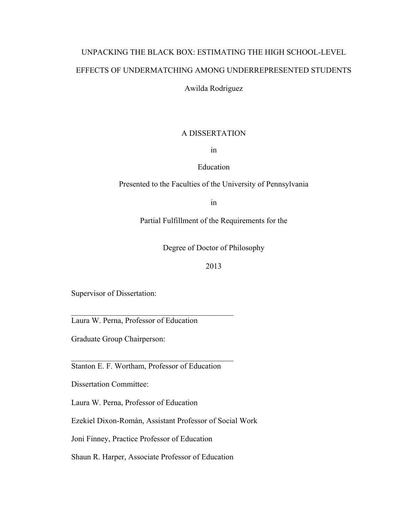# UNPACKING THE BLACK BOX: ESTIMATING THE HIGH SCHOOL-LEVEL EFFECTS OF UNDERMATCHING AMONG UNDERREPRESENTED STUDENTS

## Awilda Rodriguez

## A DISSERTATION

in

## Education

Presented to the Faculties of the University of Pennsylvania

in

Partial Fulfillment of the Requirements for the

Degree of Doctor of Philosophy

## 2013

Supervisor of Dissertation:

Laura W. Perna, Professor of Education

Graduate Group Chairperson:

Stanton E. F. Wortham, Professor of Education

 $\mathcal{L}_\text{max}$  , and the set of the set of the set of the set of the set of the set of the set of the set of the set of the set of the set of the set of the set of the set of the set of the set of the set of the set of the

 $\mathcal{L}_\text{max}$  , and the set of the set of the set of the set of the set of the set of the set of the set of the set of the set of the set of the set of the set of the set of the set of the set of the set of the set of the

Dissertation Committee:

Laura W. Perna, Professor of Education

Ezekiel Dixon-Román, Assistant Professor of Social Work

Joni Finney, Practice Professor of Education

Shaun R. Harper, Associate Professor of Education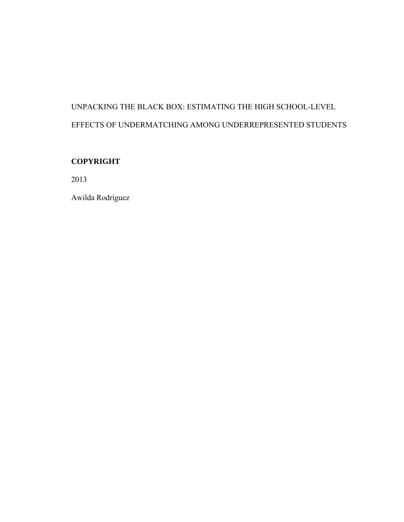# UNPACKING THE BLACK BOX: ESTIMATING THE HIGH SCHOOL-LEVEL EFFECTS OF UNDERMATCHING AMONG UNDERREPRESENTED STUDENTS

## **COPYRIGHT**

2013

Awilda Rodriguez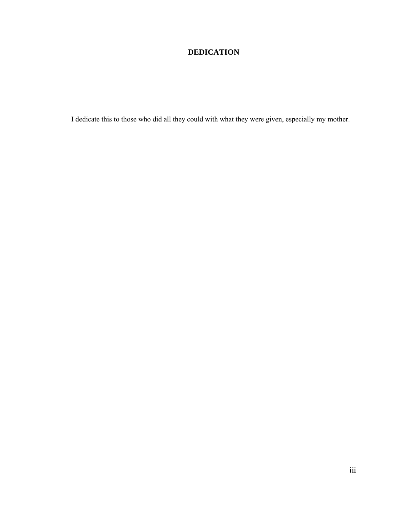## **DEDICATION**

I dedicate this to those who did all they could with what they were given, especially my mother.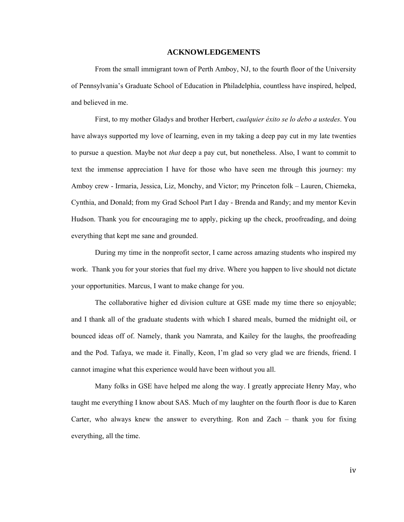#### **ACKNOWLEDGEMENTS**

From the small immigrant town of Perth Amboy, NJ, to the fourth floor of the University of Pennsylvania's Graduate School of Education in Philadelphia, countless have inspired, helped, and believed in me.

First, to my mother Gladys and brother Herbert, *cualquier éxito se lo debo a ustedes*. You have always supported my love of learning, even in my taking a deep pay cut in my late twenties to pursue a question. Maybe not *that* deep a pay cut, but nonetheless. Also, I want to commit to text the immense appreciation I have for those who have seen me through this journey: my Amboy crew - Irmaria, Jessica, Liz, Monchy, and Victor; my Princeton folk – Lauren, Chiemeka, Cynthia, and Donald; from my Grad School Part I day - Brenda and Randy; and my mentor Kevin Hudson. Thank you for encouraging me to apply, picking up the check, proofreading, and doing everything that kept me sane and grounded.

During my time in the nonprofit sector, I came across amazing students who inspired my work. Thank you for your stories that fuel my drive. Where you happen to live should not dictate your opportunities. Marcus, I want to make change for you.

The collaborative higher ed division culture at GSE made my time there so enjoyable; and I thank all of the graduate students with which I shared meals, burned the midnight oil, or bounced ideas off of. Namely, thank you Namrata, and Kailey for the laughs, the proofreading and the Pod. Tafaya, we made it. Finally, Keon, I'm glad so very glad we are friends, friend. I cannot imagine what this experience would have been without you all.

Many folks in GSE have helped me along the way. I greatly appreciate Henry May, who taught me everything I know about SAS. Much of my laughter on the fourth floor is due to Karen Carter, who always knew the answer to everything. Ron and Zach – thank you for fixing everything, all the time.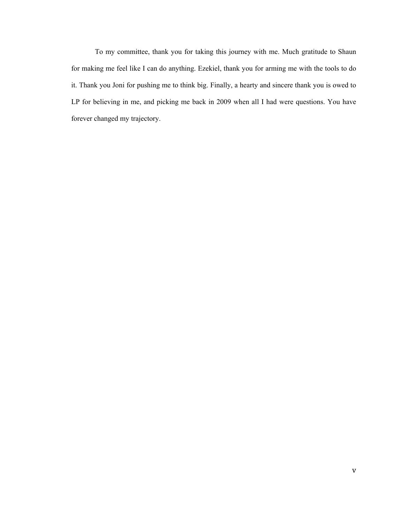To my committee, thank you for taking this journey with me. Much gratitude to Shaun for making me feel like I can do anything. Ezekiel, thank you for arming me with the tools to do it. Thank you Joni for pushing me to think big. Finally, a hearty and sincere thank you is owed to LP for believing in me, and picking me back in 2009 when all I had were questions. You have forever changed my trajectory.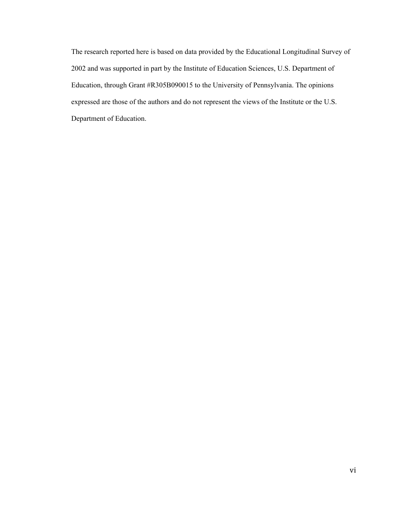The research reported here is based on data provided by the Educational Longitudinal Survey of 2002 and was supported in part by the Institute of Education Sciences, U.S. Department of Education, through Grant #R305B090015 to the University of Pennsylvania. The opinions expressed are those of the authors and do not represent the views of the Institute or the U.S. Department of Education.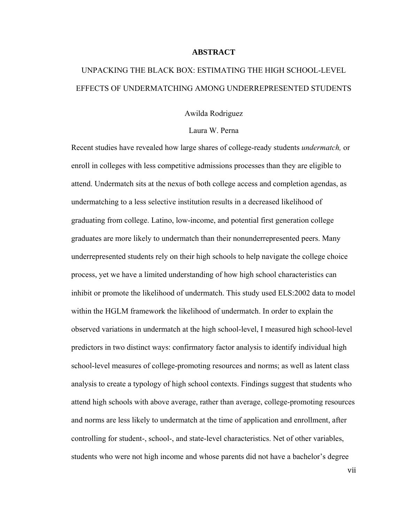#### **ABSTRACT**

# UNPACKING THE BLACK BOX: ESTIMATING THE HIGH SCHOOL-LEVEL EFFECTS OF UNDERMATCHING AMONG UNDERREPRESENTED STUDENTS

### Awilda Rodriguez

## Laura W. Perna

Recent studies have revealed how large shares of college-ready students *undermatch,* or enroll in colleges with less competitive admissions processes than they are eligible to attend. Undermatch sits at the nexus of both college access and completion agendas, as undermatching to a less selective institution results in a decreased likelihood of graduating from college. Latino, low-income, and potential first generation college graduates are more likely to undermatch than their nonunderrepresented peers. Many underrepresented students rely on their high schools to help navigate the college choice process, yet we have a limited understanding of how high school characteristics can inhibit or promote the likelihood of undermatch. This study used ELS:2002 data to model within the HGLM framework the likelihood of undermatch. In order to explain the observed variations in undermatch at the high school-level, I measured high school-level predictors in two distinct ways: confirmatory factor analysis to identify individual high school-level measures of college-promoting resources and norms; as well as latent class analysis to create a typology of high school contexts. Findings suggest that students who attend high schools with above average, rather than average, college-promoting resources and norms are less likely to undermatch at the time of application and enrollment, after controlling for student-, school-, and state-level characteristics. Net of other variables, students who were not high income and whose parents did not have a bachelor's degree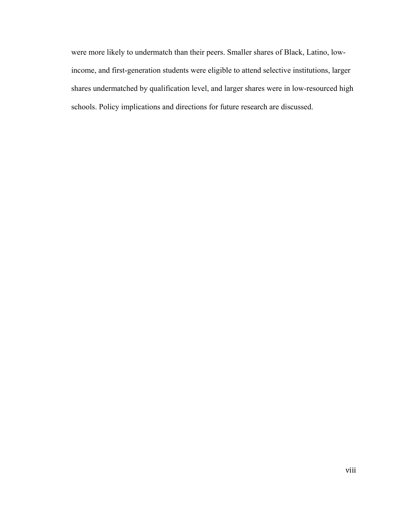were more likely to undermatch than their peers. Smaller shares of Black, Latino, lowincome, and first-generation students were eligible to attend selective institutions, larger shares undermatched by qualification level, and larger shares were in low-resourced high schools. Policy implications and directions for future research are discussed.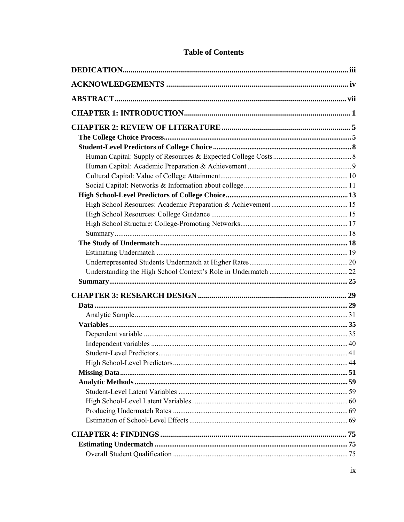## **Table of Contents**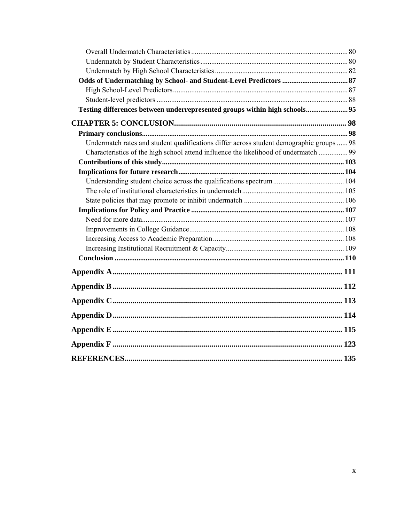| Testing differences between underrepresented groups within high schools 95               |  |
|------------------------------------------------------------------------------------------|--|
|                                                                                          |  |
|                                                                                          |  |
| Undermatch rates and student qualifications differ across student demographic groups  98 |  |
| Characteristics of the high school attend influence the likelihood of undermatch  99     |  |
|                                                                                          |  |
|                                                                                          |  |
|                                                                                          |  |
|                                                                                          |  |
|                                                                                          |  |
|                                                                                          |  |
|                                                                                          |  |
|                                                                                          |  |
|                                                                                          |  |
|                                                                                          |  |
|                                                                                          |  |
|                                                                                          |  |
|                                                                                          |  |
|                                                                                          |  |
|                                                                                          |  |
|                                                                                          |  |
|                                                                                          |  |
|                                                                                          |  |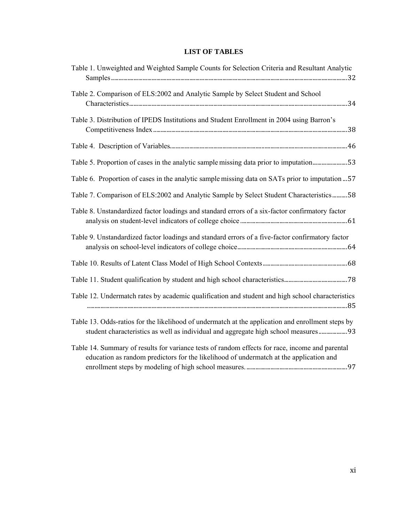## **LIST OF TABLES**

| Table 1. Unweighted and Weighted Sample Counts for Selection Criteria and Resultant Analytic                                                                                              |
|-------------------------------------------------------------------------------------------------------------------------------------------------------------------------------------------|
| Table 2. Comparison of ELS:2002 and Analytic Sample by Select Student and School                                                                                                          |
| Table 3. Distribution of IPEDS Institutions and Student Enrollment in 2004 using Barron's                                                                                                 |
|                                                                                                                                                                                           |
| Table 5. Proportion of cases in the analytic sample missing data prior to imputation53                                                                                                    |
| Table 6. Proportion of cases in the analytic sample missing data on SATs prior to imputation  57                                                                                          |
| Table 7. Comparison of ELS:2002 and Analytic Sample by Select Student Characteristics58                                                                                                   |
| Table 8. Unstandardized factor loadings and standard errors of a six-factor confirmatory factor                                                                                           |
| Table 9. Unstandardized factor loadings and standard errors of a five-factor confirmatory factor                                                                                          |
|                                                                                                                                                                                           |
|                                                                                                                                                                                           |
| Table 12. Undermatch rates by academic qualification and student and high school characteristics                                                                                          |
| Table 13. Odds-ratios for the likelihood of undermatch at the application and enrollment steps by<br>student characteristics as well as individual and aggregate high school measures 93  |
| Table 14. Summary of results for variance tests of random effects for race, income and parental<br>education as random predictors for the likelihood of undermatch at the application and |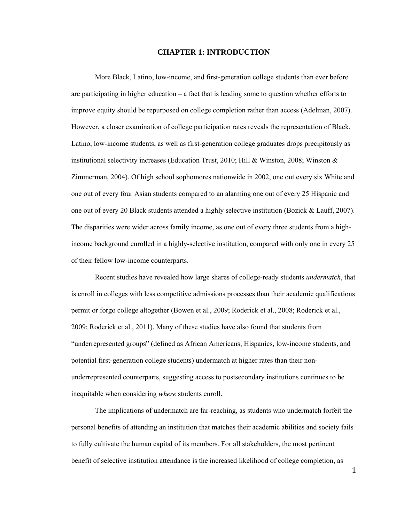### **CHAPTER 1: INTRODUCTION**

More Black, Latino, low-income, and first-generation college students than ever before are participating in higher education – a fact that is leading some to question whether efforts to improve equity should be repurposed on college completion rather than access (Adelman, 2007). However, a closer examination of college participation rates reveals the representation of Black, Latino, low-income students, as well as first-generation college graduates drops precipitously as institutional selectivity increases (Education Trust, 2010; Hill & Winston, 2008; Winston & Zimmerman, 2004). Of high school sophomores nationwide in 2002, one out every six White and one out of every four Asian students compared to an alarming one out of every 25 Hispanic and one out of every 20 Black students attended a highly selective institution (Bozick & Lauff, 2007). The disparities were wider across family income, as one out of every three students from a highincome background enrolled in a highly-selective institution, compared with only one in every 25 of their fellow low-income counterparts.

Recent studies have revealed how large shares of college-ready students *undermatch*, that is enroll in colleges with less competitive admissions processes than their academic qualifications permit or forgo college altogether (Bowen et al., 2009; Roderick et al., 2008; Roderick et al., 2009; Roderick et al., 2011). Many of these studies have also found that students from "underrepresented groups" (defined as African Americans, Hispanics, low-income students, and potential first-generation college students) undermatch at higher rates than their nonunderrepresented counterparts, suggesting access to postsecondary institutions continues to be inequitable when considering *where* students enroll.

The implications of undermatch are far-reaching, as students who undermatch forfeit the personal benefits of attending an institution that matches their academic abilities and society fails to fully cultivate the human capital of its members. For all stakeholders, the most pertinent benefit of selective institution attendance is the increased likelihood of college completion, as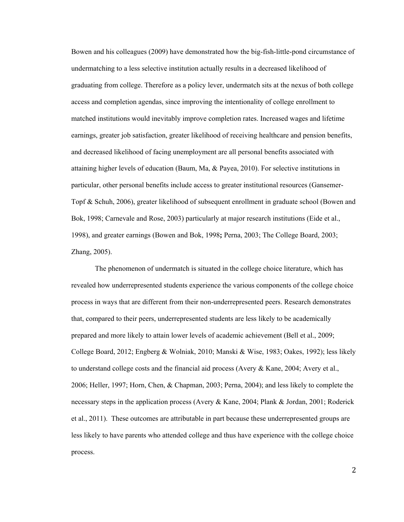Bowen and his colleagues (2009) have demonstrated how the big-fish-little-pond circumstance of undermatching to a less selective institution actually results in a decreased likelihood of graduating from college. Therefore as a policy lever, undermatch sits at the nexus of both college access and completion agendas, since improving the intentionality of college enrollment to matched institutions would inevitably improve completion rates. Increased wages and lifetime earnings, greater job satisfaction, greater likelihood of receiving healthcare and pension benefits, and decreased likelihood of facing unemployment are all personal benefits associated with attaining higher levels of education (Baum, Ma, & Payea, 2010). For selective institutions in particular, other personal benefits include access to greater institutional resources (Gansemer-Topf & Schuh, 2006), greater likelihood of subsequent enrollment in graduate school (Bowen and Bok, 1998; Carnevale and Rose, 2003) particularly at major research institutions (Eide et al., 1998), and greater earnings (Bowen and Bok, 1998**;** Perna, 2003; The College Board, 2003; Zhang, 2005).

The phenomenon of undermatch is situated in the college choice literature, which has revealed how underrepresented students experience the various components of the college choice process in ways that are different from their non-underrepresented peers. Research demonstrates that, compared to their peers, underrepresented students are less likely to be academically prepared and more likely to attain lower levels of academic achievement (Bell et al., 2009; College Board, 2012; Engberg & Wolniak, 2010; Manski & Wise, 1983; Oakes, 1992); less likely to understand college costs and the financial aid process (Avery  $\&$  Kane, 2004; Avery et al., 2006; Heller, 1997; Horn, Chen, & Chapman, 2003; Perna, 2004); and less likely to complete the necessary steps in the application process (Avery & Kane, 2004; Plank & Jordan, 2001; Roderick et al., 2011). These outcomes are attributable in part because these underrepresented groups are less likely to have parents who attended college and thus have experience with the college choice process.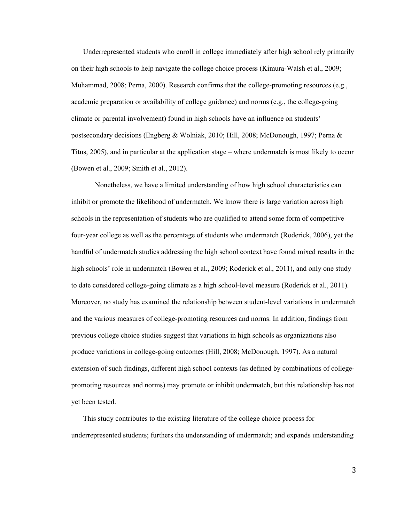Underrepresented students who enroll in college immediately after high school rely primarily on their high schools to help navigate the college choice process (Kimura-Walsh et al., 2009; Muhammad, 2008; Perna, 2000). Research confirms that the college-promoting resources (e.g., academic preparation or availability of college guidance) and norms (e.g., the college-going climate or parental involvement) found in high schools have an influence on students' postsecondary decisions (Engberg & Wolniak, 2010; Hill, 2008; McDonough, 1997; Perna & Titus, 2005), and in particular at the application stage – where undermatch is most likely to occur (Bowen et al., 2009; Smith et al., 2012).

Nonetheless, we have a limited understanding of how high school characteristics can inhibit or promote the likelihood of undermatch. We know there is large variation across high schools in the representation of students who are qualified to attend some form of competitive four-year college as well as the percentage of students who undermatch (Roderick, 2006), yet the handful of undermatch studies addressing the high school context have found mixed results in the high schools' role in undermatch (Bowen et al., 2009; Roderick et al., 2011), and only one study to date considered college-going climate as a high school-level measure (Roderick et al., 2011). Moreover, no study has examined the relationship between student-level variations in undermatch and the various measures of college-promoting resources and norms. In addition, findings from previous college choice studies suggest that variations in high schools as organizations also produce variations in college-going outcomes (Hill, 2008; McDonough, 1997). As a natural extension of such findings, different high school contexts (as defined by combinations of collegepromoting resources and norms) may promote or inhibit undermatch, but this relationship has not yet been tested.

This study contributes to the existing literature of the college choice process for underrepresented students; furthers the understanding of undermatch; and expands understanding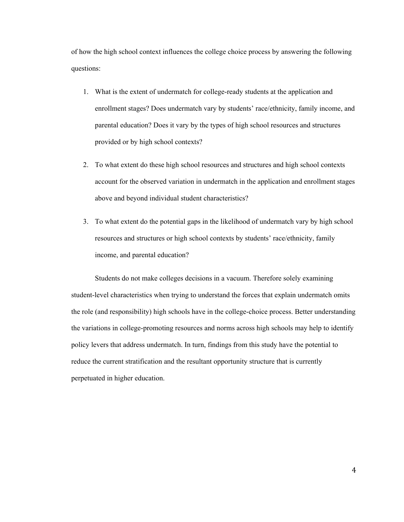of how the high school context influences the college choice process by answering the following questions:

- 1. What is the extent of undermatch for college-ready students at the application and enrollment stages? Does undermatch vary by students' race/ethnicity, family income, and parental education? Does it vary by the types of high school resources and structures provided or by high school contexts?
- 2. To what extent do these high school resources and structures and high school contexts account for the observed variation in undermatch in the application and enrollment stages above and beyond individual student characteristics?
- 3. To what extent do the potential gaps in the likelihood of undermatch vary by high school resources and structures or high school contexts by students' race/ethnicity, family income, and parental education?

Students do not make colleges decisions in a vacuum. Therefore solely examining student-level characteristics when trying to understand the forces that explain undermatch omits the role (and responsibility) high schools have in the college-choice process. Better understanding the variations in college-promoting resources and norms across high schools may help to identify policy levers that address undermatch. In turn, findings from this study have the potential to reduce the current stratification and the resultant opportunity structure that is currently perpetuated in higher education.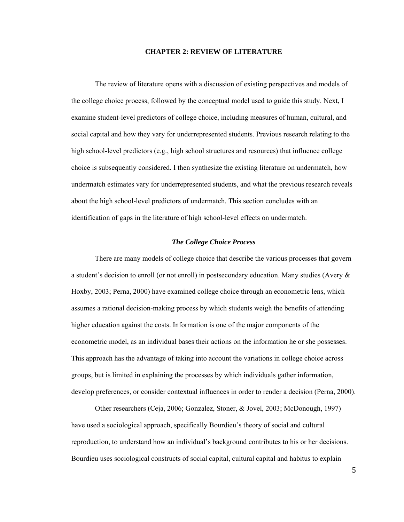#### **CHAPTER 2: REVIEW OF LITERATURE**

The review of literature opens with a discussion of existing perspectives and models of the college choice process, followed by the conceptual model used to guide this study. Next, I examine student-level predictors of college choice, including measures of human, cultural, and social capital and how they vary for underrepresented students. Previous research relating to the high school-level predictors (e.g., high school structures and resources) that influence college choice is subsequently considered. I then synthesize the existing literature on undermatch, how undermatch estimates vary for underrepresented students, and what the previous research reveals about the high school-level predictors of undermatch. This section concludes with an identification of gaps in the literature of high school-level effects on undermatch.

#### *The College Choice Process*

There are many models of college choice that describe the various processes that govern a student's decision to enroll (or not enroll) in postsecondary education. Many studies (Avery & Hoxby, 2003; Perna, 2000) have examined college choice through an econometric lens, which assumes a rational decision-making process by which students weigh the benefits of attending higher education against the costs. Information is one of the major components of the econometric model, as an individual bases their actions on the information he or she possesses. This approach has the advantage of taking into account the variations in college choice across groups, but is limited in explaining the processes by which individuals gather information, develop preferences, or consider contextual influences in order to render a decision (Perna, 2000).

Other researchers (Ceja, 2006; Gonzalez, Stoner, & Jovel, 2003; McDonough, 1997) have used a sociological approach, specifically Bourdieu's theory of social and cultural reproduction, to understand how an individual's background contributes to his or her decisions. Bourdieu uses sociological constructs of social capital, cultural capital and habitus to explain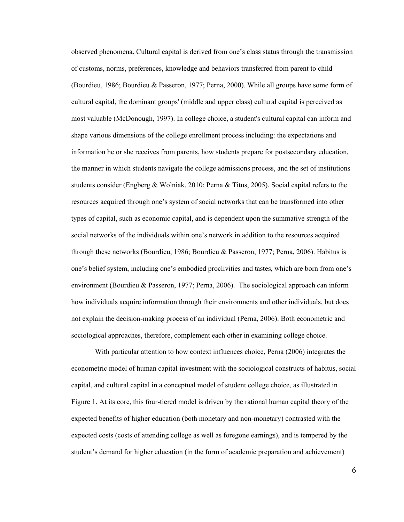observed phenomena. Cultural capital is derived from one's class status through the transmission of customs, norms, preferences, knowledge and behaviors transferred from parent to child (Bourdieu, 1986; Bourdieu & Passeron, 1977; Perna, 2000). While all groups have some form of cultural capital, the dominant groups' (middle and upper class) cultural capital is perceived as most valuable (McDonough, 1997). In college choice, a student's cultural capital can inform and shape various dimensions of the college enrollment process including: the expectations and information he or she receives from parents, how students prepare for postsecondary education, the manner in which students navigate the college admissions process, and the set of institutions students consider (Engberg & Wolniak, 2010; Perna & Titus, 2005). Social capital refers to the resources acquired through one's system of social networks that can be transformed into other types of capital, such as economic capital, and is dependent upon the summative strength of the social networks of the individuals within one's network in addition to the resources acquired through these networks (Bourdieu, 1986; Bourdieu & Passeron, 1977; Perna, 2006). Habitus is one's belief system, including one's embodied proclivities and tastes, which are born from one's environment (Bourdieu & Passeron, 1977; Perna, 2006). The sociological approach can inform how individuals acquire information through their environments and other individuals, but does not explain the decision-making process of an individual (Perna, 2006). Both econometric and sociological approaches, therefore, complement each other in examining college choice.

With particular attention to how context influences choice, Perna (2006) integrates the econometric model of human capital investment with the sociological constructs of habitus, social capital, and cultural capital in a conceptual model of student college choice, as illustrated in Figure 1. At its core, this four-tiered model is driven by the rational human capital theory of the expected benefits of higher education (both monetary and non-monetary) contrasted with the expected costs (costs of attending college as well as foregone earnings), and is tempered by the student's demand for higher education (in the form of academic preparation and achievement)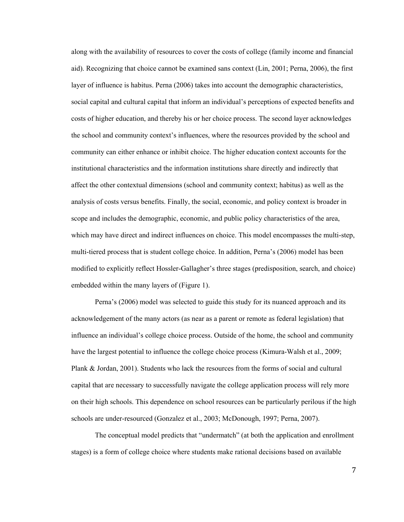along with the availability of resources to cover the costs of college (family income and financial aid). Recognizing that choice cannot be examined sans context (Lin, 2001; Perna, 2006), the first layer of influence is habitus. Perna (2006) takes into account the demographic characteristics, social capital and cultural capital that inform an individual's perceptions of expected benefits and costs of higher education, and thereby his or her choice process. The second layer acknowledges the school and community context's influences, where the resources provided by the school and community can either enhance or inhibit choice. The higher education context accounts for the institutional characteristics and the information institutions share directly and indirectly that affect the other contextual dimensions (school and community context; habitus) as well as the analysis of costs versus benefits. Finally, the social, economic, and policy context is broader in scope and includes the demographic, economic, and public policy characteristics of the area, which may have direct and indirect influences on choice. This model encompasses the multi-step, multi-tiered process that is student college choice. In addition, Perna's (2006) model has been modified to explicitly reflect Hossler-Gallagher's three stages (predisposition, search, and choice) embedded within the many layers of (Figure 1).

Perna's (2006) model was selected to guide this study for its nuanced approach and its acknowledgement of the many actors (as near as a parent or remote as federal legislation) that influence an individual's college choice process. Outside of the home, the school and community have the largest potential to influence the college choice process (Kimura-Walsh et al., 2009; Plank & Jordan, 2001). Students who lack the resources from the forms of social and cultural capital that are necessary to successfully navigate the college application process will rely more on their high schools. This dependence on school resources can be particularly perilous if the high schools are under-resourced (Gonzalez et al., 2003; McDonough, 1997; Perna, 2007).

The conceptual model predicts that "undermatch" (at both the application and enrollment stages) is a form of college choice where students make rational decisions based on available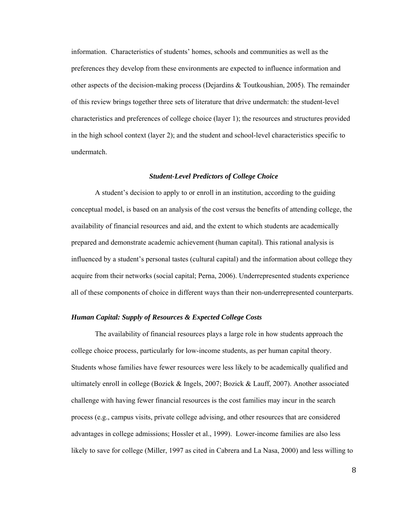information. Characteristics of students' homes, schools and communities as well as the preferences they develop from these environments are expected to influence information and other aspects of the decision-making process (Dejardins & Toutkoushian, 2005). The remainder of this review brings together three sets of literature that drive undermatch: the student-level characteristics and preferences of college choice (layer 1); the resources and structures provided in the high school context (layer 2); and the student and school-level characteristics specific to undermatch.

#### *Student-Level Predictors of College Choice*

A student's decision to apply to or enroll in an institution, according to the guiding conceptual model, is based on an analysis of the cost versus the benefits of attending college, the availability of financial resources and aid, and the extent to which students are academically prepared and demonstrate academic achievement (human capital). This rational analysis is influenced by a student's personal tastes (cultural capital) and the information about college they acquire from their networks (social capital; Perna, 2006). Underrepresented students experience all of these components of choice in different ways than their non-underrepresented counterparts.

#### *Human Capital: Supply of Resources & Expected College Costs*

The availability of financial resources plays a large role in how students approach the college choice process, particularly for low-income students, as per human capital theory. Students whose families have fewer resources were less likely to be academically qualified and ultimately enroll in college (Bozick  $&$  Ingels, 2007; Bozick  $&$  Lauff, 2007). Another associated challenge with having fewer financial resources is the cost families may incur in the search process (e.g., campus visits, private college advising, and other resources that are considered advantages in college admissions; Hossler et al., 1999). Lower-income families are also less likely to save for college (Miller, 1997 as cited in Cabrera and La Nasa, 2000) and less willing to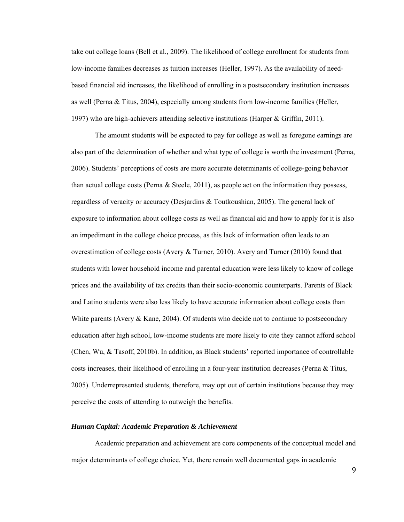take out college loans (Bell et al., 2009). The likelihood of college enrollment for students from low-income families decreases as tuition increases (Heller, 1997). As the availability of needbased financial aid increases, the likelihood of enrolling in a postsecondary institution increases as well (Perna & Titus, 2004), especially among students from low-income families (Heller, 1997) who are high-achievers attending selective institutions (Harper & Griffin, 2011).

The amount students will be expected to pay for college as well as foregone earnings are also part of the determination of whether and what type of college is worth the investment (Perna, 2006). Students' perceptions of costs are more accurate determinants of college-going behavior than actual college costs (Perna  $\&$  Steele, 2011), as people act on the information they possess, regardless of veracity or accuracy (Desjardins & Toutkoushian, 2005). The general lack of exposure to information about college costs as well as financial aid and how to apply for it is also an impediment in the college choice process, as this lack of information often leads to an overestimation of college costs (Avery & Turner, 2010). Avery and Turner (2010) found that students with lower household income and parental education were less likely to know of college prices and the availability of tax credits than their socio-economic counterparts. Parents of Black and Latino students were also less likely to have accurate information about college costs than White parents (Avery & Kane, 2004). Of students who decide not to continue to postsecondary education after high school, low-income students are more likely to cite they cannot afford school (Chen, Wu, & Tasoff, 2010b). In addition, as Black students' reported importance of controllable costs increases, their likelihood of enrolling in a four-year institution decreases (Perna & Titus, 2005). Underrepresented students, therefore, may opt out of certain institutions because they may perceive the costs of attending to outweigh the benefits.

#### *Human Capital: Academic Preparation & Achievement*

Academic preparation and achievement are core components of the conceptual model and major determinants of college choice. Yet, there remain well documented gaps in academic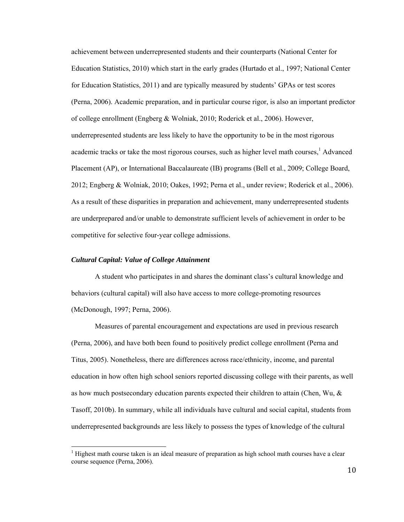achievement between underrepresented students and their counterparts (National Center for Education Statistics, 2010) which start in the early grades (Hurtado et al., 1997; National Center for Education Statistics, 2011) and are typically measured by students' GPAs or test scores (Perna, 2006). Academic preparation, and in particular course rigor, is also an important predictor of college enrollment (Engberg & Wolniak, 2010; Roderick et al., 2006). However, underrepresented students are less likely to have the opportunity to be in the most rigorous academic tracks or take the most rigorous courses, such as higher level math courses,<sup>1</sup> Advanced Placement (AP), or International Baccalaureate (IB) programs (Bell et al., 2009; College Board, 2012; Engberg & Wolniak, 2010; Oakes, 1992; Perna et al., under review; Roderick et al., 2006). As a result of these disparities in preparation and achievement, many underrepresented students are underprepared and/or unable to demonstrate sufficient levels of achievement in order to be competitive for selective four-year college admissions.

#### *Cultural Capital: Value of College Attainment*

 

A student who participates in and shares the dominant class's cultural knowledge and behaviors (cultural capital) will also have access to more college-promoting resources (McDonough, 1997; Perna, 2006).

Measures of parental encouragement and expectations are used in previous research (Perna, 2006), and have both been found to positively predict college enrollment (Perna and Titus, 2005). Nonetheless, there are differences across race/ethnicity, income, and parental education in how often high school seniors reported discussing college with their parents, as well as how much postsecondary education parents expected their children to attain (Chen, Wu, & Tasoff, 2010b). In summary, while all individuals have cultural and social capital, students from underrepresented backgrounds are less likely to possess the types of knowledge of the cultural

 $<sup>1</sup>$  Highest math course taken is an ideal measure of preparation as high school math courses have a clear</sup> course sequence (Perna, 2006).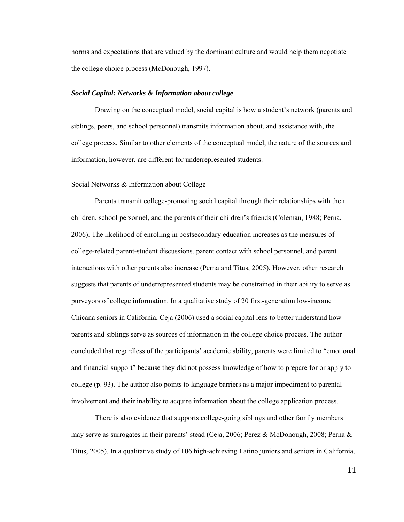norms and expectations that are valued by the dominant culture and would help them negotiate the college choice process (McDonough, 1997).

#### *Social Capital: Networks & Information about college*

Drawing on the conceptual model, social capital is how a student's network (parents and siblings, peers, and school personnel) transmits information about, and assistance with, the college process. Similar to other elements of the conceptual model, the nature of the sources and information, however, are different for underrepresented students.

#### Social Networks & Information about College

Parents transmit college-promoting social capital through their relationships with their children, school personnel, and the parents of their children's friends (Coleman, 1988; Perna, 2006). The likelihood of enrolling in postsecondary education increases as the measures of college-related parent-student discussions, parent contact with school personnel, and parent interactions with other parents also increase (Perna and Titus, 2005). However, other research suggests that parents of underrepresented students may be constrained in their ability to serve as purveyors of college information. In a qualitative study of 20 first-generation low-income Chicana seniors in California, Ceja (2006) used a social capital lens to better understand how parents and siblings serve as sources of information in the college choice process. The author concluded that regardless of the participants' academic ability, parents were limited to "emotional and financial support" because they did not possess knowledge of how to prepare for or apply to college (p. 93). The author also points to language barriers as a major impediment to parental involvement and their inability to acquire information about the college application process.

There is also evidence that supports college-going siblings and other family members may serve as surrogates in their parents' stead (Ceja, 2006; Perez & McDonough, 2008; Perna & Titus, 2005). In a qualitative study of 106 high-achieving Latino juniors and seniors in California,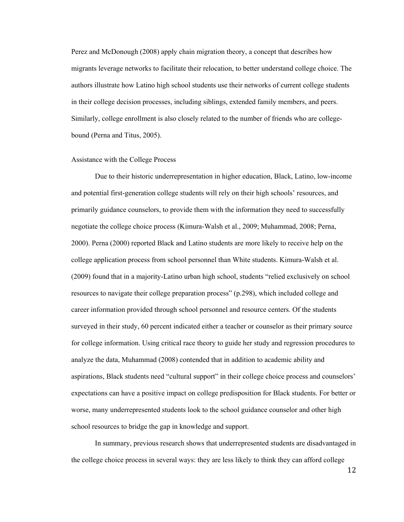Perez and McDonough (2008) apply chain migration theory, a concept that describes how migrants leverage networks to facilitate their relocation, to better understand college choice. The authors illustrate how Latino high school students use their networks of current college students in their college decision processes, including siblings, extended family members, and peers. Similarly, college enrollment is also closely related to the number of friends who are collegebound (Perna and Titus, 2005).

#### Assistance with the College Process

Due to their historic underrepresentation in higher education, Black, Latino, low-income and potential first-generation college students will rely on their high schools' resources, and primarily guidance counselors, to provide them with the information they need to successfully negotiate the college choice process (Kimura-Walsh et al., 2009; Muhammad, 2008; Perna, 2000). Perna (2000) reported Black and Latino students are more likely to receive help on the college application process from school personnel than White students. Kimura-Walsh et al. (2009) found that in a majority-Latino urban high school, students "relied exclusively on school resources to navigate their college preparation process" (p.298), which included college and career information provided through school personnel and resource centers. Of the students surveyed in their study, 60 percent indicated either a teacher or counselor as their primary source for college information. Using critical race theory to guide her study and regression procedures to analyze the data, Muhammad (2008) contended that in addition to academic ability and aspirations, Black students need "cultural support" in their college choice process and counselors' expectations can have a positive impact on college predisposition for Black students. For better or worse, many underrepresented students look to the school guidance counselor and other high school resources to bridge the gap in knowledge and support.

In summary, previous research shows that underrepresented students are disadvantaged in the college choice process in several ways: they are less likely to think they can afford college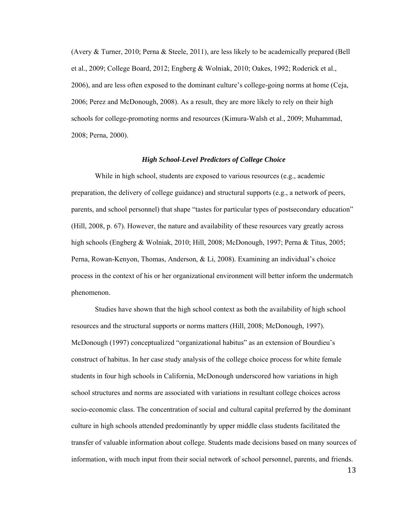(Avery & Turner, 2010; Perna & Steele, 2011), are less likely to be academically prepared (Bell et al., 2009; College Board, 2012; Engberg & Wolniak, 2010; Oakes, 1992; Roderick et al., 2006), and are less often exposed to the dominant culture's college-going norms at home (Ceja, 2006; Perez and McDonough, 2008). As a result, they are more likely to rely on their high schools for college-promoting norms and resources (Kimura-Walsh et al., 2009; Muhammad, 2008; Perna, 2000).

## *High School-Level Predictors of College Choice*

While in high school, students are exposed to various resources (e.g., academic preparation, the delivery of college guidance) and structural supports (e.g., a network of peers, parents, and school personnel) that shape "tastes for particular types of postsecondary education" (Hill, 2008, p. 67). However, the nature and availability of these resources vary greatly across high schools (Engberg & Wolniak, 2010; Hill, 2008; McDonough, 1997; Perna & Titus, 2005; Perna, Rowan-Kenyon, Thomas, Anderson, & Li, 2008). Examining an individual's choice process in the context of his or her organizational environment will better inform the undermatch phenomenon.

Studies have shown that the high school context as both the availability of high school resources and the structural supports or norms matters (Hill, 2008; McDonough, 1997). McDonough (1997) conceptualized "organizational habitus" as an extension of Bourdieu's construct of habitus. In her case study analysis of the college choice process for white female students in four high schools in California, McDonough underscored how variations in high school structures and norms are associated with variations in resultant college choices across socio-economic class. The concentration of social and cultural capital preferred by the dominant culture in high schools attended predominantly by upper middle class students facilitated the transfer of valuable information about college. Students made decisions based on many sources of information, with much input from their social network of school personnel, parents, and friends.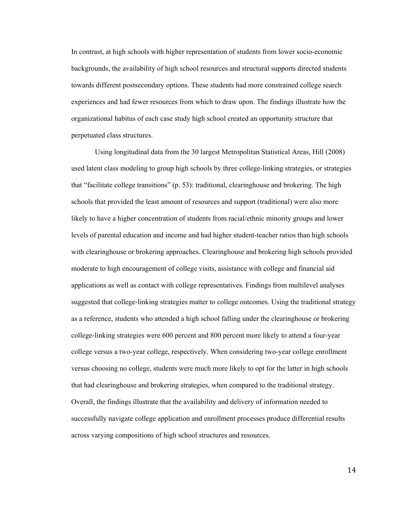In contrast, at high schools with higher representation of students from lower socio-economic backgrounds, the availability of high school resources and structural supports directed students towards different postsecondary options. These students had more constrained college search experiences and had fewer resources from which to draw upon. The findings illustrate how the organizational habitus of each case study high school created an opportunity structure that perpetuated class structures.

Using longitudinal data from the 30 largest Metropolitan Statistical Areas, Hill (2008) used latent class modeling to group high schools by three college-linking strategies, or strategies that "facilitate college transitions" (p. 53): traditional, clearinghouse and brokering. The high schools that provided the least amount of resources and support (traditional) were also more likely to have a higher concentration of students from racial/ethnic minority groups and lower levels of parental education and income and had higher student-teacher ratios than high schools with clearinghouse or brokering approaches. Clearinghouse and brokering high schools provided moderate to high encouragement of college visits, assistance with college and financial aid applications as well as contact with college representatives. Findings from multilevel analyses suggested that college-linking strategies matter to college outcomes. Using the traditional strategy as a reference, students who attended a high school falling under the clearinghouse or brokering college-linking strategies were 600 percent and 800 percent more likely to attend a four-year college versus a two-year college, respectively. When considering two-year college enrollment versus choosing no college, students were much more likely to opt for the latter in high schools that had clearinghouse and brokering strategies, when compared to the traditional strategy. Overall, the findings illustrate that the availability and delivery of information needed to successfully navigate college application and enrollment processes produce differential results across varying compositions of high school structures and resources.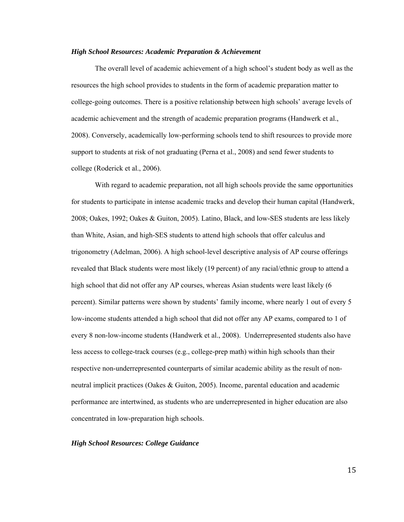#### *High School Resources: Academic Preparation & Achievement*

The overall level of academic achievement of a high school's student body as well as the resources the high school provides to students in the form of academic preparation matter to college-going outcomes. There is a positive relationship between high schools' average levels of academic achievement and the strength of academic preparation programs (Handwerk et al., 2008). Conversely, academically low-performing schools tend to shift resources to provide more support to students at risk of not graduating (Perna et al., 2008) and send fewer students to college (Roderick et al., 2006).

With regard to academic preparation, not all high schools provide the same opportunities for students to participate in intense academic tracks and develop their human capital (Handwerk, 2008; Oakes, 1992; Oakes & Guiton, 2005). Latino, Black, and low-SES students are less likely than White, Asian, and high-SES students to attend high schools that offer calculus and trigonometry (Adelman, 2006). A high school-level descriptive analysis of AP course offerings revealed that Black students were most likely (19 percent) of any racial/ethnic group to attend a high school that did not offer any AP courses, whereas Asian students were least likely (6) percent). Similar patterns were shown by students' family income, where nearly 1 out of every 5 low-income students attended a high school that did not offer any AP exams, compared to 1 of every 8 non-low-income students (Handwerk et al., 2008). Underrepresented students also have less access to college-track courses (e.g., college-prep math) within high schools than their respective non-underrepresented counterparts of similar academic ability as the result of nonneutral implicit practices (Oakes & Guiton, 2005). Income, parental education and academic performance are intertwined, as students who are underrepresented in higher education are also concentrated in low-preparation high schools.

#### *High School Resources: College Guidance*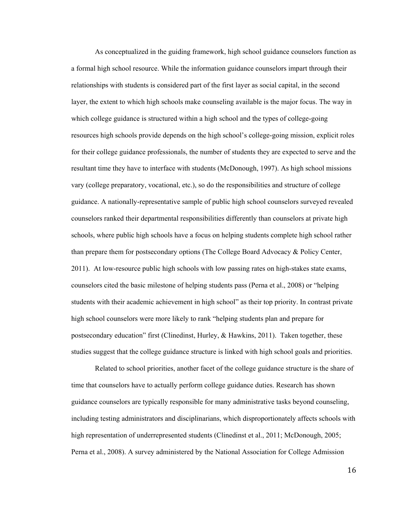As conceptualized in the guiding framework, high school guidance counselors function as a formal high school resource. While the information guidance counselors impart through their relationships with students is considered part of the first layer as social capital, in the second layer, the extent to which high schools make counseling available is the major focus. The way in which college guidance is structured within a high school and the types of college-going resources high schools provide depends on the high school's college-going mission, explicit roles for their college guidance professionals, the number of students they are expected to serve and the resultant time they have to interface with students (McDonough, 1997). As high school missions vary (college preparatory, vocational, etc.), so do the responsibilities and structure of college guidance. A nationally-representative sample of public high school counselors surveyed revealed counselors ranked their departmental responsibilities differently than counselors at private high schools, where public high schools have a focus on helping students complete high school rather than prepare them for postsecondary options (The College Board Advocacy & Policy Center, 2011). At low-resource public high schools with low passing rates on high-stakes state exams, counselors cited the basic milestone of helping students pass (Perna et al., 2008) or "helping students with their academic achievement in high school" as their top priority. In contrast private high school counselors were more likely to rank "helping students plan and prepare for postsecondary education" first (Clinedinst, Hurley,  $\&$  Hawkins, 2011). Taken together, these studies suggest that the college guidance structure is linked with high school goals and priorities.

Related to school priorities, another facet of the college guidance structure is the share of time that counselors have to actually perform college guidance duties. Research has shown guidance counselors are typically responsible for many administrative tasks beyond counseling, including testing administrators and disciplinarians, which disproportionately affects schools with high representation of underrepresented students (Clinedinst et al., 2011; McDonough, 2005; Perna et al., 2008). A survey administered by the National Association for College Admission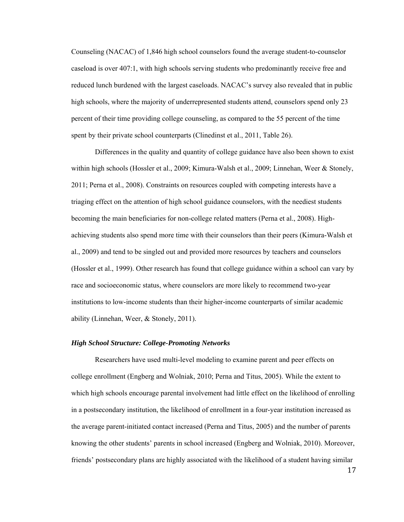Counseling (NACAC) of 1,846 high school counselors found the average student-to-counselor caseload is over 407:1, with high schools serving students who predominantly receive free and reduced lunch burdened with the largest caseloads. NACAC's survey also revealed that in public high schools, where the majority of underrepresented students attend, counselors spend only 23 percent of their time providing college counseling, as compared to the 55 percent of the time spent by their private school counterparts (Clinedinst et al., 2011, Table 26).

Differences in the quality and quantity of college guidance have also been shown to exist within high schools (Hossler et al., 2009; Kimura-Walsh et al., 2009; Linnehan, Weer & Stonely, 2011; Perna et al., 2008). Constraints on resources coupled with competing interests have a triaging effect on the attention of high school guidance counselors, with the neediest students becoming the main beneficiaries for non-college related matters (Perna et al., 2008). Highachieving students also spend more time with their counselors than their peers (Kimura-Walsh et al., 2009) and tend to be singled out and provided more resources by teachers and counselors (Hossler et al., 1999). Other research has found that college guidance within a school can vary by race and socioeconomic status, where counselors are more likely to recommend two-year institutions to low-income students than their higher-income counterparts of similar academic ability (Linnehan, Weer, & Stonely, 2011).

#### *High School Structure: College-Promoting Networks*

Researchers have used multi-level modeling to examine parent and peer effects on college enrollment (Engberg and Wolniak, 2010; Perna and Titus, 2005). While the extent to which high schools encourage parental involvement had little effect on the likelihood of enrolling in a postsecondary institution, the likelihood of enrollment in a four-year institution increased as the average parent-initiated contact increased (Perna and Titus, 2005) and the number of parents knowing the other students' parents in school increased (Engberg and Wolniak, 2010). Moreover, friends' postsecondary plans are highly associated with the likelihood of a student having similar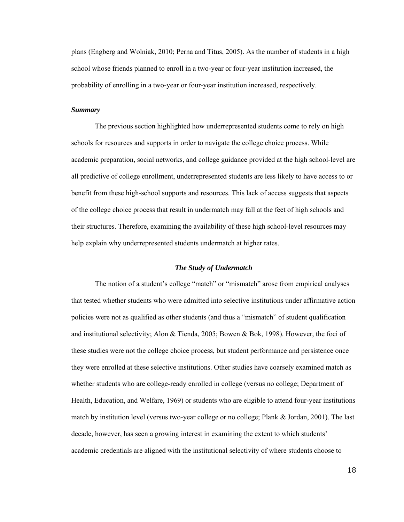plans (Engberg and Wolniak, 2010; Perna and Titus, 2005). As the number of students in a high school whose friends planned to enroll in a two-year or four-year institution increased, the probability of enrolling in a two-year or four-year institution increased, respectively.

#### *Summary*

The previous section highlighted how underrepresented students come to rely on high schools for resources and supports in order to navigate the college choice process. While academic preparation, social networks, and college guidance provided at the high school-level are all predictive of college enrollment, underrepresented students are less likely to have access to or benefit from these high-school supports and resources. This lack of access suggests that aspects of the college choice process that result in undermatch may fall at the feet of high schools and their structures. Therefore, examining the availability of these high school-level resources may help explain why underrepresented students undermatch at higher rates.

#### *The Study of Undermatch*

The notion of a student's college "match" or "mismatch" arose from empirical analyses that tested whether students who were admitted into selective institutions under affirmative action policies were not as qualified as other students (and thus a "mismatch" of student qualification and institutional selectivity; Alon & Tienda, 2005; Bowen & Bok, 1998). However, the foci of these studies were not the college choice process, but student performance and persistence once they were enrolled at these selective institutions. Other studies have coarsely examined match as whether students who are college-ready enrolled in college (versus no college; Department of Health, Education, and Welfare, 1969) or students who are eligible to attend four-year institutions match by institution level (versus two-year college or no college; Plank & Jordan, 2001). The last decade, however, has seen a growing interest in examining the extent to which students' academic credentials are aligned with the institutional selectivity of where students choose to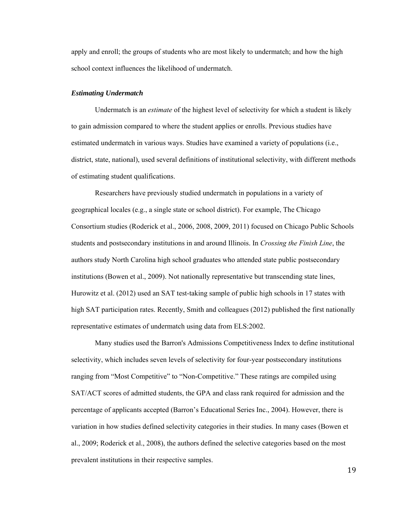apply and enroll; the groups of students who are most likely to undermatch; and how the high school context influences the likelihood of undermatch.

#### *Estimating Undermatch*

Undermatch is an *estimate* of the highest level of selectivity for which a student is likely to gain admission compared to where the student applies or enrolls. Previous studies have estimated undermatch in various ways. Studies have examined a variety of populations (i.e., district, state, national), used several definitions of institutional selectivity, with different methods of estimating student qualifications.

Researchers have previously studied undermatch in populations in a variety of geographical locales (e.g., a single state or school district). For example, The Chicago Consortium studies (Roderick et al., 2006, 2008, 2009, 2011) focused on Chicago Public Schools students and postsecondary institutions in and around Illinois. In *Crossing the Finish Line*, the authors study North Carolina high school graduates who attended state public postsecondary institutions (Bowen et al., 2009). Not nationally representative but transcending state lines, Hurowitz et al. (2012) used an SAT test-taking sample of public high schools in 17 states with high SAT participation rates. Recently, Smith and colleagues (2012) published the first nationally representative estimates of undermatch using data from ELS:2002.

Many studies used the Barron's Admissions Competitiveness Index to define institutional selectivity, which includes seven levels of selectivity for four-year postsecondary institutions ranging from "Most Competitive" to "Non-Competitive." These ratings are compiled using SAT/ACT scores of admitted students, the GPA and class rank required for admission and the percentage of applicants accepted (Barron's Educational Series Inc., 2004). However, there is variation in how studies defined selectivity categories in their studies. In many cases (Bowen et al., 2009; Roderick et al., 2008), the authors defined the selective categories based on the most prevalent institutions in their respective samples.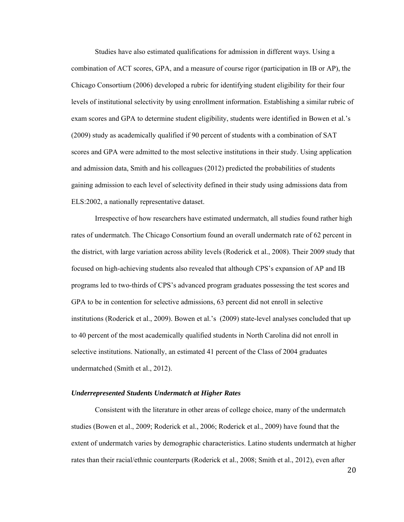Studies have also estimated qualifications for admission in different ways. Using a combination of ACT scores, GPA, and a measure of course rigor (participation in IB or AP), the Chicago Consortium (2006) developed a rubric for identifying student eligibility for their four levels of institutional selectivity by using enrollment information. Establishing a similar rubric of exam scores and GPA to determine student eligibility, students were identified in Bowen et al.'s (2009) study as academically qualified if 90 percent of students with a combination of SAT scores and GPA were admitted to the most selective institutions in their study. Using application and admission data, Smith and his colleagues (2012) predicted the probabilities of students gaining admission to each level of selectivity defined in their study using admissions data from ELS:2002, a nationally representative dataset.

Irrespective of how researchers have estimated undermatch, all studies found rather high rates of undermatch. The Chicago Consortium found an overall undermatch rate of 62 percent in the district, with large variation across ability levels (Roderick et al., 2008). Their 2009 study that focused on high-achieving students also revealed that although CPS's expansion of AP and IB programs led to two-thirds of CPS's advanced program graduates possessing the test scores and GPA to be in contention for selective admissions, 63 percent did not enroll in selective institutions (Roderick et al., 2009). Bowen et al.'s (2009) state-level analyses concluded that up to 40 percent of the most academically qualified students in North Carolina did not enroll in selective institutions. Nationally, an estimated 41 percent of the Class of 2004 graduates undermatched (Smith et al., 2012).

#### *Underrepresented Students Undermatch at Higher Rates*

Consistent with the literature in other areas of college choice, many of the undermatch studies (Bowen et al., 2009; Roderick et al., 2006; Roderick et al., 2009) have found that the extent of undermatch varies by demographic characteristics. Latino students undermatch at higher rates than their racial/ethnic counterparts (Roderick et al., 2008; Smith et al., 2012), even after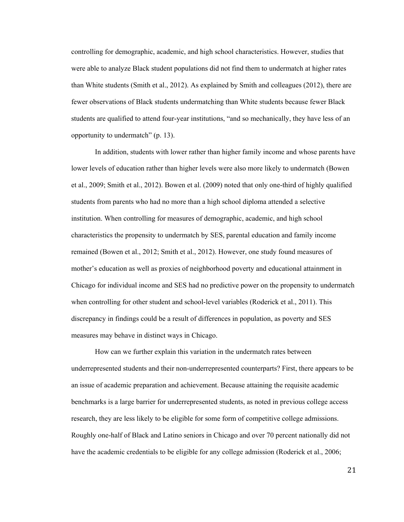controlling for demographic, academic, and high school characteristics. However, studies that were able to analyze Black student populations did not find them to undermatch at higher rates than White students (Smith et al., 2012). As explained by Smith and colleagues (2012), there are fewer observations of Black students undermatching than White students because fewer Black students are qualified to attend four-year institutions, "and so mechanically, they have less of an opportunity to undermatch" (p. 13).

In addition, students with lower rather than higher family income and whose parents have lower levels of education rather than higher levels were also more likely to undermatch (Bowen et al., 2009; Smith et al., 2012). Bowen et al. (2009) noted that only one-third of highly qualified students from parents who had no more than a high school diploma attended a selective institution. When controlling for measures of demographic, academic, and high school characteristics the propensity to undermatch by SES, parental education and family income remained (Bowen et al., 2012; Smith et al., 2012). However, one study found measures of mother's education as well as proxies of neighborhood poverty and educational attainment in Chicago for individual income and SES had no predictive power on the propensity to undermatch when controlling for other student and school-level variables (Roderick et al., 2011). This discrepancy in findings could be a result of differences in population, as poverty and SES measures may behave in distinct ways in Chicago.

How can we further explain this variation in the undermatch rates between underrepresented students and their non-underrepresented counterparts? First, there appears to be an issue of academic preparation and achievement. Because attaining the requisite academic benchmarks is a large barrier for underrepresented students, as noted in previous college access research, they are less likely to be eligible for some form of competitive college admissions. Roughly one-half of Black and Latino seniors in Chicago and over 70 percent nationally did not have the academic credentials to be eligible for any college admission (Roderick et al., 2006;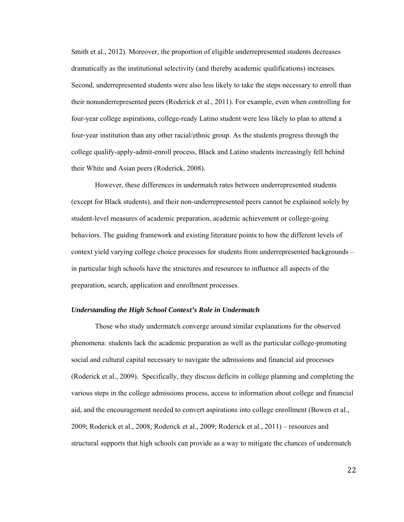Smith et al., 2012). Moreover, the proportion of eligible underrepresented students decreases dramatically as the institutional selectivity (and thereby academic qualifications) increases. Second, underrepresented students were also less likely to take the steps necessary to enroll than their nonunderrepresented peers (Roderick et al., 2011). For example, even when controlling for four-year college aspirations, college-ready Latino student were less likely to plan to attend a four-year institution than any other racial/ethnic group. As the students progress through the college qualify-apply-admit-enroll process, Black and Latino students increasingly fell behind their White and Asian peers (Roderick, 2008).

However, these differences in undermatch rates between underrepresented students (except for Black students), and their non-underrepresented peers cannot be explained solely by student-level measures of academic preparation, academic achievement or college-going behaviors. The guiding framework and existing literature points to how the different levels of context yield varying college choice processes for students from underrepresented backgrounds – in particular high schools have the structures and resources to influence all aspects of the preparation, search, application and enrollment processes.

#### *Understanding the High School Context's Role in Undermatch*

Those who study undermatch converge around similar explanations for the observed phenomena: students lack the academic preparation as well as the particular college-promoting social and cultural capital necessary to navigate the admissions and financial aid processes (Roderick et al., 2009). Specifically, they discuss deficits in college planning and completing the various steps in the college admissions process, access to information about college and financial aid, and the encouragement needed to convert aspirations into college enrollment (Bowen et al., 2009; Roderick et al., 2008; Roderick et al., 2009; Roderick et al., 2011) – resources and structural supports that high schools can provide as a way to mitigate the chances of undermatch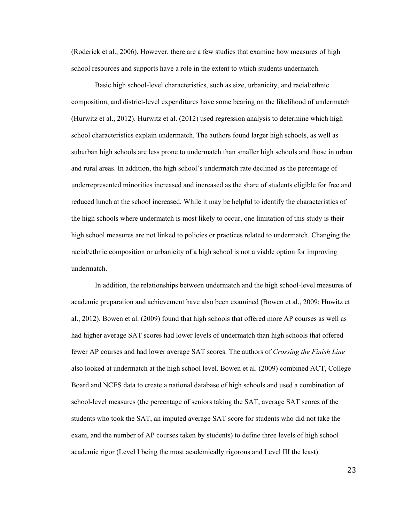(Roderick et al., 2006). However, there are a few studies that examine how measures of high school resources and supports have a role in the extent to which students undermatch.

Basic high school-level characteristics, such as size, urbanicity, and racial/ethnic composition, and district-level expenditures have some bearing on the likelihood of undermatch (Hurwitz et al., 2012). Hurwitz et al. (2012) used regression analysis to determine which high school characteristics explain undermatch. The authors found larger high schools, as well as suburban high schools are less prone to undermatch than smaller high schools and those in urban and rural areas. In addition, the high school's undermatch rate declined as the percentage of underrepresented minorities increased and increased as the share of students eligible for free and reduced lunch at the school increased. While it may be helpful to identify the characteristics of the high schools where undermatch is most likely to occur, one limitation of this study is their high school measures are not linked to policies or practices related to undermatch. Changing the racial/ethnic composition or urbanicity of a high school is not a viable option for improving undermatch.

In addition, the relationships between undermatch and the high school-level measures of academic preparation and achievement have also been examined (Bowen et al., 2009; Huwitz et al., 2012). Bowen et al. (2009) found that high schools that offered more AP courses as well as had higher average SAT scores had lower levels of undermatch than high schools that offered fewer AP courses and had lower average SAT scores. The authors of *Crossing the Finish Line* also looked at undermatch at the high school level. Bowen et al. (2009) combined ACT, College Board and NCES data to create a national database of high schools and used a combination of school-level measures (the percentage of seniors taking the SAT, average SAT scores of the students who took the SAT, an imputed average SAT score for students who did not take the exam, and the number of AP courses taken by students) to define three levels of high school academic rigor (Level I being the most academically rigorous and Level III the least).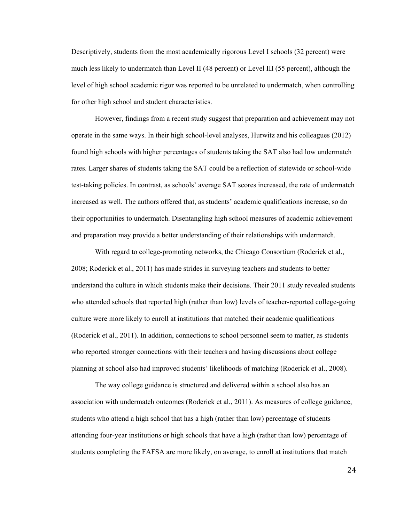Descriptively, students from the most academically rigorous Level I schools (32 percent) were much less likely to undermatch than Level II (48 percent) or Level III (55 percent), although the level of high school academic rigor was reported to be unrelated to undermatch, when controlling for other high school and student characteristics.

However, findings from a recent study suggest that preparation and achievement may not operate in the same ways. In their high school-level analyses, Hurwitz and his colleagues (2012) found high schools with higher percentages of students taking the SAT also had low undermatch rates. Larger shares of students taking the SAT could be a reflection of statewide or school-wide test-taking policies. In contrast, as schools' average SAT scores increased, the rate of undermatch increased as well. The authors offered that, as students' academic qualifications increase, so do their opportunities to undermatch. Disentangling high school measures of academic achievement and preparation may provide a better understanding of their relationships with undermatch.

With regard to college-promoting networks, the Chicago Consortium (Roderick et al., 2008; Roderick et al., 2011) has made strides in surveying teachers and students to better understand the culture in which students make their decisions. Their 2011 study revealed students who attended schools that reported high (rather than low) levels of teacher-reported college-going culture were more likely to enroll at institutions that matched their academic qualifications (Roderick et al., 2011). In addition, connections to school personnel seem to matter, as students who reported stronger connections with their teachers and having discussions about college planning at school also had improved students' likelihoods of matching (Roderick et al., 2008).

The way college guidance is structured and delivered within a school also has an association with undermatch outcomes (Roderick et al., 2011). As measures of college guidance, students who attend a high school that has a high (rather than low) percentage of students attending four-year institutions or high schools that have a high (rather than low) percentage of students completing the FAFSA are more likely, on average, to enroll at institutions that match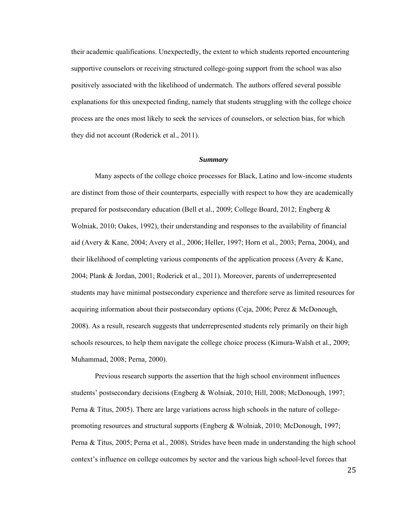their academic qualifications. Unexpectedly, the extent to which students reported encountering supportive counselors or receiving structured college-going support from the school was also positively associated with the likelihood of undermatch. The authors offered several possible explanations for this unexpected finding, namely that students struggling with the college choice process are the ones most likely to seek the services of counselors, or selection bias, for which they did not account (Roderick et al., 2011).

## *Summary*

Many aspects of the college choice processes for Black, Latino and low-income students are distinct from those of their counterparts, especially with respect to how they are academically prepared for postsecondary education (Bell et al., 2009; College Board, 2012; Engberg & Wolniak, 2010; Oakes, 1992), their understanding and responses to the availability of financial aid (Avery & Kane, 2004; Avery et al., 2006; Heller, 1997; Horn et al., 2003; Perna, 2004), and their likelihood of completing various components of the application process (Avery  $\&$  Kane, 2004; Plank & Jordan, 2001; Roderick et al., 2011). Moreover, parents of underrepresented students may have minimal postsecondary experience and therefore serve as limited resources for acquiring information about their postsecondary options (Ceja, 2006; Perez & McDonough, 2008). As a result, research suggests that underrepresented students rely primarily on their high schools resources, to help them navigate the college choice process (Kimura-Walsh et al., 2009; Muhammad, 2008; Perna, 2000).

Previous research supports the assertion that the high school environment influences students' postsecondary decisions (Engberg & Wolniak, 2010; Hill, 2008; McDonough, 1997; Perna & Titus, 2005). There are large variations across high schools in the nature of collegepromoting resources and structural supports (Engberg & Wolniak, 2010; McDonough, 1997; Perna & Titus, 2005; Perna et al., 2008). Strides have been made in understanding the high school context's influence on college outcomes by sector and the various high school-level forces that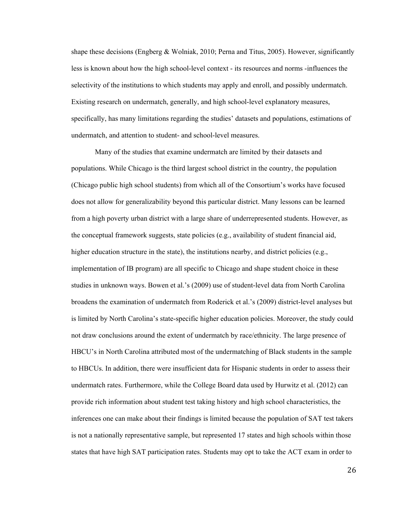shape these decisions (Engberg & Wolniak, 2010; Perna and Titus, 2005). However, significantly less is known about how the high school-level context - its resources and norms -influences the selectivity of the institutions to which students may apply and enroll, and possibly undermatch. Existing research on undermatch, generally, and high school-level explanatory measures, specifically, has many limitations regarding the studies' datasets and populations, estimations of undermatch, and attention to student- and school-level measures.

Many of the studies that examine undermatch are limited by their datasets and populations. While Chicago is the third largest school district in the country, the population (Chicago public high school students) from which all of the Consortium's works have focused does not allow for generalizability beyond this particular district. Many lessons can be learned from a high poverty urban district with a large share of underrepresented students. However, as the conceptual framework suggests, state policies (e.g., availability of student financial aid, higher education structure in the state), the institutions nearby, and district policies (e.g., implementation of IB program) are all specific to Chicago and shape student choice in these studies in unknown ways. Bowen et al.'s (2009) use of student-level data from North Carolina broadens the examination of undermatch from Roderick et al.'s (2009) district-level analyses but is limited by North Carolina's state-specific higher education policies. Moreover, the study could not draw conclusions around the extent of undermatch by race/ethnicity. The large presence of HBCU's in North Carolina attributed most of the undermatching of Black students in the sample to HBCUs. In addition, there were insufficient data for Hispanic students in order to assess their undermatch rates. Furthermore, while the College Board data used by Hurwitz et al. (2012) can provide rich information about student test taking history and high school characteristics, the inferences one can make about their findings is limited because the population of SAT test takers is not a nationally representative sample, but represented 17 states and high schools within those states that have high SAT participation rates. Students may opt to take the ACT exam in order to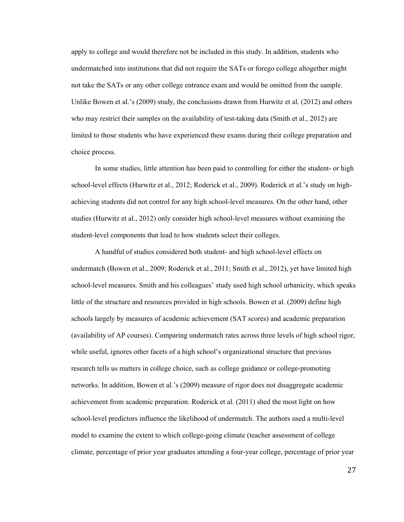apply to college and would therefore not be included in this study. In addition, students who undermatched into institutions that did not require the SATs or forego college altogether might not take the SATs or any other college entrance exam and would be omitted from the sample. Unlike Bowen et al.'s (2009) study, the conclusions drawn from Hurwitz et al. (2012) and others who may restrict their samples on the availability of test-taking data (Smith et al., 2012) are limited to those students who have experienced these exams during their college preparation and choice process.

In some studies, little attention has been paid to controlling for either the student- or high school-level effects (Hurwitz et al., 2012; Roderick et al., 2009). Roderick et al.'s study on highachieving students did not control for any high school-level measures. On the other hand, other studies (Hurwitz et al., 2012) only consider high school-level measures without examining the student-level components that lead to how students select their colleges.

A handful of studies considered both student- and high school-level effects on undermatch (Bowen et al., 2009; Roderick et al., 2011; Smith et al., 2012), yet have limited high school-level measures. Smith and his colleagues' study used high school urbanicity, which speaks little of the structure and resources provided in high schools. Bowen et al. (2009) define high schools largely by measures of academic achievement (SAT scores) and academic preparation (availability of AP courses). Comparing undermatch rates across three levels of high school rigor, while useful, ignores other facets of a high school's organizational structure that previous research tells us matters in college choice, such as college guidance or college-promoting networks. In addition, Bowen et al.'s (2009) measure of rigor does not disaggregate academic achievement from academic preparation. Roderick et al. (2011) shed the most light on how school-level predictors influence the likelihood of undermatch. The authors used a multi-level model to examine the extent to which college-going climate (teacher assessment of college climate, percentage of prior year graduates attending a four-year college, percentage of prior year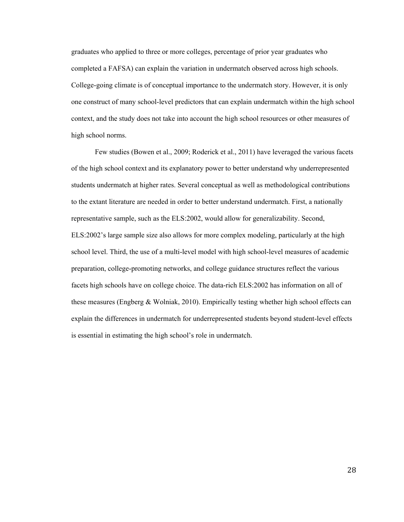graduates who applied to three or more colleges, percentage of prior year graduates who completed a FAFSA) can explain the variation in undermatch observed across high schools. College-going climate is of conceptual importance to the undermatch story. However, it is only one construct of many school-level predictors that can explain undermatch within the high school context, and the study does not take into account the high school resources or other measures of high school norms.

Few studies (Bowen et al., 2009; Roderick et al., 2011) have leveraged the various facets of the high school context and its explanatory power to better understand why underrepresented students undermatch at higher rates. Several conceptual as well as methodological contributions to the extant literature are needed in order to better understand undermatch. First, a nationally representative sample, such as the ELS:2002, would allow for generalizability. Second, ELS:2002's large sample size also allows for more complex modeling, particularly at the high school level. Third, the use of a multi-level model with high school-level measures of academic preparation, college-promoting networks, and college guidance structures reflect the various facets high schools have on college choice. The data-rich ELS:2002 has information on all of these measures (Engberg  $\&$  Wolniak, 2010). Empirically testing whether high school effects can explain the differences in undermatch for underrepresented students beyond student-level effects is essential in estimating the high school's role in undermatch.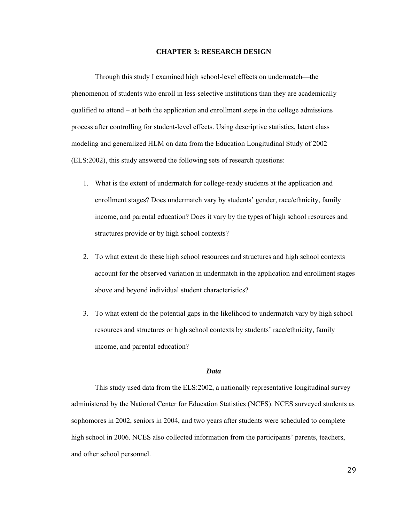### **CHAPTER 3: RESEARCH DESIGN**

Through this study I examined high school-level effects on undermatch—the phenomenon of students who enroll in less-selective institutions than they are academically qualified to attend – at both the application and enrollment steps in the college admissions process after controlling for student-level effects. Using descriptive statistics, latent class modeling and generalized HLM on data from the Education Longitudinal Study of 2002 (ELS:2002), this study answered the following sets of research questions:

- 1. What is the extent of undermatch for college-ready students at the application and enrollment stages? Does undermatch vary by students' gender, race/ethnicity, family income, and parental education? Does it vary by the types of high school resources and structures provide or by high school contexts?
- 2. To what extent do these high school resources and structures and high school contexts account for the observed variation in undermatch in the application and enrollment stages above and beyond individual student characteristics?
- 3. To what extent do the potential gaps in the likelihood to undermatch vary by high school resources and structures or high school contexts by students' race/ethnicity, family income, and parental education?

## *Data*

This study used data from the ELS:2002, a nationally representative longitudinal survey administered by the National Center for Education Statistics (NCES). NCES surveyed students as sophomores in 2002, seniors in 2004, and two years after students were scheduled to complete high school in 2006. NCES also collected information from the participants' parents, teachers, and other school personnel.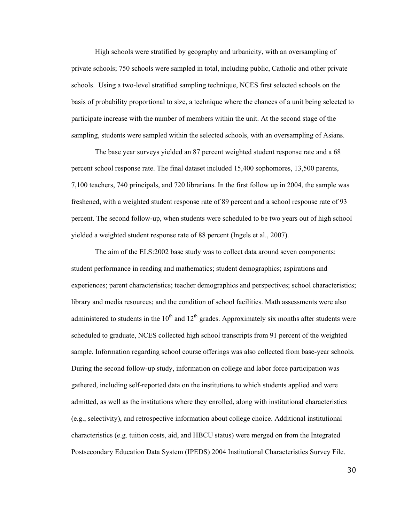High schools were stratified by geography and urbanicity, with an oversampling of private schools; 750 schools were sampled in total, including public, Catholic and other private schools. Using a two-level stratified sampling technique, NCES first selected schools on the basis of probability proportional to size, a technique where the chances of a unit being selected to participate increase with the number of members within the unit. At the second stage of the sampling, students were sampled within the selected schools, with an oversampling of Asians.

The base year surveys yielded an 87 percent weighted student response rate and a 68 percent school response rate. The final dataset included 15,400 sophomores, 13,500 parents, 7,100 teachers, 740 principals, and 720 librarians. In the first follow up in 2004, the sample was freshened, with a weighted student response rate of 89 percent and a school response rate of 93 percent. The second follow-up, when students were scheduled to be two years out of high school yielded a weighted student response rate of 88 percent (Ingels et al., 2007).

The aim of the ELS:2002 base study was to collect data around seven components: student performance in reading and mathematics; student demographics; aspirations and experiences; parent characteristics; teacher demographics and perspectives; school characteristics; library and media resources; and the condition of school facilities. Math assessments were also administered to students in the  $10<sup>th</sup>$  and  $12<sup>th</sup>$  grades. Approximately six months after students were scheduled to graduate, NCES collected high school transcripts from 91 percent of the weighted sample. Information regarding school course offerings was also collected from base-year schools. During the second follow-up study, information on college and labor force participation was gathered, including self-reported data on the institutions to which students applied and were admitted, as well as the institutions where they enrolled, along with institutional characteristics (e.g., selectivity), and retrospective information about college choice. Additional institutional characteristics (e.g. tuition costs, aid, and HBCU status) were merged on from the Integrated Postsecondary Education Data System (IPEDS) 2004 Institutional Characteristics Survey File.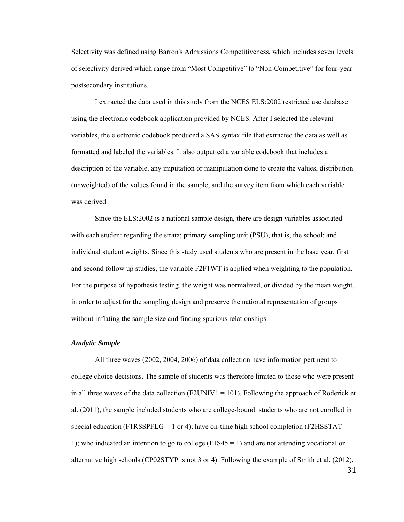Selectivity was defined using Barron's Admissions Competitiveness, which includes seven levels of selectivity derived which range from "Most Competitive" to "Non-Competitive" for four-year postsecondary institutions.

I extracted the data used in this study from the NCES ELS:2002 restricted use database using the electronic codebook application provided by NCES. After I selected the relevant variables, the electronic codebook produced a SAS syntax file that extracted the data as well as formatted and labeled the variables. It also outputted a variable codebook that includes a description of the variable, any imputation or manipulation done to create the values, distribution (unweighted) of the values found in the sample, and the survey item from which each variable was derived.

 Since the ELS:2002 is a national sample design, there are design variables associated with each student regarding the strata; primary sampling unit (PSU), that is, the school; and individual student weights. Since this study used students who are present in the base year, first and second follow up studies, the variable F2F1WT is applied when weighting to the population. For the purpose of hypothesis testing, the weight was normalized, or divided by the mean weight, in order to adjust for the sampling design and preserve the national representation of groups without inflating the sample size and finding spurious relationships.

### *Analytic Sample*

All three waves (2002, 2004, 2006) of data collection have information pertinent to college choice decisions. The sample of students was therefore limited to those who were present in all three waves of the data collection (F2UNIV1 = 101). Following the approach of Roderick et al. (2011), the sample included students who are college-bound: students who are not enrolled in special education (F1RSSPFLG = 1 or 4); have on-time high school completion (F2HSSTAT = 1); who indicated an intention to go to college  $(F1S45 = 1)$  and are not attending vocational or alternative high schools (CP02STYP is not 3 or 4). Following the example of Smith et al. (2012),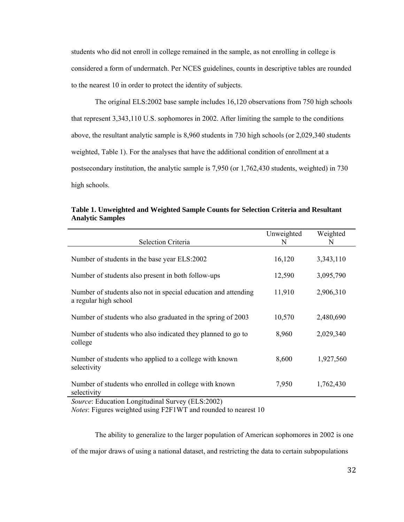students who did not enroll in college remained in the sample, as not enrolling in college is considered a form of undermatch. Per NCES guidelines, counts in descriptive tables are rounded to the nearest 10 in order to protect the identity of subjects.

The original ELS:2002 base sample includes 16,120 observations from 750 high schools that represent 3,343,110 U.S. sophomores in 2002. After limiting the sample to the conditions above, the resultant analytic sample is 8,960 students in 730 high schools (or 2,029,340 students weighted, Table 1). For the analyses that have the additional condition of enrollment at a postsecondary institution, the analytic sample is 7,950 (or 1,762,430 students, weighted) in 730 high schools.

| Table 1. Unweighted and Weighted Sample Counts for Selection Criteria and Resultant |  |         |
|-------------------------------------------------------------------------------------|--|---------|
| <b>Analytic Samples</b>                                                             |  |         |
|                                                                                     |  |         |
|                                                                                     |  | ------- |

| Selection Criteria                                                                      | Unweighted<br>N | Weighted<br>N |
|-----------------------------------------------------------------------------------------|-----------------|---------------|
| Number of students in the base year ELS:2002                                            | 16,120          | 3,343,110     |
| Number of students also present in both follow-ups                                      | 12,590          | 3,095,790     |
| Number of students also not in special education and attending<br>a regular high school | 11,910          | 2,906,310     |
| Number of students who also graduated in the spring of 2003                             | 10,570          | 2,480,690     |
| Number of students who also indicated they planned to go to<br>college                  | 8,960           | 2,029,340     |
| Number of students who applied to a college with known<br>selectivity                   | 8,600           | 1,927,560     |
| Number of students who enrolled in college with known<br>selectivity                    | 7,950           | 1,762,430     |
| <i>Source:</i> Education Longitudinal Survey (ELS:2002)                                 |                 |               |

*Notes*: Figures weighted using F2F1WT and rounded to nearest 10

The ability to generalize to the larger population of American sophomores in 2002 is one of the major draws of using a national dataset, and restricting the data to certain subpopulations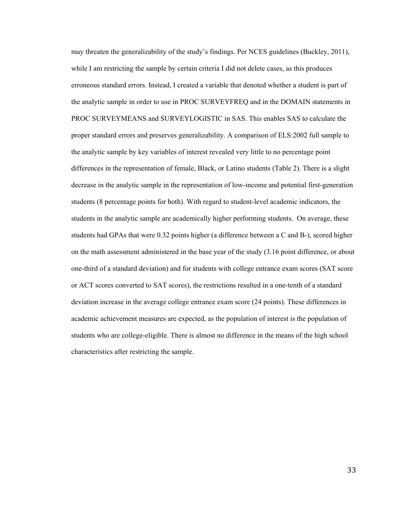may threaten the generalizability of the study's findings. Per NCES guidelines (Buckley, 2011), while I am restricting the sample by certain criteria I did not delete cases, as this produces erroneous standard errors. Instead, I created a variable that denoted whether a student is part of the analytic sample in order to use in PROC SURVEYFREQ and in the DOMAIN statements in PROC SURVEYMEANS and SURVEYLOGISTIC in SAS. This enables SAS to calculate the proper standard errors and preserves generalizability. A comparison of ELS:2002 full sample to the analytic sample by key variables of interest revealed very little to no percentage point differences in the representation of female, Black, or Latino students (Table 2). There is a slight decrease in the analytic sample in the representation of low-income and potential first-generation students (8 percentage points for both). With regard to student-level academic indicators, the students in the analytic sample are academically higher performing students. On average, these students had GPAs that were 0.32 points higher (a difference between a C and B-), scored higher on the math assessment administered in the base year of the study (3.16 point difference, or about one-third of a standard deviation) and for students with college entrance exam scores (SAT score or ACT scores converted to SAT scores), the restrictions resulted in a one-tenth of a standard deviation increase in the average college entrance exam score (24 points). These differences in academic achievement measures are expected, as the population of interest is the population of students who are college-eligible. There is almost no difference in the means of the high school characteristics after restricting the sample.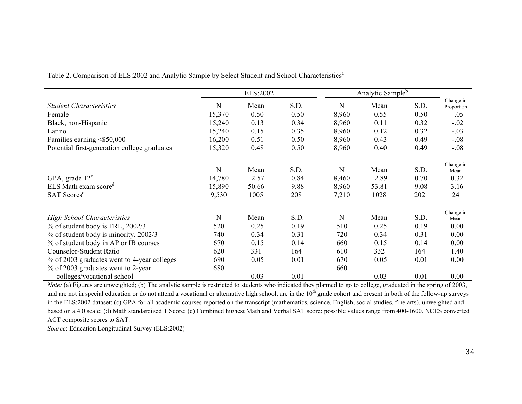|                                              |           | ELS:2002 |      |       | Analytic Sample <sup>b</sup> |      |                         |
|----------------------------------------------|-----------|----------|------|-------|------------------------------|------|-------------------------|
| <b>Student Characteristics</b>               | ${\bf N}$ | Mean     | S.D. | N     | Mean                         | S.D. | Change in<br>Proportion |
| Female                                       | 15,370    | 0.50     | 0.50 | 8,960 | 0.55                         | 0.50 | .05                     |
| Black, non-Hispanic                          | 15,240    | 0.13     | 0.34 | 8,960 | 0.11                         | 0.32 | $-.02$                  |
| Latino                                       | 15,240    | 0.15     | 0.35 | 8,960 | 0.12                         | 0.32 | $-.03$                  |
| Families earning <\$50,000                   | 16,200    | 0.51     | 0.50 | 8,960 | 0.43                         | 0.49 | $-.08$                  |
| Potential first-generation college graduates | 15,320    | 0.48     | 0.50 | 8,960 | 0.40                         | 0.49 | $-.08$                  |
|                                              | N         | Mean     | S.D. | N     | Mean                         | S.D. | Change in<br>Mean       |
| GPA, grade $12^c$                            | 14,780    | 2.57     | 0.84 | 8,460 | 2.89                         | 0.70 | 0.32                    |
| ELS Math exam score <sup>d</sup>             | 15,890    | 50.66    | 9.88 | 8,960 | 53.81                        | 9.08 | 3.16                    |
| <b>SAT Scores</b> <sup>e</sup>               | 9,530     | 1005     | 208  | 7,210 | 1028                         | 202  | 24                      |
| <b>High School Characteristics</b>           | N         | Mean     | S.D. | N     | Mean                         | S.D. | Change in<br>Mean       |
| % of student body is FRL, 2002/3             | 520       | 0.25     | 0.19 | 510   | 0.25                         | 0.19 | 0.00                    |
| % of student body is minority, 2002/3        | 740       | 0.34     | 0.31 | 720   | 0.34                         | 0.31 | 0.00                    |
| % of student body in AP or IB courses        | 670       | 0.15     | 0.14 | 660   | 0.15                         | 0.14 | 0.00                    |
| <b>Counselor-Student Ratio</b>               | 620       | 331      | 164  | 610   | 332                          | 164  | 1.40                    |
| % of 2003 graduates went to 4-year colleges  | 690       | 0.05     | 0.01 | 670   | 0.05                         | 0.01 | 0.00                    |
| % of 2003 graduates went to 2-year           | 680       |          |      | 660   |                              |      |                         |
| colleges/vocational school                   |           | 0.03     | 0.01 |       | 0.03                         | 0.01 | 0.00                    |

Table 2. Comparison of ELS:2002 and Analytic Sample by Select Student and School Characteristics<sup>a</sup>

*Note:* (a) Figures are unweighted; (b) The analytic sample is restricted to students who indicated they planned to go to college, graduated in the spring of 2003, and are not in special education or do not attend a vocational or alternative high school, are in the  $10<sup>th</sup>$  grade cohort and present in both of the follow-up surveys in the ELS:2002 dataset; (c) GPA for all academic courses reported on the transcript (mathematics, science, English, social studies, fine arts), unweighted and based on a 4.0 scale; (d) Math standardized T Score; (e) Combined highest Math and Verbal SAT score; possible values range from 400-1600. NCES converted ACT composite scores to SAT.

*Source*: Education Longitudinal Survey (ELS:2002)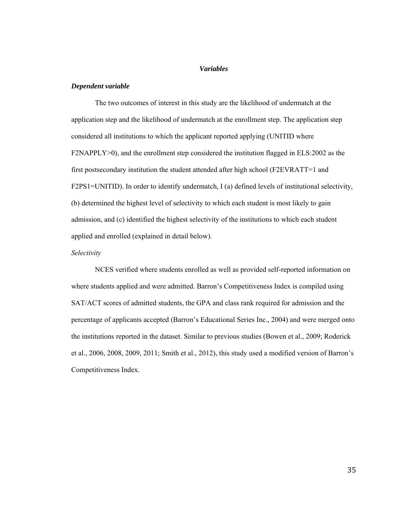## *Variables*

### *Dependent variable*

The two outcomes of interest in this study are the likelihood of undermatch at the application step and the likelihood of undermatch at the enrollment step. The application step considered all institutions to which the applicant reported applying (UNITID where F2NAPPLY>0), and the enrollment step considered the institution flagged in ELS:2002 as the first postsecondary institution the student attended after high school (F2EVRATT=1 and F2PS1=UNITID). In order to identify undermatch, I (a) defined levels of institutional selectivity, (b) determined the highest level of selectivity to which each student is most likely to gain admission, and (c) identified the highest selectivity of the institutions to which each student applied and enrolled (explained in detail below).

## *Selectivity*

NCES verified where students enrolled as well as provided self-reported information on where students applied and were admitted. Barron's Competitiveness Index is compiled using SAT/ACT scores of admitted students, the GPA and class rank required for admission and the percentage of applicants accepted (Barron's Educational Series Inc., 2004) and were merged onto the institutions reported in the dataset. Similar to previous studies (Bowen et al., 2009; Roderick et al., 2006, 2008, 2009, 2011; Smith et al., 2012), this study used a modified version of Barron's Competitiveness Index.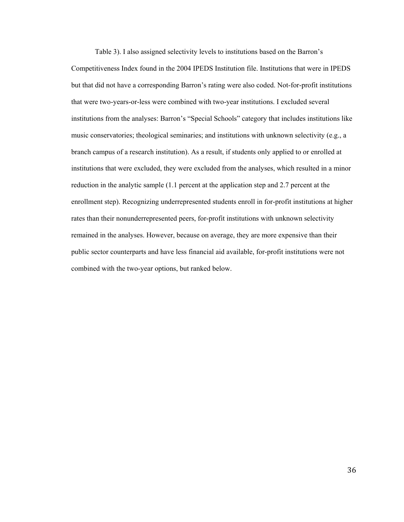Table 3). I also assigned selectivity levels to institutions based on the Barron's Competitiveness Index found in the 2004 IPEDS Institution file. Institutions that were in IPEDS but that did not have a corresponding Barron's rating were also coded. Not-for-profit institutions that were two-years-or-less were combined with two-year institutions. I excluded several institutions from the analyses: Barron's "Special Schools" category that includes institutions like music conservatories; theological seminaries; and institutions with unknown selectivity (e.g., a branch campus of a research institution). As a result, if students only applied to or enrolled at institutions that were excluded, they were excluded from the analyses, which resulted in a minor reduction in the analytic sample (1.1 percent at the application step and 2.7 percent at the enrollment step). Recognizing underrepresented students enroll in for-profit institutions at higher rates than their nonunderrepresented peers, for-profit institutions with unknown selectivity remained in the analyses. However, because on average, they are more expensive than their public sector counterparts and have less financial aid available, for-profit institutions were not combined with the two-year options, but ranked below.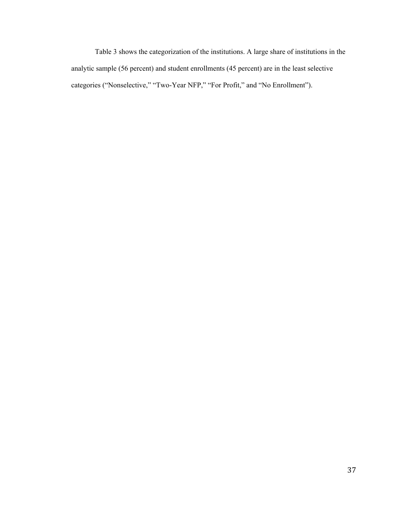Table 3 shows the categorization of the institutions. A large share of institutions in the analytic sample (56 percent) and student enrollments (45 percent) are in the least selective categories ("Nonselective," "Two-Year NFP," "For Profit," and "No Enrollment").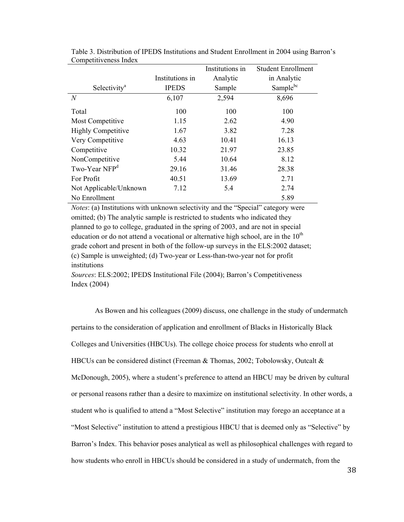|                           |                 | Institutions in | <b>Student Enrollment</b> |
|---------------------------|-----------------|-----------------|---------------------------|
|                           | Institutions in | Analytic        | in Analytic               |
| Selectivity <sup>a</sup>  | <b>IPEDS</b>    | Sample          | Sample <sup>bc</sup>      |
| N                         | 6,107           | 2,594           | 8,696                     |
| Total                     | 100             | 100             | 100                       |
| Most Competitive          | 1.15            | 2.62            | 4.90                      |
| <b>Highly Competitive</b> | 1.67            | 3.82            | 7.28                      |
| Very Competitive          | 4.63            | 10.41           | 16.13                     |
| Competitive               | 10.32           | 21.97           | 23.85                     |
| NonCompetitive            | 5.44            | 10.64           | 8.12                      |
| Two-Year NFP <sup>d</sup> | 29.16           | 31.46           | 28.38                     |
| For Profit                | 40.51           | 13.69           | 2.71                      |
| Not Applicable/Unknown    | 7.12            | 5.4             | 2.74                      |
| No Enrollment             |                 |                 | 5.89                      |

Table 3. Distribution of IPEDS Institutions and Student Enrollment in 2004 using Barron's Competitiveness Index

*Notes*: (a) Institutions with unknown selectivity and the "Special" category were omitted; (b) The analytic sample is restricted to students who indicated they planned to go to college, graduated in the spring of 2003, and are not in special education or do not attend a vocational or alternative high school, are in the  $10<sup>th</sup>$ grade cohort and present in both of the follow-up surveys in the ELS:2002 dataset; (c) Sample is unweighted; (d) Two-year or Less-than-two-year not for profit institutions

*Sources*: ELS:2002; IPEDS Institutional File (2004); Barron's Competitiveness Index (2004)

As Bowen and his colleagues (2009) discuss, one challenge in the study of undermatch pertains to the consideration of application and enrollment of Blacks in Historically Black Colleges and Universities (HBCUs). The college choice process for students who enroll at HBCUs can be considered distinct (Freeman  $\&$  Thomas, 2002; Tobolowsky, Outcalt  $\&$ McDonough, 2005), where a student's preference to attend an HBCU may be driven by cultural or personal reasons rather than a desire to maximize on institutional selectivity. In other words, a student who is qualified to attend a "Most Selective" institution may forego an acceptance at a "Most Selective" institution to attend a prestigious HBCU that is deemed only as "Selective" by Barron's Index. This behavior poses analytical as well as philosophical challenges with regard to how students who enroll in HBCUs should be considered in a study of undermatch, from the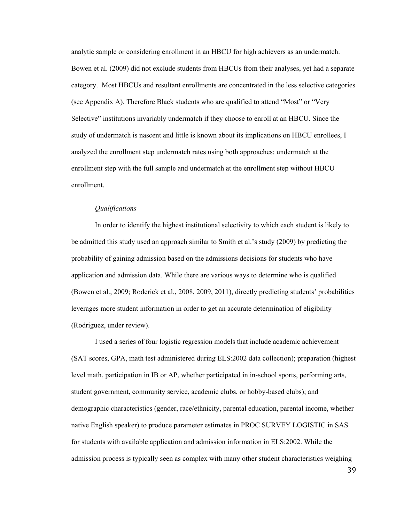analytic sample or considering enrollment in an HBCU for high achievers as an undermatch. Bowen et al. (2009) did not exclude students from HBCUs from their analyses, yet had a separate category. Most HBCUs and resultant enrollments are concentrated in the less selective categories (see Appendix A). Therefore Black students who are qualified to attend "Most" or "Very Selective" institutions invariably undermatch if they choose to enroll at an HBCU. Since the study of undermatch is nascent and little is known about its implications on HBCU enrollees, I analyzed the enrollment step undermatch rates using both approaches: undermatch at the enrollment step with the full sample and undermatch at the enrollment step without HBCU enrollment.

#### *Qualifications*

In order to identify the highest institutional selectivity to which each student is likely to be admitted this study used an approach similar to Smith et al.'s study (2009) by predicting the probability of gaining admission based on the admissions decisions for students who have application and admission data. While there are various ways to determine who is qualified (Bowen et al., 2009; Roderick et al., 2008, 2009, 2011), directly predicting students' probabilities leverages more student information in order to get an accurate determination of eligibility (Rodriguez, under review).

I used a series of four logistic regression models that include academic achievement (SAT scores, GPA, math test administered during ELS:2002 data collection); preparation (highest level math, participation in IB or AP, whether participated in in-school sports, performing arts, student government, community service, academic clubs, or hobby-based clubs); and demographic characteristics (gender, race/ethnicity, parental education, parental income, whether native English speaker) to produce parameter estimates in PROC SURVEY LOGISTIC in SAS for students with available application and admission information in ELS:2002. While the admission process is typically seen as complex with many other student characteristics weighing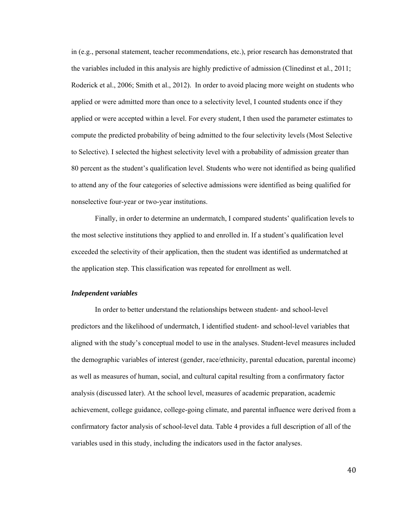in (e.g., personal statement, teacher recommendations, etc.), prior research has demonstrated that the variables included in this analysis are highly predictive of admission (Clinedinst et al., 2011; Roderick et al., 2006; Smith et al., 2012). In order to avoid placing more weight on students who applied or were admitted more than once to a selectivity level, I counted students once if they applied or were accepted within a level. For every student, I then used the parameter estimates to compute the predicted probability of being admitted to the four selectivity levels (Most Selective to Selective). I selected the highest selectivity level with a probability of admission greater than 80 percent as the student's qualification level. Students who were not identified as being qualified to attend any of the four categories of selective admissions were identified as being qualified for nonselective four-year or two-year institutions.

Finally, in order to determine an undermatch, I compared students' qualification levels to the most selective institutions they applied to and enrolled in. If a student's qualification level exceeded the selectivity of their application, then the student was identified as undermatched at the application step. This classification was repeated for enrollment as well.

### *Independent variables*

In order to better understand the relationships between student- and school-level predictors and the likelihood of undermatch, I identified student- and school-level variables that aligned with the study's conceptual model to use in the analyses. Student-level measures included the demographic variables of interest (gender, race/ethnicity, parental education, parental income) as well as measures of human, social, and cultural capital resulting from a confirmatory factor analysis (discussed later). At the school level, measures of academic preparation, academic achievement, college guidance, college-going climate, and parental influence were derived from a confirmatory factor analysis of school-level data. Table 4 provides a full description of all of the variables used in this study, including the indicators used in the factor analyses.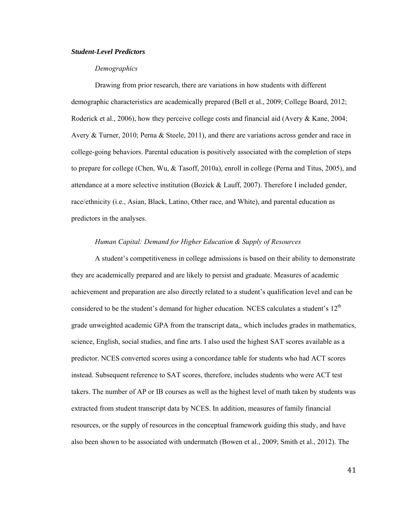## *Student-Level Predictors*

## *Demographics*

 Drawing from prior research, there are variations in how students with different demographic characteristics are academically prepared (Bell et al., 2009; College Board, 2012; Roderick et al., 2006), how they perceive college costs and financial aid (Avery & Kane, 2004; Avery & Turner, 2010; Perna & Steele, 2011), and there are variations across gender and race in college-going behaviors. Parental education is positively associated with the completion of steps to prepare for college (Chen, Wu, & Tasoff, 2010a), enroll in college (Perna and Titus, 2005), and attendance at a more selective institution (Bozick & Lauff, 2007). Therefore I included gender, race/ethnicity (i.e., Asian, Black, Latino, Other race, and White), and parental education as predictors in the analyses.

## *Human Capital: Demand for Higher Education & Supply of Resources*

A student's competitiveness in college admissions is based on their ability to demonstrate they are academically prepared and are likely to persist and graduate. Measures of academic achievement and preparation are also directly related to a student's qualification level and can be considered to be the student's demand for higher education. NCES calculates a student's  $12<sup>th</sup>$ grade unweighted academic GPA from the transcript data,, which includes grades in mathematics, science, English, social studies, and fine arts. I also used the highest SAT scores available as a predictor. NCES converted scores using a concordance table for students who had ACT scores instead. Subsequent reference to SAT scores, therefore, includes students who were ACT test takers. The number of AP or IB courses as well as the highest level of math taken by students was extracted from student transcript data by NCES. In addition, measures of family financial resources, or the supply of resources in the conceptual framework guiding this study, and have also been shown to be associated with undermatch (Bowen et al., 2009; Smith et al., 2012). The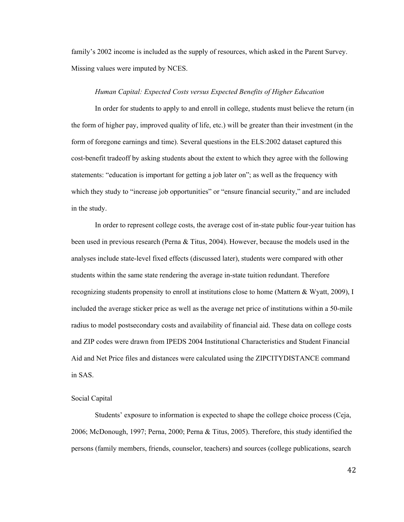family's 2002 income is included as the supply of resources, which asked in the Parent Survey. Missing values were imputed by NCES.

### *Human Capital: Expected Costs versus Expected Benefits of Higher Education*

 In order for students to apply to and enroll in college, students must believe the return (in the form of higher pay, improved quality of life, etc.) will be greater than their investment (in the form of foregone earnings and time). Several questions in the ELS:2002 dataset captured this cost-benefit tradeoff by asking students about the extent to which they agree with the following statements: "education is important for getting a job later on"; as well as the frequency with which they study to "increase job opportunities" or "ensure financial security," and are included in the study.

In order to represent college costs, the average cost of in-state public four-year tuition has been used in previous research (Perna & Titus, 2004). However, because the models used in the analyses include state-level fixed effects (discussed later), students were compared with other students within the same state rendering the average in-state tuition redundant. Therefore recognizing students propensity to enroll at institutions close to home (Mattern & Wyatt, 2009), I included the average sticker price as well as the average net price of institutions within a 50-mile radius to model postsecondary costs and availability of financial aid. These data on college costs and ZIP codes were drawn from IPEDS 2004 Institutional Characteristics and Student Financial Aid and Net Price files and distances were calculated using the ZIPCITYDISTANCE command in SAS.

## Social Capital

 Students' exposure to information is expected to shape the college choice process (Ceja, 2006; McDonough, 1997; Perna, 2000; Perna & Titus, 2005). Therefore, this study identified the persons (family members, friends, counselor, teachers) and sources (college publications, search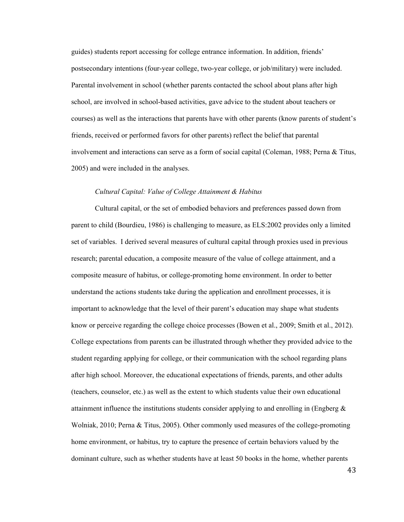guides) students report accessing for college entrance information. In addition, friends' postsecondary intentions (four-year college, two-year college, or job/military) were included. Parental involvement in school (whether parents contacted the school about plans after high school, are involved in school-based activities, gave advice to the student about teachers or courses) as well as the interactions that parents have with other parents (know parents of student's friends, received or performed favors for other parents) reflect the belief that parental involvement and interactions can serve as a form of social capital (Coleman, 1988; Perna & Titus, 2005) and were included in the analyses.

# *Cultural Capital: Value of College Attainment & Habitus*

 Cultural capital, or the set of embodied behaviors and preferences passed down from parent to child (Bourdieu, 1986) is challenging to measure, as ELS:2002 provides only a limited set of variables. I derived several measures of cultural capital through proxies used in previous research; parental education, a composite measure of the value of college attainment, and a composite measure of habitus, or college-promoting home environment. In order to better understand the actions students take during the application and enrollment processes, it is important to acknowledge that the level of their parent's education may shape what students know or perceive regarding the college choice processes (Bowen et al., 2009; Smith et al., 2012). College expectations from parents can be illustrated through whether they provided advice to the student regarding applying for college, or their communication with the school regarding plans after high school. Moreover, the educational expectations of friends, parents, and other adults (teachers, counselor, etc.) as well as the extent to which students value their own educational attainment influence the institutions students consider applying to and enrolling in (Engberg  $\&$ Wolniak, 2010; Perna & Titus, 2005). Other commonly used measures of the college-promoting home environment, or habitus, try to capture the presence of certain behaviors valued by the dominant culture, such as whether students have at least 50 books in the home, whether parents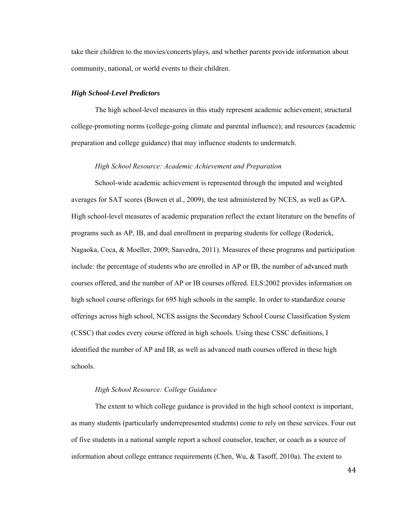take their children to the movies/concerts/plays, and whether parents provide information about community, national, or world events to their children.

### *High School-Level Predictors*

The high school-level measures in this study represent academic achievement; structural college-promoting norms (college-going climate and parental influence); and resources (academic preparation and college guidance) that may influence students to undermatch.

## *High School Resource: Academic Achievement and Preparation*

School-wide academic achievement is represented through the imputed and weighted averages for SAT scores (Bowen et al., 2009), the test administered by NCES, as well as GPA. High school-level measures of academic preparation reflect the extant literature on the benefits of programs such as AP, IB, and dual enrollment in preparing students for college (Roderick, Nagaoka, Coca, & Moeller, 2009; Saavedra, 2011). Measures of these programs and participation include: the percentage of students who are enrolled in AP or IB, the number of advanced math courses offered, and the number of AP or IB courses offered. ELS:2002 provides information on high school course offerings for 695 high schools in the sample. In order to standardize course offerings across high school, NCES assigns the Secondary School Course Classification System (CSSC) that codes every course offered in high schools. Using these CSSC definitions, I identified the number of AP and IB, as well as advanced math courses offered in these high schools.

### *High School Resource: College Guidance*

The extent to which college guidance is provided in the high school context is important, as many students (particularly underrepresented students) come to rely on these services. Four out of five students in a national sample report a school counselor, teacher, or coach as a source of information about college entrance requirements (Chen, Wu, & Tasoff, 2010a). The extent to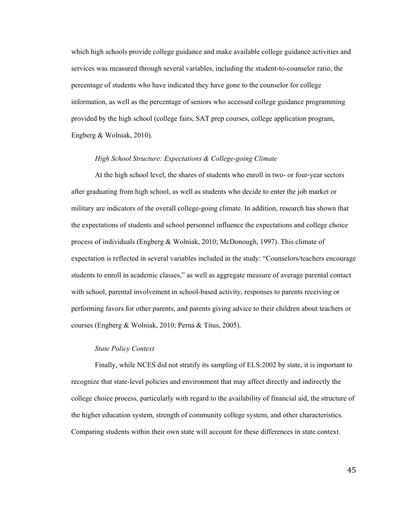which high schools provide college guidance and make available college guidance activities and services was measured through several variables, including the student-to-counselor ratio, the percentage of students who have indicated they have gone to the counselor for college information, as well as the percentage of seniors who accessed college guidance programming provided by the high school (college fairs, SAT prep courses, college application program, Engberg & Wolniak, 2010).

### *High School Structure: Expectations & College-going Climate*

At the high school level, the shares of students who enroll in two- or four-year sectors after graduating from high school, as well as students who decide to enter the job market or military are indicators of the overall college-going climate. In addition, research has shown that the expectations of students and school personnel influence the expectations and college choice process of individuals (Engberg & Wolniak, 2010; McDonough, 1997). This climate of expectation is reflected in several variables included in the study: "Counselors/teachers encourage students to enroll in academic classes," as well as aggregate measure of average parental contact with school, parental involvement in school-based activity, responses to parents receiving or performing favors for other parents, and parents giving advice to their children about teachers or courses (Engberg & Wolniak, 2010; Perna & Titus, 2005).

# *State Policy Context*

Finally, while NCES did not stratify its sampling of ELS:2002 by state, it is important to recognize that state-level policies and environment that may affect directly and indirectly the college choice process, particularly with regard to the availability of financial aid, the structure of the higher education system, strength of community college system, and other characteristics. Comparing students within their own state will account for these differences in state context.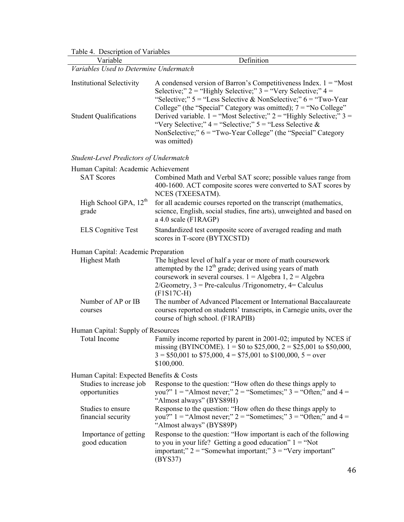Table 4. Description of Variables

*Variables Used to Determine Undermatch*

| <b>Institutional Selectivity</b> | A condensed version of Barron's Competitiveness Index. $1 =$ "Most"<br>Selective;" $2 =$ "Highly Selective;" $3 =$ "Very Selective;" $4 =$<br>"Selective;" $5 =$ "Less Selective & NonSelective;" $6 =$ "Two-Year"<br>College" (the "Special" Category was omitted); $7 =$ "No College" |
|----------------------------------|-----------------------------------------------------------------------------------------------------------------------------------------------------------------------------------------------------------------------------------------------------------------------------------------|
| <b>Student Qualifications</b>    | Derived variable. $1 =$ "Most Selective;" $2 =$ "Highly Selective;" $3 =$<br>"Very Selective;" $4 =$ "Selective;" $5 =$ "Less Selective &<br>NonSelective;" $6 =$ "Two-Year College" (the "Special" Category<br>was omitted)                                                            |

Definition

*Student-Level Predictors of Undermatch*

| Human Capital: Academic Achievement        |                                                                                                                                                                                                                                                                               |
|--------------------------------------------|-------------------------------------------------------------------------------------------------------------------------------------------------------------------------------------------------------------------------------------------------------------------------------|
| <b>SAT Scores</b>                          | Combined Math and Verbal SAT score; possible values range from<br>400-1600. ACT composite scores were converted to SAT scores by<br>NCES (TXEESATM).                                                                                                                          |
| High School GPA, 12 <sup>th</sup><br>grade | for all academic courses reported on the transcript (mathematics,<br>science, English, social studies, fine arts), unweighted and based on<br>a 4.0 scale (F1RAGP)                                                                                                            |
| <b>ELS Cognitive Test</b>                  | Standardized test composite score of averaged reading and math<br>scores in T-score (BYTXCSTD)                                                                                                                                                                                |
| Human Capital: Academic Preparation        |                                                                                                                                                                                                                                                                               |
| <b>Highest Math</b>                        | The highest level of half a year or more of math coursework<br>attempted by the $12th$ grade; derived using years of math<br>coursework in several courses. $1 =$ Algebra 1, $2 =$ Algebra<br>$2/Geometry$ , $3 = Pre-calculus/Trigonometry$ , $4 = Calculus$<br>$(F1S17C-H)$ |
| Number of AP or IB<br>courses              | The number of Advanced Placement or International Baccalaureate<br>courses reported on students' transcripts, in Carnegie units, over the<br>course of high school. (F1RAPIB)                                                                                                 |
| Human Capital: Supply of Resources         |                                                                                                                                                                                                                                                                               |
| <b>Total Income</b>                        | Family income reported by parent in 2001-02; imputed by NCES if<br>missing (BYINCOME). $1 = $0$ to \$25,000, $2 = $25,001$ to \$50,000,<br>$3 = $50,001$ to \$75,000, $4 = $75,001$ to \$100,000, $5 = over$<br>\$100,000.                                                    |
| Human Capital: Expected Benefits & Costs   |                                                                                                                                                                                                                                                                               |
| Studies to increase job<br>opportunities   | Response to the question: "How often do these things apply to<br>you?" $1 =$ "Almost never;" $2 =$ "Sometimes;" $3 =$ "Often;" and $4 =$<br>"Almost always" (BYS89H)                                                                                                          |
| Studies to ensure<br>financial security    | Response to the question: "How often do these things apply to<br>you?" $1 =$ "Almost never;" $2 =$ "Sometimes;" $3 =$ "Often;" and $4 =$<br>"Almost always" (BYS89P)                                                                                                          |
| Importance of getting<br>good education    | Response to the question: "How important is each of the following<br>to you in your life? Getting a good education" $1 = \text{``Not}$<br>important;" $2 =$ "Somewhat important;" $3 =$ "Very important"<br>(BYS37)                                                           |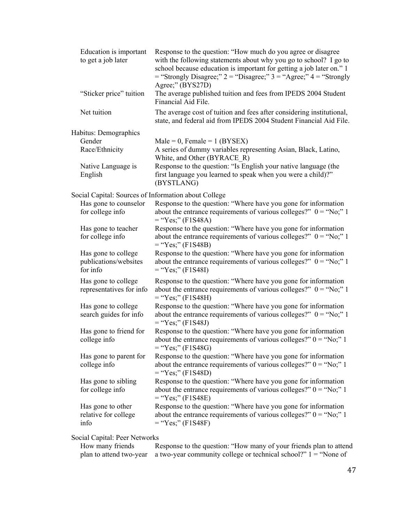| Education is important<br>to get a job later             | Response to the question: "How much do you agree or disagree<br>with the following statements about why you go to school? I go to<br>school because education is important for getting a job later on." 1<br>$=$ "Strongly Disagree;" 2 = "Disagree;" 3 = "Agree;" 4 = "Strongly<br>Agree;" (BYS27D) |
|----------------------------------------------------------|------------------------------------------------------------------------------------------------------------------------------------------------------------------------------------------------------------------------------------------------------------------------------------------------------|
| "Sticker price" tuition                                  | The average published tuition and fees from IPEDS 2004 Student<br>Financial Aid File.                                                                                                                                                                                                                |
| Net tuition                                              | The average cost of tuition and fees after considering institutional,<br>state, and federal aid from IPEDS 2004 Student Financial Aid File.                                                                                                                                                          |
| Habitus: Demographics                                    |                                                                                                                                                                                                                                                                                                      |
| Gender                                                   | Male = 0, Female = $1$ (BYSEX)                                                                                                                                                                                                                                                                       |
| Race/Ethnicity                                           | A series of dummy variables representing Asian, Black, Latino,<br>White, and Other (BYRACE R)                                                                                                                                                                                                        |
| Native Language is<br>English                            | Response to the question: "Is English your native language (the<br>first language you learned to speak when you were a child)?"<br>(BYSTLANG)                                                                                                                                                        |
| Social Capital: Sources of Information about College     |                                                                                                                                                                                                                                                                                                      |
| Has gone to counselor                                    | Response to the question: "Where have you gone for information                                                                                                                                                                                                                                       |
| for college info                                         | about the entrance requirements of various colleges?" $0 = \text{``No''} 1$<br>$=$ "Yes;" (F1S48A)                                                                                                                                                                                                   |
| Has gone to teacher<br>for college info                  | Response to the question: "Where have you gone for information<br>about the entrance requirements of various colleges?" $0 = \text{``No;" } 1$<br>$=$ "Yes;" (F1S48B)                                                                                                                                |
| Has gone to college<br>publications/websites<br>for info | Response to the question: "Where have you gone for information<br>about the entrance requirements of various colleges?" $0 = \text{``No;" } 1$<br>$=$ "Yes;" (F1S48I)                                                                                                                                |
| Has gone to college<br>representatives for info          | Response to the question: "Where have you gone for information<br>about the entrance requirements of various colleges?" $0 = \text{``No;" } 1$<br>$=$ "Yes;" (F1S48H)                                                                                                                                |
| Has gone to college<br>search guides for info            | Response to the question: "Where have you gone for information<br>about the entrance requirements of various colleges?" $0 = \text{``No''} 1$<br>$=$ "Yes;" (F1S48J)                                                                                                                                 |
| Has gone to friend for<br>college info                   | Response to the question: "Where have you gone for information<br>about the entrance requirements of various colleges?" $0 = "No;" 1$<br>$=$ "Yes;" (F1S48G)                                                                                                                                         |
| Has gone to parent for<br>college info                   | Response to the question: "Where have you gone for information<br>about the entrance requirements of various colleges?" $0 = \text{``No''} 1$<br>$=$ "Yes;" (F1S48D)                                                                                                                                 |
| Has gone to sibling<br>for college info                  | Response to the question: "Where have you gone for information<br>about the entrance requirements of various colleges?" $0 = \text{``No''} 1$<br>$=$ "Yes;" (F1S48E)                                                                                                                                 |
| Has gone to other<br>relative for college<br>info        | Response to the question: "Where have you gone for information<br>about the entrance requirements of various colleges?" $0 = "No;" 1$<br>$=$ "Yes;" (F1S48F)                                                                                                                                         |

Social Capital: Peer Networks

| How many friends | Response to the question: "How many of your friends plan to attend                        |
|------------------|-------------------------------------------------------------------------------------------|
|                  | plan to attend two-year a two-year community college or technical school?" $1 =$ "None of |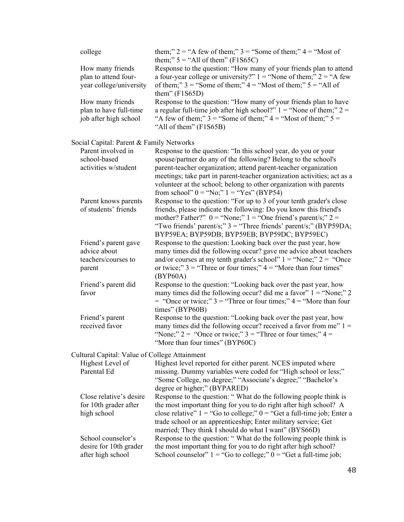| college                                                               | them;" $2 = "A few of them;"$ 3 = "Some of them;" $4 = "Most of$<br>them;" $5 =$ "All of them" (F1S65C)                                                                                                                                                                                                                                                                                            |
|-----------------------------------------------------------------------|----------------------------------------------------------------------------------------------------------------------------------------------------------------------------------------------------------------------------------------------------------------------------------------------------------------------------------------------------------------------------------------------------|
| How many friends<br>plan to attend four-<br>year college/university   | Response to the question: "How many of your friends plan to attend<br>a four-year college or university?" $1 =$ "None of them;" $2 =$ "A few<br>of them;" $3 =$ "Some of them;" $4 =$ "Most of them;" $5 =$ "All of<br>them" $(F1S65D)$                                                                                                                                                            |
| How many friends<br>plan to have full-time<br>job after high school   | Response to the question: "How many of your friends plan to have<br>a regular full-time job after high school?" $1 =$ "None of them;" $2 =$<br>"A few of them;" $3 =$ "Some of them;" $4 =$ "Most of them;" $5 =$<br>"All of them" (F1S65B)                                                                                                                                                        |
| Social Capital: Parent & Family Networks                              |                                                                                                                                                                                                                                                                                                                                                                                                    |
| Parent involved in<br>school-based<br>activities w/student            | Response to the question: "In this school year, do you or your<br>spouse/partner do any of the following? Belong to the school's<br>parent-teacher organization; attend parent-teacher organization<br>meetings; take part in parent-teacher organization activities; act as a<br>volunteer at the school; belong to other organization with parents<br>from school" $0 = "No;" 1 = "Yes" (BYP54)$ |
| Parent knows parents<br>of students' friends                          | Response to the question: "For up to 3 of your tenth grader's close<br>friends, please indicate the following: Do you know this friend's<br>mother? Father?" $0 =$ "None;" $1 =$ "One friend's parent/s;" $2 =$<br>"Two friends' parent/s;" $3 =$ "Three friends' parent/s;" (BYP59DA;<br>BYP59EA; BYP59DB; BYP59EB; BYP59DC; BYP59EC)                                                             |
| Friend's parent gave<br>advice about<br>teachers/courses to<br>parent | Response to the question: Looking back over the past year, how<br>many times did the following occur? gave me advice about teachers<br>and/or courses at my tenth grader's school" $1 =$ "None;" $2 =$ "Once<br>or twice;" $3 =$ "Three or four times;" $4 =$ "More than four times"<br>(BYP60A)                                                                                                   |
| Friend's parent did<br>favor                                          | Response to the question: "Looking back over the past year, how<br>many times did the following occur? did me a favor" $1 =$ "None;" 2<br>$=$ "Once or twice;" 3 = "Three or four times;" 4 = "More than four<br>times" (BYP60B)                                                                                                                                                                   |
| Friend's parent<br>received favor                                     | Response to the question: "Looking back over the past year, how<br>many times did the following occur? received a favor from me" $1 =$<br>"None;" $2 =$ "Once or twice;" $3 =$ "Three or four times;" $4 =$<br>"More than four times" (BYP60C)                                                                                                                                                     |
| Cultural Capital: Value of College Attainment                         |                                                                                                                                                                                                                                                                                                                                                                                                    |
| Highest Level of<br>Parental Ed                                       | Highest level reported for either parent. NCES imputed where<br>missing. Dummy variables were coded for "High school or less;"<br>"Some College, no degree;" "Associate's degree;" "Bachelor's<br>degree or higher;" (BYPARED)                                                                                                                                                                     |
| Close relative's desire<br>for 10th grader after<br>high school       | Response to the question: "What do the following people think is<br>the most important thing for you to do right after high school? A<br>close relative" $1 =$ "Go to college;" $0 =$ "Get a full-time job; Enter a<br>trade school or an apprenticeship; Enter military service; Get<br>married; They think I should do what I want" (BYS66D)                                                     |
| School counselor's<br>desire for 10th grader<br>after high school     | Response to the question: "What do the following people think is<br>the most important thing for you to do right after high school?<br>School counselor" $1 =$ "Go to college;" $0 =$ "Get a full-time job;                                                                                                                                                                                        |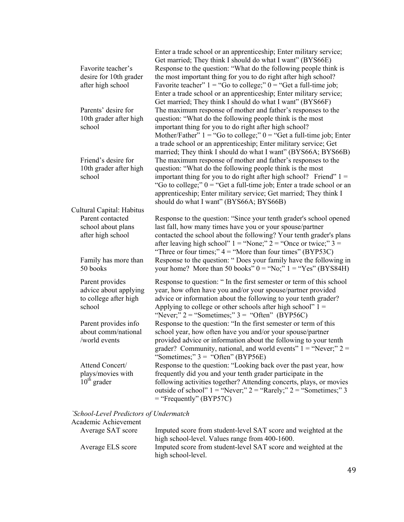| Favorite teacher's<br>desire for 10th grader<br>after high school           | Enter a trade school or an apprenticeship; Enter military service;<br>Get married; They think I should do what I want" (BYS66E)<br>Response to the question: "What do the following people think is<br>the most important thing for you to do right after high school?<br>Favorite teacher" $1 =$ "Go to college;" $0 =$ "Get a full-time job;<br>Enter a trade school or an apprenticeship; Enter military service;<br>Get married; They think I should do what I want" (BYS66F) |
|-----------------------------------------------------------------------------|-----------------------------------------------------------------------------------------------------------------------------------------------------------------------------------------------------------------------------------------------------------------------------------------------------------------------------------------------------------------------------------------------------------------------------------------------------------------------------------|
| Parents' desire for<br>10th grader after high<br>school                     | The maximum response of mother and father's responses to the<br>question: "What do the following people think is the most<br>important thing for you to do right after high school?<br>Mother/Father" $1 =$ "Go to college;" $0 =$ "Get a full-time job; Enter<br>a trade school or an apprenticeship; Enter military service; Get<br>married; They think I should do what I want" (BYS66A; BYS66B)                                                                               |
| Friend's desire for<br>10th grader after high<br>school                     | The maximum response of mother and father's responses to the<br>question: "What do the following people think is the most<br>important thing for you to do right after high school? Friend" $1 =$<br>"Go to college;" $0 =$ "Get a full-time job; Enter a trade school or an<br>apprenticeship; Enter military service; Get married; They think I<br>should do what I want" (BYS66A; BYS66B)                                                                                      |
| Cultural Capital: Habitus                                                   |                                                                                                                                                                                                                                                                                                                                                                                                                                                                                   |
| Parent contacted<br>school about plans<br>after high school                 | Response to the question: "Since your tenth grader's school opened<br>last fall, how many times have you or your spouse/partner<br>contacted the school about the following? Your tenth grader's plans<br>after leaving high school" $1 =$ "None;" $2 =$ "Once or twice;" $3 =$<br>"Three or four times;" $4 =$ "More than four times" (BYP53C)                                                                                                                                   |
| Family has more than<br>50 books                                            | Response to the question: "Does your family have the following in<br>your home? More than 50 books" $0 = "No;" 1 = "Yes" (BYS84H)$                                                                                                                                                                                                                                                                                                                                                |
| Parent provides<br>advice about applying<br>to college after high<br>school | Response to question: "In the first semester or term of this school<br>year, how often have you and/or your spouse/partner provided<br>advice or information about the following to your tenth grader?<br>Applying to college or other schools after high school" $1 =$<br>"Never;" $2 =$ "Sometimes;" $3 =$ "Often" (BYP56C)                                                                                                                                                     |
| Parent provides info<br>about comm/national<br>world events                 | Response to the question: "In the first semester or term of this<br>school year, how often have you and/or your spouse/partner<br>provided advice or information about the following to your tenth<br>grader? Community, national, and world events" $1 =$ "Never;" $2 =$<br>"Sometimes;" $3 =$ "Often" (BYP56E)                                                                                                                                                                  |
| Attend Concert/<br>plays/movies with<br>$10th$ grader                       | Response to the question: "Looking back over the past year, how<br>frequently did you and your tenth grader participate in the<br>following activities together? Attending concerts, plays, or movies<br>outside of school" $1 =$ "Never;" $2 =$ "Rarely;" $2 =$ "Sometimes;" 3<br>$=$ "Frequently" (BYP57C)                                                                                                                                                                      |

## *`School-Level Predictors of Undermatch*

| Academic Achievement |                                                                                      |
|----------------------|--------------------------------------------------------------------------------------|
| Average SAT score    | Imputed score from student-level SAT score and weighted at the                       |
|                      | high school-level. Values range from 400-1600.                                       |
| Average ELS score    | Imputed score from student-level SAT score and weighted at the<br>high school-level. |
|                      |                                                                                      |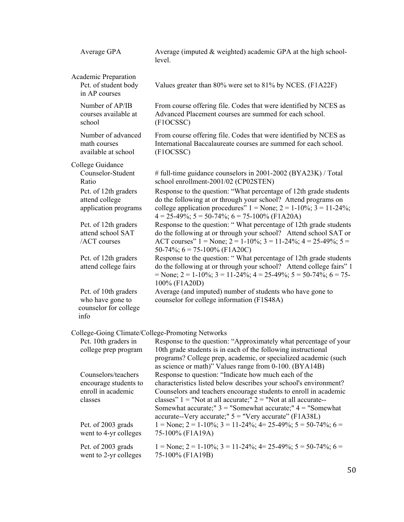| Average GPA                                                                   | Average (imputed & weighted) academic GPA at the high school-<br>level.                                                                                                                                                                                                                                                                                                                            |
|-------------------------------------------------------------------------------|----------------------------------------------------------------------------------------------------------------------------------------------------------------------------------------------------------------------------------------------------------------------------------------------------------------------------------------------------------------------------------------------------|
| <b>Academic Preparation</b><br>Pct. of student body<br>in AP courses          | Values greater than 80% were set to 81% by NCES. (F1A22F)                                                                                                                                                                                                                                                                                                                                          |
| Number of AP/IB<br>courses available at<br>school                             | From course offering file. Codes that were identified by NCES as<br>Advanced Placement courses are summed for each school.<br>(F1OCSSC)                                                                                                                                                                                                                                                            |
| Number of advanced<br>math courses<br>available at school                     | From course offering file. Codes that were identified by NCES as<br>International Baccalaureate courses are summed for each school.<br>(F1OCSSC)                                                                                                                                                                                                                                                   |
| College Guidance                                                              |                                                                                                                                                                                                                                                                                                                                                                                                    |
| Counselor-Student<br>Ratio                                                    | # full-time guidance counselors in 2001-2002 (BYA23K) / Total<br>school enrollment-2001/02 (CP02STEN)                                                                                                                                                                                                                                                                                              |
| Pct. of 12th graders<br>attend college<br>application programs                | Response to the question: "What percentage of 12th grade students<br>do the following at or through your school? Attend programs on<br>college application procedures" $1 = \text{None}$ ; $2 = 1-10\%$ ; $3 = 11-24\%$ ;<br>$4 = 25-49\%$ ; $5 = 50-74\%$ ; $6 = 75-100\%$ (F1A20A)                                                                                                               |
| Pct. of 12th graders<br>attend school SAT<br>/ACT courses                     | Response to the question: "What percentage of 12th grade students<br>do the following at or through your school? Attend school SAT or<br>ACT courses" $1 = \text{None}$ ; $2 = 1-10\%$ ; $3 = 11-24\%$ ; $4 = 25-49\%$ ; $5 =$<br>50-74%; $6 = 75 - 100\%$ (F1A20C)                                                                                                                                |
| Pct. of 12th graders<br>attend college fairs                                  | Response to the question: "What percentage of 12th grade students<br>do the following at or through your school? Attend college fairs" 1<br>= None; 2 = 1-10%; 3 = 11-24%; 4 = 25-49%; 5 = 50-74%; 6 = 75-<br>100% (F1A20D)                                                                                                                                                                        |
| Pct. of 10th graders<br>who have gone to<br>counselor for college<br>info     | Average (and imputed) number of students who have gone to<br>counselor for college information (F1S48A)                                                                                                                                                                                                                                                                                            |
|                                                                               | College-Going Climate/College-Promoting Networks                                                                                                                                                                                                                                                                                                                                                   |
|                                                                               | Pct. 10th graders in Response to the question: "Approximately what percentage of your                                                                                                                                                                                                                                                                                                              |
| college prep program                                                          | 10th grade students is in each of the following instructional<br>programs? College prep, academic, or specialized academic (such<br>as science or math)" Values range from 0-100. (BYA14B)                                                                                                                                                                                                         |
| Counselors/teachers<br>encourage students to<br>enroll in academic<br>classes | Response to question: "Indicate how much each of the<br>characteristics listed below describes your school's environment?<br>Counselors and teachers encourage students to enroll in academic<br>classes" $1 =$ "Not at all accurate;" $2 =$ "Not at all accurate--<br>Somewhat accurate;" $3 =$ "Somewhat accurate;" $4 =$ "Somewhat"<br>accurate--Very accurate;" $5 =$ "Very accurate" (F1A38L) |
| Pct. of 2003 grads<br>went to 4-yr colleges                                   | $1 = \text{None}$ ; $2 = 1-10\%$ ; $3 = 11-24\%$ ; $4 = 25-49\%$ ; $5 = 50-74\%$ ; $6 =$<br>75-100% (F1A19A)                                                                                                                                                                                                                                                                                       |
| Pct. of 2003 grads<br>went to 2-yr colleges                                   | $1 = \text{None}$ ; $2 = 1-10\%$ ; $3 = 11-24\%$ ; $4 = 25-49\%$ ; $5 = 50-74\%$ ; $6 =$<br>75-100% (F1A19B)                                                                                                                                                                                                                                                                                       |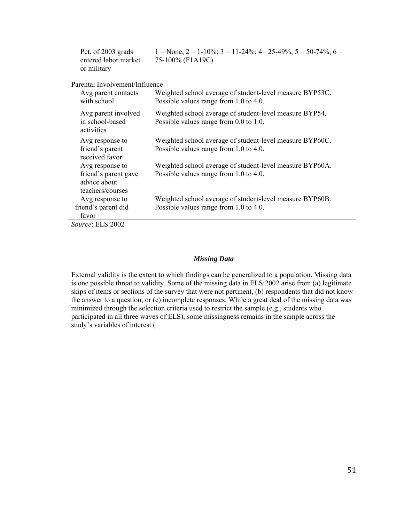| Pct. of 2003 grads<br>entered labor market<br>or military                   | $1 = \text{None}$ ; $2 = 1-10\%$ ; $3 = 11-24\%$ ; $4 = 25-49\%$ ; $5 = 50-74\%$ ; $6 =$<br>75-100% (F1A19C) |
|-----------------------------------------------------------------------------|--------------------------------------------------------------------------------------------------------------|
| Parental Involvement/Influence                                              |                                                                                                              |
| Avg parent contacts<br>with school                                          | Weighted school average of student-level measure BYP53C.<br>Possible values range from 1.0 to 4.0.           |
| Avg parent involved<br>in school-based<br>activities                        | Weighted school average of student-level measure BYP54.<br>Possible values range from 0.0 to 1.0.            |
| Avg response to<br>friend's parent<br>received favor                        | Weighted school average of student-level measure BYP60C.<br>Possible values range from 1.0 to 4.0.           |
| Avg response to<br>friend's parent gave<br>advice about<br>teachers/courses | Weighted school average of student-level measure BYP60A.<br>Possible values range from 1.0 to 4.0.           |
| Avg response to<br>friend's parent did<br>favor                             | Weighted school average of student-level measure BYP60B.<br>Possible values range from 1.0 to 4.0.           |
| $0.0000$ $\Gamma$ $\Gamma$ $0.2002$                                         |                                                                                                              |

*Source*: ELS:2002

# *Missing Data*

External validity is the extent to which findings can be generalized to a population. Missing data is one possible threat to validity. Some of the missing data in ELS:2002 arise from (a) legitimate skips of items or sections of the survey that were not pertinent, (b) respondents that did not know the answer to a question, or (c) incomplete responses. While a great deal of the missing data was minimized through the selection criteria used to restrict the sample (e.g., students who participated in all three waves of ELS), some missingness remains in the sample across the study's variables of interest (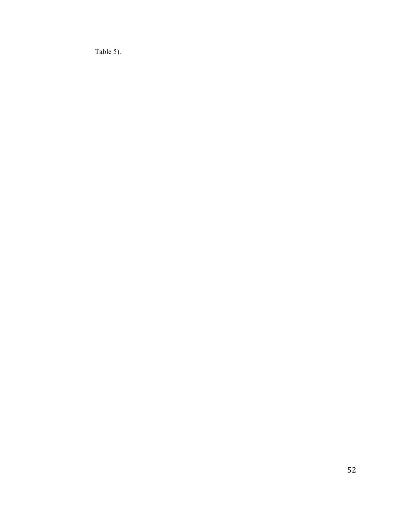Table 5).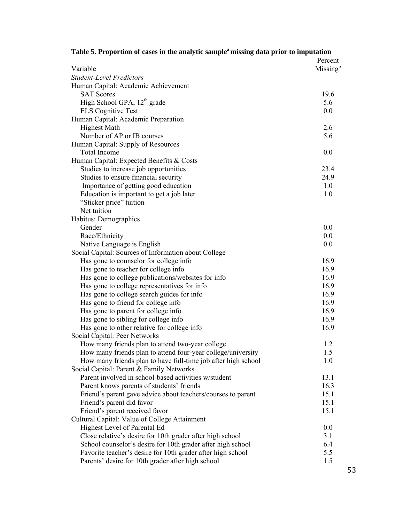| rabic 9. I roportion or cases in the anarytic sample, missing uata prior to imputation |                      |
|----------------------------------------------------------------------------------------|----------------------|
|                                                                                        | Percent              |
| Variable<br><b>Student-Level Predictors</b>                                            | Missing <sup>b</sup> |
|                                                                                        |                      |
| Human Capital: Academic Achievement<br><b>SAT Scores</b>                               |                      |
|                                                                                        | 19.6                 |
| High School GPA, 12 <sup>th</sup> grade                                                | 5.6                  |
| <b>ELS</b> Cognitive Test                                                              | 0.0                  |
| Human Capital: Academic Preparation                                                    |                      |
| <b>Highest Math</b>                                                                    | 2.6                  |
| Number of AP or IB courses                                                             | 5.6                  |
| Human Capital: Supply of Resources                                                     |                      |
| <b>Total Income</b>                                                                    | 0.0                  |
| Human Capital: Expected Benefits & Costs                                               |                      |
| Studies to increase job opportunities                                                  | 23.4                 |
| Studies to ensure financial security                                                   | 24.9                 |
| Importance of getting good education                                                   | 1.0                  |
| Education is important to get a job later                                              | 1.0                  |
| "Sticker price" tuition                                                                |                      |
| Net tuition                                                                            |                      |
| Habitus: Demographics                                                                  |                      |
| Gender                                                                                 | 0.0                  |
| Race/Ethnicity                                                                         | 0.0                  |
| Native Language is English                                                             | 0.0                  |
| Social Capital: Sources of Information about College                                   |                      |
| Has gone to counselor for college info                                                 | 16.9                 |
| Has gone to teacher for college info                                                   | 16.9                 |
| Has gone to college publications/websites for info                                     | 16.9                 |
| Has gone to college representatives for info                                           | 16.9                 |
| Has gone to college search guides for info                                             | 16.9                 |
| Has gone to friend for college info                                                    | 16.9                 |
| Has gone to parent for college info                                                    | 16.9                 |
| Has gone to sibling for college info                                                   | 16.9                 |
| Has gone to other relative for college info                                            | 16.9                 |
| Social Capital: Peer Networks                                                          |                      |
| How many friends plan to attend two-year college                                       | 1.2                  |
| How many friends plan to attend four-year college/university                           | 1.5                  |
| How many friends plan to have full-time job after high school                          | 1.0                  |
| Social Capital: Parent & Family Networks                                               |                      |
| Parent involved in school-based activities w/student                                   | 13.1                 |
| Parent knows parents of students' friends                                              | 16.3                 |
| Friend's parent gave advice about teachers/courses to parent                           | 15.1                 |
| Friend's parent did favor                                                              | 15.1                 |
| Friend's parent received favor                                                         | 15.1                 |
| Cultural Capital: Value of College Attainment                                          |                      |
| Highest Level of Parental Ed                                                           | 0.0                  |
| Close relative's desire for 10th grader after high school                              | 3.1                  |
| School counselor's desire for 10th grader after high school                            | 6.4                  |
| Favorite teacher's desire for 10th grader after high school                            | 5.5                  |
| Parents' desire for 10th grader after high school                                      | 1.5                  |

| Table 5. Proportion of cases in the analytic sample <sup>a</sup> missing data prior to imputation |  |  |  |  |  |
|---------------------------------------------------------------------------------------------------|--|--|--|--|--|
|---------------------------------------------------------------------------------------------------|--|--|--|--|--|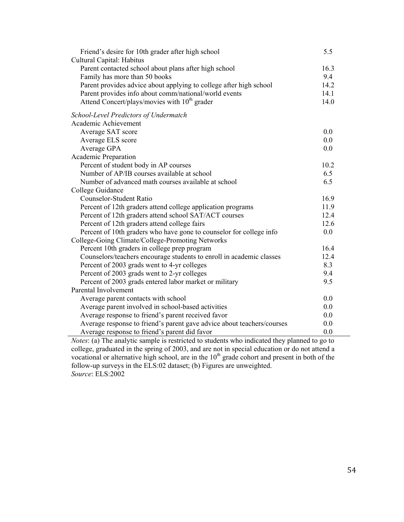| Cultural Capital: Habitus                                                     |  |
|-------------------------------------------------------------------------------|--|
|                                                                               |  |
| Parent contacted school about plans after high school<br>16.3                 |  |
| 9.4<br>Family has more than 50 books                                          |  |
| Parent provides advice about applying to college after high school<br>14.2    |  |
| Parent provides info about comm/national/world events<br>14.1                 |  |
| Attend Concert/plays/movies with 10 <sup>th</sup> grader<br>14.0              |  |
| School-Level Predictors of Undermatch                                         |  |
| Academic Achievement                                                          |  |
| Average SAT score<br>0.0                                                      |  |
| Average ELS score<br>0.0                                                      |  |
| Average GPA<br>0.0                                                            |  |
| Academic Preparation                                                          |  |
| Percent of student body in AP courses<br>10.2                                 |  |
| Number of AP/IB courses available at school<br>6.5                            |  |
| 6.5<br>Number of advanced math courses available at school                    |  |
| College Guidance                                                              |  |
| Counselor-Student Ratio<br>16.9                                               |  |
| Percent of 12th graders attend college application programs<br>11.9           |  |
| Percent of 12th graders attend school SAT/ACT courses<br>12.4                 |  |
| Percent of 12th graders attend college fairs<br>12.6                          |  |
| Percent of 10th graders who have gone to counselor for college info<br>0.0    |  |
| College-Going Climate/College-Promoting Networks                              |  |
| Percent 10th graders in college prep program<br>16.4                          |  |
| Counselors/teachers encourage students to enroll in academic classes<br>12.4  |  |
| Percent of 2003 grads went to 4-yr colleges<br>8.3                            |  |
| 9.4<br>Percent of 2003 grads went to 2-yr colleges                            |  |
| 9.5<br>Percent of 2003 grads entered labor market or military                 |  |
| Parental Involvement                                                          |  |
| Average parent contacts with school<br>0.0                                    |  |
| Average parent involved in school-based activities<br>0.0                     |  |
| Average response to friend's parent received favor<br>0.0                     |  |
| Average response to friend's parent gave advice about teachers/courses<br>0.0 |  |
| Average response to friend's parent did favor<br>0.0                          |  |

*Notes*: (a) The analytic sample is restricted to students who indicated they planned to go to college, graduated in the spring of 2003, and are not in special education or do not attend a vocational or alternative high school, are in the  $10<sup>th</sup>$  grade cohort and present in both of the follow-up surveys in the ELS:02 dataset; (b) Figures are unweighted. *Source*: ELS:2002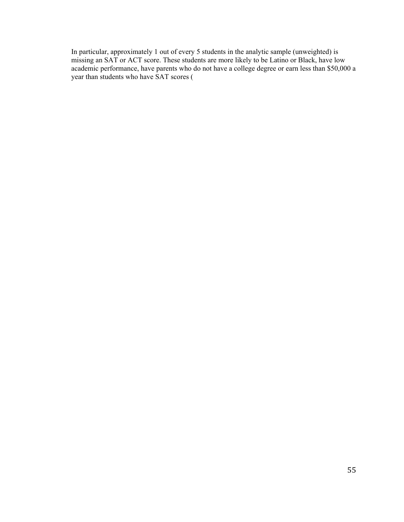In particular, approximately 1 out of every 5 students in the analytic sample (unweighted) is missing an SAT or ACT score. These students are more likely to be Latino or Black, have low academic performance, have parents who do not have a college degree or earn less than \$50,000 a year than students who have SAT scores (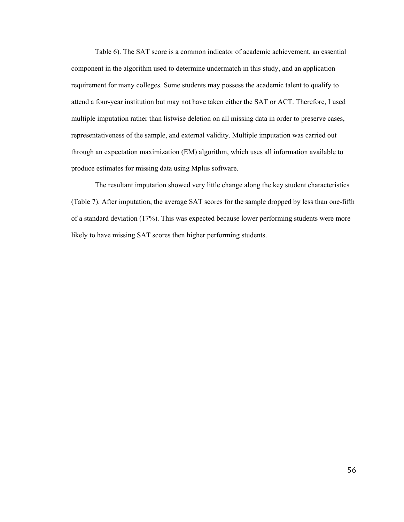Table 6). The SAT score is a common indicator of academic achievement, an essential component in the algorithm used to determine undermatch in this study, and an application requirement for many colleges. Some students may possess the academic talent to qualify to attend a four-year institution but may not have taken either the SAT or ACT. Therefore, I used multiple imputation rather than listwise deletion on all missing data in order to preserve cases, representativeness of the sample, and external validity. Multiple imputation was carried out through an expectation maximization (EM) algorithm, which uses all information available to produce estimates for missing data using Mplus software.

The resultant imputation showed very little change along the key student characteristics (Table 7). After imputation, the average SAT scores for the sample dropped by less than one-fifth of a standard deviation (17%). This was expected because lower performing students were more likely to have missing SAT scores then higher performing students.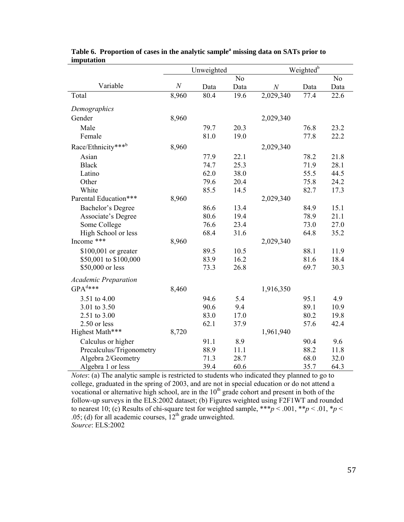| miputativn                  |          |            |      |                  |                       |                |  |
|-----------------------------|----------|------------|------|------------------|-----------------------|----------------|--|
|                             |          | Unweighted |      |                  | Weighted <sup>b</sup> |                |  |
|                             |          |            | No   |                  |                       | N <sub>o</sub> |  |
| Variable                    | $\cal N$ | Data       | Data | $\boldsymbol{N}$ | Data                  | Data           |  |
| Total                       | 8,960    | 80.4       | 19.6 | 2,029,340        | 77.4                  | 22.6           |  |
| Demographics                |          |            |      |                  |                       |                |  |
| Gender                      | 8,960    |            |      | 2,029,340        |                       |                |  |
| Male                        |          | 79.7       | 20.3 |                  | 76.8                  | 23.2           |  |
| Female                      |          | 81.0       | 19.0 |                  | 77.8                  | 22.2           |  |
| Race/Ethnicity***b          | 8,960    |            |      | 2,029,340        |                       |                |  |
| Asian                       |          | 77.9       | 22.1 |                  | 78.2                  | 21.8           |  |
| <b>Black</b>                |          | 74.7       | 25.3 |                  | 71.9                  | 28.1           |  |
| Latino                      |          | 62.0       | 38.0 |                  | 55.5                  | 44.5           |  |
| Other                       |          | 79.6       | 20.4 |                  | 75.8                  | 24.2           |  |
| White                       |          | 85.5       | 14.5 |                  | 82.7                  | 17.3           |  |
| Parental Education***       | 8,960    |            |      | 2,029,340        |                       |                |  |
| Bachelor's Degree           |          | 86.6       | 13.4 |                  | 84.9                  | 15.1           |  |
| Associate's Degree          |          | 80.6       | 19.4 |                  | 78.9                  | 21.1           |  |
| Some College                |          | 76.6       | 23.4 |                  | 73.0                  | 27.0           |  |
| High School or less         |          | 68.4       | 31.6 |                  | 64.8                  | 35.2           |  |
| Income ***                  | 8,960    |            |      | 2,029,340        |                       |                |  |
| \$100,001 or greater        |          | 89.5       | 10.5 |                  | 88.1                  | 11.9           |  |
| \$50,001 to \$100,000       |          | 83.9       | 16.2 |                  | 81.6                  | 18.4           |  |
| \$50,000 or less            |          | 73.3       | 26.8 |                  | 69.7                  | 30.3           |  |
| <b>Academic Preparation</b> |          |            |      |                  |                       |                |  |
| $GPA^{d***}$                | 8,460    |            |      | 1,916,350        |                       |                |  |
| 3.51 to 4.00                |          | 94.6       | 5.4  |                  | 95.1                  | 4.9            |  |
| 3.01 to 3.50                |          | 90.6       | 9.4  |                  | 89.1                  | 10.9           |  |
| 2.51 to 3.00                |          | 83.0       | 17.0 |                  | 80.2                  | 19.8           |  |
| 2.50 or less                |          | 62.1       | 37.9 |                  | 57.6                  | 42.4           |  |
| Highest Math***             | 8,720    |            |      | 1,961,940        |                       |                |  |
| Calculus or higher          |          | 91.1       | 8.9  |                  | 90.4                  | 9.6            |  |
| Precalculus/Trigonometry    |          | 88.9       | 11.1 |                  | 88.2                  | 11.8           |  |
| Algebra 2/Geometry          |          | 71.3       | 28.7 |                  | 68.0                  | 32.0           |  |
| Algebra 1 or less           |          | 39.4       | 60.6 |                  | 35.7                  | 64.3           |  |

# Table 6. Proportion of cases in the analytic sample<sup>a</sup> missing data on SATs prior to **imputation**

*Notes*: (a) The analytic sample is restricted to students who indicated they planned to go to college, graduated in the spring of 2003, and are not in special education or do not attend a vocational or alternative high school, are in the  $10<sup>th</sup>$  grade cohort and present in both of the follow-up surveys in the ELS:2002 dataset; (b) Figures weighted using F2F1WT and rounded to nearest 10; (c) Results of chi-square test for weighted sample, \*\*\**p* < .001, \*\**p* < .01, \**p* < .05; (d) for all academic courses,  $12<sup>th</sup>$  grade unweighted. *Source*: ELS:2002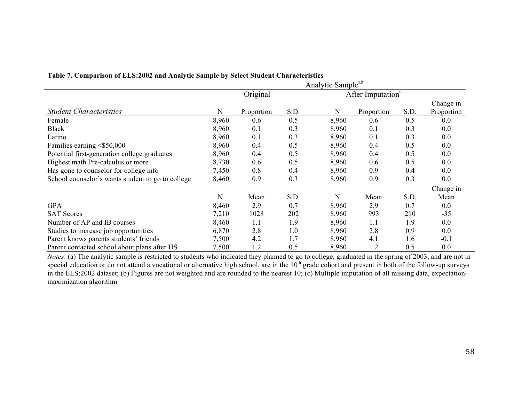|                                                   | Table 7. Comparison of ELS.2002 and Analytic Sample by Select Student Characteristics<br>Analytic Sample <sup>ab</sup> |            |      |                               |            |      |                         |
|---------------------------------------------------|------------------------------------------------------------------------------------------------------------------------|------------|------|-------------------------------|------------|------|-------------------------|
|                                                   | Original                                                                                                               |            |      | After Imputation <sup>c</sup> |            |      |                         |
| <b>Student Characteristics</b>                    | N                                                                                                                      | Proportion | S.D. | N                             | Proportion | S.D. | Change in<br>Proportion |
| Female                                            | 8,960                                                                                                                  | 0.6        | 0.5  | 8,960                         | 0.6        | 0.5  | 0.0                     |
| <b>Black</b>                                      | 8,960                                                                                                                  | 0.1        | 0.3  | 8,960                         | 0.1        | 0.3  | 0.0                     |
| Latino                                            | 8,960                                                                                                                  | 0.1        | 0.3  | 8,960                         | 0.1        | 0.3  | 0.0                     |
| Families earning $\leq$ \$50,000                  | 8,960                                                                                                                  | 0.4        | 0.5  | 8,960                         | 0.4        | 0.5  | 0.0                     |
| Potential first-generation college graduates      | 8,960                                                                                                                  | 0.4        | 0.5  | 8,960                         | 0.4        | 0.5  | 0.0                     |
| Highest math Pre-calculus or more                 | 8,730                                                                                                                  | 0.6        | 0.5  | 8,960                         | 0.6        | 0.5  | 0.0                     |
| Has gone to counselor for college info            | 7,450                                                                                                                  | 0.8        | 0.4  | 8,960                         | 0.9        | 0.4  | 0.0                     |
| School counselor's wants student to go to college | 8,460                                                                                                                  | 0.9        | 0.3  | 8,960                         | 0.9        | 0.3  | 0.0                     |
|                                                   |                                                                                                                        |            |      |                               |            |      | Change in               |
|                                                   | N                                                                                                                      | Mean       | S.D. | N                             | Mean       | S.D. | Mean                    |
| <b>GPA</b>                                        | 8,460                                                                                                                  | 2.9        | 0.7  | 8,960                         | 2.9        | 0.7  | 0.0                     |
| <b>SAT Scores</b>                                 | 7,210                                                                                                                  | 1028       | 202  | 8,960                         | 993        | 210  | $-35$                   |
| Number of AP and IB courses                       | 8,460                                                                                                                  | 1.1        | 1.9  | 8,960                         | 1.1        | 1.9  | 0.0                     |
| Studies to increase job opportunities             | 6,870                                                                                                                  | 2.8        | 1.0  | 8,960                         | 2.8        | 0.9  | 0.0                     |
| Parent knows parents students' friends            | 7,500                                                                                                                  | 4.2        | 1.7  | 8,960                         | 4.1        | 1.6  | $-0.1$                  |
| Parent contacted school about plans after HS      | 7,500                                                                                                                  | 1.2        | 0.5  | 8,960                         | 1.2        | 0.5  | 0.0                     |

# **Table 7. Comparison of ELS:2002 and Analytic Sample by Select Student Characteristics**

*Notes*: (a) The analytic sample is restricted to students who indicated they planned to go to college, graduated in the spring of 2003, and are not in special education or do not attend a vocational or alternative high school, are in the  $10<sup>th</sup>$  grade cohort and present in both of the follow-up surveys in the ELS:2002 dataset; (b) Figures are not weighted and are rounded to the nearest 10; (c) Multiple imputation of all missing data, expectationmaximization algorithm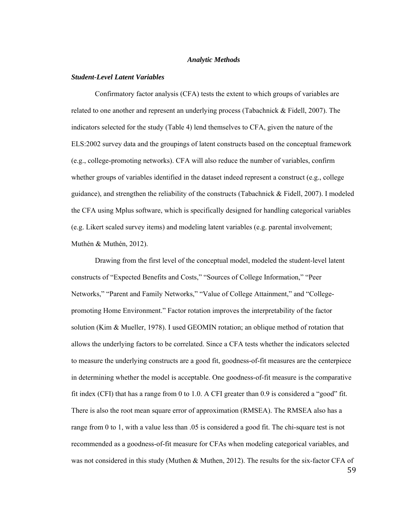### *Analytic Methods*

## *Student-Level Latent Variables*

Confirmatory factor analysis (CFA) tests the extent to which groups of variables are related to one another and represent an underlying process (Tabachnick & Fidell, 2007). The indicators selected for the study (Table 4) lend themselves to CFA, given the nature of the ELS:2002 survey data and the groupings of latent constructs based on the conceptual framework (e.g., college-promoting networks). CFA will also reduce the number of variables, confirm whether groups of variables identified in the dataset indeed represent a construct (e.g., college guidance), and strengthen the reliability of the constructs (Tabachnick & Fidell, 2007). I modeled the CFA using Mplus software, which is specifically designed for handling categorical variables (e.g. Likert scaled survey items) and modeling latent variables (e.g. parental involvement; Muthén & Muthén, 2012).

Drawing from the first level of the conceptual model, modeled the student-level latent constructs of "Expected Benefits and Costs," "Sources of College Information," "Peer Networks," "Parent and Family Networks," "Value of College Attainment," and "Collegepromoting Home Environment." Factor rotation improves the interpretability of the factor solution (Kim & Mueller, 1978). I used GEOMIN rotation; an oblique method of rotation that allows the underlying factors to be correlated. Since a CFA tests whether the indicators selected to measure the underlying constructs are a good fit, goodness-of-fit measures are the centerpiece in determining whether the model is acceptable. One goodness-of-fit measure is the comparative fit index (CFI) that has a range from 0 to 1.0. A CFI greater than 0.9 is considered a "good" fit. There is also the root mean square error of approximation (RMSEA). The RMSEA also has a range from 0 to 1, with a value less than .05 is considered a good fit. The chi-square test is not recommended as a goodness-of-fit measure for CFAs when modeling categorical variables, and was not considered in this study (Muthen & Muthen, 2012). The results for the six-factor CFA of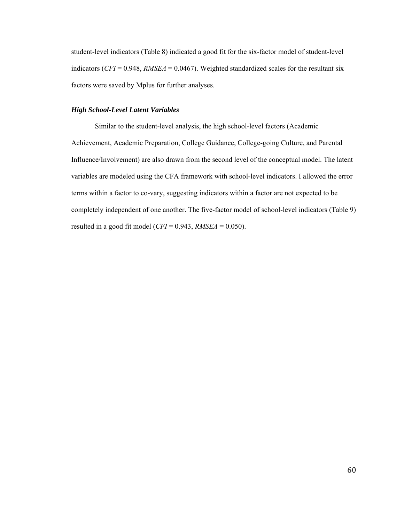student-level indicators (Table 8) indicated a good fit for the six-factor model of student-level indicators (*CFI* = 0.948, *RMSEA* = 0.0467). Weighted standardized scales for the resultant six factors were saved by Mplus for further analyses.

# *High School-Level Latent Variables*

 Similar to the student-level analysis, the high school-level factors (Academic Achievement, Academic Preparation, College Guidance, College-going Culture, and Parental Influence/Involvement) are also drawn from the second level of the conceptual model. The latent variables are modeled using the CFA framework with school-level indicators. I allowed the error terms within a factor to co-vary, suggesting indicators within a factor are not expected to be completely independent of one another. The five-factor model of school-level indicators (Table 9) resulted in a good fit model ( $CFI = 0.943$ ,  $RMSEA = 0.050$ ).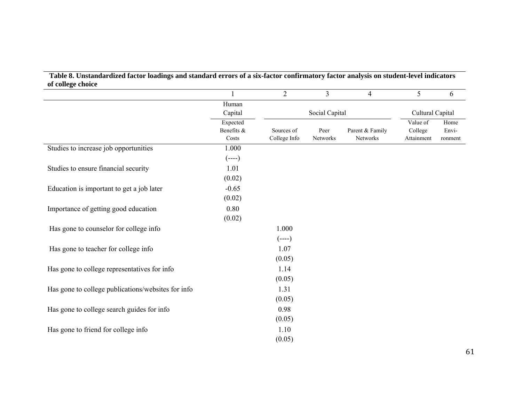# **Table 8. Unstandardized factor loadings and standard errors of a six-factor confirmatory factor analysis on student-level indicators of college choice**

|                                                    |                                 | $\overline{2}$             | 3                | $\overline{4}$              | 5                                 | 6                        |
|----------------------------------------------------|---------------------------------|----------------------------|------------------|-----------------------------|-----------------------------------|--------------------------|
|                                                    | Human                           |                            |                  |                             |                                   |                          |
|                                                    | Capital                         |                            | Social Capital   |                             | Cultural Capital                  |                          |
|                                                    | Expected<br>Benefits &<br>Costs | Sources of<br>College Info | Peer<br>Networks | Parent & Family<br>Networks | Value of<br>College<br>Attainment | Home<br>Envi-<br>ronment |
| Studies to increase job opportunities              | 1.000                           |                            |                  |                             |                                   |                          |
|                                                    | $(---)$                         |                            |                  |                             |                                   |                          |
| Studies to ensure financial security               | 1.01                            |                            |                  |                             |                                   |                          |
|                                                    | (0.02)                          |                            |                  |                             |                                   |                          |
| Education is important to get a job later          | $-0.65$                         |                            |                  |                             |                                   |                          |
|                                                    | (0.02)                          |                            |                  |                             |                                   |                          |
| Importance of getting good education               | 0.80                            |                            |                  |                             |                                   |                          |
|                                                    | (0.02)                          |                            |                  |                             |                                   |                          |
| Has gone to counselor for college info             |                                 | 1.000                      |                  |                             |                                   |                          |
|                                                    |                                 | $(---)$                    |                  |                             |                                   |                          |
| Has gone to teacher for college info               |                                 | 1.07                       |                  |                             |                                   |                          |
|                                                    |                                 | (0.05)                     |                  |                             |                                   |                          |
| Has gone to college representatives for info       |                                 | 1.14                       |                  |                             |                                   |                          |
|                                                    |                                 | (0.05)                     |                  |                             |                                   |                          |
| Has gone to college publications/websites for info |                                 | 1.31                       |                  |                             |                                   |                          |
|                                                    |                                 | (0.05)                     |                  |                             |                                   |                          |
| Has gone to college search guides for info         |                                 | 0.98                       |                  |                             |                                   |                          |
|                                                    |                                 | (0.05)                     |                  |                             |                                   |                          |
| Has gone to friend for college info                |                                 | 1.10                       |                  |                             |                                   |                          |
|                                                    |                                 | (0.05)                     |                  |                             |                                   |                          |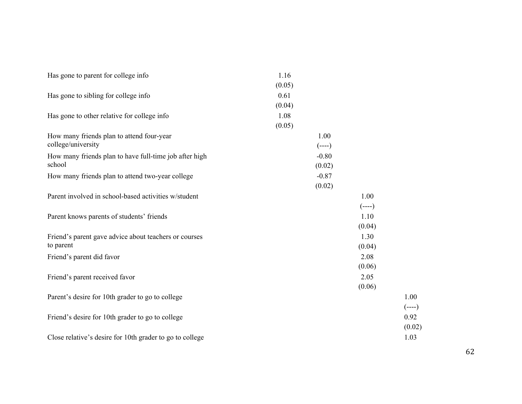| Has gone to parent for college info                      | 1.16    |         |         |
|----------------------------------------------------------|---------|---------|---------|
|                                                          | (0.05)  |         |         |
| Has gone to sibling for college info                     | 0.61    |         |         |
|                                                          | (0.04)  |         |         |
| Has gone to other relative for college info              | 1.08    |         |         |
|                                                          | (0.05)  |         |         |
| How many friends plan to attend four-year                | 1.00    |         |         |
| college/university                                       | $(---)$ |         |         |
| How many friends plan to have full-time job after high   | $-0.80$ |         |         |
| school                                                   | (0.02)  |         |         |
| How many friends plan to attend two-year college         | $-0.87$ |         |         |
|                                                          | (0.02)  |         |         |
| Parent involved in school-based activities w/student     |         | 1.00    |         |
|                                                          |         | $(---)$ |         |
| Parent knows parents of students' friends                |         | 1.10    |         |
|                                                          |         | (0.04)  |         |
| Friend's parent gave advice about teachers or courses    |         | 1.30    |         |
| to parent                                                |         | (0.04)  |         |
| Friend's parent did favor                                |         | 2.08    |         |
|                                                          |         | (0.06)  |         |
| Friend's parent received favor                           |         | 2.05    |         |
|                                                          |         | (0.06)  |         |
| Parent's desire for 10th grader to go to college         |         |         | 1.00    |
|                                                          |         |         | $(---)$ |
| Friend's desire for 10th grader to go to college         |         |         | 0.92    |
|                                                          |         |         | (0.02)  |
|                                                          |         |         | 1.03    |
| Close relative's desire for 10th grader to go to college |         |         |         |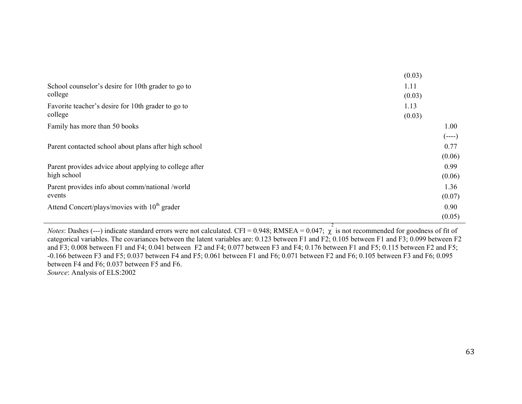|                                                                       | (0.03)           |
|-----------------------------------------------------------------------|------------------|
| School counselor's desire for 10th grader to go to<br>college         | 1.11<br>(0.03)   |
| Favorite teacher's desire for 10th grader to go to<br>college         | 1.13<br>(0.03)   |
| Family has more than 50 books                                         | 1.00<br>$(----)$ |
| Parent contacted school about plans after high school                 | 0.77<br>(0.06)   |
| Parent provides advice about applying to college after<br>high school | 0.99<br>(0.06)   |
| Parent provides info about comm/national /world<br>events             | 1.36<br>(0.07)   |
| Attend Concert/plays/movies with 10 <sup>th</sup> grader              | 0.90             |
|                                                                       | (0.05)           |

*Notes*: Dashes (---) indicate standard errors were not calculated. CFI = 0.948; RMSEA = 0.047;  $\chi^2$  is not recommended for goodness of fit of categorical variables. The covariances between the latent variables are: 0.123 between F1 and F2; 0.105 between F1 and F3; 0.099 between F2 and F3; 0.008 between F1 and F4; 0.041 between F2 and F4; 0.077 between F3 and F4; 0.176 between F1 and F5; 0.115 between F2 and F5; -0.166 between F3 and F5; 0.037 between F4 and F5; 0.061 between F1 and F6; 0.071 between F2 and F6; 0.105 between F3 and F6; 0.095 between F4 and F6; 0.037 between F5 and F6. *Source*: Analysis of ELS:2002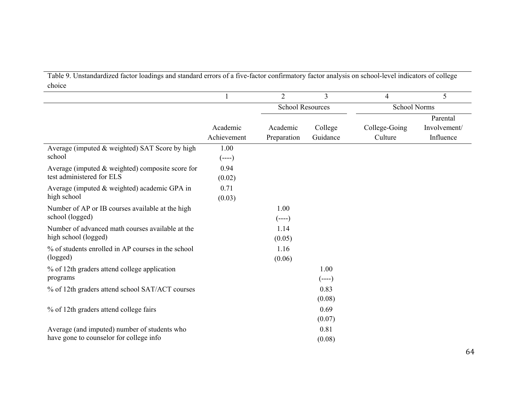Table 9. Unstandardized factor loadings and standard errors of a five-factor confirmatory factor analysis on school-level indicators of college choice

|                                                     |             | $\overline{2}$          | $\overline{3}$ | $\overline{4}$      | 5            |
|-----------------------------------------------------|-------------|-------------------------|----------------|---------------------|--------------|
|                                                     |             | <b>School Resources</b> |                | <b>School Norms</b> |              |
|                                                     |             |                         |                |                     | Parental     |
|                                                     | Academic    | Academic                | College        | College-Going       | Involvement/ |
|                                                     | Achievement | Preparation             | Guidance       | Culture             | Influence    |
| Average (imputed & weighted) SAT Score by high      | 1.00        |                         |                |                     |              |
| school                                              | $(---)$     |                         |                |                     |              |
| Average (imputed $\&$ weighted) composite score for | 0.94        |                         |                |                     |              |
| test administered for ELS                           | (0.02)      |                         |                |                     |              |
| Average (imputed & weighted) academic GPA in        | 0.71        |                         |                |                     |              |
| high school                                         | (0.03)      |                         |                |                     |              |
| Number of AP or IB courses available at the high    |             | 1.00                    |                |                     |              |
| school (logged)                                     |             | $(---)$                 |                |                     |              |
| Number of advanced math courses available at the    |             | 1.14                    |                |                     |              |
| high school (logged)                                |             | (0.05)                  |                |                     |              |
| % of students enrolled in AP courses in the school  |             | 1.16                    |                |                     |              |
| (logged)                                            |             | (0.06)                  |                |                     |              |
| % of 12th graders attend college application        |             |                         | 1.00           |                     |              |
| programs                                            |             |                         | $(----)$       |                     |              |
| % of 12th graders attend school SAT/ACT courses     |             |                         | 0.83           |                     |              |
|                                                     |             |                         | (0.08)         |                     |              |
| % of 12th graders attend college fairs              |             |                         | 0.69           |                     |              |
|                                                     |             |                         | (0.07)         |                     |              |
| Average (and imputed) number of students who        |             |                         | 0.81           |                     |              |
| have gone to counselor for college info             |             |                         | (0.08)         |                     |              |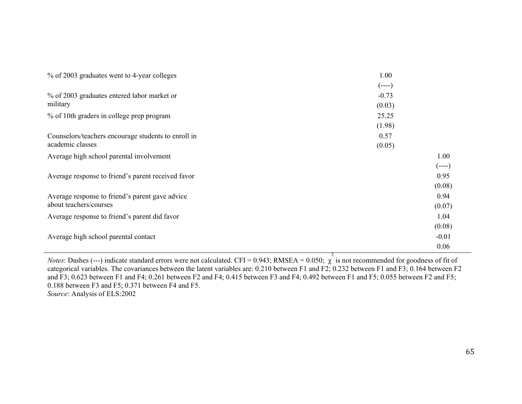| % of 2003 graduates went to 4-year colleges         | 1.00    |         |
|-----------------------------------------------------|---------|---------|
|                                                     | $(---)$ |         |
| % of 2003 graduates entered labor market or         | $-0.73$ |         |
| military                                            | (0.03)  |         |
| % of 10th graders in college prep program           | 25.25   |         |
|                                                     | (1.98)  |         |
| Counselors/teachers encourage students to enroll in | 0.57    |         |
| academic classes                                    | (0.05)  |         |
| Average high school parental involvement            |         | 1.00    |
|                                                     |         | $(---)$ |
| Average response to friend's parent received favor  |         | 0.95    |
|                                                     |         | (0.08)  |
| Average response to friend's parent gave advice     |         | 0.94    |
| about teachers/courses                              |         | (0.07)  |
| Average response to friend's parent did favor       |         | 1.04    |
|                                                     |         | (0.08)  |
| Average high school parental contact                |         | $-0.01$ |
|                                                     |         | 0.06    |

*Notes*: Dashes (---) indicate standard errors were not calculated. CFI = 0.943; RMSEA = 0.050;  $\chi$  $\frac{2}{1}$  is not recommended for goodness of fit of categorical variables. The covariances between the latent variables are: 0.210 between F1 and F2; 0.232 between F1 and F3; 0.164 between F2 and F3; 0.623 between F1 and F4; 0.261 between F2 and F4; 0.415 between F3 and F4; 0.492 between F1 and F5; 0.055 between F2 and F5; 0.188 between F3 and F5; 0.371 between F4 and F5. *Source*: Analysis of ELS:2002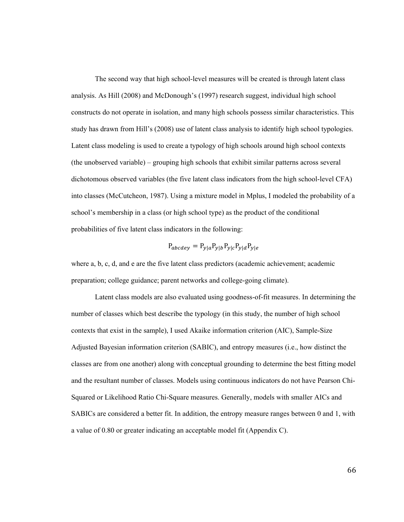The second way that high school-level measures will be created is through latent class analysis. As Hill (2008) and McDonough's (1997) research suggest, individual high school constructs do not operate in isolation, and many high schools possess similar characteristics. This study has drawn from Hill's (2008) use of latent class analysis to identify high school typologies. Latent class modeling is used to create a typology of high schools around high school contexts (the unobserved variable) – grouping high schools that exhibit similar patterns across several dichotomous observed variables (the five latent class indicators from the high school-level CFA) into classes (McCutcheon, 1987). Using a mixture model in Mplus, I modeled the probability of a school's membership in a class (or high school type) as the product of the conditional probabilities of five latent class indicators in the following:

$$
P_{abcdef} = P_{y|a} P_{y|b} P_{y|c} P_{y|d} P_{y|e}
$$

where a, b, c, d, and e are the five latent class predictors (academic achievement; academic preparation; college guidance; parent networks and college-going climate).

 Latent class models are also evaluated using goodness-of-fit measures. In determining the number of classes which best describe the typology (in this study, the number of high school contexts that exist in the sample), I used Akaike information criterion (AIC), Sample-Size Adjusted Bayesian information criterion (SABIC), and entropy measures (i.e., how distinct the classes are from one another) along with conceptual grounding to determine the best fitting model and the resultant number of classes. Models using continuous indicators do not have Pearson Chi-Squared or Likelihood Ratio Chi-Square measures. Generally, models with smaller AICs and SABICs are considered a better fit. In addition, the entropy measure ranges between 0 and 1, with a value of 0.80 or greater indicating an acceptable model fit (Appendix C).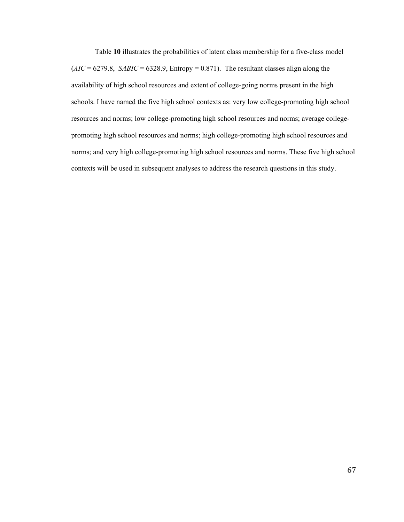Table **10** illustrates the probabilities of latent class membership for a five-class model  $(AIC = 6279.8, SABIC = 6328.9, Entropy = 0.871)$ . The resultant classes align along the availability of high school resources and extent of college-going norms present in the high schools. I have named the five high school contexts as: very low college-promoting high school resources and norms; low college-promoting high school resources and norms; average collegepromoting high school resources and norms; high college-promoting high school resources and norms; and very high college-promoting high school resources and norms. These five high school contexts will be used in subsequent analyses to address the research questions in this study.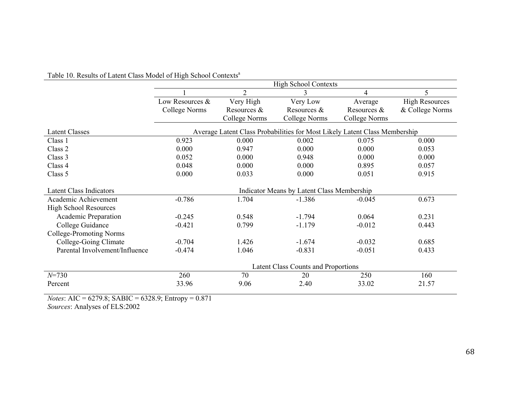|                                |                 |                      | <b>High School Contexts</b>                                                |               |                       |
|--------------------------------|-----------------|----------------------|----------------------------------------------------------------------------|---------------|-----------------------|
|                                |                 | $\overline{2}$       | 3                                                                          | 4             | 5                     |
|                                | Low Resources & | Very High            | Very Low                                                                   | Average       | <b>High Resources</b> |
|                                | College Norms   | Resources &          | Resources &                                                                | Resources &   | & College Norms       |
|                                |                 | <b>College Norms</b> | College Norms                                                              | College Norms |                       |
| <b>Latent Classes</b>          |                 |                      | Average Latent Class Probabilities for Most Likely Latent Class Membership |               |                       |
| Class 1                        | 0.923           | 0.000                | 0.002                                                                      | 0.075         | 0.000                 |
| Class 2                        | 0.000           | 0.947                | 0.000                                                                      | 0.000         | 0.053                 |
| Class 3                        | 0.052           | 0.000                | 0.948                                                                      | 0.000         | 0.000                 |
| Class 4                        | 0.048           | 0.000                | 0.000                                                                      | 0.895         | 0.057                 |
| Class 5                        | 0.000           | 0.033                | 0.000                                                                      | 0.051         | 0.915                 |
| <b>Latent Class Indicators</b> |                 |                      | Indicator Means by Latent Class Membership                                 |               |                       |
| Academic Achievement           | $-0.786$        | 1.704                | $-1.386$                                                                   | $-0.045$      | 0.673                 |
| <b>High School Resources</b>   |                 |                      |                                                                            |               |                       |
| Academic Preparation           | $-0.245$        | 0.548                | $-1.794$                                                                   | 0.064         | 0.231                 |
| College Guidance               | $-0.421$        | 0.799                | $-1.179$                                                                   | $-0.012$      | 0.443                 |
| College-Promoting Norms        |                 |                      |                                                                            |               |                       |
| College-Going Climate          | $-0.704$        | 1.426                | $-1.674$                                                                   | $-0.032$      | 0.685                 |
| Parental Involvement/Influence | $-0.474$        | 1.046                | $-0.831$                                                                   | $-0.051$      | 0.433                 |
|                                |                 |                      | <b>Latent Class Counts and Proportions</b>                                 |               |                       |
| $N = 730$                      | 260             | 70                   | 20                                                                         | 250           | 160                   |
| Percent                        | 33.96           | 9.06                 | 2.40                                                                       | 33.02         | 21.57                 |

# Table 10. Results of Latent Class Model of High School Contexts<sup>a</sup>

*Notes*: AIC = 6279.8; SABIC = 6328.9; Entropy = 0.871

*Sources*: Analyses of ELS:2002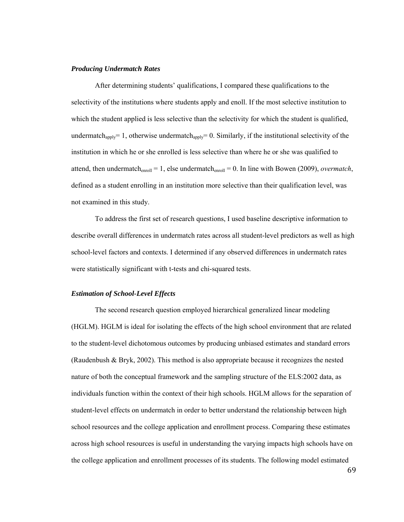# *Producing Undermatch Rates*

After determining students' qualifications, I compared these qualifications to the selectivity of the institutions where students apply and enoll. If the most selective institution to which the student applied is less selective than the selectivity for which the student is qualified, undermatch<sub>apply</sub>= 1, otherwise undermatch<sub>apply</sub>= 0. Similarly, if the institutional selectivity of the institution in which he or she enrolled is less selective than where he or she was qualified to attend, then undermatch<sub>enroll</sub> = 1, else undermatch<sub>enroll</sub> = 0. In line with Bowen (2009), *overmatch*, defined as a student enrolling in an institution more selective than their qualification level, was not examined in this study.

To address the first set of research questions, I used baseline descriptive information to describe overall differences in undermatch rates across all student-level predictors as well as high school-level factors and contexts. I determined if any observed differences in undermatch rates were statistically significant with t-tests and chi-squared tests.

#### *Estimation of School-Level Effects*

The second research question employed hierarchical generalized linear modeling (HGLM). HGLM is ideal for isolating the effects of the high school environment that are related to the student-level dichotomous outcomes by producing unbiased estimates and standard errors (Raudenbush & Bryk, 2002). This method is also appropriate because it recognizes the nested nature of both the conceptual framework and the sampling structure of the ELS:2002 data, as individuals function within the context of their high schools. HGLM allows for the separation of student-level effects on undermatch in order to better understand the relationship between high school resources and the college application and enrollment process. Comparing these estimates across high school resources is useful in understanding the varying impacts high schools have on the college application and enrollment processes of its students. The following model estimated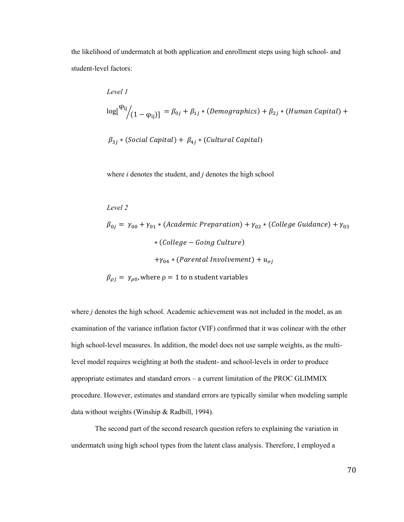the likelihood of undermatch at both application and enrollment steps using high school- and student-level factors:

Level I  
\n
$$
\log[^{\varphi_{ij}}]_{(1-\varphi_{ij})]} = \beta_{0j} + \beta_{1j} * (Demographies) + \beta_{2j} * (Human Capital) +
$$
\n
$$
\beta_{3j} * (Social Capital) + \beta_{4j} * (Cultural Capital)
$$

where *i* denotes the student, and *j* denotes the high school

# *Level 2*

 $\beta_{0j} = \gamma_{00} + \gamma_{01} *$  (Academic Preparation) +  $\gamma_{02} *$  (College Guidance) +  $\gamma_{03}$ ∗ (College – Going Culture)  $+ \gamma_{04} * (Parental\ Involvement) + u_{oj}$  $\beta_{\rho j} = \gamma_{\rho 0}$ , where  $\rho = 1$  to n student variables

where *j* denotes the high school. Academic achievement was not included in the model, as an examination of the variance inflation factor (VIF) confirmed that it was colinear with the other high school-level measures. In addition, the model does not use sample weights, as the multilevel model requires weighting at both the student- and school-levels in order to produce appropriate estimates and standard errors – a current limitation of the PROC GLIMMIX procedure. However, estimates and standard errors are typically similar when modeling sample data without weights (Winship & Radbill, 1994).

The second part of the second research question refers to explaining the variation in undermatch using high school types from the latent class analysis. Therefore, I employed a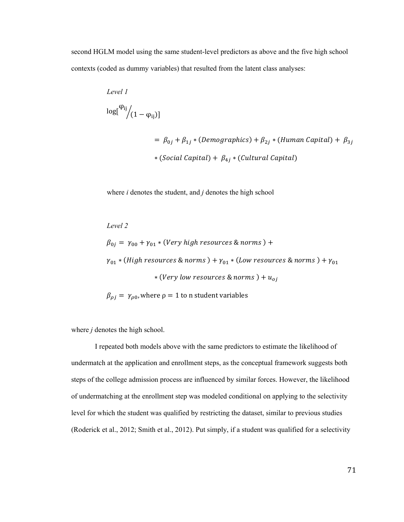second HGLM model using the same student-level predictors as above and the five high school contexts (coded as dummy variables) that resulted from the latent class analyses:

Level I  
\n
$$
\log[^{\varphi_{ij}}](1 - \varphi_{ij})]
$$
\n
$$
= \beta_{0j} + \beta_{1j} * (Demographies) + \beta_{2j} * (Human Capital) + \beta_{3j}
$$
\n
$$
* (Social Capital) + \beta_{4j} * (Cultural Capital)
$$

where *i* denotes the student, and *j* denotes the high school

Level 2

\n
$$
\beta_{0j} = \gamma_{00} + \gamma_{01} * (Very\ high\ resources\ &\ norms\ ) +
$$
\n
$$
\gamma_{01} * (High\ resources\ &\ norms\ ) + \gamma_{01} * (Low\ resources\ &\ norms\ ) + \gamma_{01}
$$
\n
$$
* (Very\ low\ resources\ &\ norms\ ) + u_{oj}
$$
\n
$$
\beta_{\rho j} = \gamma_{\rho 0}, \text{where } \rho = 1 \text{ to n student variables}
$$

where *j* denotes the high school.

I repeated both models above with the same predictors to estimate the likelihood of undermatch at the application and enrollment steps, as the conceptual framework suggests both steps of the college admission process are influenced by similar forces. However, the likelihood of undermatching at the enrollment step was modeled conditional on applying to the selectivity level for which the student was qualified by restricting the dataset, similar to previous studies (Roderick et al., 2012; Smith et al., 2012). Put simply, if a student was qualified for a selectivity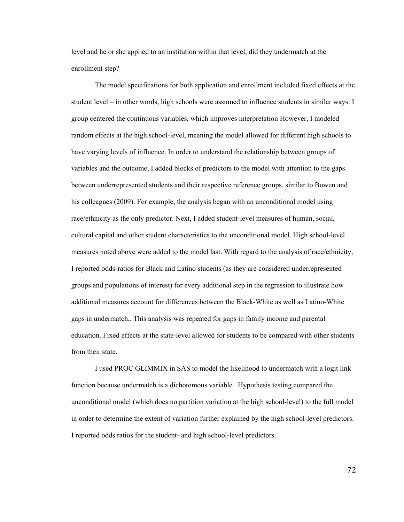level and he or she applied to an institution within that level, did they undermatch at the enrollment step?

The model specifications for both application and enrollment included fixed effects at the student level – in other words, high schools were assumed to influence students in similar ways. I group centered the continuous variables, which improves interpretation However, I modeled random effects at the high school-level, meaning the model allowed for different high schools to have varying levels of influence. In order to understand the relationship between groups of variables and the outcome, I added blocks of predictors to the model with attention to the gaps between underrepresented students and their respective reference groups, similar to Bowen and his colleagues (2009). For example, the analysis began with an unconditional model using race/ethnicity as the only predictor. Next, I added student-level measures of human, social, cultural capital and other student characteristics to the unconditional model. High school-level measures noted above were added to the model last. With regard to the analysis of race/ethnicity, I reported odds-ratios for Black and Latino students (as they are considered underrepresented groups and populations of interest) for every additional step in the regression to illustrate how additional measures account for differences between the Black-White as well as Latino-White gaps in undermatch,. This analysis was repeated for gaps in family income and parental education. Fixed effects at the state-level allowed for students to be compared with other students from their state.

I used PROC GLIMMIX in SAS to model the likelihood to undermatch with a logit link function because undermatch is a dichotomous variable. Hypothesis testing compared the unconditional model (which does no partition variation at the high school-level) to the full model in order to determine the extent of variation further explained by the high school-level predictors. I reported odds ratios for the student- and high school-level predictors.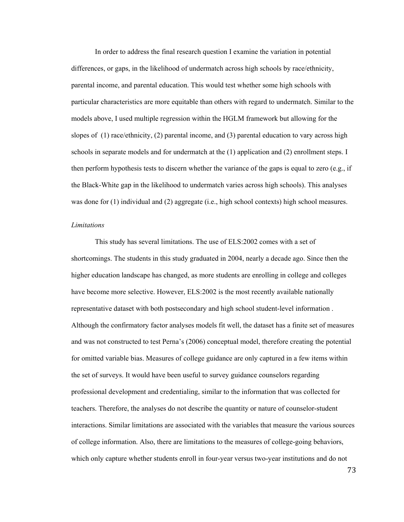In order to address the final research question I examine the variation in potential differences, or gaps, in the likelihood of undermatch across high schools by race/ethnicity, parental income, and parental education. This would test whether some high schools with particular characteristics are more equitable than others with regard to undermatch. Similar to the models above, I used multiple regression within the HGLM framework but allowing for the slopes of (1) race/ethnicity, (2) parental income, and (3) parental education to vary across high schools in separate models and for undermatch at the (1) application and (2) enrollment steps. I then perform hypothesis tests to discern whether the variance of the gaps is equal to zero (e.g., if the Black-White gap in the likelihood to undermatch varies across high schools). This analyses was done for (1) individual and (2) aggregate (i.e., high school contexts) high school measures.

### *Limitations*

This study has several limitations. The use of ELS:2002 comes with a set of shortcomings. The students in this study graduated in 2004, nearly a decade ago. Since then the higher education landscape has changed, as more students are enrolling in college and colleges have become more selective. However, ELS:2002 is the most recently available nationally representative dataset with both postsecondary and high school student-level information . Although the confirmatory factor analyses models fit well, the dataset has a finite set of measures and was not constructed to test Perna's (2006) conceptual model, therefore creating the potential for omitted variable bias. Measures of college guidance are only captured in a few items within the set of surveys. It would have been useful to survey guidance counselors regarding professional development and credentialing, similar to the information that was collected for teachers. Therefore, the analyses do not describe the quantity or nature of counselor-student interactions. Similar limitations are associated with the variables that measure the various sources of college information. Also, there are limitations to the measures of college-going behaviors, which only capture whether students enroll in four-year versus two-year institutions and do not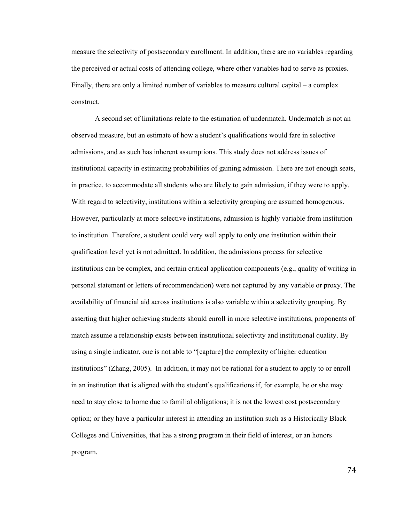measure the selectivity of postsecondary enrollment. In addition, there are no variables regarding the perceived or actual costs of attending college, where other variables had to serve as proxies. Finally, there are only a limited number of variables to measure cultural capital – a complex construct.

A second set of limitations relate to the estimation of undermatch. Undermatch is not an observed measure, but an estimate of how a student's qualifications would fare in selective admissions, and as such has inherent assumptions. This study does not address issues of institutional capacity in estimating probabilities of gaining admission. There are not enough seats, in practice, to accommodate all students who are likely to gain admission, if they were to apply. With regard to selectivity, institutions within a selectivity grouping are assumed homogenous. However, particularly at more selective institutions, admission is highly variable from institution to institution. Therefore, a student could very well apply to only one institution within their qualification level yet is not admitted. In addition, the admissions process for selective institutions can be complex, and certain critical application components (e.g., quality of writing in personal statement or letters of recommendation) were not captured by any variable or proxy. The availability of financial aid across institutions is also variable within a selectivity grouping. By asserting that higher achieving students should enroll in more selective institutions, proponents of match assume a relationship exists between institutional selectivity and institutional quality. By using a single indicator, one is not able to "[capture] the complexity of higher education institutions" (Zhang, 2005). In addition, it may not be rational for a student to apply to or enroll in an institution that is aligned with the student's qualifications if, for example, he or she may need to stay close to home due to familial obligations; it is not the lowest cost postsecondary option; or they have a particular interest in attending an institution such as a Historically Black Colleges and Universities, that has a strong program in their field of interest, or an honors program.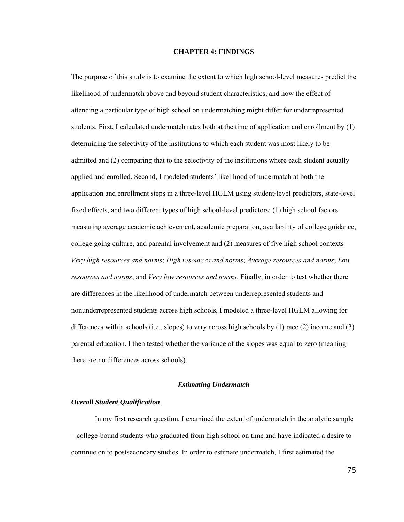#### **CHAPTER 4: FINDINGS**

The purpose of this study is to examine the extent to which high school-level measures predict the likelihood of undermatch above and beyond student characteristics, and how the effect of attending a particular type of high school on undermatching might differ for underrepresented students. First, I calculated undermatch rates both at the time of application and enrollment by (1) determining the selectivity of the institutions to which each student was most likely to be admitted and (2) comparing that to the selectivity of the institutions where each student actually applied and enrolled. Second, I modeled students' likelihood of undermatch at both the application and enrollment steps in a three-level HGLM using student-level predictors, state-level fixed effects, and two different types of high school-level predictors: (1) high school factors measuring average academic achievement, academic preparation, availability of college guidance, college going culture, and parental involvement and (2) measures of five high school contexts – *Very high resources and norms*; *High resources and norms*; *Average resources and norms*; *Low resources and norms*; and *Very low resources and norms*. Finally, in order to test whether there are differences in the likelihood of undermatch between underrepresented students and nonunderrepresented students across high schools, I modeled a three-level HGLM allowing for differences within schools (i.e., slopes) to vary across high schools by (1) race (2) income and (3) parental education. I then tested whether the variance of the slopes was equal to zero (meaning there are no differences across schools).

# *Estimating Undermatch*

### *Overall Student Qualification*

 In my first research question, I examined the extent of undermatch in the analytic sample – college-bound students who graduated from high school on time and have indicated a desire to continue on to postsecondary studies. In order to estimate undermatch, I first estimated the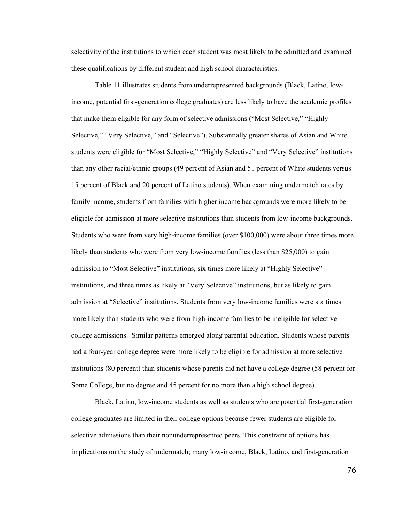selectivity of the institutions to which each student was most likely to be admitted and examined these qualifications by different student and high school characteristics.

Table 11 illustrates students from underrepresented backgrounds (Black, Latino, lowincome, potential first-generation college graduates) are less likely to have the academic profiles that make them eligible for any form of selective admissions ("Most Selective," "Highly Selective," "Very Selective," and "Selective"). Substantially greater shares of Asian and White students were eligible for "Most Selective," "Highly Selective" and "Very Selective" institutions than any other racial/ethnic groups (49 percent of Asian and 51 percent of White students versus 15 percent of Black and 20 percent of Latino students). When examining undermatch rates by family income, students from families with higher income backgrounds were more likely to be eligible for admission at more selective institutions than students from low-income backgrounds. Students who were from very high-income families (over \$100,000) were about three times more likely than students who were from very low-income families (less than \$25,000) to gain admission to "Most Selective" institutions, six times more likely at "Highly Selective" institutions, and three times as likely at "Very Selective" institutions, but as likely to gain admission at "Selective" institutions. Students from very low-income families were six times more likely than students who were from high-income families to be ineligible for selective college admissions. Similar patterns emerged along parental education. Students whose parents had a four-year college degree were more likely to be eligible for admission at more selective institutions (80 percent) than students whose parents did not have a college degree (58 percent for Some College, but no degree and 45 percent for no more than a high school degree).

Black, Latino, low-income students as well as students who are potential first-generation college graduates are limited in their college options because fewer students are eligible for selective admissions than their nonunderrepresented peers. This constraint of options has implications on the study of undermatch; many low-income, Black, Latino, and first-generation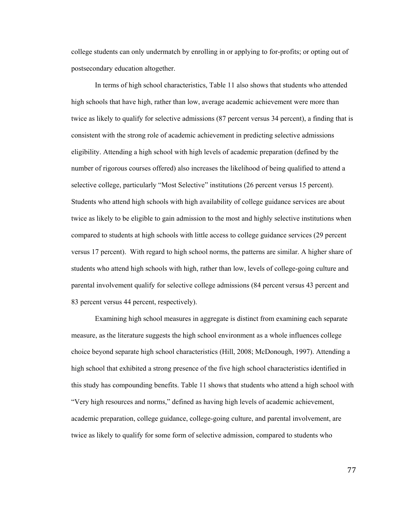college students can only undermatch by enrolling in or applying to for-profits; or opting out of postsecondary education altogether.

In terms of high school characteristics, Table 11 also shows that students who attended high schools that have high, rather than low, average academic achievement were more than twice as likely to qualify for selective admissions (87 percent versus 34 percent), a finding that is consistent with the strong role of academic achievement in predicting selective admissions eligibility. Attending a high school with high levels of academic preparation (defined by the number of rigorous courses offered) also increases the likelihood of being qualified to attend a selective college, particularly "Most Selective" institutions (26 percent versus 15 percent). Students who attend high schools with high availability of college guidance services are about twice as likely to be eligible to gain admission to the most and highly selective institutions when compared to students at high schools with little access to college guidance services (29 percent versus 17 percent). With regard to high school norms, the patterns are similar. A higher share of students who attend high schools with high, rather than low, levels of college-going culture and parental involvement qualify for selective college admissions (84 percent versus 43 percent and 83 percent versus 44 percent, respectively).

Examining high school measures in aggregate is distinct from examining each separate measure, as the literature suggests the high school environment as a whole influences college choice beyond separate high school characteristics (Hill, 2008; McDonough, 1997). Attending a high school that exhibited a strong presence of the five high school characteristics identified in this study has compounding benefits. Table 11 shows that students who attend a high school with "Very high resources and norms," defined as having high levels of academic achievement, academic preparation, college guidance, college-going culture, and parental involvement, are twice as likely to qualify for some form of selective admission, compared to students who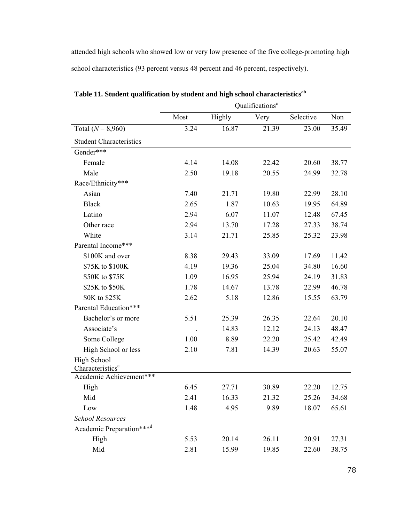attended high schools who showed low or very low presence of the five college-promoting high school characteristics (93 percent versus 48 percent and 46 percent, respectively).

|                                      | Qualifications <sup>e</sup> |        |       |           |       |  |  |  |
|--------------------------------------|-----------------------------|--------|-------|-----------|-------|--|--|--|
|                                      | Most                        | Highly | Very  | Selective | Non   |  |  |  |
| Total ( $N = 8,960$ )                | 3.24                        | 16.87  | 21.39 | 23.00     | 35.49 |  |  |  |
| <b>Student Characteristics</b>       |                             |        |       |           |       |  |  |  |
| Gender***                            |                             |        |       |           |       |  |  |  |
| Female                               | 4.14                        | 14.08  | 22.42 | 20.60     | 38.77 |  |  |  |
| Male                                 | 2.50                        | 19.18  | 20.55 | 24.99     | 32.78 |  |  |  |
| Race/Ethnicity***                    |                             |        |       |           |       |  |  |  |
| Asian                                | 7.40                        | 21.71  | 19.80 | 22.99     | 28.10 |  |  |  |
| <b>Black</b>                         | 2.65                        | 1.87   | 10.63 | 19.95     | 64.89 |  |  |  |
| Latino                               | 2.94                        | 6.07   | 11.07 | 12.48     | 67.45 |  |  |  |
| Other race                           | 2.94                        | 13.70  | 17.28 | 27.33     | 38.74 |  |  |  |
| White                                | 3.14                        | 21.71  | 25.85 | 25.32     | 23.98 |  |  |  |
| Parental Income***                   |                             |        |       |           |       |  |  |  |
| \$100K and over                      | 8.38                        | 29.43  | 33.09 | 17.69     | 11.42 |  |  |  |
| \$75K to \$100K                      | 4.19                        | 19.36  | 25.04 | 34.80     | 16.60 |  |  |  |
| \$50K to \$75K                       | 1.09                        | 16.95  | 25.94 | 24.19     | 31.83 |  |  |  |
| \$25K to \$50K                       | 1.78                        | 14.67  | 13.78 | 22.99     | 46.78 |  |  |  |
| \$0K to \$25K                        | 2.62                        | 5.18   | 12.86 | 15.55     | 63.79 |  |  |  |
| Parental Education***                |                             |        |       |           |       |  |  |  |
| Bachelor's or more                   | 5.51                        | 25.39  | 26.35 | 22.64     | 20.10 |  |  |  |
| Associate's                          |                             | 14.83  | 12.12 | 24.13     | 48.47 |  |  |  |
| Some College                         | 1.00                        | 8.89   | 22.20 | 25.42     | 42.49 |  |  |  |
| High School or less                  | 2.10                        | 7.81   | 14.39 | 20.63     | 55.07 |  |  |  |
| High School                          |                             |        |       |           |       |  |  |  |
| Characteristics <sup>c</sup>         |                             |        |       |           |       |  |  |  |
| Academic Achievement***              |                             |        |       |           |       |  |  |  |
| High                                 | 6.45                        | 27.71  | 30.89 | 22.20     | 12.75 |  |  |  |
| Mid                                  | 2.41                        | 16.33  | 21.32 | 25.26     | 34.68 |  |  |  |
| Low                                  | 1.48                        | 4.95   | 9.89  | 18.07     | 65.61 |  |  |  |
| <b>School Resources</b>              |                             |        |       |           |       |  |  |  |
| Academic Preparation*** <sup>d</sup> |                             |        |       |           |       |  |  |  |
| High                                 | 5.53                        | 20.14  | 26.11 | 20.91     | 27.31 |  |  |  |
| Mid                                  | 2.81                        | 15.99  | 19.85 | 22.60     | 38.75 |  |  |  |

Table 11. Student qualification by student and high school characteristics<sup>ab</sup>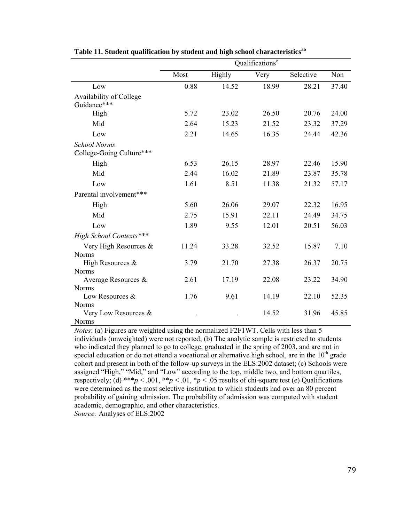|                                      |       |        | Qualifications <sup>e</sup> |           |       |
|--------------------------------------|-------|--------|-----------------------------|-----------|-------|
|                                      | Most  | Highly | Very                        | Selective | Non   |
| Low                                  | 0.88  | 14.52  | 18.99                       | 28.21     | 37.40 |
| Availability of College              |       |        |                             |           |       |
| Guidance***                          |       |        |                             |           |       |
| High                                 | 5.72  | 23.02  | 26.50                       | 20.76     | 24.00 |
| Mid                                  | 2.64  | 15.23  | 21.52                       | 23.32     | 37.29 |
| Low                                  | 2.21  | 14.65  | 16.35                       | 24.44     | 42.36 |
| <b>School Norms</b>                  |       |        |                             |           |       |
| College-Going Culture***             |       |        |                             |           |       |
| High                                 | 6.53  | 26.15  | 28.97                       | 22.46     | 15.90 |
| Mid                                  | 2.44  | 16.02  | 21.89                       | 23.87     | 35.78 |
| Low                                  | 1.61  | 8.51   | 11.38                       | 21.32     | 57.17 |
| Parental involvement***              |       |        |                             |           |       |
| High                                 | 5.60  | 26.06  | 29.07                       | 22.32     | 16.95 |
| Mid                                  | 2.75  | 15.91  | 22.11                       | 24.49     | 34.75 |
| Low                                  | 1.89  | 9.55   | 12.01                       | 20.51     | 56.03 |
| High School Contexts***              |       |        |                             |           |       |
| Very High Resources &                | 11.24 | 33.28  | 32.52                       | 15.87     | 7.10  |
| <b>Norms</b>                         |       |        |                             |           |       |
| High Resources &                     | 3.79  | 21.70  | 27.38                       | 26.37     | 20.75 |
| <b>Norms</b>                         |       |        |                             |           |       |
| Average Resources &                  | 2.61  | 17.19  | 22.08                       | 23.22     | 34.90 |
| <b>Norms</b>                         |       |        |                             |           |       |
| Low Resources &                      | 1.76  | 9.61   | 14.19                       | 22.10     | 52.35 |
| <b>Norms</b>                         |       |        | 14.52                       | 31.96     | 45.85 |
| Very Low Resources &<br><b>Norms</b> |       |        |                             |           |       |

Table 11. Student qualification by student and high school characteristics<sup>ab</sup>

*Notes*: (a) Figures are weighted using the normalized F2F1WT. Cells with less than 5 individuals (unweighted) were not reported; (b) The analytic sample is restricted to students who indicated they planned to go to college, graduated in the spring of 2003, and are not in special education or do not attend a vocational or alternative high school, are in the  $10<sup>th</sup>$  grade cohort and present in both of the follow-up surveys in the ELS:2002 dataset; (c) Schools were assigned "High," "Mid," and "Low" according to the top, middle two, and bottom quartiles, respectively; (d) \*\*\**p* < .001, \**\*p* < .01, \**p* < .05 results of chi-square test (e) Qualifications were determined as the most selective institution to which students had over an 80 percent probability of gaining admission. The probability of admission was computed with student academic, demographic, and other characteristics. *Source:* Analyses of ELS:2002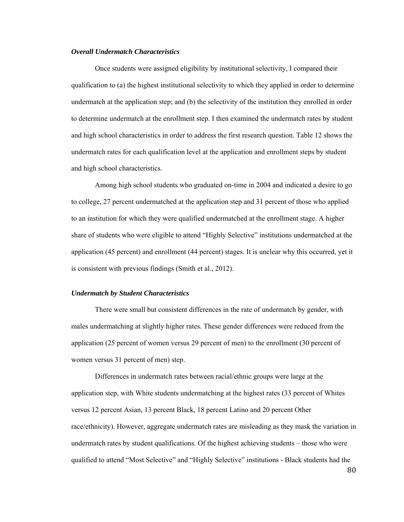### *Overall Undermatch Characteristics*

Once students were assigned eligibility by institutional selectivity, I compared their qualification to (a) the highest institutional selectivity to which they applied in order to determine undermatch at the application step; and (b) the selectivity of the institution they enrolled in order to determine undermatch at the enrollment step. I then examined the undermatch rates by student and high school characteristics in order to address the first research question. Table 12 shows the undermatch rates for each qualification level at the application and enrollment steps by student and high school characteristics.

Among high school students who graduated on-time in 2004 and indicated a desire to go to college, 27 percent undermatched at the application step and 31 percent of those who applied to an institution for which they were qualified undermatched at the enrollment stage. A higher share of students who were eligible to attend "Highly Selective" institutions undermatched at the application (45 percent) and enrollment (44 percent) stages. It is unclear why this occurred, yet it is consistent with previous findings (Smith et al., 2012).

#### *Undermatch by Student Characteristics*

There were small but consistent differences in the rate of undermatch by gender, with males undermatching at slightly higher rates. These gender differences were reduced from the application (25 percent of women versus 29 percent of men) to the enrollment (30 percent of women versus 31 percent of men) step.

Differences in undermatch rates between racial/ethnic groups were large at the application step, with White students undermatching at the highest rates (33 percent of Whites versus 12 percent Asian, 13 percent Black, 18 percent Latino and 20 percent Other race/ethnicity). However, aggregate undermatch rates are misleading as they mask the variation in undermatch rates by student qualifications. Of the highest achieving students – those who were qualified to attend "Most Selective" and "Highly Selective" institutions - Black students had the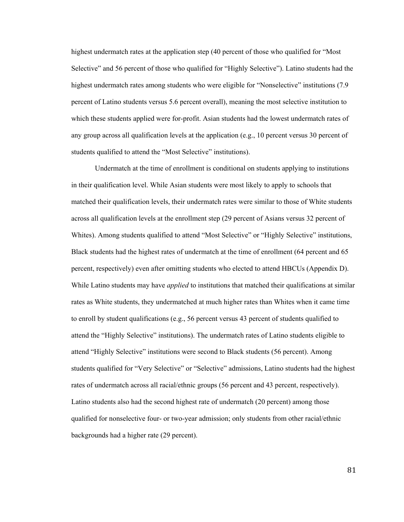highest undermatch rates at the application step (40 percent of those who qualified for "Most Selective" and 56 percent of those who qualified for "Highly Selective"). Latino students had the highest undermatch rates among students who were eligible for "Nonselective" institutions (7.9) percent of Latino students versus 5.6 percent overall), meaning the most selective institution to which these students applied were for-profit. Asian students had the lowest undermatch rates of any group across all qualification levels at the application (e.g., 10 percent versus 30 percent of students qualified to attend the "Most Selective" institutions).

Undermatch at the time of enrollment is conditional on students applying to institutions in their qualification level. While Asian students were most likely to apply to schools that matched their qualification levels, their undermatch rates were similar to those of White students across all qualification levels at the enrollment step (29 percent of Asians versus 32 percent of Whites). Among students qualified to attend "Most Selective" or "Highly Selective" institutions, Black students had the highest rates of undermatch at the time of enrollment (64 percent and 65 percent, respectively) even after omitting students who elected to attend HBCUs (Appendix D). While Latino students may have *applied* to institutions that matched their qualifications at similar rates as White students, they undermatched at much higher rates than Whites when it came time to enroll by student qualifications (e.g., 56 percent versus 43 percent of students qualified to attend the "Highly Selective" institutions). The undermatch rates of Latino students eligible to attend "Highly Selective" institutions were second to Black students (56 percent). Among students qualified for "Very Selective" or "Selective" admissions, Latino students had the highest rates of undermatch across all racial/ethnic groups (56 percent and 43 percent, respectively). Latino students also had the second highest rate of undermatch (20 percent) among those qualified for nonselective four- or two-year admission; only students from other racial/ethnic backgrounds had a higher rate (29 percent).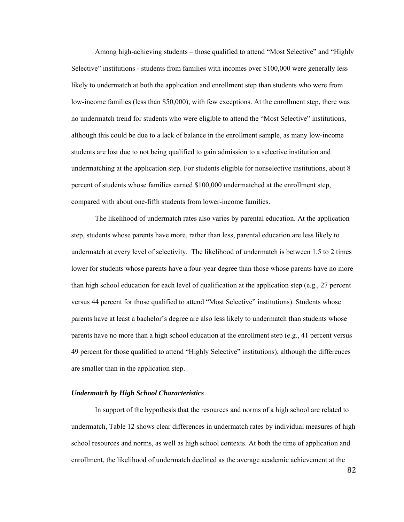Among high-achieving students – those qualified to attend "Most Selective" and "Highly Selective" institutions - students from families with incomes over \$100,000 were generally less likely to undermatch at both the application and enrollment step than students who were from low-income families (less than \$50,000), with few exceptions. At the enrollment step, there was no undermatch trend for students who were eligible to attend the "Most Selective" institutions, although this could be due to a lack of balance in the enrollment sample, as many low-income students are lost due to not being qualified to gain admission to a selective institution and undermatching at the application step. For students eligible for nonselective institutions, about 8 percent of students whose families earned \$100,000 undermatched at the enrollment step, compared with about one-fifth students from lower-income families.

The likelihood of undermatch rates also varies by parental education. At the application step, students whose parents have more, rather than less, parental education are less likely to undermatch at every level of selectivity. The likelihood of undermatch is between 1.5 to 2 times lower for students whose parents have a four-year degree than those whose parents have no more than high school education for each level of qualification at the application step (e.g., 27 percent versus 44 percent for those qualified to attend "Most Selective" institutions). Students whose parents have at least a bachelor's degree are also less likely to undermatch than students whose parents have no more than a high school education at the enrollment step (e.g., 41 percent versus 49 percent for those qualified to attend "Highly Selective" institutions), although the differences are smaller than in the application step.

# *Undermatch by High School Characteristics*

In support of the hypothesis that the resources and norms of a high school are related to undermatch, Table 12 shows clear differences in undermatch rates by individual measures of high school resources and norms, as well as high school contexts. At both the time of application and enrollment, the likelihood of undermatch declined as the average academic achievement at the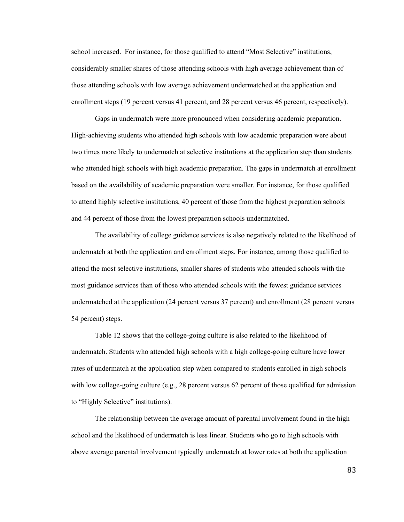school increased. For instance, for those qualified to attend "Most Selective" institutions, considerably smaller shares of those attending schools with high average achievement than of those attending schools with low average achievement undermatched at the application and enrollment steps (19 percent versus 41 percent, and 28 percent versus 46 percent, respectively).

Gaps in undermatch were more pronounced when considering academic preparation. High-achieving students who attended high schools with low academic preparation were about two times more likely to undermatch at selective institutions at the application step than students who attended high schools with high academic preparation. The gaps in undermatch at enrollment based on the availability of academic preparation were smaller. For instance, for those qualified to attend highly selective institutions, 40 percent of those from the highest preparation schools and 44 percent of those from the lowest preparation schools undermatched.

The availability of college guidance services is also negatively related to the likelihood of undermatch at both the application and enrollment steps. For instance, among those qualified to attend the most selective institutions, smaller shares of students who attended schools with the most guidance services than of those who attended schools with the fewest guidance services undermatched at the application (24 percent versus 37 percent) and enrollment (28 percent versus 54 percent) steps.

Table 12 shows that the college-going culture is also related to the likelihood of undermatch. Students who attended high schools with a high college-going culture have lower rates of undermatch at the application step when compared to students enrolled in high schools with low college-going culture (e.g., 28 percent versus 62 percent of those qualified for admission to "Highly Selective" institutions).

The relationship between the average amount of parental involvement found in the high school and the likelihood of undermatch is less linear. Students who go to high schools with above average parental involvement typically undermatch at lower rates at both the application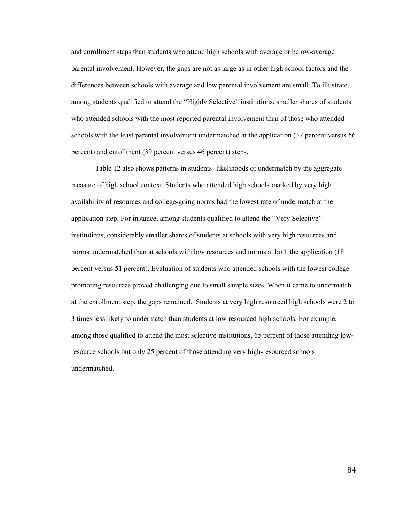and enrollment steps than students who attend high schools with average or below-average parental involvement. However, the gaps are not as large as in other high school factors and the differences between schools with average and low parental involvement are small. To illustrate, among students qualified to attend the "Highly Selective" institutions, smaller shares of students who attended schools with the most reported parental involvement than of those who attended schools with the least parental involvement undermatched at the application (37 percent versus 56 percent) and enrollment (39 percent versus 46 percent) steps.

Table 12 also shows patterns in students' likelihoods of undermatch by the aggregate measure of high school context. Students who attended high schools marked by very high availability of resources and college-going norms had the lowest rate of undermatch at the application step. For instance, among students qualified to attend the "Very Selective" institutions, considerably smaller shares of students at schools with very high resources and norms undermatched than at schools with low resources and norms at both the application (18 percent versus 51 percent). Evaluation of students who attended schools with the lowest collegepromoting resources proved challenging due to small sample sizes. When it came to undermatch at the enrollment step, the gaps remained. Students at very high resourced high schools were 2 to 3 times less likely to undermatch than students at low resourced high schools. For example, among those qualified to attend the most selective institutions, 65 percent of those attending lowresource schools but only 25 percent of those attending very high-resourced schools undermatched.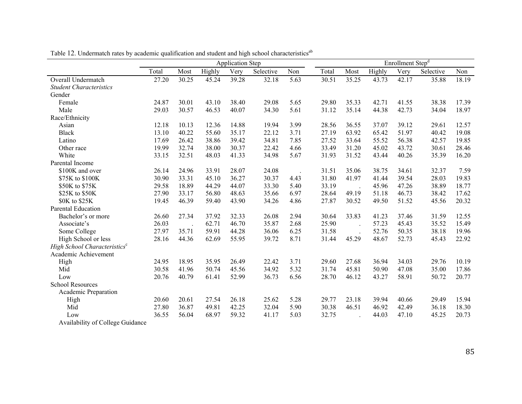|                                          | <b>Application Step</b> |       |        |       |           | Enrollment Step <sup>d</sup> |       |       |        |       |           |       |
|------------------------------------------|-------------------------|-------|--------|-------|-----------|------------------------------|-------|-------|--------|-------|-----------|-------|
|                                          | Total                   | Most  | Highly | Very  | Selective | Non                          | Total | Most  | Highly | Very  | Selective | Non   |
| Overall Undermatch                       | 27.20                   | 30.25 | 45.24  | 39.28 | 32.18     | $\overline{5.63}$            | 30.51 | 35.25 | 43.73  | 42.17 | 35.88     | 18.19 |
| <b>Student Characteristics</b>           |                         |       |        |       |           |                              |       |       |        |       |           |       |
| Gender                                   |                         |       |        |       |           |                              |       |       |        |       |           |       |
| Female                                   | 24.87                   | 30.01 | 43.10  | 38.40 | 29.08     | 5.65                         | 29.80 | 35.33 | 42.71  | 41.55 | 38.38     | 17.39 |
| Male                                     | 29.03                   | 30.57 | 46.53  | 40.07 | 34.30     | 5.61                         | 31.12 | 35.14 | 44.38  | 42.73 | 34.04     | 18.97 |
| Race/Ethnicity                           |                         |       |        |       |           |                              |       |       |        |       |           |       |
| Asian                                    | 12.18                   | 10.13 | 12.36  | 14.88 | 19.94     | 3.99                         | 28.56 | 36.55 | 37.07  | 39.12 | 29.61     | 12.57 |
| <b>Black</b>                             | 13.10                   | 40.22 | 55.60  | 35.17 | 22.12     | 3.71                         | 27.19 | 63.92 | 65.42  | 51.97 | 40.42     | 19.08 |
| Latino                                   | 17.69                   | 26.42 | 38.86  | 39.42 | 34.81     | 7.85                         | 27.52 | 33.64 | 55.52  | 56.38 | 42.57     | 19.85 |
| Other race                               | 19.99                   | 32.74 | 38.00  | 30.37 | 22.42     | 4.66                         | 33.49 | 31.20 | 45.02  | 43.72 | 30.61     | 28.46 |
| White                                    | 33.15                   | 32.51 | 48.03  | 41.33 | 34.98     | 5.67                         | 31.93 | 31.52 | 43.44  | 40.26 | 35.39     | 16.20 |
| Parental Income                          |                         |       |        |       |           |                              |       |       |        |       |           |       |
| \$100K and over                          | 26.14                   | 24.96 | 33.91  | 28.07 | 24.08     |                              | 31.51 | 35.06 | 38.75  | 34.61 | 32.37     | 7.59  |
| \$75K to \$100K                          | 30.90                   | 33.31 | 45.10  | 36.27 | 30.37     | 4.43                         | 31.80 | 41.97 | 41.44  | 39.54 | 28.03     | 19.83 |
| \$50K to \$75K                           | 29.58                   | 18.89 | 44.29  | 44.07 | 33.30     | 5.40                         | 33.19 |       | 45.96  | 47.26 | 38.89     | 18.77 |
| \$25K to \$50K                           | 27.90                   | 33.17 | 56.80  | 48.63 | 35.66     | 6.97                         | 28.64 | 49.19 | 51.18  | 46.73 | 38.42     | 17.62 |
| \$0K to \$25K                            | 19.45                   | 46.39 | 59.40  | 43.90 | 34.26     | 4.86                         | 27.87 | 30.52 | 49.50  | 51.52 | 45.56     | 20.32 |
| Parental Education                       |                         |       |        |       |           |                              |       |       |        |       |           |       |
| Bachelor's or more                       | 26.60                   | 27.34 | 37.92  | 32.33 | 26.08     | 2.94                         | 30.64 | 33.83 | 41.23  | 37.46 | 31.59     | 12.55 |
| Associate's                              | 26.03                   |       | 62.71  | 46.70 | 35.87     | 2.68                         | 25.90 |       | 57.23  | 45.43 | 35.52     | 15.49 |
| Some College                             | 27.97                   | 35.71 | 59.91  | 44.28 | 36.06     | 6.25                         | 31.58 |       | 52.76  | 50.35 | 38.18     | 19.96 |
| High School or less                      | 28.16                   | 44.36 | 62.69  | 55.95 | 39.72     | 8.71                         | 31.44 | 45.29 | 48.67  | 52.73 | 45.43     | 22.92 |
| High School Characteristics <sup>c</sup> |                         |       |        |       |           |                              |       |       |        |       |           |       |
| Academic Achievement                     |                         |       |        |       |           |                              |       |       |        |       |           |       |
| High                                     | 24.95                   | 18.95 | 35.95  | 26.49 | 22.42     | 3.71                         | 29.60 | 27.68 | 36.94  | 34.03 | 29.76     | 10.19 |
| Mid                                      | 30.58                   | 41.96 | 50.74  | 45.56 | 34.92     | 5.32                         | 31.74 | 45.81 | 50.90  | 47.08 | 35.00     | 17.86 |
| Low                                      | 20.76                   | 40.79 | 61.41  | 52.99 | 36.73     | 6.56                         | 28.70 | 46.12 | 43.27  | 58.91 | 50.72     | 20.77 |
| <b>School Resources</b>                  |                         |       |        |       |           |                              |       |       |        |       |           |       |
| Academic Preparation                     |                         |       |        |       |           |                              |       |       |        |       |           |       |
| High                                     | 20.60                   | 20.61 | 27.54  | 26.18 | 25.62     | 5.28                         | 29.77 | 23.18 | 39.94  | 40.66 | 29.49     | 15.94 |
| Mid                                      | 27.80                   | 36.87 | 49.81  | 42.25 | 32.04     | 5.90                         | 30.38 | 46.51 | 46.92  | 42.49 | 36.18     | 18.30 |
| Low                                      | 36.55                   | 56.04 | 68.97  | 59.32 | 41.17     | 5.03                         | 32.75 |       | 44.03  | 47.10 | 45.25     | 20.73 |
| Availability of College Guidance         |                         |       |        |       |           |                              |       |       |        |       |           |       |

Table 12. Undermatch rates by academic qualification and student and high school characteristics<sup>ab</sup>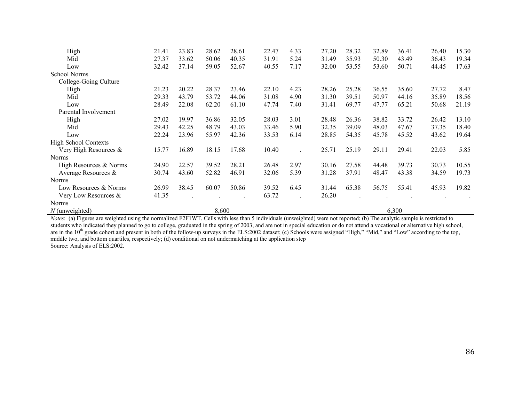| High                        | 21.41 | 23.83 | 28.62 | 28.61 | 22.47 | 4.33 | 27.20 | 28.32 | 32.89 | 36.41 | 26.40 | 15.30 |
|-----------------------------|-------|-------|-------|-------|-------|------|-------|-------|-------|-------|-------|-------|
| Mid                         | 27.37 | 33.62 | 50.06 | 40.35 | 31.91 | 5.24 | 31.49 | 35.93 | 50.30 | 43.49 | 36.43 | 19.34 |
| Low                         | 32.42 | 37.14 | 59.05 | 52.67 | 40.55 | 7.17 | 32.00 | 53.55 | 53.60 | 50.71 | 44.45 | 17.63 |
| <b>School Norms</b>         |       |       |       |       |       |      |       |       |       |       |       |       |
| College-Going Culture       |       |       |       |       |       |      |       |       |       |       |       |       |
| High                        | 21.23 | 20.22 | 28.37 | 23.46 | 22.10 | 4.23 | 28.26 | 25.28 | 36.55 | 35.60 | 27.72 | 8.47  |
| Mid                         | 29.33 | 43.79 | 53.72 | 44.06 | 31.08 | 4.90 | 31.30 | 39.51 | 50.97 | 44.16 | 35.89 | 18.56 |
| Low                         | 28.49 | 22.08 | 62.20 | 61.10 | 47.74 | 7.40 | 31.41 | 69.77 | 47.77 | 65.21 | 50.68 | 21.19 |
| Parental Involvement        |       |       |       |       |       |      |       |       |       |       |       |       |
| High                        | 27.02 | 19.97 | 36.86 | 32.05 | 28.03 | 3.01 | 28.48 | 26.36 | 38.82 | 33.72 | 26.42 | 13.10 |
| Mid                         | 29.43 | 42.25 | 48.79 | 43.03 | 33.46 | 5.90 | 32.35 | 39.09 | 48.03 | 47.67 | 37.35 | 18.40 |
| Low                         | 22.24 | 23.96 | 55.97 | 42.36 | 33.53 | 6.14 | 28.85 | 54.35 | 45.78 | 45.52 | 43.62 | 19.64 |
| <b>High School Contexts</b> |       |       |       |       |       |      |       |       |       |       |       |       |
| Very High Resources &       | 15.77 | 16.89 | 18.15 | 17.68 | 10.40 |      | 25.71 | 25.19 | 29.11 | 29.41 | 22.03 | 5.85  |
| Norms                       |       |       |       |       |       |      |       |       |       |       |       |       |
| High Resources & Norms      | 24.90 | 22.57 | 39.52 | 28.21 | 26.48 | 2.97 | 30.16 | 27.58 | 44.48 | 39.73 | 30.73 | 10.55 |
| Average Resources $\&$      | 30.74 | 43.60 | 52.82 | 46.91 | 32.06 | 5.39 | 31.28 | 37.91 | 48.47 | 43.38 | 34.59 | 19.73 |
| Norms                       |       |       |       |       |       |      |       |       |       |       |       |       |
| Low Resources & Norms       | 26.99 | 38.45 | 60.07 | 50.86 | 39.52 | 6.45 | 31.44 | 65.38 | 56.75 | 55.41 | 45.93 | 19.82 |
| Very Low Resources &        | 41.35 |       |       |       | 63.72 |      | 26.20 |       |       |       |       |       |
| <b>Norms</b>                |       |       |       |       |       |      |       |       |       |       |       |       |
| $N$ (unweighted)            |       |       | 8,600 |       |       |      |       |       |       | 6,300 |       |       |

*Notes*: (a) Figures are weighted using the normalized F2F1WT. Cells with less than 5 individuals (unweighted) were not reported; (b) The analytic sample is restricted to students who indicated they planned to go to college, graduated in the spring of 2003, and are not in special education or do not attend a vocational or alternative high school, are in the 10<sup>th</sup> grade cohort and present in both of the follow-up surveys in the ELS:2002 dataset; (c) Schools were assigned "High," "Mid," and "Low" according to the top, middle two, and bottom quartiles, respectively; (d) conditional on not undermatching at the application step Source: Analysis of ELS:2002.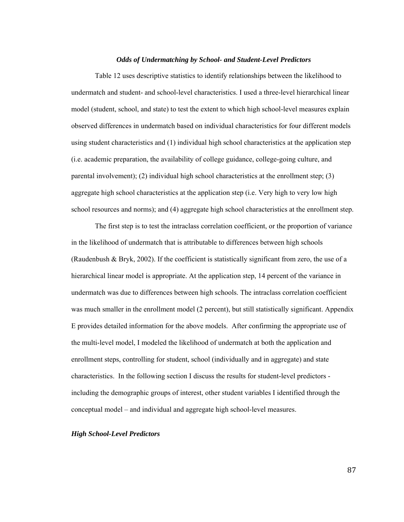# *Odds of Undermatching by School- and Student-Level Predictors*

 Table 12 uses descriptive statistics to identify relationships between the likelihood to undermatch and student- and school-level characteristics. I used a three-level hierarchical linear model (student, school, and state) to test the extent to which high school-level measures explain observed differences in undermatch based on individual characteristics for four different models using student characteristics and (1) individual high school characteristics at the application step (i.e. academic preparation, the availability of college guidance, college-going culture, and parental involvement); (2) individual high school characteristics at the enrollment step; (3) aggregate high school characteristics at the application step (i.e. Very high to very low high school resources and norms); and (4) aggregate high school characteristics at the enrollment step.

 The first step is to test the intraclass correlation coefficient, or the proportion of variance in the likelihood of undermatch that is attributable to differences between high schools (Raudenbush & Bryk, 2002). If the coefficient is statistically significant from zero, the use of a hierarchical linear model is appropriate. At the application step, 14 percent of the variance in undermatch was due to differences between high schools. The intraclass correlation coefficient was much smaller in the enrollment model (2 percent), but still statistically significant. Appendix E provides detailed information for the above models. After confirming the appropriate use of the multi-level model, I modeled the likelihood of undermatch at both the application and enrollment steps, controlling for student, school (individually and in aggregate) and state characteristics. In the following section I discuss the results for student-level predictors including the demographic groups of interest, other student variables I identified through the conceptual model – and individual and aggregate high school-level measures.

#### *High School-Level Predictors*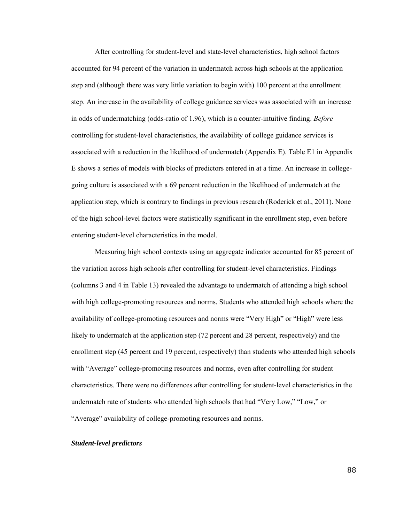After controlling for student-level and state-level characteristics, high school factors accounted for 94 percent of the variation in undermatch across high schools at the application step and (although there was very little variation to begin with) 100 percent at the enrollment step. An increase in the availability of college guidance services was associated with an increase in odds of undermatching (odds-ratio of 1.96), which is a counter-intuitive finding. *Before* controlling for student-level characteristics, the availability of college guidance services is associated with a reduction in the likelihood of undermatch (Appendix E). Table E1 in Appendix E shows a series of models with blocks of predictors entered in at a time. An increase in collegegoing culture is associated with a 69 percent reduction in the likelihood of undermatch at the application step, which is contrary to findings in previous research (Roderick et al., 2011). None of the high school-level factors were statistically significant in the enrollment step, even before entering student-level characteristics in the model.

Measuring high school contexts using an aggregate indicator accounted for 85 percent of the variation across high schools after controlling for student-level characteristics. Findings (columns 3 and 4 in Table 13) revealed the advantage to undermatch of attending a high school with high college-promoting resources and norms. Students who attended high schools where the availability of college-promoting resources and norms were "Very High" or "High" were less likely to undermatch at the application step (72 percent and 28 percent, respectively) and the enrollment step (45 percent and 19 percent, respectively) than students who attended high schools with "Average" college-promoting resources and norms, even after controlling for student characteristics. There were no differences after controlling for student-level characteristics in the undermatch rate of students who attended high schools that had "Very Low," "Low," or "Average" availability of college-promoting resources and norms.

### *Student-level predictors*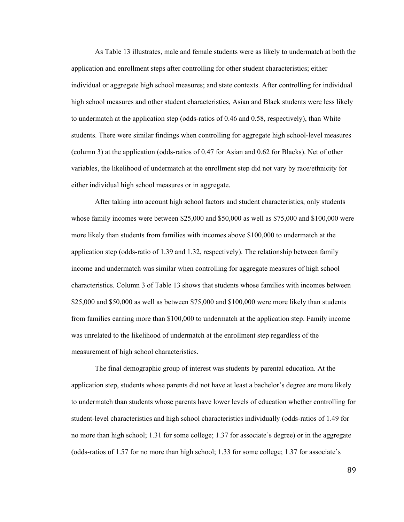As Table 13 illustrates, male and female students were as likely to undermatch at both the application and enrollment steps after controlling for other student characteristics; either individual or aggregate high school measures; and state contexts. After controlling for individual high school measures and other student characteristics, Asian and Black students were less likely to undermatch at the application step (odds-ratios of 0.46 and 0.58, respectively), than White students. There were similar findings when controlling for aggregate high school-level measures (column 3) at the application (odds-ratios of 0.47 for Asian and 0.62 for Blacks). Net of other variables, the likelihood of undermatch at the enrollment step did not vary by race/ethnicity for either individual high school measures or in aggregate.

After taking into account high school factors and student characteristics, only students whose family incomes were between \$25,000 and \$50,000 as well as \$75,000 and \$100,000 were more likely than students from families with incomes above \$100,000 to undermatch at the application step (odds-ratio of 1.39 and 1.32, respectively). The relationship between family income and undermatch was similar when controlling for aggregate measures of high school characteristics. Column 3 of Table 13 shows that students whose families with incomes between \$25,000 and \$50,000 as well as between \$75,000 and \$100,000 were more likely than students from families earning more than \$100,000 to undermatch at the application step. Family income was unrelated to the likelihood of undermatch at the enrollment step regardless of the measurement of high school characteristics.

The final demographic group of interest was students by parental education. At the application step, students whose parents did not have at least a bachelor's degree are more likely to undermatch than students whose parents have lower levels of education whether controlling for student-level characteristics and high school characteristics individually (odds-ratios of 1.49 for no more than high school; 1.31 for some college; 1.37 for associate's degree) or in the aggregate (odds-ratios of 1.57 for no more than high school; 1.33 for some college; 1.37 for associate's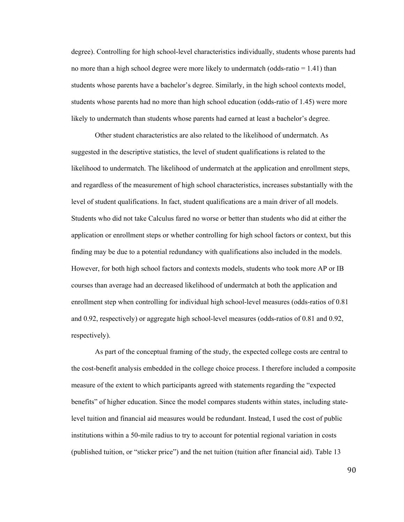degree). Controlling for high school-level characteristics individually, students whose parents had no more than a high school degree were more likely to undermatch (odds-ratio  $= 1.41$ ) than students whose parents have a bachelor's degree. Similarly, in the high school contexts model, students whose parents had no more than high school education (odds-ratio of 1.45) were more likely to undermatch than students whose parents had earned at least a bachelor's degree.

Other student characteristics are also related to the likelihood of undermatch. As suggested in the descriptive statistics, the level of student qualifications is related to the likelihood to undermatch. The likelihood of undermatch at the application and enrollment steps, and regardless of the measurement of high school characteristics, increases substantially with the level of student qualifications. In fact, student qualifications are a main driver of all models. Students who did not take Calculus fared no worse or better than students who did at either the application or enrollment steps or whether controlling for high school factors or context, but this finding may be due to a potential redundancy with qualifications also included in the models. However, for both high school factors and contexts models, students who took more AP or IB courses than average had an decreased likelihood of undermatch at both the application and enrollment step when controlling for individual high school-level measures (odds-ratios of 0.81 and 0.92, respectively) or aggregate high school-level measures (odds-ratios of 0.81 and 0.92, respectively).

As part of the conceptual framing of the study, the expected college costs are central to the cost-benefit analysis embedded in the college choice process. I therefore included a composite measure of the extent to which participants agreed with statements regarding the "expected benefits" of higher education. Since the model compares students within states, including statelevel tuition and financial aid measures would be redundant. Instead, I used the cost of public institutions within a 50-mile radius to try to account for potential regional variation in costs (published tuition, or "sticker price") and the net tuition (tuition after financial aid). Table 13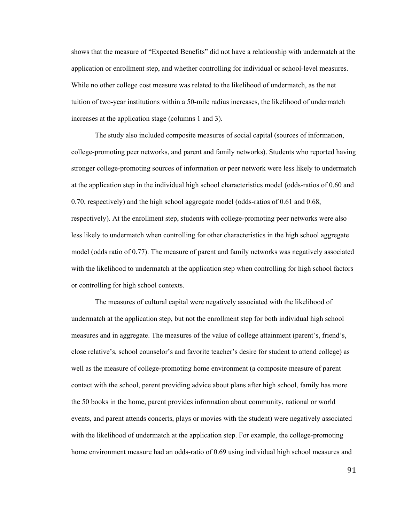shows that the measure of "Expected Benefits" did not have a relationship with undermatch at the application or enrollment step, and whether controlling for individual or school-level measures. While no other college cost measure was related to the likelihood of undermatch, as the net tuition of two-year institutions within a 50-mile radius increases, the likelihood of undermatch increases at the application stage (columns 1 and 3).

The study also included composite measures of social capital (sources of information, college-promoting peer networks, and parent and family networks). Students who reported having stronger college-promoting sources of information or peer network were less likely to undermatch at the application step in the individual high school characteristics model (odds-ratios of 0.60 and 0.70, respectively) and the high school aggregate model (odds-ratios of 0.61 and 0.68, respectively). At the enrollment step, students with college-promoting peer networks were also less likely to undermatch when controlling for other characteristics in the high school aggregate model (odds ratio of 0.77). The measure of parent and family networks was negatively associated with the likelihood to undermatch at the application step when controlling for high school factors or controlling for high school contexts.

The measures of cultural capital were negatively associated with the likelihood of undermatch at the application step, but not the enrollment step for both individual high school measures and in aggregate. The measures of the value of college attainment (parent's, friend's, close relative's, school counselor's and favorite teacher's desire for student to attend college) as well as the measure of college-promoting home environment (a composite measure of parent contact with the school, parent providing advice about plans after high school, family has more the 50 books in the home, parent provides information about community, national or world events, and parent attends concerts, plays or movies with the student) were negatively associated with the likelihood of undermatch at the application step. For example, the college-promoting home environment measure had an odds-ratio of 0.69 using individual high school measures and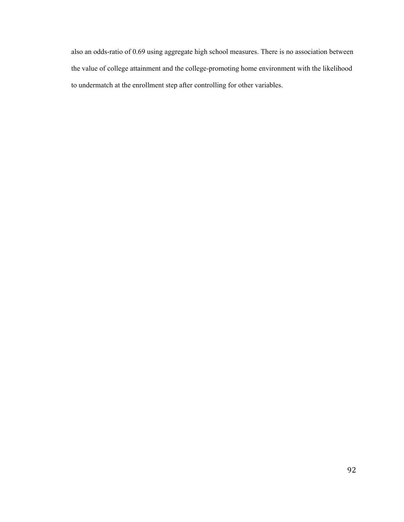also an odds-ratio of 0.69 using aggregate high school measures. There is no association between the value of college attainment and the college-promoting home environment with the likelihood to undermatch at the enrollment step after controlling for other variables.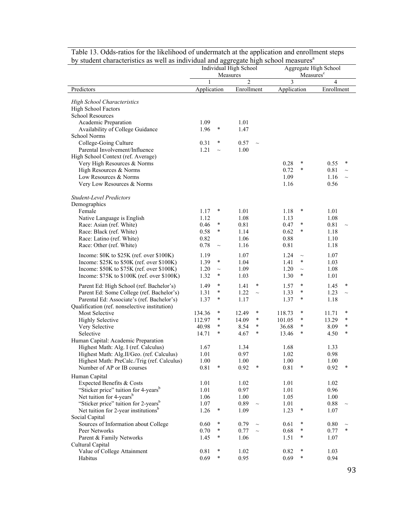| by student characteristics as well as individual and aggregate high school measures |              | Individual High School<br>Measures |                |             |              |             | Aggregate High School<br>Measures <sup>c</sup> |                  |
|-------------------------------------------------------------------------------------|--------------|------------------------------------|----------------|-------------|--------------|-------------|------------------------------------------------|------------------|
|                                                                                     | 1            |                                    | $\overline{2}$ |             | 3            |             | 4                                              |                  |
| Predictors                                                                          | Application  |                                    | Enrollment     |             | Application  |             | Enrollment                                     |                  |
| <b>High School Characteristics</b>                                                  |              |                                    |                |             |              |             |                                                |                  |
| High School Factors                                                                 |              |                                    |                |             |              |             |                                                |                  |
| <b>School Resources</b>                                                             |              |                                    |                |             |              |             |                                                |                  |
| Academic Preparation                                                                | 1.09         |                                    | 1.01           |             |              |             |                                                |                  |
| Availability of College Guidance                                                    | 1.96         | $\ast$                             | 1.47           |             |              |             |                                                |                  |
| School Norms                                                                        |              |                                    |                |             |              |             |                                                |                  |
| College-Going Culture                                                               | 0.31         | $\ast$                             | 0.57           | $\sim$      |              |             |                                                |                  |
| Parental Involvement/Influence                                                      | 1.21         | $\sim$                             | 1.00           |             |              |             |                                                |                  |
| High School Context (ref. Average)<br>Very High Resources & Norms                   |              |                                    |                |             | 0.28         | ∗           | 0.55                                           | ∗                |
| High Resources & Norms                                                              |              |                                    |                |             | 0.72         | $\ast$      | 0.81                                           | $\sim$           |
| Low Resources & Norms                                                               |              |                                    |                |             | 1.09         |             | 1.16                                           | $\sim$           |
| Very Low Resources & Norms                                                          |              |                                    |                |             | 1.16         |             | 0.56                                           |                  |
|                                                                                     |              |                                    |                |             |              |             |                                                |                  |
| <b>Student-Level Predictors</b>                                                     |              |                                    |                |             |              |             |                                                |                  |
| Demographics                                                                        |              |                                    |                |             |              |             |                                                |                  |
| Female                                                                              | 1.17         | $\ast$                             | 1.01           |             | 1.18         | $\ast$      | 1.01                                           |                  |
| Native Language is English                                                          | 1.12         | $\ast$                             | 1.08           |             | 1.13         | $\ast$      | 1.08                                           |                  |
| Race: Asian (ref. White)<br>Race: Black (ref. White)                                | 0.46<br>0.58 | *                                  | 0.81<br>1.14   |             | 0.47<br>0.62 | $\ast$      | 0.81<br>1.18                                   | $\sim$           |
| Race: Latino (ref. White)                                                           | 0.82         |                                    | 1.06           |             | 0.88         |             | 1.10                                           |                  |
| Race: Other (ref. White)                                                            | 0.78         | $\sim$                             | 1.16           |             | 0.81         |             | 1.18                                           |                  |
| Income: \$0K to \$25K (ref. over \$100K)                                            | 1.19         |                                    | 1.07           |             | 1.24         | $\sim$      | 1.07                                           |                  |
| Income: $$25K$ to $$50K$ (ref. over $$100K$ )                                       | 1.39         | $\ast$                             | 1.04           |             | 1.41         | $\ast$      | 1.03                                           |                  |
| Income: \$50K to \$75K (ref. over \$100K)                                           | 1.20         | $\sim$                             | 1.09           |             | 1.20         | $\sim$      | 1.08                                           |                  |
| Income: \$75K to \$100K (ref. over \$100K)                                          | 1.32         | ∗                                  | 1.03           |             | 1.30         | ∗           | 1.01                                           |                  |
| Parent Ed: High School (ref. Bachelor's)                                            | 1.49         | *                                  | 1.41           | $\ast$      | 1.57         | $\ast$      | 1.45                                           | $\ast$           |
| Parent Ed: Some College (ref. Bachelor's)                                           | 1.31         | $\ast$                             | 1.22           | $\sim$      | 1.33         | $\ast$      | 1.23                                           | $\sim$           |
| Parental Ed: Associate's (ref. Bachelor's)                                          | 1.37         | ∗                                  | 1.17           |             | 1.37         | *           | 1.18                                           |                  |
| Qualification (ref. nonselective institution)                                       |              |                                    |                |             |              |             |                                                |                  |
| Most Selective                                                                      | 134.36       | ∗                                  | 12.49          | $\ast$      | 118.73       | $\ast$      | 11.71                                          | $\ast$           |
| <b>Highly Selective</b>                                                             | 112.97       | $\ast$                             | 14.09          | $\ast$      | 101.05       | $\ast$      | 13.29                                          | *                |
| Very Selective                                                                      | 40.98        | $\ast$<br>$\ast$                   | 8.54           | $\ast$<br>* | 36.68        | $\ast$<br>* | 8.09                                           | $\ast$<br>$\ast$ |
| Selective<br>Human Capital: Academic Preparation                                    | 14.71        |                                    | 4.67           |             | 13.46        |             | 4.50                                           |                  |
| Highest Math: Alg. I (ref. Calculus)                                                | 1.67         |                                    | 1.34           |             | 1.68         |             | 1.33                                           |                  |
| Highest Math: Alg.II/Geo. (ref. Calculus)                                           | 1.01         |                                    | 0.97           |             | 1.02         |             | 0.98                                           |                  |
| Highest Math: PreCalc./Trig (ref. Calculus)                                         | 1.00         |                                    | 1.00           |             | 1.00         |             | 1.00                                           |                  |
| Number of AP or IB courses                                                          | 0.81         | $\ast$                             | 0.92           | ∗           | 0.81         | $\ast$      | 0.92                                           | ∗                |
| Human Capital                                                                       |              |                                    |                |             |              |             |                                                |                  |
| Expected Benefits & Costs                                                           | 1.01         |                                    | 1.02           |             | 1.01         |             | 1.02                                           |                  |
| "Sticker price" tuition for 4-years <sup>b</sup>                                    | 1.01         |                                    | 0.97           |             | 1.01         |             | 0.96                                           |                  |
| Net tuition for 4-years <sup>b</sup>                                                | 1.06         |                                    | 1.00           |             | 1.05         |             | 1.00                                           |                  |
| "Sticker price" tuition for 2-years <sup>b</sup>                                    | 1.07         | $\ast$                             | 0.89           | $\sim$      | 1.01         | $\ast$      | 0.88                                           | $\tilde{}$       |
| Net tuition for 2-year institutions <sup>b</sup>                                    | 1.26         |                                    | 1.09           |             | 1.23         |             | 1.07                                           |                  |
| Social Capital<br>Sources of Information about College                              | 0.60         | ∗                                  | 0.79           | $\sim$      | 0.61         | $\ast$      | 0.80                                           |                  |
| Peer Networks                                                                       | 0.70         | $\ast$                             | 0.77           | $\sim$      | 0.68         | $\ast$      | 0.77                                           | $\ast$           |
| Parent & Family Networks                                                            | 1.45         | $\ast$                             | 1.06           |             | 1.51         | ×           | 1.07                                           |                  |
| Cultural Capital                                                                    |              |                                    |                |             |              |             |                                                |                  |
| Value of College Attainment                                                         | 0.81         | ∗                                  | 1.02           |             | 0.82         | ∗           | 1.03                                           |                  |
| Habitus                                                                             | 0.69         | $\ast$                             | 0.95           |             | 0.69         | ×           | 0.94                                           |                  |

Table 13. Odds-ratios for the likelihood of undermatch at the application and enrollment steps by student characteristics as well as individual and aggregate high school measures<sup>a</sup>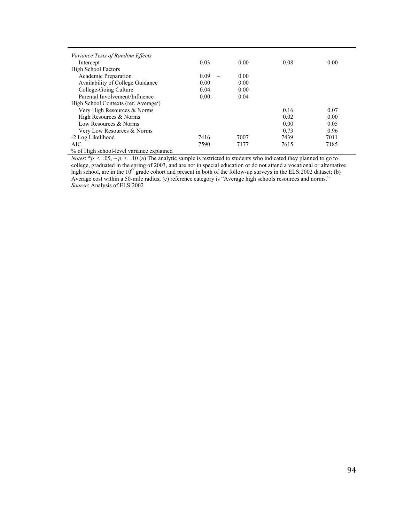| <i>Variance Tests of Random Effects</i>           |                |      |      |      |
|---------------------------------------------------|----------------|------|------|------|
| Intercept                                         | 0.03           | 0.00 | 0.08 | 0.00 |
| High School Factors                               |                |      |      |      |
| Academic Preparation                              | 0.09<br>$\sim$ | 0.00 |      |      |
| Availability of College Guidance                  | 0.00           | 0.00 |      |      |
| College-Going Culture                             | 0.04           | 0.00 |      |      |
| Parental Involvement/Influence                    | 0.00           | 0.04 |      |      |
| High School Contexts (ref. Average <sup>c</sup> ) |                |      |      |      |
| Very High Resources & Norms                       |                |      | 0.16 | 0.07 |
| High Resources & Norms                            |                |      | 0.02 | 0.00 |
| Low Resources & Norms                             |                |      | 0.00 | 0.05 |
| Very Low Resources & Norms                        |                |      | 0.73 | 0.96 |
| -2 Log Likelihood                                 | 7416           | 7007 | 7439 | 7011 |
| AIC.                                              | 7590           | 7177 | 7615 | 7185 |
| % of High school-level variance explained         |                |      |      |      |

*Notes*:  $* p < .05, \, \sim p < .10$  (a) The analytic sample is restricted to students who indicated they planned to go to college, graduated in the spring of 2003, and are not in special education or do not attend a vocational or alternative high school, are in the  $10^{th}$  grade cohort and present in both of the follow-up surveys in the ELS:2002 dataset; (b) Average cost within a 50-mile radius; (c) reference category is "Average high schools resources and norms." *Source*: Analysis of ELS:2002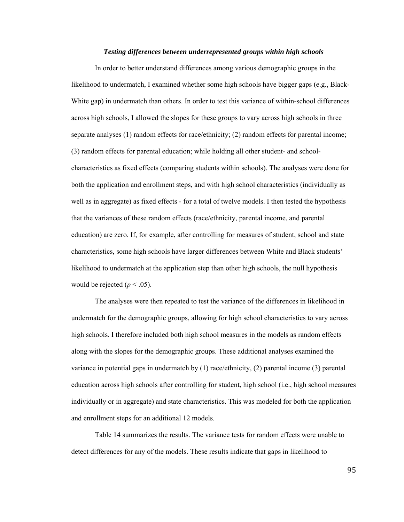#### *Testing differences between underrepresented groups within high schools*

 In order to better understand differences among various demographic groups in the likelihood to undermatch, I examined whether some high schools have bigger gaps (e.g., Black-White gap) in undermatch than others. In order to test this variance of within-school differences across high schools, I allowed the slopes for these groups to vary across high schools in three separate analyses (1) random effects for race/ethnicity; (2) random effects for parental income; (3) random effects for parental education; while holding all other student- and schoolcharacteristics as fixed effects (comparing students within schools). The analyses were done for both the application and enrollment steps, and with high school characteristics (individually as well as in aggregate) as fixed effects - for a total of twelve models. I then tested the hypothesis that the variances of these random effects (race/ethnicity, parental income, and parental education) are zero. If, for example, after controlling for measures of student, school and state characteristics, some high schools have larger differences between White and Black students' likelihood to undermatch at the application step than other high schools, the null hypothesis would be rejected ( $p < .05$ ).

The analyses were then repeated to test the variance of the differences in likelihood in undermatch for the demographic groups, allowing for high school characteristics to vary across high schools. I therefore included both high school measures in the models as random effects along with the slopes for the demographic groups. These additional analyses examined the variance in potential gaps in undermatch by (1) race/ethnicity, (2) parental income (3) parental education across high schools after controlling for student, high school (i.e., high school measures individually or in aggregate) and state characteristics. This was modeled for both the application and enrollment steps for an additional 12 models.

 Table 14 summarizes the results. The variance tests for random effects were unable to detect differences for any of the models. These results indicate that gaps in likelihood to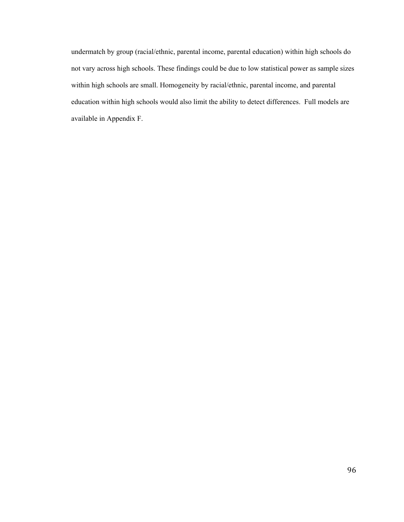undermatch by group (racial/ethnic, parental income, parental education) within high schools do not vary across high schools. These findings could be due to low statistical power as sample sizes within high schools are small. Homogeneity by racial/ethnic, parental income, and parental education within high schools would also limit the ability to detect differences. Full models are available in Appendix F.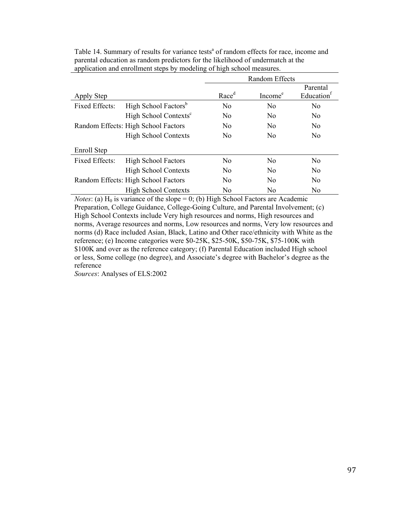|                       |                                     | Random Effects    |                     |                                    |  |  |  |  |  |  |  |
|-----------------------|-------------------------------------|-------------------|---------------------|------------------------------------|--|--|--|--|--|--|--|
| Apply Step            |                                     | Race <sup>d</sup> | Income <sup>e</sup> | Parental<br>Education <sup>t</sup> |  |  |  |  |  |  |  |
| <b>Fixed Effects:</b> | High School Factors <sup>b</sup>    | N <sub>0</sub>    | N <sub>0</sub>      | N <sub>0</sub>                     |  |  |  |  |  |  |  |
|                       | High School Contexts <sup>c</sup>   | N <sub>0</sub>    | No                  | N <sub>0</sub>                     |  |  |  |  |  |  |  |
|                       | Random Effects: High School Factors | N <sub>0</sub>    | N <sub>0</sub>      | N <sub>0</sub>                     |  |  |  |  |  |  |  |
|                       | <b>High School Contexts</b>         | N <sub>0</sub>    | No                  | N <sub>0</sub>                     |  |  |  |  |  |  |  |
| Enroll Step           |                                     |                   |                     |                                    |  |  |  |  |  |  |  |
| Fixed Effects:        | <b>High School Factors</b>          | N <sub>0</sub>    | No                  | N <sub>0</sub>                     |  |  |  |  |  |  |  |
|                       | <b>High School Contexts</b>         | No.               | No                  | N <sub>0</sub>                     |  |  |  |  |  |  |  |
|                       | Random Effects: High School Factors | N <sub>0</sub>    | No                  | N <sub>0</sub>                     |  |  |  |  |  |  |  |
|                       | <b>High School Contexts</b>         | No                | No                  | No                                 |  |  |  |  |  |  |  |

Table 14. Summary of results for variance tests<sup>a</sup> of random effects for race, income and parental education as random predictors for the likelihood of undermatch at the application and enrollment steps by modeling of high school measures.

*Notes*: (a)  $H_0$  is variance of the slope = 0; (b) High School Factors are Academic Preparation, College Guidance, College-Going Culture, and Parental Involvement; (c) High School Contexts include Very high resources and norms, High resources and norms, Average resources and norms, Low resources and norms, Very low resources and norms (d) Race included Asian, Black, Latino and Other race/ethnicity with White as the reference; (e) Income categories were \$0-25K, \$25-50K, \$50-75K, \$75-100K with \$100K and over as the reference category; (f) Parental Education included High school or less, Some college (no degree), and Associate's degree with Bachelor's degree as the reference

*Sources*: Analyses of ELS:2002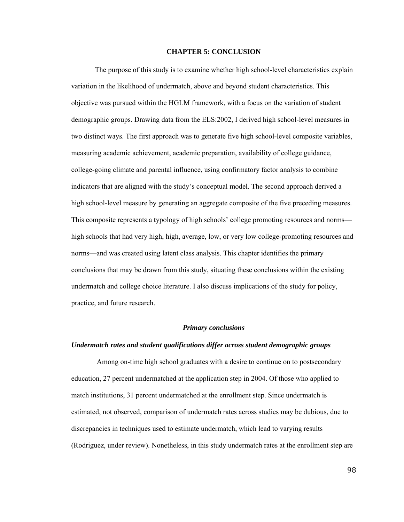#### **CHAPTER 5: CONCLUSION**

The purpose of this study is to examine whether high school-level characteristics explain variation in the likelihood of undermatch, above and beyond student characteristics. This objective was pursued within the HGLM framework, with a focus on the variation of student demographic groups. Drawing data from the ELS:2002, I derived high school-level measures in two distinct ways. The first approach was to generate five high school-level composite variables, measuring academic achievement, academic preparation, availability of college guidance, college-going climate and parental influence, using confirmatory factor analysis to combine indicators that are aligned with the study's conceptual model. The second approach derived a high school-level measure by generating an aggregate composite of the five preceding measures. This composite represents a typology of high schools' college promoting resources and norms high schools that had very high, high, average, low, or very low college-promoting resources and norms—and was created using latent class analysis. This chapter identifies the primary conclusions that may be drawn from this study, situating these conclusions within the existing undermatch and college choice literature. I also discuss implications of the study for policy, practice, and future research.

# *Primary conclusions*

#### *Undermatch rates and student qualifications differ across student demographic groups*

 Among on-time high school graduates with a desire to continue on to postsecondary education, 27 percent undermatched at the application step in 2004. Of those who applied to match institutions, 31 percent undermatched at the enrollment step. Since undermatch is estimated, not observed, comparison of undermatch rates across studies may be dubious, due to discrepancies in techniques used to estimate undermatch, which lead to varying results (Rodriguez, under review). Nonetheless, in this study undermatch rates at the enrollment step are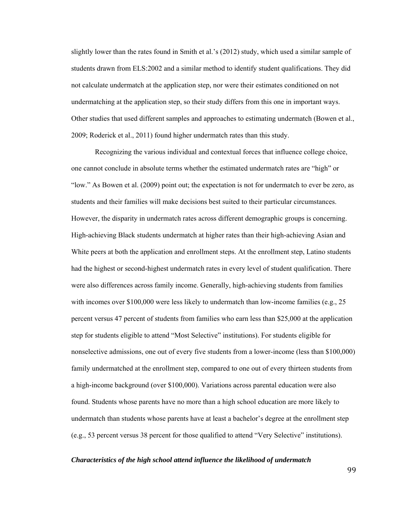slightly lower than the rates found in Smith et al.'s (2012) study, which used a similar sample of students drawn from ELS:2002 and a similar method to identify student qualifications. They did not calculate undermatch at the application step, nor were their estimates conditioned on not undermatching at the application step, so their study differs from this one in important ways. Other studies that used different samples and approaches to estimating undermatch (Bowen et al., 2009; Roderick et al., 2011) found higher undermatch rates than this study.

Recognizing the various individual and contextual forces that influence college choice, one cannot conclude in absolute terms whether the estimated undermatch rates are "high" or "low." As Bowen et al. (2009) point out; the expectation is not for undermatch to ever be zero, as students and their families will make decisions best suited to their particular circumstances. However, the disparity in undermatch rates across different demographic groups is concerning. High-achieving Black students undermatch at higher rates than their high-achieving Asian and White peers at both the application and enrollment steps. At the enrollment step, Latino students had the highest or second-highest undermatch rates in every level of student qualification. There were also differences across family income. Generally, high-achieving students from families with incomes over \$100,000 were less likely to undermatch than low-income families (e.g., 25) percent versus 47 percent of students from families who earn less than \$25,000 at the application step for students eligible to attend "Most Selective" institutions). For students eligible for nonselective admissions, one out of every five students from a lower-income (less than \$100,000) family undermatched at the enrollment step, compared to one out of every thirteen students from a high-income background (over \$100,000). Variations across parental education were also found. Students whose parents have no more than a high school education are more likely to undermatch than students whose parents have at least a bachelor's degree at the enrollment step (e.g., 53 percent versus 38 percent for those qualified to attend "Very Selective" institutions).

#### *Characteristics of the high school attend influence the likelihood of undermatch*

99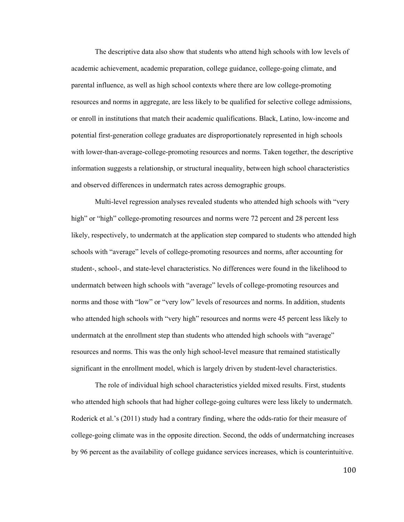The descriptive data also show that students who attend high schools with low levels of academic achievement, academic preparation, college guidance, college-going climate, and parental influence, as well as high school contexts where there are low college-promoting resources and norms in aggregate, are less likely to be qualified for selective college admissions, or enroll in institutions that match their academic qualifications. Black, Latino, low-income and potential first-generation college graduates are disproportionately represented in high schools with lower-than-average-college-promoting resources and norms. Taken together, the descriptive information suggests a relationship, or structural inequality, between high school characteristics and observed differences in undermatch rates across demographic groups.

Multi-level regression analyses revealed students who attended high schools with "very high" or "high" college-promoting resources and norms were 72 percent and 28 percent less likely, respectively, to undermatch at the application step compared to students who attended high schools with "average" levels of college-promoting resources and norms, after accounting for student-, school-, and state-level characteristics. No differences were found in the likelihood to undermatch between high schools with "average" levels of college-promoting resources and norms and those with "low" or "very low" levels of resources and norms. In addition, students who attended high schools with "very high" resources and norms were 45 percent less likely to undermatch at the enrollment step than students who attended high schools with "average" resources and norms. This was the only high school-level measure that remained statistically significant in the enrollment model, which is largely driven by student-level characteristics.

The role of individual high school characteristics yielded mixed results. First, students who attended high schools that had higher college-going cultures were less likely to undermatch. Roderick et al.'s (2011) study had a contrary finding, where the odds-ratio for their measure of college-going climate was in the opposite direction. Second, the odds of undermatching increases by 96 percent as the availability of college guidance services increases, which is counterintuitive.

100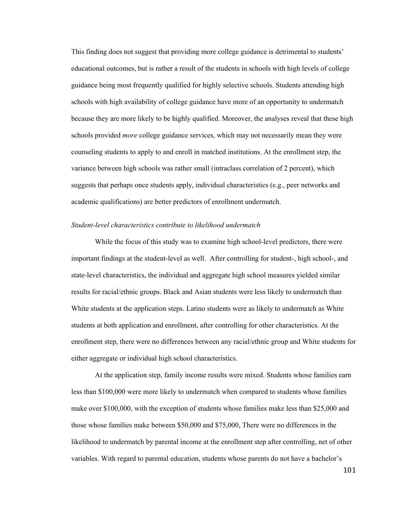This finding does not suggest that providing more college guidance is detrimental to students' educational outcomes, but is rather a result of the students in schools with high levels of college guidance being most frequently qualified for highly selective schools. Students attending high schools with high availability of college guidance have more of an opportunity to undermatch because they are more likely to be highly qualified. Moreover, the analyses reveal that these high schools provided *more* college guidance services, which may not necessarily mean they were counseling students to apply to and enroll in matched institutions. At the enrollment step, the variance between high schools was rather small (intraclass correlation of 2 percent), which suggests that perhaps once students apply, individual characteristics (e.g., peer networks and academic qualifications) are better predictors of enrollment undermatch.

#### *Student-level characteristics contribute to likelihood undermatch*

While the focus of this study was to examine high school-level predictors, there were important findings at the student-level as well. After controlling for student-, high school-, and state-level characteristics, the individual and aggregate high school measures yielded similar results for racial/ethnic groups. Black and Asian students were less likely to undermatch than White students at the application steps. Latino students were as likely to undermatch as White students at both application and enrollment, after controlling for other characteristics. At the enrollment step, there were no differences between any racial/ethnic group and White students for either aggregate or individual high school characteristics.

At the application step, family income results were mixed. Students whose families earn less than \$100,000 were more likely to undermatch when compared to students whose families make over \$100,000, with the exception of students whose families make less than \$25,000 and those whose families make between \$50,000 and \$75,000, There were no differences in the likelihood to undermatch by parental income at the enrollment step after controlling, net of other variables. With regard to parental education, students whose parents do not have a bachelor's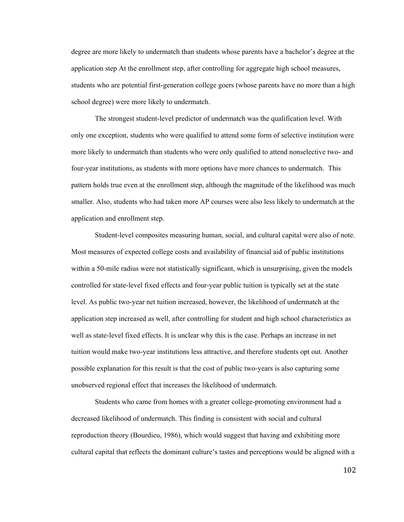degree are more likely to undermatch than students whose parents have a bachelor's degree at the application step At the enrollment step, after controlling for aggregate high school measures, students who are potential first-generation college goers (whose parents have no more than a high school degree) were more likely to undermatch.

The strongest student-level predictor of undermatch was the qualification level. With only one exception, students who were qualified to attend some form of selective institution were more likely to undermatch than students who were only qualified to attend nonselective two- and four-year institutions, as students with more options have more chances to undermatch. This pattern holds true even at the enrollment step, although the magnitude of the likelihood was much smaller. Also, students who had taken more AP courses were also less likely to undermatch at the application and enrollment step.

Student-level composites measuring human, social, and cultural capital were also of note. Most measures of expected college costs and availability of financial aid of public institutions within a 50-mile radius were not statistically significant, which is unsurprising, given the models controlled for state-level fixed effects and four-year public tuition is typically set at the state level. As public two-year net tuition increased, however, the likelihood of undermatch at the application step increased as well, after controlling for student and high school characteristics as well as state-level fixed effects. It is unclear why this is the case. Perhaps an increase in net tuition would make two-year institutions less attractive, and therefore students opt out. Another possible explanation for this result is that the cost of public two-years is also capturing some unobserved regional effect that increases the likelihood of undermatch.

Students who came from homes with a greater college-promoting environment had a decreased likelihood of undermatch. This finding is consistent with social and cultural reproduction theory (Bourdieu, 1986), which would suggest that having and exhibiting more cultural capital that reflects the dominant culture's tastes and perceptions would be aligned with a

102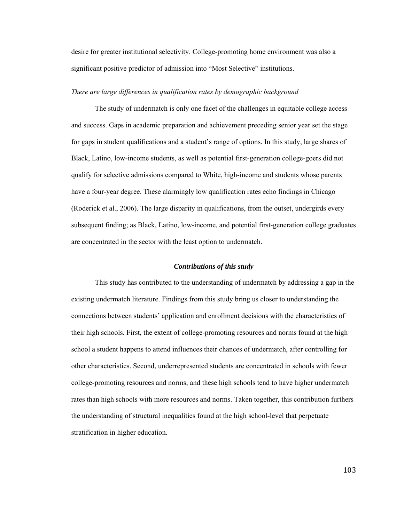desire for greater institutional selectivity. College-promoting home environment was also a significant positive predictor of admission into "Most Selective" institutions.

#### *There are large differences in qualification rates by demographic background*

The study of undermatch is only one facet of the challenges in equitable college access and success. Gaps in academic preparation and achievement preceding senior year set the stage for gaps in student qualifications and a student's range of options. In this study, large shares of Black, Latino, low-income students, as well as potential first-generation college-goers did not qualify for selective admissions compared to White, high-income and students whose parents have a four-year degree. These alarmingly low qualification rates echo findings in Chicago (Roderick et al., 2006). The large disparity in qualifications, from the outset, undergirds every subsequent finding; as Black, Latino, low-income, and potential first-generation college graduates are concentrated in the sector with the least option to undermatch.

#### *Contributions of this study*

This study has contributed to the understanding of undermatch by addressing a gap in the existing undermatch literature. Findings from this study bring us closer to understanding the connections between students' application and enrollment decisions with the characteristics of their high schools. First, the extent of college-promoting resources and norms found at the high school a student happens to attend influences their chances of undermatch, after controlling for other characteristics. Second, underrepresented students are concentrated in schools with fewer college-promoting resources and norms, and these high schools tend to have higher undermatch rates than high schools with more resources and norms. Taken together, this contribution furthers the understanding of structural inequalities found at the high school-level that perpetuate stratification in higher education.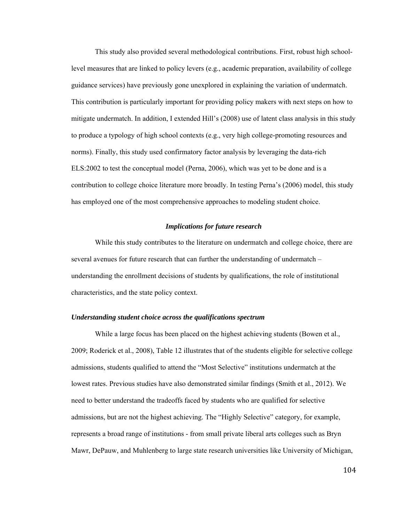This study also provided several methodological contributions. First, robust high schoollevel measures that are linked to policy levers (e.g., academic preparation, availability of college guidance services) have previously gone unexplored in explaining the variation of undermatch. This contribution is particularly important for providing policy makers with next steps on how to mitigate undermatch. In addition, I extended Hill's (2008) use of latent class analysis in this study to produce a typology of high school contexts (e.g., very high college-promoting resources and norms). Finally, this study used confirmatory factor analysis by leveraging the data-rich ELS:2002 to test the conceptual model (Perna, 2006), which was yet to be done and is a contribution to college choice literature more broadly. In testing Perna's (2006) model, this study has employed one of the most comprehensive approaches to modeling student choice.

# *Implications for future research*

While this study contributes to the literature on undermatch and college choice, there are several avenues for future research that can further the understanding of undermatch – understanding the enrollment decisions of students by qualifications, the role of institutional characteristics, and the state policy context.

#### *Understanding student choice across the qualifications spectrum*

While a large focus has been placed on the highest achieving students (Bowen et al., 2009; Roderick et al., 2008), Table 12 illustrates that of the students eligible for selective college admissions, students qualified to attend the "Most Selective" institutions undermatch at the lowest rates. Previous studies have also demonstrated similar findings (Smith et al., 2012). We need to better understand the tradeoffs faced by students who are qualified for selective admissions, but are not the highest achieving. The "Highly Selective" category, for example, represents a broad range of institutions - from small private liberal arts colleges such as Bryn Mawr, DePauw, and Muhlenberg to large state research universities like University of Michigan,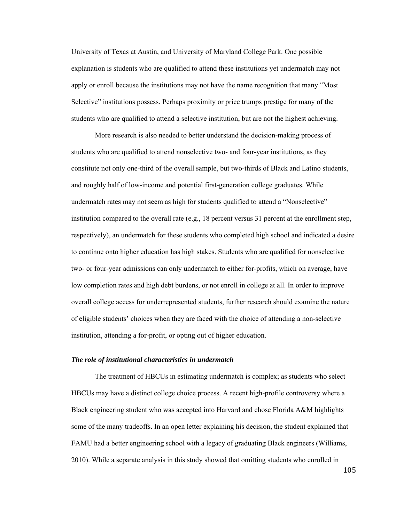University of Texas at Austin, and University of Maryland College Park. One possible explanation is students who are qualified to attend these institutions yet undermatch may not apply or enroll because the institutions may not have the name recognition that many "Most Selective" institutions possess. Perhaps proximity or price trumps prestige for many of the students who are qualified to attend a selective institution, but are not the highest achieving.

More research is also needed to better understand the decision-making process of students who are qualified to attend nonselective two- and four-year institutions, as they constitute not only one-third of the overall sample, but two-thirds of Black and Latino students, and roughly half of low-income and potential first-generation college graduates. While undermatch rates may not seem as high for students qualified to attend a "Nonselective" institution compared to the overall rate (e.g., 18 percent versus 31 percent at the enrollment step, respectively), an undermatch for these students who completed high school and indicated a desire to continue onto higher education has high stakes. Students who are qualified for nonselective two- or four-year admissions can only undermatch to either for-profits, which on average, have low completion rates and high debt burdens, or not enroll in college at all. In order to improve overall college access for underrepresented students, further research should examine the nature of eligible students' choices when they are faced with the choice of attending a non-selective institution, attending a for-profit, or opting out of higher education.

# *The role of institutional characteristics in undermatch*

The treatment of HBCUs in estimating undermatch is complex; as students who select HBCUs may have a distinct college choice process. A recent high-profile controversy where a Black engineering student who was accepted into Harvard and chose Florida A&M highlights some of the many tradeoffs. In an open letter explaining his decision, the student explained that FAMU had a better engineering school with a legacy of graduating Black engineers (Williams, 2010). While a separate analysis in this study showed that omitting students who enrolled in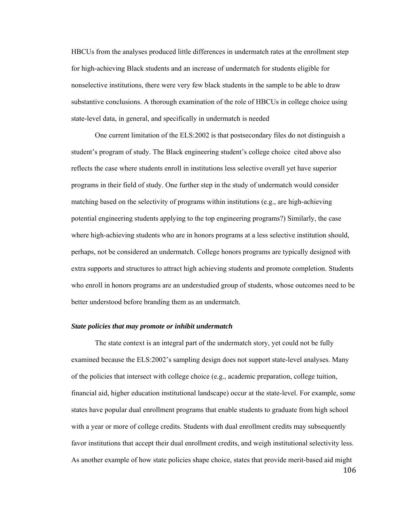HBCUs from the analyses produced little differences in undermatch rates at the enrollment step for high-achieving Black students and an increase of undermatch for students eligible for nonselective institutions, there were very few black students in the sample to be able to draw substantive conclusions. A thorough examination of the role of HBCUs in college choice using state-level data, in general, and specifically in undermatch is needed

One current limitation of the ELS:2002 is that postsecondary files do not distinguish a student's program of study. The Black engineering student's college choice cited above also reflects the case where students enroll in institutions less selective overall yet have superior programs in their field of study. One further step in the study of undermatch would consider matching based on the selectivity of programs within institutions (e.g., are high-achieving potential engineering students applying to the top engineering programs?) Similarly, the case where high-achieving students who are in honors programs at a less selective institution should, perhaps, not be considered an undermatch. College honors programs are typically designed with extra supports and structures to attract high achieving students and promote completion. Students who enroll in honors programs are an understudied group of students, whose outcomes need to be better understood before branding them as an undermatch.

#### *State policies that may promote or inhibit undermatch*

The state context is an integral part of the undermatch story, yet could not be fully examined because the ELS:2002's sampling design does not support state-level analyses. Many of the policies that intersect with college choice (e.g., academic preparation, college tuition, financial aid, higher education institutional landscape) occur at the state-level. For example, some states have popular dual enrollment programs that enable students to graduate from high school with a year or more of college credits. Students with dual enrollment credits may subsequently favor institutions that accept their dual enrollment credits, and weigh institutional selectivity less. As another example of how state policies shape choice, states that provide merit-based aid might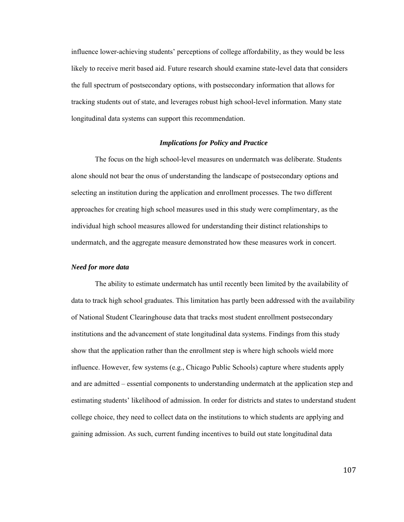influence lower-achieving students' perceptions of college affordability, as they would be less likely to receive merit based aid. Future research should examine state-level data that considers the full spectrum of postsecondary options, with postsecondary information that allows for tracking students out of state, and leverages robust high school-level information. Many state longitudinal data systems can support this recommendation.

# *Implications for Policy and Practice*

The focus on the high school-level measures on undermatch was deliberate. Students alone should not bear the onus of understanding the landscape of postsecondary options and selecting an institution during the application and enrollment processes. The two different approaches for creating high school measures used in this study were complimentary, as the individual high school measures allowed for understanding their distinct relationships to undermatch, and the aggregate measure demonstrated how these measures work in concert.

# *Need for more data*

 The ability to estimate undermatch has until recently been limited by the availability of data to track high school graduates. This limitation has partly been addressed with the availability of National Student Clearinghouse data that tracks most student enrollment postsecondary institutions and the advancement of state longitudinal data systems. Findings from this study show that the application rather than the enrollment step is where high schools wield more influence. However, few systems (e.g., Chicago Public Schools) capture where students apply and are admitted – essential components to understanding undermatch at the application step and estimating students' likelihood of admission. In order for districts and states to understand student college choice, they need to collect data on the institutions to which students are applying and gaining admission. As such, current funding incentives to build out state longitudinal data

107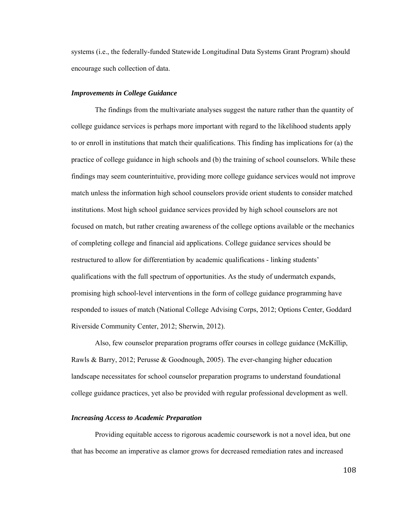systems (i.e., the federally-funded Statewide Longitudinal Data Systems Grant Program) should encourage such collection of data.

#### *Improvements in College Guidance*

The findings from the multivariate analyses suggest the nature rather than the quantity of college guidance services is perhaps more important with regard to the likelihood students apply to or enroll in institutions that match their qualifications. This finding has implications for (a) the practice of college guidance in high schools and (b) the training of school counselors. While these findings may seem counterintuitive, providing more college guidance services would not improve match unless the information high school counselors provide orient students to consider matched institutions. Most high school guidance services provided by high school counselors are not focused on match, but rather creating awareness of the college options available or the mechanics of completing college and financial aid applications. College guidance services should be restructured to allow for differentiation by academic qualifications - linking students' qualifications with the full spectrum of opportunities. As the study of undermatch expands, promising high school-level interventions in the form of college guidance programming have responded to issues of match (National College Advising Corps, 2012; Options Center, Goddard Riverside Community Center, 2012; Sherwin, 2012).

Also, few counselor preparation programs offer courses in college guidance (McKillip, Rawls & Barry, 2012; Perusse & Goodnough, 2005). The ever-changing higher education landscape necessitates for school counselor preparation programs to understand foundational college guidance practices, yet also be provided with regular professional development as well.

#### *Increasing Access to Academic Preparation*

Providing equitable access to rigorous academic coursework is not a novel idea, but one that has become an imperative as clamor grows for decreased remediation rates and increased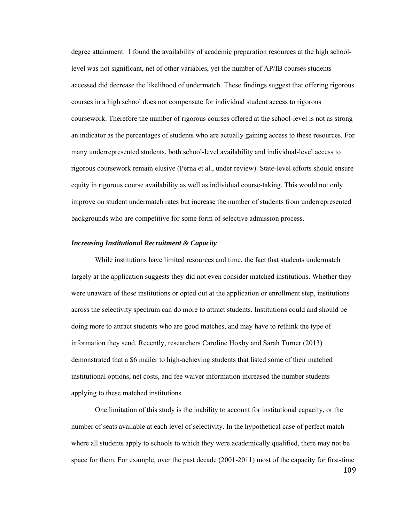degree attainment. I found the availability of academic preparation resources at the high schoollevel was not significant, net of other variables, yet the number of AP/IB courses students accessed did decrease the likelihood of undermatch. These findings suggest that offering rigorous courses in a high school does not compensate for individual student access to rigorous coursework. Therefore the number of rigorous courses offered at the school-level is not as strong an indicator as the percentages of students who are actually gaining access to these resources. For many underrepresented students, both school-level availability and individual-level access to rigorous coursework remain elusive (Perna et al., under review). State-level efforts should ensure equity in rigorous course availability as well as individual course-taking. This would not only improve on student undermatch rates but increase the number of students from underrepresented backgrounds who are competitive for some form of selective admission process.

# *Increasing Institutional Recruitment & Capacity*

 While institutions have limited resources and time, the fact that students undermatch largely at the application suggests they did not even consider matched institutions. Whether they were unaware of these institutions or opted out at the application or enrollment step, institutions across the selectivity spectrum can do more to attract students. Institutions could and should be doing more to attract students who are good matches, and may have to rethink the type of information they send. Recently, researchers Caroline Hoxby and Sarah Turner (2013) demonstrated that a \$6 mailer to high-achieving students that listed some of their matched institutional options, net costs, and fee waiver information increased the number students applying to these matched institutions.

One limitation of this study is the inability to account for institutional capacity, or the number of seats available at each level of selectivity. In the hypothetical case of perfect match where all students apply to schools to which they were academically qualified, there may not be space for them. For example, over the past decade (2001-2011) most of the capacity for first-time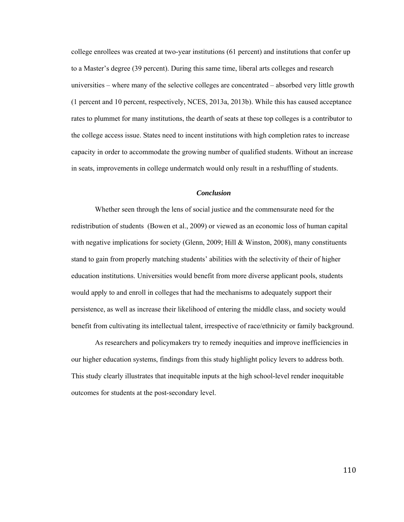college enrollees was created at two-year institutions (61 percent) and institutions that confer up to a Master's degree (39 percent). During this same time, liberal arts colleges and research universities – where many of the selective colleges are concentrated – absorbed very little growth (1 percent and 10 percent, respectively, NCES, 2013a, 2013b). While this has caused acceptance rates to plummet for many institutions, the dearth of seats at these top colleges is a contributor to the college access issue. States need to incent institutions with high completion rates to increase capacity in order to accommodate the growing number of qualified students. Without an increase in seats, improvements in college undermatch would only result in a reshuffling of students.

#### *Conclusion*

Whether seen through the lens of social justice and the commensurate need for the redistribution of students (Bowen et al., 2009) or viewed as an economic loss of human capital with negative implications for society (Glenn, 2009; Hill & Winston, 2008), many constituents stand to gain from properly matching students' abilities with the selectivity of their of higher education institutions. Universities would benefit from more diverse applicant pools, students would apply to and enroll in colleges that had the mechanisms to adequately support their persistence, as well as increase their likelihood of entering the middle class, and society would benefit from cultivating its intellectual talent, irrespective of race/ethnicity or family background.

As researchers and policymakers try to remedy inequities and improve inefficiencies in our higher education systems, findings from this study highlight policy levers to address both. This study clearly illustrates that inequitable inputs at the high school-level render inequitable outcomes for students at the post-secondary level.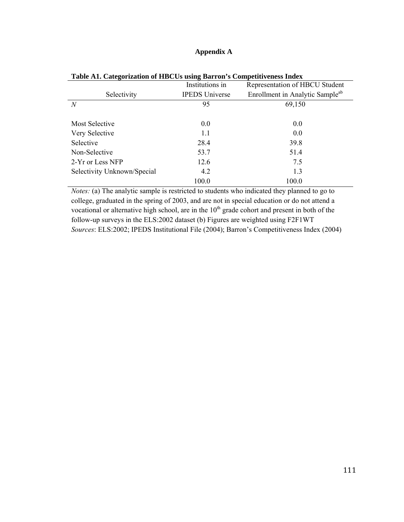# **Appendix A**

|                             | Institutions in       | Representation of HBCU Student              |
|-----------------------------|-----------------------|---------------------------------------------|
| Selectivity                 | <b>IPEDS</b> Universe | Enrollment in Analytic Sample <sup>ab</sup> |
| N                           | 95                    | 69,150                                      |
|                             |                       |                                             |
| <b>Most Selective</b>       | 0.0                   | 0.0                                         |
| Very Selective              | 1.1                   | 0.0                                         |
| Selective                   | 28.4                  | 39.8                                        |
| Non-Selective               | 53.7                  | 51.4                                        |
| 2-Yr or Less NFP            | 12.6                  | 7.5                                         |
| Selectivity Unknown/Special | 4.2                   | 1.3                                         |
|                             | 100.0                 | 100.0                                       |

**Table A1. Categorization of HBCUs using Barron's Competitiveness Index** 

*Notes:* (a) The analytic sample is restricted to students who indicated they planned to go to college, graduated in the spring of 2003, and are not in special education or do not attend a vocational or alternative high school, are in the  $10<sup>th</sup>$  grade cohort and present in both of the follow-up surveys in the ELS:2002 dataset (b) Figures are weighted using F2F1WT *Sources*: ELS:2002; IPEDS Institutional File (2004); Barron's Competitiveness Index (2004)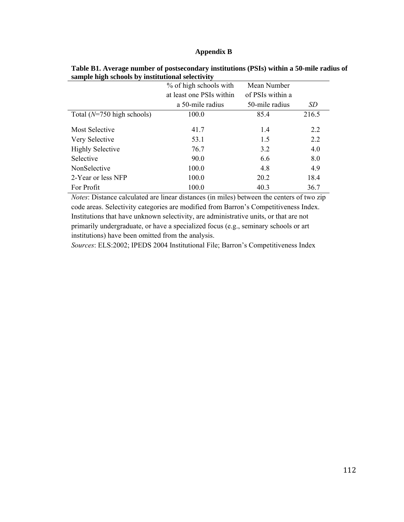# **Appendix B**

|                                      | % of high schools with   | Mean Number      |       |
|--------------------------------------|--------------------------|------------------|-------|
|                                      | at least one PSIs within | of PSIs within a |       |
|                                      | a 50-mile radius         | 50-mile radius   | SD    |
| Total $(N=750 \text{ high schools})$ | 100.0                    | 85.4             | 216.5 |
| Most Selective                       | 41.7                     | 1.4              | 2.2   |
| Very Selective                       | 53.1                     | 1.5              | 2.2   |
| <b>Highly Selective</b>              | 76.7                     | 3.2              | 4.0   |
| Selective                            | 90.0                     | 6.6              | 8.0   |
| NonSelective                         | 100.0                    | 4.8              | 4.9   |
| 2-Year or less NFP                   | 100.0                    | 20.2             | 18.4  |
| For Profit                           | 100.0                    | 40.3             | 36.7  |

**Table B1. Average number of postsecondary institutions (PSIs) within a 50-mile radius of sample high schools by institutional selectivity** 

*Notes*: Distance calculated are linear distances (in miles) between the centers of two zip code areas. Selectivity categories are modified from Barron's Competitiveness Index. Institutions that have unknown selectivity, are administrative units, or that are not primarily undergraduate, or have a specialized focus (e.g., seminary schools or art institutions) have been omitted from the analysis.

*Sources*: ELS:2002; IPEDS 2004 Institutional File; Barron's Competitiveness Index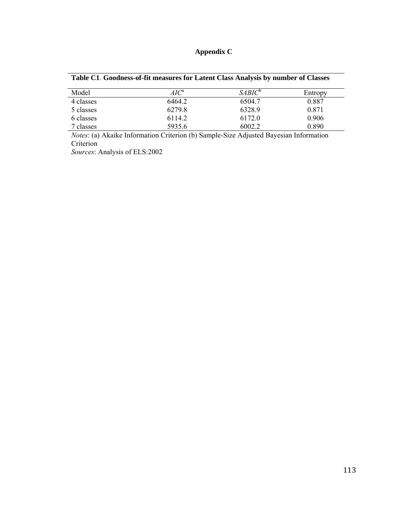# **Appendix C**

| Table C1. Goodness-of-fit measures for Latent Class Analysis by number of Classes |  |
|-----------------------------------------------------------------------------------|--|
|                                                                                   |  |

| Model     | $AIC^a$ | $SABIC^{\circ}$ | Entropy |
|-----------|---------|-----------------|---------|
| 4 classes | 6464.2  | 6504.7          | 0.887   |
| 5 classes | 6279.8  | 6328.9          | 0.871   |
| 6 classes | 6114.2  | 6172.0          | 0.906   |
| classes   | 5935.6  | 6002.2          | 0.890   |

*Notes*: (a) Akaike Information Criterion (b) Sample-Size Adjusted Bayesian Information Criterion

*Sources*: Analysis of ELS:2002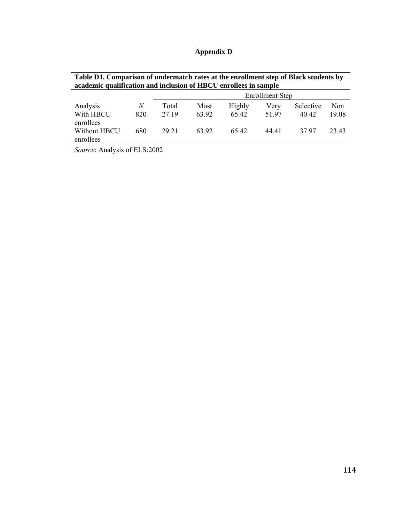| <b>Appendix D</b> |  |
|-------------------|--|
|-------------------|--|

|                           | academic qualification and inclusion of HBCU enrollees in sample |                        |       |        |       |           |       |  |  |  |  |  |  |
|---------------------------|------------------------------------------------------------------|------------------------|-------|--------|-------|-----------|-------|--|--|--|--|--|--|
|                           |                                                                  | <b>Enrollment Step</b> |       |        |       |           |       |  |  |  |  |  |  |
| Analysis                  | N                                                                | Total                  | Most  | Highly | Verv  | Selective | Non   |  |  |  |  |  |  |
| With HBCU<br>enrollees    | 820                                                              | 27.19                  | 63.92 | 65.42  | 51.97 | 40.42     | 19.08 |  |  |  |  |  |  |
| Without HBCU<br>enrollees | 680                                                              | 29 21                  | 63.92 | 65.42  | 44 41 | 37.97     | 23.43 |  |  |  |  |  |  |

**Table D1. Comparison of undermatch rates at the enrollment step of Black students by** 

*Source*: Analysis of ELS:2002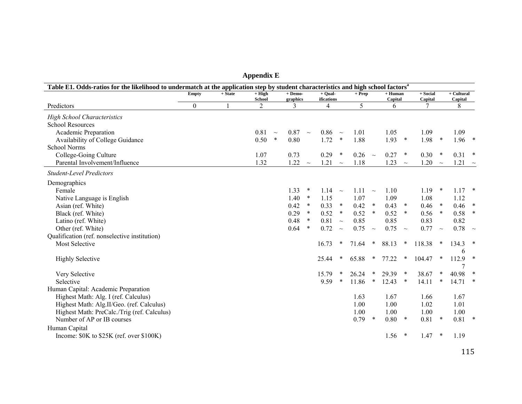| Table E1. Odds-ratios for the likelihood to undermatch at the application step by student characteristics and high school factors <sup>a</sup> |              |           |                    |                       |        |                       |         |          |        |                      |        |                     |        |                         |        |
|------------------------------------------------------------------------------------------------------------------------------------------------|--------------|-----------|--------------------|-----------------------|--------|-----------------------|---------|----------|--------|----------------------|--------|---------------------|--------|-------------------------|--------|
|                                                                                                                                                | <b>Empty</b> | $+$ State | $+$ High<br>School | $+$ Demo-<br>graphics |        | + Oual-<br>ifications |         | $+$ Prep |        | $+$ Human<br>Capital |        | + Social<br>Capital |        | $+$ Cultural<br>Capital |        |
| Predictors                                                                                                                                     | $\Omega$     |           | 2                  | 3                     |        | 4                     |         | 5        |        | 6                    |        | 7                   |        | 8                       |        |
| <b>High School Characteristics</b>                                                                                                             |              |           |                    |                       |        |                       |         |          |        |                      |        |                     |        |                         |        |
| <b>School Resources</b>                                                                                                                        |              |           |                    |                       |        |                       |         |          |        |                      |        |                     |        |                         |        |
| Academic Preparation                                                                                                                           |              |           | 0.81<br>$\sim$     | 0.87                  | $\sim$ | 0.86                  | $\sim$  | 1.01     |        | 1.05                 |        | 1.09                |        | 1.09                    |        |
| Availability of College Guidance                                                                                                               |              |           | 0.50<br>$\ast$     | 0.80                  |        | 1.72                  | $\ast$  | 1.88     |        | 1.93                 | $\ast$ | 1.98                | $\ast$ | 1.96                    | $\ast$ |
| School Norms                                                                                                                                   |              |           |                    |                       |        |                       |         |          |        |                      |        |                     |        |                         |        |
| College-Going Culture                                                                                                                          |              |           | 1.07               | 0.73                  |        | 0.29                  | $\ast$  | 0.26     | $\sim$ | 0.27                 | $\ast$ | 0.30                | $\ast$ | 0.31                    | $\ast$ |
| Parental Involvement/Influence                                                                                                                 |              |           | 1.32               | 1.22                  | $\sim$ | 1.21                  | $\sim$  | 1.18     |        | 1.23                 | $\sim$ | 1.20                | $\sim$ | 1.21                    | $\sim$ |
| <b>Student-Level Predictors</b>                                                                                                                |              |           |                    |                       |        |                       |         |          |        |                      |        |                     |        |                         |        |
| Demographics                                                                                                                                   |              |           |                    |                       |        |                       |         |          |        |                      |        |                     |        |                         |        |
| Female                                                                                                                                         |              |           |                    | 1.33                  | $\ast$ | 1.14                  | $\sim$  | 1.11     | $\sim$ | 1.10                 |        | 1.19                | $\ast$ | 1.17                    | $\ast$ |
| Native Language is English                                                                                                                     |              |           |                    | 1.40                  | *      | 1.15                  |         | 1.07     |        | 1.09                 |        | 1.08                |        | 1.12                    |        |
| Asian (ref. White)                                                                                                                             |              |           |                    | 0.42                  | $\ast$ | 0.33                  | $\ast$  | 0.42     | $\ast$ | 0.43                 | $\ast$ | 0.46                | $\ast$ | 0.46                    | $\ast$ |
| Black (ref. White)                                                                                                                             |              |           |                    | 0.29                  | *      | 0.52                  | $\ast$  | 0.52     | $\ast$ | 0.52                 | $\ast$ | 0.56                | $\ast$ | 0.58                    | $\ast$ |
| Latino (ref. White)                                                                                                                            |              |           |                    | 0.48                  | $\ast$ | 0.81                  | $\sim$  | 0.85     |        | 0.85                 |        | 0.83                |        | 0.82                    |        |
| Other (ref. White)                                                                                                                             |              |           |                    | 0.64                  | $\ast$ | 0.72                  | $\sim$  | 0.75     | $\sim$ | 0.75                 | $\sim$ | 0.77                | $\sim$ | 0.78                    | $\sim$ |
| Qualification (ref. nonselective institution)                                                                                                  |              |           |                    |                       |        |                       |         |          |        |                      |        |                     |        |                         |        |
| <b>Most Selective</b>                                                                                                                          |              |           |                    |                       |        | 16.73                 | $\ast$  | 71.64    | $\ast$ | 88.13                | $\ast$ | 118.38              | $\ast$ | 134.3                   |        |
| <b>Highly Selective</b>                                                                                                                        |              |           |                    |                       |        | 25.44                 | $\ast$  | 65.88    | $\ast$ | 77.22                | $\ast$ | 104.47              | $\ast$ | 6<br>112.9              | $\ast$ |
|                                                                                                                                                |              |           |                    |                       |        |                       |         |          |        |                      |        |                     |        | 7                       |        |
| Very Selective                                                                                                                                 |              |           |                    |                       |        | 15.79                 | *       | 26.24    | $\ast$ | 29.39                | $\ast$ | 38.67               | $\ast$ | 40.98                   | $\ast$ |
| Selective                                                                                                                                      |              |           |                    |                       |        | 9.59                  | $\star$ | 11.86    | $\ast$ | 12.43                | $\ast$ | 14.11               | $\ast$ | 14.71                   |        |
| Human Capital: Academic Preparation                                                                                                            |              |           |                    |                       |        |                       |         |          |        |                      |        |                     |        |                         |        |
| Highest Math: Alg. I (ref. Calculus)                                                                                                           |              |           |                    |                       |        |                       |         | 1.63     |        | 1.67                 |        | 1.66                |        | 1.67                    |        |
| Highest Math: Alg.II/Geo. (ref. Calculus)                                                                                                      |              |           |                    |                       |        |                       |         | 1.00     |        | 1.00                 |        | 1.02                |        | 1.01                    |        |
| Highest Math: PreCalc./Trig (ref. Calculus)                                                                                                    |              |           |                    |                       |        |                       |         | 1.00     |        | 1.00                 |        | 1.00                |        | 1.00                    |        |
| Number of AP or IB courses                                                                                                                     |              |           |                    |                       |        |                       |         | 0.79     | $\ast$ | 0.80                 | $\ast$ | 0.81                | $\ast$ | 0.81                    | $\ast$ |
| Human Capital                                                                                                                                  |              |           |                    |                       |        |                       |         |          |        |                      |        |                     |        |                         |        |
| Income: \$0K to \$25K (ref. over \$100K)                                                                                                       |              |           |                    |                       |        |                       |         |          |        | 1.56                 | $\ast$ | 1.47                | $\ast$ | 1.19                    |        |
|                                                                                                                                                |              |           |                    |                       |        |                       |         |          |        |                      |        |                     |        |                         |        |

**Appendix E**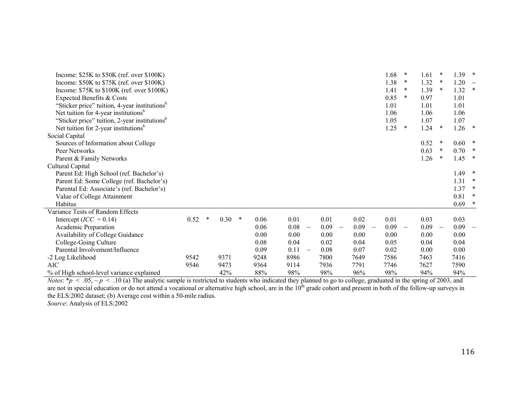| Income: $$25K$ to $$50K$ (ref. over $$100K$ )             |      |   |      |        |      |      |        |      |        |      |        | 1.68 | $\ast$  | 1.61 | $\star$ | 1.39 | $\ast$        |
|-----------------------------------------------------------|------|---|------|--------|------|------|--------|------|--------|------|--------|------|---------|------|---------|------|---------------|
| Income: $$50K$ to $$75K$ (ref. over $$100K$ )             |      |   |      |        |      |      |        |      |        |      |        | 1.38 | $\star$ | 1.32 | $\ast$  | 1.20 | $\sim$        |
| Income: \$75K to \$100K (ref. over \$100K)                |      |   |      |        |      |      |        |      |        |      |        | 1.41 | *       | 1.39 | $\ast$  | 1.32 | $\ast$        |
| Expected Benefits & Costs                                 |      |   |      |        |      |      |        |      |        |      |        | 0.85 | $\ast$  | 0.97 |         | 1.01 |               |
| "Sticker price" tuition, 4-year institutions <sup>b</sup> |      |   |      |        |      |      |        |      |        |      |        | 1.01 |         | 1.01 |         | 1.01 |               |
| Net tuition for 4-year institutions <sup>b</sup>          |      |   |      |        |      |      |        |      |        |      |        | 1.06 |         | 1.06 |         | 1.06 |               |
| "Sticker price" tuition, 2-year institutions <sup>b</sup> |      |   |      |        |      |      |        |      |        |      |        | 1.05 |         | 1.07 |         | 1.07 |               |
| Net tuition for 2-year institutions <sup>b</sup>          |      |   |      |        |      |      |        |      |        |      |        | 1.25 | $\ast$  | 1.24 | $\ast$  | 1.26 | $\rightarrow$ |
| Social Capital                                            |      |   |      |        |      |      |        |      |        |      |        |      |         |      |         |      |               |
| Sources of Information about College                      |      |   |      |        |      |      |        |      |        |      |        |      |         | 0.52 | ∗       | 0.60 | $\rightarrow$ |
| Peer Networks                                             |      |   |      |        |      |      |        |      |        |      |        |      |         | 0.63 | $\ast$  | 0.70 | $\ast$        |
| Parent & Family Networks                                  |      |   |      |        |      |      |        |      |        |      |        |      |         | 1.26 | $\ast$  | 1.45 | $\rightarrow$ |
| Cultural Capital                                          |      |   |      |        |      |      |        |      |        |      |        |      |         |      |         |      |               |
| Parent Ed: High School (ref. Bachelor's)                  |      |   |      |        |      |      |        |      |        |      |        |      |         |      |         | 1.49 | ∗             |
| Parent Ed: Some College (ref. Bachelor's)                 |      |   |      |        |      |      |        |      |        |      |        |      |         |      |         | 1.31 | $\ast$        |
| Parental Ed: Associate's (ref. Bachelor's)                |      |   |      |        |      |      |        |      |        |      |        |      |         |      |         | 1.37 | ∗             |
| Value of College Attainment                               |      |   |      |        |      |      |        |      |        |      |        |      |         |      |         | 0.81 |               |
| Habitus                                                   |      |   |      |        |      |      |        |      |        |      |        |      |         |      |         | 0.69 | $\rightarrow$ |
| Variance Tests of Random Effects                          |      |   |      |        |      |      |        |      |        |      |        |      |         |      |         |      |               |
| Intercept ( $ICC = 0.14$ )                                | 0.52 | * | 0.30 | $\ast$ | 0.06 | 0.01 |        | 0.01 |        | 0.02 |        | 0.01 |         | 0.03 |         | 0.03 |               |
| Academic Preparation                                      |      |   |      |        | 0.06 | 0.08 | $\sim$ | 0.09 | $\sim$ | 0.09 | $\sim$ | 0.09 | $\sim$  | 0.09 | $\sim$  | 0.09 |               |
| Availability of College Guidance                          |      |   |      |        | 0.00 | 0.00 |        | 0.00 |        | 0.00 |        | 0.00 |         | 0.00 |         | 0.00 |               |
| College-Going Culture                                     |      |   |      |        | 0.08 | 0.04 |        | 0.02 |        | 0.04 |        | 0.05 |         | 0.04 |         | 0.04 |               |
| Parental Involvement/Influence                            |      |   |      |        | 0.09 | 0.11 | $\sim$ | 0.08 |        | 0.07 |        | 0.02 |         | 0.00 |         | 0.00 |               |
| -2 Log Likelihood                                         | 9542 |   | 9371 |        | 9248 | 8986 |        | 7800 |        | 7649 |        | 7586 |         | 7463 |         | 7416 |               |
| <b>AIC</b>                                                | 9546 |   | 9473 |        | 9364 | 9114 |        | 7936 |        | 7791 |        | 7746 |         | 7627 |         | 7590 |               |
| % of High school-level variance explained                 |      |   | 42%  |        | 88%  | 98%  |        | 98%  |        | 96%  |        | 98%  |         | 94%  |         | 94%  |               |

*Notes*:  $* p < .05, \sim p < .10$  (a) The analytic sample is restricted to students who indicated they planned to go to college, graduated in the spring of 2003, and are not in special education or do not attend a vocational or alternative high school, are in the  $10<sup>th</sup>$  grade cohort and present in both of the follow-up surveys in the ELS:2002 dataset; (b) Average cost within a 50-mile radius. *Source*: Analysis of ELS:2002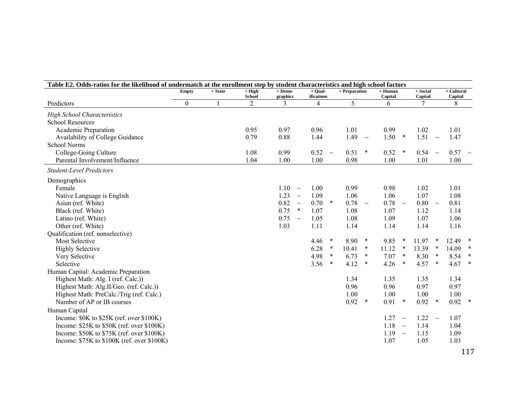| Table E2. Odds-ratios for the likelihood of undermatch at the enrollment step by student characteristics and high school factors |                  |         |                           |                       |        |                         |        |               |        |                      |        |                     |        |                         |        |
|----------------------------------------------------------------------------------------------------------------------------------|------------------|---------|---------------------------|-----------------------|--------|-------------------------|--------|---------------|--------|----------------------|--------|---------------------|--------|-------------------------|--------|
|                                                                                                                                  | <b>Empty</b>     | + State | $+$ High<br><b>School</b> | $+$ Demo-<br>graphics |        | $+$ Qual-<br>ifications |        | + Preparation |        | $+$ Human<br>Capital |        | + Social<br>Capital |        | $+$ Cultural<br>Capital |        |
| Predictors                                                                                                                       | $\boldsymbol{0}$ |         | $\overline{2}$            | 3                     |        | 4                       |        | 5             |        | 6                    |        | 7                   |        | 8                       |        |
| <b>High School Characteristics</b>                                                                                               |                  |         |                           |                       |        |                         |        |               |        |                      |        |                     |        |                         |        |
| <b>School Resources</b>                                                                                                          |                  |         |                           |                       |        |                         |        |               |        |                      |        |                     |        |                         |        |
| Academic Preparation                                                                                                             |                  |         | 0.95                      | 0.97                  |        | 0.96                    |        | 1.01          |        | 0.99                 |        | 1.02                |        | 1.01                    |        |
| Availability of College Guidance                                                                                                 |                  |         | 0.79                      | 0.88                  |        | 1.44                    |        | 1.49          | $\sim$ | 1.50                 | $\ast$ | 1.51                | $\sim$ | 1.47                    |        |
| <b>School Norms</b>                                                                                                              |                  |         |                           |                       |        |                         |        |               |        |                      |        |                     |        |                         |        |
| College-Going Culture                                                                                                            |                  |         | 1.08                      | 0.99                  |        | 0.52                    | $\sim$ | 0.51          | $\ast$ | 0.52                 | $\ast$ | $0.54 -$            |        | $0.57 - $               |        |
| Parental Involvement/Influence                                                                                                   |                  |         | 1.04                      | 1.00                  |        | 1.00                    |        | 0.98          |        | 1.00                 |        | 1.01                |        | 1.00                    |        |
| <b>Student-Level Predictors</b>                                                                                                  |                  |         |                           |                       |        |                         |        |               |        |                      |        |                     |        |                         |        |
| Demographics                                                                                                                     |                  |         |                           |                       |        |                         |        |               |        |                      |        |                     |        |                         |        |
| Female                                                                                                                           |                  |         |                           | $1.10 -$              |        | 1.00                    |        | 0.99          |        | 0.98                 |        | 1.02                |        | 1.01                    |        |
| Native Language is English                                                                                                       |                  |         |                           | 1.23                  | $\sim$ | 1.09                    |        | 1.06          |        | 1.06                 |        | 1.07                |        | 1.08                    |        |
| Asian (ref. White)                                                                                                               |                  |         |                           | 0.82                  | $\sim$ | 0.70                    | $\ast$ | 0.78          | $\sim$ | 0.78                 | $\sim$ | 0.80                | $\sim$ | 0.81                    |        |
| Black (ref. White)                                                                                                               |                  |         |                           | 0.75                  | $\ast$ | 1.07                    |        | 1.08          |        | 1.07                 |        | 1.12                |        | 1.14                    |        |
| Latino (ref. White)                                                                                                              |                  |         |                           | $0.75 -$              |        | 1.05                    |        | 1.08          |        | 1.09                 |        | 1.07                |        | 1.06                    |        |
| Other (ref. White)                                                                                                               |                  |         |                           | 1.03                  |        | 1.11                    |        | 1.14          |        | 1.14                 |        | 1.14                |        | 1.16                    |        |
| Qualification (ref. nonselective)                                                                                                |                  |         |                           |                       |        |                         |        |               |        |                      |        |                     |        |                         |        |
| <b>Most Selective</b>                                                                                                            |                  |         |                           |                       |        | 4.46                    | $\ast$ | 8.90          | $\ast$ | 9.85                 | $\ast$ | 11.97               | $\ast$ | 12.49                   | $\ast$ |
| <b>Highly Selective</b>                                                                                                          |                  |         |                           |                       |        | 6.28                    | $\ast$ | 10.41         | $\ast$ | 11.12                | $\ast$ | 13.39               | $\ast$ | 14.09                   | $\ast$ |
| Very Selective                                                                                                                   |                  |         |                           |                       |        | 4.98                    | $\ast$ | 6.73          | $\ast$ | 7.07                 | $\ast$ | 8.30                | $\ast$ | 8.54                    | $\ast$ |
| Selective                                                                                                                        |                  |         |                           |                       |        | 3.56                    | $\ast$ | 4.12          | $\ast$ | 4.26                 | $\ast$ | 4.57                | $\ast$ | 4.67                    | $\ast$ |
| Human Capital: Academic Preparation                                                                                              |                  |         |                           |                       |        |                         |        |               |        |                      |        |                     |        |                         |        |
| Highest Math: Alg. I (ref. Calc.))                                                                                               |                  |         |                           |                       |        |                         |        | 1.34          |        | 1.35                 |        | 1.35                |        | 1.34                    |        |
| Highest Math: Alg.II/Geo. (ref. Calc.))                                                                                          |                  |         |                           |                       |        |                         |        | 0.96          |        | 0.96                 |        | 0.97                |        | 0.97                    |        |
| Highest Math: PreCalc./Trig (ref. Calc.)                                                                                         |                  |         |                           |                       |        |                         |        | 1.00          |        | 1.00                 |        | 1.00                |        | 1.00                    |        |
| Number of AP or IB courses                                                                                                       |                  |         |                           |                       |        |                         |        | 0.92          | $\ast$ | 0.91                 | $\ast$ | 0.92                | $\ast$ | 0.92                    | $\ast$ |
| Human Capital                                                                                                                    |                  |         |                           |                       |        |                         |        |               |        |                      |        |                     |        |                         |        |
| Income: \$0K to \$25K (ref. over \$100K)                                                                                         |                  |         |                           |                       |        |                         |        |               |        | 1.27                 | $\sim$ | 1.22                | $\sim$ | 1.07                    |        |
| Income: $$25K$ to $$50K$ (ref. over $$100K$ )                                                                                    |                  |         |                           |                       |        |                         |        |               |        | 1.18                 | $\sim$ | 1.14                |        | 1.04                    |        |
| Income: \$50K to \$75K (ref. over \$100K)                                                                                        |                  |         |                           |                       |        |                         |        |               |        | 1.19                 | $\sim$ | 1.15                |        | 1.09                    |        |
| Income: \$75K to \$100K (ref. over \$100K)                                                                                       |                  |         |                           |                       |        |                         |        |               |        | 1.07                 |        | 1.05                |        | 1.03                    |        |
|                                                                                                                                  |                  |         |                           |                       |        |                         |        |               |        |                      |        |                     |        |                         | 117    |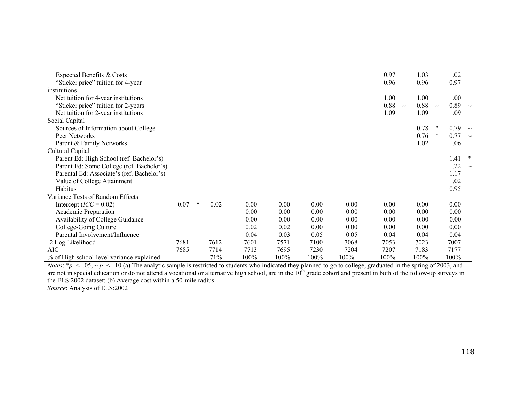| Expected Benefits & Costs                  |      |        |      |      |      |      |      | 0.97 | 1.03           |        | 1.02 |   |
|--------------------------------------------|------|--------|------|------|------|------|------|------|----------------|--------|------|---|
| "Sticker price" tuition for 4-year         |      |        |      |      |      |      |      | 0.96 | 0.96           |        | 0.97 |   |
| institutions                               |      |        |      |      |      |      |      |      |                |        |      |   |
| Net tuition for 4-year institutions        |      |        |      |      |      |      |      | 1.00 | 1.00           |        | 1.00 |   |
| "Sticker price" tuition for 2-years        |      |        |      |      |      |      |      | 0.88 | 0.88<br>$\sim$ | $\sim$ | 0.89 |   |
| Net tuition for 2-year institutions        |      |        |      |      |      |      |      | 1.09 | 1.09           |        | 1.09 |   |
| Social Capital                             |      |        |      |      |      |      |      |      |                |        |      |   |
| Sources of Information about College       |      |        |      |      |      |      |      |      | 0.78           | *      | 0.79 |   |
| Peer Networks                              |      |        |      |      |      |      |      |      | 0.76           | *      | 0.77 |   |
| Parent & Family Networks                   |      |        |      |      |      |      |      |      | 1.02           |        | 1.06 |   |
| Cultural Capital                           |      |        |      |      |      |      |      |      |                |        |      |   |
| Parent Ed: High School (ref. Bachelor's)   |      |        |      |      |      |      |      |      |                |        | 1.41 | * |
| Parent Ed: Some College (ref. Bachelor's)  |      |        |      |      |      |      |      |      |                |        | 1.22 |   |
| Parental Ed: Associate's (ref. Bachelor's) |      |        |      |      |      |      |      |      |                |        | 1.17 |   |
| Value of College Attainment                |      |        |      |      |      |      |      |      |                |        | 1.02 |   |
| Habitus                                    |      |        |      |      |      |      |      |      |                |        | 0.95 |   |
| Variance Tests of Random Effects           |      |        |      |      |      |      |      |      |                |        |      |   |
| Intercept $(ICC = 0.02)$                   | 0.07 | $\ast$ | 0.02 | 0.00 | 0.00 | 0.00 | 0.00 | 0.00 | 0.00           |        | 0.00 |   |
| Academic Preparation                       |      |        |      | 0.00 | 0.00 | 0.00 | 0.00 | 0.00 | 0.00           |        | 0.00 |   |
| Availability of College Guidance           |      |        |      | 0.00 | 0.00 | 0.00 | 0.00 | 0.00 | 0.00           |        | 0.00 |   |
| College-Going Culture                      |      |        |      | 0.02 | 0.02 | 0.00 | 0.00 | 0.00 | 0.00           |        | 0.00 |   |
| Parental Involvement/Influence             |      |        |      | 0.04 | 0.03 | 0.05 | 0.05 | 0.04 | 0.04           |        | 0.04 |   |
| -2 Log Likelihood                          | 7681 |        | 7612 | 7601 | 7571 | 7100 | 7068 | 7053 | 7023           |        | 7007 |   |
| <b>AIC</b>                                 | 7685 |        | 7714 | 7713 | 7695 | 7230 | 7204 | 7207 | 7183           |        | 7177 |   |
| % of High school-level variance explained  |      |        | 71%  | 100% | 100% | 100% | 100% | 100% | 100%           |        | 100% |   |

*Notes*:  $* p < .05, \sim p < .10$  (a) The analytic sample is restricted to students who indicated they planned to go to college, graduated in the spring of 2003, and are not in special education or do not attend a vocational or alternative high school, are in the  $10<sup>th</sup>$  grade cohort and present in both of the follow-up surveys in the ELS:2002 dataset; (b) Average cost within a 50-mile radius.

*Source*: Analysis of ELS:2002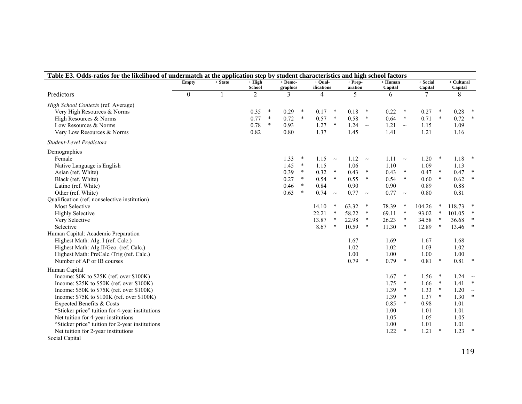| $+$ Demo-<br>$+$ Qual-<br>$+$ Human<br>$+$ Social<br>$+$ Cultural<br><b>Empty</b><br>$+$ State<br>$+ High$<br>$+$ Prep-<br><b>School</b><br>ifications<br>Capital<br>Capital<br>Capital<br>graphics<br>aration<br>$\boldsymbol{0}$<br>5<br>8<br>$\overline{2}$<br>3<br>Predictors<br>4<br>6<br>7 |        |
|--------------------------------------------------------------------------------------------------------------------------------------------------------------------------------------------------------------------------------------------------------------------------------------------------|--------|
|                                                                                                                                                                                                                                                                                                  |        |
|                                                                                                                                                                                                                                                                                                  |        |
| High School Contexts (ref. Average)                                                                                                                                                                                                                                                              |        |
| 0.35<br>$\ast$<br>0.29<br>$\ast$<br>0.18<br>0.22<br>0.27<br>$\ast$<br>0.28<br>Very High Resources & Norms<br>0.17<br>$\ast$<br>$\ast$<br>$\ast$                                                                                                                                                  |        |
| $\ast$<br>0.58<br>$\ast$<br>0.64<br>$\ast$<br>0.77<br>0.72<br>$\ast$<br>0.57<br>$\ast$<br>0.71<br>$\ast$<br>0.72<br>High Resources & Norms                                                                                                                                                       | $\ast$ |
| $\ast$<br>0.78<br>1.27<br>1.24<br>1.21<br>1.09<br>Low Resources & Norms<br>0.93<br>$\ast$<br>1.15<br>$\sim$<br>$\sim$                                                                                                                                                                            |        |
| 0.82<br>0.80<br>1.37<br>1.45<br>1.41<br>1.21<br>1.16<br>Very Low Resources & Norms                                                                                                                                                                                                               |        |
| <b>Student-Level Predictors</b>                                                                                                                                                                                                                                                                  |        |
| Demographics                                                                                                                                                                                                                                                                                     |        |
| $1.12 - \sim$<br>Female<br>1.33<br>1.15<br>1.11<br>1.20<br>$\ast$<br>1.18<br>$\ast$<br>$\sim$<br>$\sim$                                                                                                                                                                                          | $\ast$ |
| 1.06<br>1.10<br>1.09<br>Native Language is English<br>1.45<br>$\ast$<br>1.15<br>1.13                                                                                                                                                                                                             |        |
| $\ast$<br>0.32<br>0.39<br>$\ast$<br>0.43<br>$\ast$<br>0.43<br>$\ast$<br>0.47<br>$\ast$<br>0.47<br>Asian (ref. White)                                                                                                                                                                             | $\ast$ |
| $\ast$<br>$\ast$<br>$\ast$<br>$\ast$<br>0.54<br>0.55<br>0.54<br>$\ast$<br>0.62<br>Black (ref. White)<br>0.27<br>0.60                                                                                                                                                                             | $\ast$ |
| 0.90<br>0.90<br>0.88<br>0.46<br>$\ast$<br>0.84<br>0.89<br>Latino (ref. White)                                                                                                                                                                                                                    |        |
| 0.74<br>0.77<br>0.77<br>0.63<br>$\ast$<br>0.80<br>0.81<br>Other (ref. White)<br>$\sim$<br>$\sim$<br>$\sim$                                                                                                                                                                                       |        |
| Qualification (ref. nonselective institution)                                                                                                                                                                                                                                                    |        |
| 63.32<br>$\ast$<br>118.73<br><b>Most Selective</b><br>14.10<br>$\ast$<br>78.39<br>$\ast$<br>104.26<br>$\ast$                                                                                                                                                                                     |        |
| 22.21<br>$\ast$<br>58.22<br>$\ast$<br>69.11<br>$\ast$<br>93.02<br>$\ast$<br>101.05<br><b>Highly Selective</b>                                                                                                                                                                                    |        |
| 13.87<br>22.98<br>$\ast$<br>26.23<br>$\ast$<br>34.58<br>$\ast$<br>36.68<br>$\ast$<br>Very Selective                                                                                                                                                                                              | $\ast$ |
| 8.67<br>10.59<br>11.30<br>12.89<br>Selective<br>$\ast$<br>$\ast$<br>$\ast$<br>$\ast$<br>13.46                                                                                                                                                                                                    | $\ast$ |
| Human Capital: Academic Preparation                                                                                                                                                                                                                                                              |        |
| Highest Math: Alg. I (ref. Calc.)<br>1.67<br>1.69<br>1.67<br>1.68                                                                                                                                                                                                                                |        |
| 1.02<br>Highest Math: Alg.II/Geo. (ref. Calc.)<br>1.02<br>1.03<br>1.02                                                                                                                                                                                                                           |        |
| 1.00<br>Highest Math: PreCalc./Trig (ref. Calc.)<br>1.00<br>1.00<br>1.00                                                                                                                                                                                                                         |        |
| 0.79<br>0.79<br>Number of AP or IB courses<br>$\ast$<br>$\ast$<br>0.81<br>$\ast$<br>0.81                                                                                                                                                                                                         |        |
| Human Capital                                                                                                                                                                                                                                                                                    |        |
| Income: \$0K to \$25K (ref. over \$100K)<br>1.24<br>1.67<br>1.56<br>$\ast$<br>$\ast$                                                                                                                                                                                                             | $\sim$ |
| 1.75<br>Income: \$25K to \$50K (ref. over \$100K)<br>1.66<br>$\ast$<br>1.41<br>$\ast$                                                                                                                                                                                                            |        |
| 1.39<br>1.33<br>$\ast$<br>1.20<br>Income: \$50K to \$75K (ref. over \$100K)<br>$\ast$                                                                                                                                                                                                            | $\sim$ |
| 1.39<br>1.37<br>1.30<br>$\ast$<br>Income: \$75K to \$100K (ref. over \$100K)<br>$\ast$                                                                                                                                                                                                           | $\ast$ |
| 0.85<br>$\ast$<br>1.01<br>Expected Benefits & Costs<br>0.98                                                                                                                                                                                                                                      |        |
| 1.00<br>1.01<br>1.01<br>"Sticker price" tuition for 4-year institutions                                                                                                                                                                                                                          |        |
| Net tuition for 4-year institutions<br>1.05<br>1.05<br>1.05                                                                                                                                                                                                                                      |        |
| "Sticker price" tuition for 2-year institutions<br>1.00<br>1.01<br>1.01                                                                                                                                                                                                                          |        |
| 1.22<br>1.23<br>$\ast$<br>1.21<br>$\ast$<br>Net tuition for 2-year institutions                                                                                                                                                                                                                  | $\ast$ |
| Social Capital                                                                                                                                                                                                                                                                                   |        |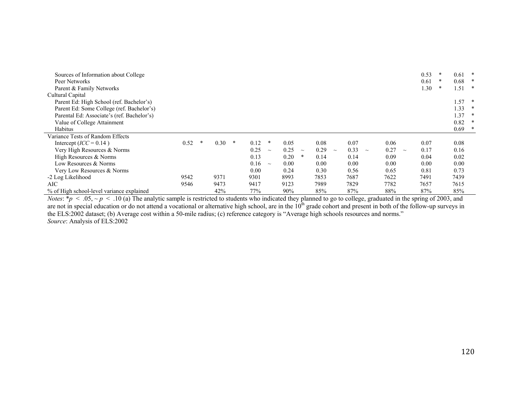| Sources of Information about College       |      |   |      |   |      |        |      |        |      |        |      |        |      |          | 0.53 | * | 0.61     | ∗      |
|--------------------------------------------|------|---|------|---|------|--------|------|--------|------|--------|------|--------|------|----------|------|---|----------|--------|
| Peer Networks                              |      |   |      |   |      |        |      |        |      |        |      |        |      |          | 0.61 | * | 0.68     | ∗      |
| Parent & Family Networks                   |      |   |      |   |      |        |      |        |      |        |      |        |      |          | 1.30 |   | 1.51     | *      |
| Cultural Capital                           |      |   |      |   |      |        |      |        |      |        |      |        |      |          |      |   |          |        |
| Parent Ed: High School (ref. Bachelor's)   |      |   |      |   |      |        |      |        |      |        |      |        |      |          |      |   | 1.57     | $\ast$ |
| Parent Ed: Some College (ref. Bachelor's)  |      |   |      |   |      |        |      |        |      |        |      |        |      |          |      |   | 1.33     |        |
| Parental Ed: Associate's (ref. Bachelor's) |      |   |      |   |      |        |      |        |      |        |      |        |      |          |      |   | 1.37     | ∗      |
| Value of College Attainment                |      |   |      |   |      |        |      |        |      |        |      |        |      |          |      |   | 0.82     | *      |
| Habitus                                    |      |   |      |   |      |        |      |        |      |        |      |        |      |          |      |   | $0.69$ * |        |
| Variance Tests of Random Effects           |      |   |      |   |      |        |      |        |      |        |      |        |      |          |      |   |          |        |
| Intercept ( $ICC = 0.14$ )                 | 0.52 | ∗ | 0.30 | ∗ | 0.12 | *      | 0.05 |        | 0.08 |        | 0.07 |        | 0.06 |          | 0.07 |   | 0.08     |        |
| Very High Resources & Norms                |      |   |      |   | 0.25 | $\sim$ | 0.25 | $\sim$ | 0.29 | $\sim$ | 0.33 | $\sim$ | 0.27 | $\sim\,$ | 0.17 |   | 0.16     |        |
| High Resources & Norms                     |      |   |      |   | 0.13 |        | 0.20 | ∗      | 0.14 |        | 0.14 |        | 0.09 |          | 0.04 |   | 0.02     |        |
| Low Resources & Norms                      |      |   |      |   | 0.16 | $\sim$ | 0.00 |        | 0.00 |        | 0.00 |        | 0.00 |          | 0.00 |   | 0.00     |        |
| Very Low Resources & Norms                 |      |   |      |   | 0.00 |        | 0.24 |        | 0.30 |        | 0.56 |        | 0.65 |          | 0.81 |   | 0.73     |        |
| -2 Log Likelihood                          | 9542 |   | 9371 |   | 9301 |        | 8993 |        | 7853 |        | 7687 |        | 7622 |          | 7491 |   | 7439     |        |
| AIC                                        | 9546 |   | 9473 |   | 9417 |        | 9123 |        | 7989 |        | 7829 |        | 7782 |          | 7657 |   | 7615     |        |
| % of High school-level variance explained  |      |   | 42%  |   | 77%  |        | 90%  |        | 85%  |        | 87%  |        | 88%  |          | 87%  |   | 85%      |        |

*Notes*:  $* p < .05, \sim p < .10$  (a) The analytic sample is restricted to students who indicated they planned to go to college, graduated in the spring of 2003, and are not in special education or do not attend a vocational or alternative high school, are in the  $10<sup>th</sup>$  grade cohort and present in both of the follow-up surveys in the ELS:2002 dataset; (b) Average cost within a 50-mile radius; (c) reference category is "Average high schools resources and norms." *Source*: Analysis of ELS:2002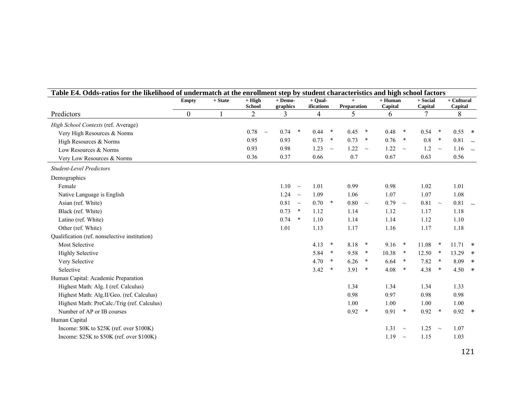| Table E4. Odds-ratios for the likelihood of undermatch at the enrollment step by student characteristics and high school factors |                  |           |                           |                     |        |                         |        |                           |        |                      |        |                     |        |                       |  |
|----------------------------------------------------------------------------------------------------------------------------------|------------------|-----------|---------------------------|---------------------|--------|-------------------------|--------|---------------------------|--------|----------------------|--------|---------------------|--------|-----------------------|--|
|                                                                                                                                  | <b>Empty</b>     | $+ State$ | $+$ High<br><b>School</b> | + Demo-<br>graphics |        | $+$ Qual-<br>ifications |        | $+$<br><b>Preparation</b> |        | $+$ Human<br>Capital |        | + Social<br>Capital |        | + Cultural<br>Capital |  |
| Predictors                                                                                                                       | $\boldsymbol{0}$ |           | 2                         | 3                   |        | $\overline{4}$          |        | 5                         |        | 6                    |        |                     |        | 8                     |  |
| High School Contexts (ref. Average)                                                                                              |                  |           |                           |                     |        |                         |        |                           |        |                      |        |                     |        |                       |  |
| Very High Resources & Norms                                                                                                      |                  |           | 0.78<br>$\sim$            | 0.74<br>$\ast$      |        | 0.44                    | $\ast$ | 0.45                      | $\ast$ | 0.48                 | $\ast$ | 0.54                | $\ast$ | $0.55$ *              |  |
| High Resources & Norms                                                                                                           |                  |           | 0.95                      | 0.93                |        | 0.73                    | $\ast$ | 0.73                      | $\ast$ | 0.76                 | $\ast$ | 0.8                 | $\ast$ | $0.81 - 1$            |  |
| Low Resources & Norms                                                                                                            |                  |           | 0.93                      | 0.98                |        | 1.23                    | $\sim$ | $1.22 - $                 |        | $1.22 - 4$           |        | 1.2                 | $\sim$ | 1.16 $\sim$           |  |
| Very Low Resources & Norms                                                                                                       |                  |           | 0.36                      | 0.37                |        | 0.66                    |        | 0.7                       |        | 0.67                 |        | 0.63                |        | 0.56                  |  |
| <b>Student-Level Predictors</b>                                                                                                  |                  |           |                           |                     |        |                         |        |                           |        |                      |        |                     |        |                       |  |
| Demographics                                                                                                                     |                  |           |                           |                     |        |                         |        |                           |        |                      |        |                     |        |                       |  |
| Female                                                                                                                           |                  |           |                           | 1.10<br>$\sim$      |        | 1.01                    |        | 0.99                      |        | 0.98                 |        | 1.02                |        | 1.01                  |  |
| Native Language is English                                                                                                       |                  |           |                           | 1.24<br>$\sim$      |        | 1.09                    |        | 1.06                      |        | 1.07                 |        | 1.07                |        | 1.08                  |  |
| Asian (ref. White)                                                                                                               |                  |           |                           | $0.81 - $           |        | 0.70                    | $\ast$ | $0.80 - $                 |        | 0.79                 | $\sim$ | 0.81                | $\sim$ | 0.81                  |  |
| Black (ref. White)                                                                                                               |                  |           |                           | 0.73                | $\ast$ | 1.12                    |        | 1.14                      |        | 1.12                 |        | 1.17                |        | 1.18                  |  |
| Latino (ref. White)                                                                                                              |                  |           |                           | 0.74<br>$\ast$      |        | 1.10                    |        | 1.14                      |        | 1.14                 |        | 1.12                |        | 1.10                  |  |
| Other (ref. White)                                                                                                               |                  |           |                           | 1.01                |        | 1.13                    |        | 1.17                      |        | 1.16                 |        | 1.17                |        | 1.18                  |  |
| Qualification (ref. nonselective institution)                                                                                    |                  |           |                           |                     |        |                         |        |                           |        |                      |        |                     |        |                       |  |
| <b>Most Selective</b>                                                                                                            |                  |           |                           |                     |        | 4.13                    | $\ast$ | 8.18                      | $\ast$ | 9.16                 | $\ast$ | 11.08               | $\ast$ | $11.71$ *             |  |
| <b>Highly Selective</b>                                                                                                          |                  |           |                           |                     |        | 5.84                    | $\ast$ | 9.58                      | $\ast$ | 10.38                | $\ast$ | 12.50               | $\ast$ | $13.29$ *             |  |
| Very Selective                                                                                                                   |                  |           |                           |                     |        | 4.70                    | $\ast$ | 6.26                      | $\ast$ | 6.64                 | $\ast$ | 7.82                | $\ast$ | $8.09$ *              |  |
| Selective                                                                                                                        |                  |           |                           |                     |        | 3.42                    | $\ast$ | 3.91                      | $\ast$ | 4.08                 | $\ast$ | 4.38                | $\ast$ | $4.50*$               |  |
| Human Capital: Academic Preparation                                                                                              |                  |           |                           |                     |        |                         |        |                           |        |                      |        |                     |        |                       |  |
| Highest Math: Alg. I (ref. Calculus)                                                                                             |                  |           |                           |                     |        |                         |        | 1.34                      |        | 1.34                 |        | 1.34                |        | 1.33                  |  |
| Highest Math: Alg.II/Geo. (ref. Calculus)                                                                                        |                  |           |                           |                     |        |                         |        | 0.98                      |        | 0.97                 |        | 0.98                |        | 0.98                  |  |
| Highest Math: PreCalc./Trig (ref. Calculus)                                                                                      |                  |           |                           |                     |        |                         |        | 1.00                      |        | 1.00                 |        | 1.00                |        | 1.00                  |  |
| Number of AP or IB courses                                                                                                       |                  |           |                           |                     |        |                         |        | 0.92                      | $\ast$ | 0.91                 | $\ast$ | 0.92                | $\ast$ | $0.92$ *              |  |
| Human Capital                                                                                                                    |                  |           |                           |                     |        |                         |        |                           |        |                      |        |                     |        |                       |  |
| Income: \$0K to \$25K (ref. over \$100K)                                                                                         |                  |           |                           |                     |        |                         |        |                           |        | $1.31 - $            |        | 1.25                | $\sim$ | 1.07                  |  |
| Income: $$25K$ to $$50K$ (ref. over $$100K$ )                                                                                    |                  |           |                           |                     |        |                         |        |                           |        | 1.19                 | $\sim$ | 1.15                |        | 1.03                  |  |
|                                                                                                                                  |                  |           |                           |                     |        |                         |        |                           |        |                      |        |                     |        |                       |  |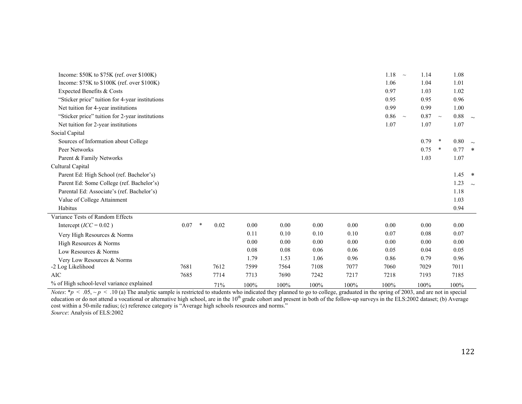| Income: $$50K$ to $$75K$ (ref. over $$100K$ )                                                                                                                                           |      |        |      |      |      |      |      | 1.18<br>$\sim$ | 1.14 | 1.08           |   |
|-----------------------------------------------------------------------------------------------------------------------------------------------------------------------------------------|------|--------|------|------|------|------|------|----------------|------|----------------|---|
| Income: $$75K$ to $$100K$ (ref. over $$100K$ )                                                                                                                                          |      |        |      |      |      |      |      | 1.06           | 1.04 | 1.01           |   |
| Expected Benefits & Costs                                                                                                                                                               |      |        |      |      |      |      |      | 0.97           | 1.03 | 1.02           |   |
| "Sticker price" tuition for 4-year institutions                                                                                                                                         |      |        |      |      |      |      |      | 0.95           | 0.95 | 0.96           |   |
| Net tuition for 4-year institutions                                                                                                                                                     |      |        |      |      |      |      |      | 0.99           | 0.99 | 1.00           |   |
| "Sticker price" tuition for 2-year institutions                                                                                                                                         |      |        |      |      |      |      |      | 0.86<br>$\sim$ | 0.87 | 0.88<br>$\sim$ |   |
| Net tuition for 2-year institutions                                                                                                                                                     |      |        |      |      |      |      |      | 1.07           | 1.07 | 1.07           |   |
| Social Capital                                                                                                                                                                          |      |        |      |      |      |      |      |                |      |                |   |
| Sources of Information about College                                                                                                                                                    |      |        |      |      |      |      |      |                | 0.79 | 0.80<br>$\ast$ |   |
| Peer Networks                                                                                                                                                                           |      |        |      |      |      |      |      |                | 0.75 | $\ast$<br>0.77 | * |
| Parent & Family Networks                                                                                                                                                                |      |        |      |      |      |      |      |                | 1.03 | 1.07           |   |
| Cultural Capital                                                                                                                                                                        |      |        |      |      |      |      |      |                |      |                |   |
| Parent Ed: High School (ref. Bachelor's)                                                                                                                                                |      |        |      |      |      |      |      |                |      | $1.45$ *       |   |
| Parent Ed: Some College (ref. Bachelor's)                                                                                                                                               |      |        |      |      |      |      |      |                |      | 1.23           |   |
| Parental Ed: Associate's (ref. Bachelor's)                                                                                                                                              |      |        |      |      |      |      |      |                |      | 1.18           |   |
| Value of College Attainment                                                                                                                                                             |      |        |      |      |      |      |      |                |      | 1.03           |   |
| Habitus                                                                                                                                                                                 |      |        |      |      |      |      |      |                |      | 0.94           |   |
| Variance Tests of Random Effects                                                                                                                                                        |      |        |      |      |      |      |      |                |      |                |   |
| Intercept ( $ICC = 0.02$ )                                                                                                                                                              | 0.07 | $\ast$ | 0.02 | 0.00 | 0.00 | 0.00 | 0.00 | 0.00           | 0.00 | 0.00           |   |
| Very High Resources & Norms                                                                                                                                                             |      |        |      | 0.11 | 0.10 | 0.10 | 0.10 | 0.07           | 0.08 | 0.07           |   |
| High Resources & Norms                                                                                                                                                                  |      |        |      | 0.00 | 0.00 | 0.00 | 0.00 | 0.00           | 0.00 | 0.00           |   |
| Low Resources & Norms                                                                                                                                                                   |      |        |      | 0.08 | 0.08 | 0.06 | 0.06 | 0.05           | 0.04 | 0.05           |   |
| Very Low Resources & Norms                                                                                                                                                              |      |        |      | 1.79 | 1.53 | 1.06 | 0.96 | 0.86           | 0.79 | 0.96           |   |
| -2 Log Likelihood                                                                                                                                                                       | 7681 |        | 7612 | 7599 | 7564 | 7108 | 7077 | 7060           | 7029 | 7011           |   |
| <b>AIC</b>                                                                                                                                                                              | 7685 |        | 7714 | 7713 | 7690 | 7242 | 7217 | 7218           | 7193 | 7185           |   |
| % of High school-level variance explained                                                                                                                                               |      |        | 71%  | 100% | 100% | 100% | 100% | 100%           | 100% | 100%           |   |
| <i>Notes:</i> *p < .05, ~p < .10 (a) The analytic sample is restricted to students who indicated they planned to go to college, graduated in the spring of 2003, and are not in special |      |        |      |      |      |      |      |                |      |                |   |

education or do not attend a vocational or alternative high school, are in the 10<sup>th</sup> grade cohort and present in both of the follow-up surveys in the ELS:2002 dataset; (b) Average cost within a 50-mile radius; (c) reference category is "Average high schools resources and norms." *Source*: Analysis of ELS:2002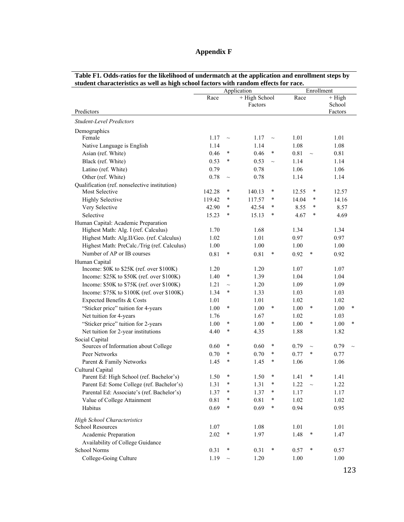| Appendix F |  |  |
|------------|--|--|
|------------|--|--|

|                                                                             |        |        | Application                |        |       | Enrollment |                               |
|-----------------------------------------------------------------------------|--------|--------|----------------------------|--------|-------|------------|-------------------------------|
| Predictors                                                                  | Race   |        | $+$ High School<br>Factors |        | Race  |            | $+$ High<br>School<br>Factors |
| Student-Level Predictors                                                    |        |        |                            |        |       |            |                               |
| Demographics                                                                |        |        |                            |        |       |            |                               |
| Female                                                                      | 1.17   | $\sim$ | 1.17                       | $\sim$ | 1.01  |            | 1.01                          |
| Native Language is English                                                  | 1.14   |        | 1.14                       |        | 1.08  |            | 1.08                          |
| Asian (ref. White)                                                          | 0.46   | $\ast$ | 0.46                       | $\ast$ | 0.81  | $\sim$     | 0.81                          |
| Black (ref. White)                                                          | 0.53   | $\ast$ | 0.53                       | $\sim$ | 1.14  |            | 1.14                          |
| Latino (ref. White)                                                         | 0.79   |        | 0.78                       |        | 1.06  |            | 1.06                          |
| Other (ref. White)                                                          | 0.78   | $\sim$ | 0.78                       |        | 1.14  |            | 1.14                          |
| Qualification (ref. nonselective institution)                               |        |        |                            |        |       |            |                               |
| Most Selective                                                              | 142.28 | $\ast$ | 140.13                     | $\ast$ | 12.55 | $\ast$     | 12.57                         |
| <b>Highly Selective</b>                                                     | 119.42 | $\ast$ | 117.57                     | $\ast$ | 14.04 | $\ast$     | 14.16                         |
| Very Selective                                                              | 42.90  | $\ast$ | 42.54                      | $\ast$ | 8.55  | $\ast$     | 8.57                          |
| Selective                                                                   | 15.23  | $\ast$ | 15.13                      | $\ast$ | 4.67  | $\ast$     | 4.69                          |
| Human Capital: Academic Preparation<br>Highest Math: Alg. I (ref. Calculus) | 1.70   |        | 1.68                       |        | 1.34  |            | 1.34                          |
| Highest Math: Alg.II/Geo. (ref. Calculus)                                   | 1.02   |        | 1.01                       |        | 0.97  |            | 0.97                          |
| Highest Math: PreCalc./Trig (ref. Calculus)                                 | 1.00   |        | 1.00                       |        | 1.00  |            | 1.00                          |
| Number of AP or IB courses                                                  | 0.81   | $\ast$ | 0.81                       | $\ast$ | 0.92  | $\ast$     | 0.92                          |
| Human Capital                                                               |        |        |                            |        |       |            |                               |
| Income: \$0K to \$25K (ref. over \$100K)                                    | 1.20   |        | 1.20                       |        | 1.07  |            | 1.07                          |
| Income: \$25K to \$50K (ref. over \$100K)                                   | 1.40   | $\ast$ | 1.39                       |        | 1.04  |            | 1.04                          |
| Income: \$50K to \$75K (ref. over \$100K)                                   | 1.21   | $\sim$ | 1.20                       |        | 1.09  |            | 1.09                          |
| Income: \$75K to \$100K (ref. over \$100K)                                  | 1.34   | $\ast$ | 1.33                       |        | 1.03  |            | 1.03                          |
| Expected Benefits & Costs                                                   | 1.01   |        | 1.01                       |        | 1.02  |            | 1.02                          |
| "Sticker price" tuition for 4-years                                         | 1.00   | $\ast$ | 1.00                       | $\ast$ | 1.00  | $\ast$     | 1.00                          |
| Net tuition for 4-years                                                     | 1.76   |        | 1.67                       |        | 1.02  |            | 1.03                          |
| "Sticker price" tuition for 2-years                                         | 1.00   | $\ast$ | 1.00                       | ∗      | 1.00  | $\ast$     | 1.00                          |
| Net tuition for 2-year institutions                                         | 4.40   | $\ast$ | 4.35                       |        | 1.88  |            | 1.82                          |
| Social Capital                                                              |        |        |                            |        |       |            |                               |
| Sources of Information about College                                        | 0.60   | $\ast$ | 0.60                       | $\ast$ | 0.79  | $\sim$     | 0.79                          |
| Peer Networks                                                               | 0.70   | $\ast$ | 0.70                       | $\ast$ | 0.77  | $\ast$     | 0.77                          |
| Parent & Family Networks                                                    | 1.45   | $\ast$ | 1.45                       | $\ast$ | 1.06  |            | 1.06                          |
| Cultural Capital                                                            |        |        |                            |        |       |            |                               |
| Parent Ed: High School (ref. Bachelor's)                                    | 1.50   | $\ast$ | 1.50                       | $\ast$ | 1.41  | $\ast$     | 1.41                          |
| Parent Ed: Some College (ref. Bachelor's)                                   | 1.31   | $\ast$ | 1.31                       | $\ast$ | 1.22  | $\sim$     | 1.22                          |
| Parental Ed: Associate's (ref. Bachelor's)                                  | 1.37   | $\ast$ | 1.37                       | $\ast$ | 1.17  |            | 1.17                          |
| Value of College Attainment                                                 | 0.81   | *      | 0.81                       | *      | 1.02  |            | 1.02                          |
| Habitus                                                                     | 0.69   | $\ast$ | 0.69                       | $\ast$ | 0.94  |            | 0.95                          |
| <b>High School Characteristics</b>                                          |        |        |                            |        |       |            |                               |
| School Resources                                                            | 1.07   |        | 1.08                       |        | 1.01  |            | 1.01                          |
| Academic Preparation                                                        | 2.02   | $\ast$ | 1.97                       |        | 1.48  | $\ast$     | 1.47                          |
| Availability of College Guidance                                            |        |        |                            |        |       |            |                               |
| School Norms                                                                | 0.31   | $\ast$ | 0.31                       | $\ast$ | 0.57  | $\ast$     | 0.57                          |
| College-Going Culture                                                       | 1.19   | $\sim$ | 1.20                       |        | 1.00  |            | 1.00                          |

| Table F1. Odds-ratios for the likelihood of undermatch at the application and enrollment steps by |
|---------------------------------------------------------------------------------------------------|
| student characteristics as well as high school factors with random effects for race.              |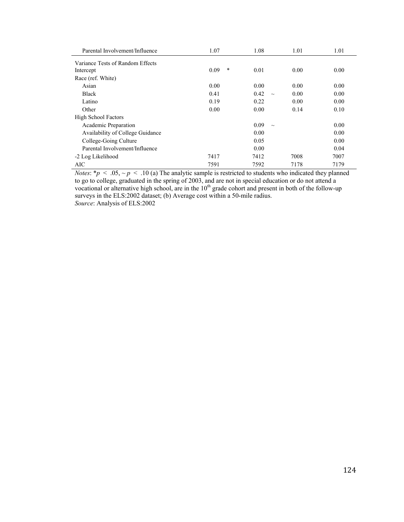| Parental Involvement/Influence   | 1.07           | 1.08           | 1.01 | 1.01 |
|----------------------------------|----------------|----------------|------|------|
| Variance Tests of Random Effects |                |                |      |      |
| Intercept                        | $\ast$<br>0.09 | 0.01           | 0.00 | 0.00 |
| Race (ref. White)                |                |                |      |      |
| Asian                            | 0.00           | 0.00           | 0.00 | 0.00 |
| <b>Black</b>                     | 0.41           | 0.42<br>$\sim$ | 0.00 | 0.00 |
| Latino                           | 0.19           | 0.22           | 0.00 | 0.00 |
| Other                            | 0.00           | 0.00           | 0.14 | 0.10 |
| <b>High School Factors</b>       |                |                |      |      |
| Academic Preparation             |                | 0.09<br>$\sim$ |      | 0.00 |
| Availability of College Guidance |                | 0.00           |      | 0.00 |
| College-Going Culture            |                | 0.05           |      | 0.00 |
| Parental Involvement/Influence   |                | 0.00           |      | 0.04 |
| -2 Log Likelihood                | 7417           | 7412           | 7008 | 7007 |
| AIC                              | 7591           | 7592           | 7178 | 7179 |

*Notes*: \**p* < .05, ~ *p* < .10 (a) The analytic sample is restricted to students who indicated they planned to go to college, graduated in the spring of 2003, and are not in special education or do not attend a vocational or alternative high school, are in the  $10<sup>th</sup>$  grade cohort and present in both of the follow-up surveys in the ELS:2002 dataset; (b) Average cost within a 50-mile radius. *Source*: Analysis of ELS:2002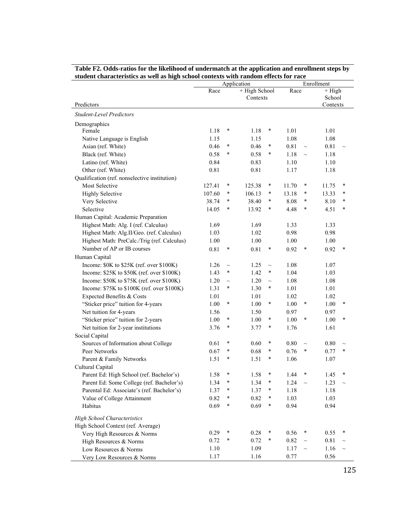|                                               |        |        | Application   |        | Enrollment |        |          |        |
|-----------------------------------------------|--------|--------|---------------|--------|------------|--------|----------|--------|
|                                               | Race   |        | + High School |        | Race       |        | $+$ High |        |
|                                               |        |        | Contexts      |        |            |        | School   |        |
| Predictors                                    |        |        |               |        |            |        | Contexts |        |
| <b>Student-Level Predictors</b>               |        |        |               |        |            |        |          |        |
| Demographics                                  |        |        |               |        |            |        |          |        |
| Female                                        | 1.18   | $\ast$ | 1.18          | ∗      | 1.01       |        | 1.01     |        |
| Native Language is English                    | 1.15   |        | 1.15          |        | 1.08       |        | 1.08     |        |
| Asian (ref. White)                            | 0.46   | $\ast$ | 0.46          | ∗      | 0.81       | $\sim$ | 0.81     | $\sim$ |
| Black (ref. White)                            | 0.58   | $\ast$ | 0.58          | ∗      | 1.18       | $\sim$ | 1.18     |        |
| Latino (ref. White)                           | 0.84   |        | 0.83          |        | 1.10       |        | 1.10     |        |
| Other (ref. White)                            | 0.81   |        | 0.81          |        | 1.17       |        | 1.18     |        |
| Qualification (ref. nonselective institution) |        |        |               |        |            |        |          |        |
| <b>Most Selective</b>                         | 127.41 | ∗      | 125.38        | ∗      | 11.70      | $\ast$ | 11.75    | $\ast$ |
| <b>Highly Selective</b>                       | 107.60 | *      | 106.13        | ∗      | 13.18      | $\ast$ | 13.33    | *      |
| Very Selective                                | 38.74  | $\ast$ | 38.40         | *      | 8.08       | $\ast$ | 8.10     | *      |
| Selective                                     | 14.05  | $\ast$ | 13.92         | *      | 4.48       | $\ast$ | 4.51     | $\ast$ |
| Human Capital: Academic Preparation           |        |        |               |        |            |        |          |        |
| Highest Math: Alg. I (ref. Calculus)          | 1.69   |        | 1.69          |        | 1.33       |        | 1.33     |        |
| Highest Math: Alg.II/Geo. (ref. Calculus)     | 1.03   |        | 1.02          |        | 0.98       |        | 0.98     |        |
| Highest Math: PreCalc./Trig (ref. Calculus)   | 1.00   |        | 1.00          |        | 1.00       |        | 1.00     |        |
| Number of AP or IB courses                    | 0.81   | $\ast$ | 0.81          | ∗      | 0.92       | $\ast$ | 0.92     | $\ast$ |
| Human Capital                                 |        |        |               |        |            |        |          |        |
| Income: \$0K to \$25K (ref. over \$100K)      | 1.26   | $\sim$ | 1.25          | $\sim$ | 1.08       |        | 1.07     |        |
| Income: \$25K to \$50K (ref. over \$100K)     | 1.43   | $\ast$ | 1.42          | ∗      | 1.04       |        | 1.03     |        |
| Income: \$50K to \$75K (ref. over \$100K)     | 1.20   | $\sim$ | 1.20          | $\sim$ | 1.08       |        | 1.08     |        |
| Income: \$75K to \$100K (ref. over \$100K)    | 1.31   | $\ast$ | 1.30          | ∗      | 1.01       |        | 1.01     |        |
| Expected Benefits & Costs                     | 1.01   |        | 1.01          |        | 1.02       |        | 1.02     |        |
| "Sticker price" tuition for 4-years           | 1.00   | $\ast$ | 1.00          | ∗      | 1.00       | $\ast$ | 1.00     | $\ast$ |
| Net tuition for 4-years                       | 1.56   |        | 1.50          |        | 0.97       |        | 0.97     |        |
| "Sticker price" tuition for 2-years           | 1.00   | $\ast$ | 1.00          | ∗      | 1.00       | $\ast$ | 1.00     | $\ast$ |
| Net tuition for 2-year institutions           | 3.76   | $\ast$ | 3.77          | ∗      | 1.76       |        | 1.61     |        |
| Social Capital                                |        |        |               |        |            |        |          |        |
| Sources of Information about College          | 0.61   | $\ast$ | 0.60          | ∗      | 0.80       | $\sim$ | 0.80     | $\sim$ |
| Peer Networks                                 | 0.67   | $\ast$ | 0.68          | ∗      | 0.76       | $\ast$ | 0.77     | $\ast$ |
| Parent & Family Networks                      | 1.51   | $\ast$ | 1.51          | ∗      | 1.06       |        | 1.07     |        |
| Cultural Capital                              |        |        |               |        |            |        |          |        |
| Parent Ed: High School (ref. Bachelor's)      | 1.58   | ∗      | 1.58          | ∗      | 1.44       |        | 1.45     |        |
| Parent Ed: Some College (ref. Bachelor's)     | 1.34   | $\ast$ | 1.34          | $\ast$ | 1.24       |        | 1.23     |        |
| Parental Ed: Associate's (ref. Bachelor's)    | 1.37   | $\ast$ | 1.37          | $\ast$ | 1.18       |        | 1.18     |        |
| Value of College Attainment                   | 0.82   | $\ast$ | 0.82          | ∗      | 1.03       |        | 1.03     |        |
| Habitus                                       | 0.69   | $\ast$ | 0.69          | $\ast$ | 0.94       |        | 0.94     |        |
| <b>High School Characteristics</b>            |        |        |               |        |            |        |          |        |
| High School Context (ref. Average)            |        |        |               |        |            |        |          |        |
| Very High Resources & Norms                   | 0.29   | $\ast$ | 0.28          | ∗      | 0.56       | $\ast$ | 0.55     | ∗      |
| High Resources & Norms                        | 0.72   | $\ast$ | 0.72          | $\ast$ | 0.82       | $\sim$ | 0.81     |        |
| Low Resources & Norms                         | 1.10   |        | 1.09          |        | 1.17       | $\sim$ | 1.16     |        |
| Very Low Resources & Norms                    | 1.17   |        | 1.16          |        | 0.77       |        | 0.56     |        |

| Table F2. Odds-ratios for the likelihood of undermatch at the application and enrollment steps by |
|---------------------------------------------------------------------------------------------------|
| student characteristics as well as high school contexts with random effects for race              |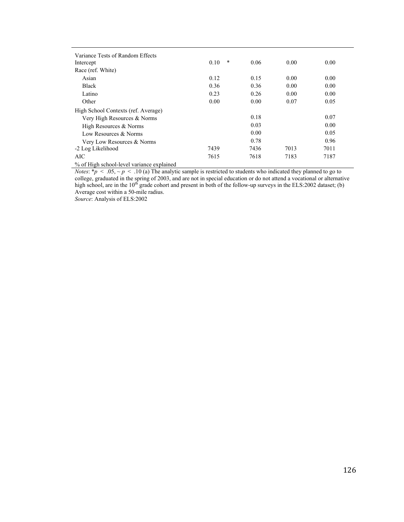| Variance Tests of Random Effects    |                |      |      |      |
|-------------------------------------|----------------|------|------|------|
| Intercept                           | $\ast$<br>0.10 | 0.06 | 0.00 | 0.00 |
| Race (ref. White)                   |                |      |      |      |
| Asian                               | 0.12           | 0.15 | 0.00 | 0.00 |
| <b>Black</b>                        | 0.36           | 0.36 | 0.00 | 0.00 |
| Latino                              | 0.23           | 0.26 | 0.00 | 0.00 |
| Other                               | 0.00           | 0.00 | 0.07 | 0.05 |
| High School Contexts (ref. Average) |                |      |      |      |
| Very High Resources & Norms         |                | 0.18 |      | 0.07 |
| High Resources & Norms              |                | 0.03 |      | 0.00 |
| Low Resources & Norms               |                | 0.00 |      | 0.05 |
| Very Low Resources & Norms          |                | 0.78 |      | 0.96 |
| -2 Log Likelihood                   | 7439           | 7436 | 7013 | 7011 |
| AIC                                 | 7615           | 7618 | 7183 | 7187 |
| .                                   |                |      |      |      |

% of High school-level variance explained

*Notes*: \**p* < .05, ~ *p* < .10 (a) The analytic sample is restricted to students who indicated they planned to go to college, graduated in the spring of 2003, and are not in special education or do not attend a vocational or alternative high school, are in the  $10^{th}$  grade cohort and present in both of the follow-up surveys in the ELS:2002 dataset; (b) Average cost within a 50-mile radius.

*Source*: Analysis of ELS:2002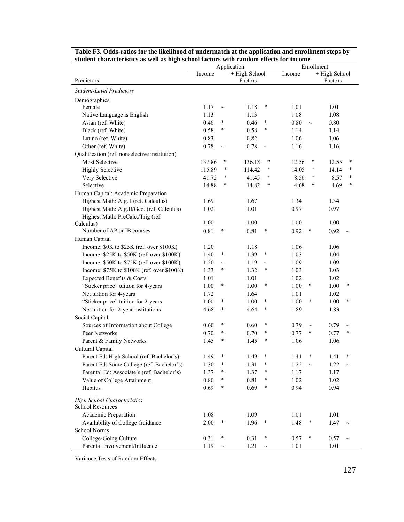| student characteristics as well as high school factors with random effects for income<br>Enrollment<br>Application |          |        |                  |                 |                 |  |  |  |  |  |  |
|--------------------------------------------------------------------------------------------------------------------|----------|--------|------------------|-----------------|-----------------|--|--|--|--|--|--|
|                                                                                                                    | Income   |        | + High School    | Income          | + High School   |  |  |  |  |  |  |
| Predictors                                                                                                         |          |        | Factors          |                 | Factors         |  |  |  |  |  |  |
| <b>Student-Level Predictors</b>                                                                                    |          |        |                  |                 |                 |  |  |  |  |  |  |
| Demographics                                                                                                       |          |        |                  |                 |                 |  |  |  |  |  |  |
| Female                                                                                                             | 1.17     | $\sim$ | 1.18<br>$\ast$   | 1.01            | 1.01            |  |  |  |  |  |  |
| Native Language is English                                                                                         | 1.13     |        | 1.13             | 1.08            | 1.08            |  |  |  |  |  |  |
| Asian (ref. White)                                                                                                 | 0.46     | $\ast$ | $\ast$<br>0.46   | 0.80<br>$\sim$  | 0.80            |  |  |  |  |  |  |
| Black (ref. White)                                                                                                 | 0.58     | $\ast$ | $\ast$<br>0.58   | 1.14            | 1.14            |  |  |  |  |  |  |
| Latino (ref. White)                                                                                                | 0.83     |        | 0.82             | 1.06            | 1.06            |  |  |  |  |  |  |
| Other (ref. White)                                                                                                 | 0.78     | $\sim$ | 0.78<br>$\sim$   | 1.16            | 1.16            |  |  |  |  |  |  |
| Qualification (ref. nonselective institution)                                                                      |          |        |                  |                 |                 |  |  |  |  |  |  |
| Most Selective                                                                                                     | 137.86   | ∗      | 136.18<br>∗      | $\ast$<br>12.56 | $\ast$<br>12.55 |  |  |  |  |  |  |
| <b>Highly Selective</b>                                                                                            | 115.89   | $\ast$ | $\ast$<br>114.42 | $\ast$<br>14.05 | $\ast$<br>14.14 |  |  |  |  |  |  |
| Very Selective                                                                                                     | 41.72    | $\ast$ | 41.45<br>∗       | $\ast$<br>8.56  | $\ast$<br>8.57  |  |  |  |  |  |  |
| Selective                                                                                                          | 14.88    | $\ast$ | 14.82<br>∗       | $\ast$<br>4.68  | *<br>4.69       |  |  |  |  |  |  |
| Human Capital: Academic Preparation                                                                                |          |        |                  |                 |                 |  |  |  |  |  |  |
| Highest Math: Alg. I (ref. Calculus)                                                                               | 1.69     |        | 1.67             | 1.34            | 1.34            |  |  |  |  |  |  |
| Highest Math: Alg.II/Geo. (ref. Calculus)                                                                          | 1.02     |        | 1.01             | 0.97            | 0.97            |  |  |  |  |  |  |
| Highest Math: PreCalc./Trig (ref.                                                                                  |          |        |                  |                 |                 |  |  |  |  |  |  |
| Calculus)                                                                                                          | 1.00     |        | 1.00             | 1.00            | 1.00            |  |  |  |  |  |  |
| Number of AP or IB courses                                                                                         | 0.81     | $\ast$ | 0.81<br>$\ast$   | 0.92<br>∗       | 0.92            |  |  |  |  |  |  |
| Human Capital                                                                                                      |          |        |                  |                 |                 |  |  |  |  |  |  |
| Income: \$0K to \$25K (ref. over \$100K)                                                                           | 1.20     |        | 1.18             | 1.06            | 1.06            |  |  |  |  |  |  |
| Income: \$25K to \$50K (ref. over \$100K)                                                                          | 1.40     | $\ast$ | 1.39<br>$\ast$   | 1.03            | 1.04            |  |  |  |  |  |  |
| Income: \$50K to \$75K (ref. over \$100K)                                                                          | 1.20     | $\sim$ | 1.19<br>$\sim$   | 1.09            | 1.09            |  |  |  |  |  |  |
| Income: \$75K to \$100K (ref. over \$100K)                                                                         | 1.33     | $\ast$ | $\ast$<br>1.32   | 1.03            | 1.03            |  |  |  |  |  |  |
| Expected Benefits & Costs                                                                                          | 1.01     |        | 1.01             | 1.02            | 1.02            |  |  |  |  |  |  |
| "Sticker price" tuition for 4-years                                                                                | 1.00     | $\ast$ | 1.00<br>∗        | 1.00<br>∗       | 1.00<br>∗       |  |  |  |  |  |  |
| Net tuition for 4-years                                                                                            | 1.72     |        | 1.64             | 1.01            | 1.02            |  |  |  |  |  |  |
| "Sticker price" tuition for 2-years                                                                                | 1.00     | $\ast$ | ∗<br>1.00        | ∗<br>1.00       | $\ast$<br>1.00  |  |  |  |  |  |  |
| Net tuition for 2-year institutions                                                                                | 4.68     | ∗      | $\ast$<br>4.64   | 1.89            | 1.83            |  |  |  |  |  |  |
| Social Capital                                                                                                     |          |        |                  |                 |                 |  |  |  |  |  |  |
| Sources of Information about College                                                                               | 0.60     | $\ast$ | *<br>0.60        | 0.79<br>$\sim$  | 0.79<br>$\sim$  |  |  |  |  |  |  |
| Peer Networks                                                                                                      | 0.70     | *      | $\ast$<br>0.70   | 0.77<br>∗       | $\ast$<br>0.77  |  |  |  |  |  |  |
| Parent & Family Networks                                                                                           | 1.45     | ¥      | $\ast$<br>1.45   | 1.06            | 1.06            |  |  |  |  |  |  |
| Cultural Capital                                                                                                   |          |        |                  |                 |                 |  |  |  |  |  |  |
| Parent Ed: High School (ref. Bachelor's)                                                                           | 1.49     |        | 1.49             | 1.41            | 1.41            |  |  |  |  |  |  |
| Parent Ed: Some College (ref. Bachelor's)                                                                          | 1.30     | ∗      | $\ast$<br>1.31   | 1.22<br>$\sim$  | 1.22            |  |  |  |  |  |  |
| Parental Ed: Associate's (ref. Bachelor's)                                                                         | 1.37     | $\ast$ | 1.37<br>∗        | 1.17            | 1.17            |  |  |  |  |  |  |
| Value of College Attainment                                                                                        | $0.80\,$ | ∗      | 0.81<br>∗        | 1.02            | 1.02            |  |  |  |  |  |  |
| Habitus                                                                                                            | 0.69     | $\ast$ | *<br>0.69        | 0.94            | 0.94            |  |  |  |  |  |  |
|                                                                                                                    |          |        |                  |                 |                 |  |  |  |  |  |  |
| <b>High School Characteristics</b><br>School Resources                                                             |          |        |                  |                 |                 |  |  |  |  |  |  |
| Academic Preparation                                                                                               | 1.08     |        | 1.09             | 1.01            | 1.01            |  |  |  |  |  |  |
| Availability of College Guidance                                                                                   | 2.00     | $\ast$ | $\ast$<br>1.96   | 1.48<br>×       | 1.47            |  |  |  |  |  |  |
| School Norms                                                                                                       |          |        |                  |                 |                 |  |  |  |  |  |  |
| College-Going Culture                                                                                              | 0.31     | $\ast$ | $\ast$<br>0.31   | $\ast$<br>0.57  | 0.57            |  |  |  |  |  |  |
| Parental Involvement/Influence                                                                                     | 1.19     | $\sim$ | 1.21             | 1.01            | 1.01            |  |  |  |  |  |  |
|                                                                                                                    |          |        | $\sim$           |                 |                 |  |  |  |  |  |  |

**Table F3. Odds-ratios for the likelihood of undermatch at the application and enrollment steps by student characteristics as well as high school factors with random effects for income**

Variance Tests of Random Effects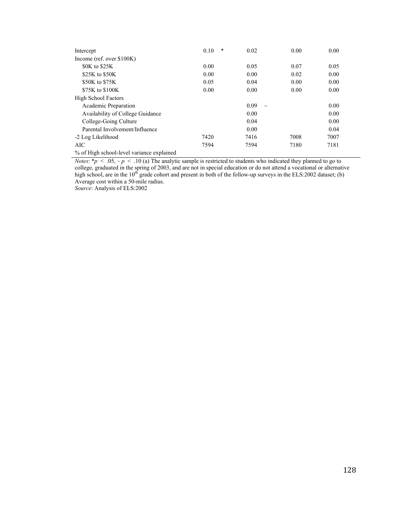| Intercept                              | *<br>0.10 | 0.02           | 0.00 | 0.00 |
|----------------------------------------|-----------|----------------|------|------|
| Income (ref. over \$100K)              |           |                |      |      |
| \$0K to \$25K                          | 0.00      | 0.05           | 0.07 | 0.05 |
| \$25K to \$50K                         | 0.00      | 0.00           | 0.02 | 0.00 |
| \$50K to \$75K                         | 0.05      | 0.04           | 0.00 | 0.00 |
| \$75K to \$100K                        | 0.00      | 0.00           | 0.00 | 0.00 |
| <b>High School Factors</b>             |           |                |      |      |
| Academic Preparation                   |           | 0.09<br>$\sim$ |      | 0.00 |
| Availability of College Guidance       |           | 0.00           |      | 0.00 |
| College-Going Culture                  |           | 0.04           |      | 0.00 |
| Parental Involvement/Influence         |           | 0.00           |      | 0.04 |
| -2 Log Likelihood                      | 7420      | 7416           | 7008 | 7007 |
| AIC                                    | 7594      | 7594           | 7180 | 7181 |
| $0/$ $0.111111$ $1.111111$ $1.1111111$ |           |                |      |      |

% of High school-level variance explained

*Notes*: \* $p$  < .05, ~ $p$  < .10 (a) The analytic sample is restricted to students who indicated they planned to go to college, graduated in the spring of 2003, and are not in special education or do not attend a vocational or alternative high school, are in the  $10^{th}$  grade cohort and present in both of the follow-up surveys in the ELS:2002 dataset; (b) Average cost within a 50-mile radius.

*Source*: Analysis of ELS:2002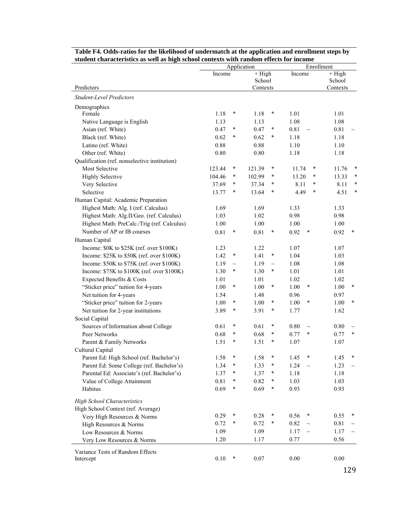|                                               | student characteristics as wen as high school contexts with random effects for income<br>Enrollment<br>Application |          |          |        |                 |                |  |
|-----------------------------------------------|--------------------------------------------------------------------------------------------------------------------|----------|----------|--------|-----------------|----------------|--|
|                                               | Income                                                                                                             | $+$ High |          | Income | $+$ High        |                |  |
|                                               |                                                                                                                    | School   |          |        | School          |                |  |
| Predictors                                    |                                                                                                                    |          | Contexts |        |                 | Contexts       |  |
| <b>Student-Level Predictors</b>               |                                                                                                                    |          |          |        |                 |                |  |
| Demographics                                  |                                                                                                                    |          |          |        |                 |                |  |
| Female                                        | 1.18                                                                                                               | $\ast$   | 1.18     | ∗      | 1.01            | 1.01           |  |
| Native Language is English                    | 1.13                                                                                                               |          | 1.13     |        | 1.08            | 1.08           |  |
| Asian (ref. White)                            | 0.47                                                                                                               | $\ast$   | 0.47     | $\ast$ | 0.81<br>$\sim$  | 0.81           |  |
| Black (ref. White)                            | 0.62                                                                                                               | $\ast$   | 0.62     | ∗      | 1.18            | 1.18           |  |
| Latino (ref. White)                           | 0.88                                                                                                               |          | 0.88     |        | 1.10            | 1.10           |  |
| Other (ref. White)                            | 0.80                                                                                                               |          | 0.80     |        | 1.18            | 1.18           |  |
| Qualification (ref. nonselective institution) |                                                                                                                    |          |          |        |                 |                |  |
| <b>Most Selective</b>                         | 123.44                                                                                                             | $\ast$   | 121.39   | $\ast$ | 11.74<br>$\ast$ | 11.76<br>∗     |  |
| <b>Highly Selective</b>                       | 104.46                                                                                                             | $\ast$   | 102.99   | *      | 13.20<br>*      | ∗<br>13.33     |  |
| Very Selective                                | 37.69                                                                                                              | $\ast$   | 37.34    | $\ast$ | 8.11<br>$\ast$  | ∗<br>8.11      |  |
| Selective                                     | 13.77                                                                                                              | ∗        | 13.64    | $\ast$ | 4.49<br>$\ast$  | ∗<br>4.51      |  |
| Human Capital: Academic Preparation           |                                                                                                                    |          |          |        |                 |                |  |
| Highest Math: Alg. I (ref. Calculus)          | 1.69                                                                                                               |          | 1.69     |        | 1.33            | 1.33           |  |
| Highest Math: Alg.II/Geo. (ref. Calculus)     | 1.03                                                                                                               |          | 1.02     |        | 0.98            | 0.98           |  |
| Highest Math: PreCalc./Trig (ref. Calculus)   | 1.00                                                                                                               |          | 1.00     |        | 1.00            | 1.00           |  |
| Number of AP or IB courses                    | 0.81                                                                                                               | $\ast$   | 0.81     | $\ast$ | 0.92<br>*       | 0.92<br>$\ast$ |  |
| Human Capital                                 |                                                                                                                    |          |          |        |                 |                |  |
| Income: \$0K to \$25K (ref. over \$100K)      | 1.23                                                                                                               |          | 1.22     |        | 1.07            | 1.07           |  |
| Income: \$25K to \$50K (ref. over \$100K)     | 1.42                                                                                                               | $\ast$   | 1.41     | ∗      | 1.04            | 1.03           |  |
| Income: \$50K to \$75K (ref. over \$100K)     | 1.19                                                                                                               | $\sim$   | 1.19     | $\sim$ | 1.08            | 1.08           |  |
| Income: \$75K to \$100K (ref. over \$100K)    | 1.30                                                                                                               | $\ast$   | 1.30     | *      | 1.01            | 1.01           |  |
| Expected Benefits & Costs                     | 1.01                                                                                                               |          | 1.01     |        | 1.02            | 1.02           |  |
| "Sticker price" tuition for 4-years           | 1.00                                                                                                               | $\ast$   | 1.00     | *      | 1.00<br>*       | $\ast$<br>1.00 |  |
| Net tuition for 4-years                       | 1.54                                                                                                               |          | 1.48     |        | 0.96            | 0.97           |  |
| "Sticker price" tuition for 2-years           | 1.00                                                                                                               | $\ast$   | 1.00     | *      | 1.00<br>*       | $\ast$<br>1.00 |  |
| Net tuition for 2-year institutions           | 3.89                                                                                                               | ∗        | 3.91     | ∗      | 1.77            | 1.62           |  |
| Social Capital                                |                                                                                                                    |          |          |        |                 |                |  |
| Sources of Information about College          | 0.61                                                                                                               | $\ast$   | 0.61     | ∗      | 0.80<br>$\sim$  | 0.80           |  |
| Peer Networks                                 | 0.68                                                                                                               | $\ast$   | 0.68     | *      | 0.77<br>$\ast$  | 0.77<br>$\ast$ |  |
| Parent & Family Networks                      | 1.51                                                                                                               | *        | 1.51     | ∗      | 1.07            | 1.07           |  |
| Cultural Capital                              |                                                                                                                    |          |          |        |                 |                |  |
| Parent Ed: High School (ref. Bachelor's)      | 1.58                                                                                                               | $\ast$   | 1.58     | ×      | 1.45<br>∗       | 1.45           |  |
| Parent Ed: Some College (ref. Bachelor's)     | 1.34                                                                                                               | $\ast$   | 1.33     | ×      | 1.24            | 1.23           |  |
| Parental Ed: Associate's (ref. Bachelor's)    | 1.37                                                                                                               | $\ast$   | 1.37     | ×      | 1.18            | 1.18           |  |
| Value of College Attainment                   | 0.81                                                                                                               | $\ast$   | 0.82     | ∗      | 1.03            | 1.03           |  |
| Habitus                                       | 0.69                                                                                                               | $\ast$   | 0.69     | *      | 0.93            | 0.93           |  |
| <b>High School Characteristics</b>            |                                                                                                                    |          |          |        |                 |                |  |
| High School Context (ref. Average)            |                                                                                                                    |          |          |        |                 |                |  |
| Very High Resources & Norms                   | 0.29                                                                                                               | $\ast$   | 0.28     | ×      | $\ast$<br>0.56  | 0.55           |  |
| High Resources & Norms                        | 0.72                                                                                                               | $\ast$   | 0.72     | $\ast$ | 0.82<br>$\sim$  | $0.81\,$       |  |
| Low Resources & Norms                         | 1.09                                                                                                               |          | 1.09     |        | 1.17<br>$\sim$  | 1.17           |  |
| Very Low Resources & Norms                    | 1.20                                                                                                               |          | 1.17     |        | 0.77            | 0.56           |  |
|                                               |                                                                                                                    |          |          |        |                 |                |  |
| Variance Tests of Random Effects              | 0.10                                                                                                               | $\ast$   | 0.07     |        | 0.00            | $0.00\,$       |  |
| Intercept                                     |                                                                                                                    |          |          |        |                 |                |  |

| Table F4. Odds-ratios for the likelihood of undermatch at the application and enrollment steps by |
|---------------------------------------------------------------------------------------------------|
| student characteristics as well as high school contexts with random effects for income            |

129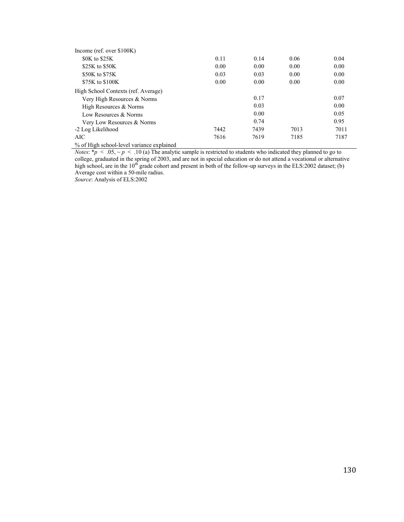| Income (ref. over $$100K$ )               |      |      |      |      |
|-------------------------------------------|------|------|------|------|
| \$0K to \$25K                             | 0.11 | 0.14 | 0.06 | 0.04 |
| \$25K to \$50K                            | 0.00 | 0.00 | 0.00 | 0.00 |
| \$50K to \$75K                            | 0.03 | 0.03 | 0.00 | 0.00 |
| \$75K to \$100K                           | 0.00 | 0.00 | 0.00 | 0.00 |
| High School Contexts (ref. Average)       |      |      |      |      |
| Very High Resources & Norms               |      | 0.17 |      | 0.07 |
| High Resources & Norms                    |      | 0.03 |      | 0.00 |
| Low Resources & Norms                     |      | 0.00 |      | 0.05 |
| Very Low Resources & Norms                |      | 0.74 |      | 0.95 |
| -2 Log Likelihood                         | 7442 | 7439 | 7013 | 7011 |
| AIC                                       | 7616 | 7619 | 7185 | 7187 |
| % of High school-level variance explained |      |      |      |      |

*Notes*: \**p* < .05, ~ *p* < .10 (a) The analytic sample is restricted to students who indicated they planned to go to college, graduated in the spring of 2003, and are not in special education or do not attend a vocational or alternative high school, are in the  $10<sup>th</sup>$  grade cohort and present in both of the follow-up surveys in the ELS:2002 dataset; (b) Average cost within a 50-mile radius.

*Source*: Analysis of ELS:2002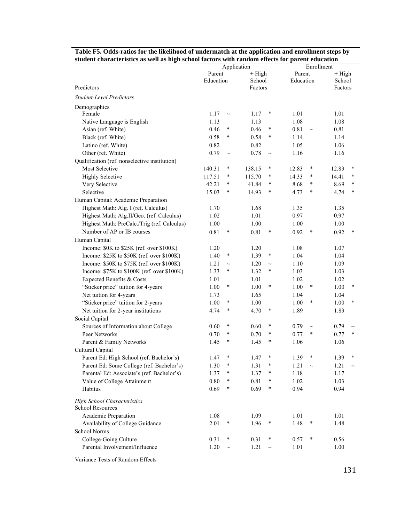|                                                        | student characteristics as wen as high school factors with random effects for parent education<br>Application<br>Enrollment |        |                    |        |           |        |              |        |
|--------------------------------------------------------|-----------------------------------------------------------------------------------------------------------------------------|--------|--------------------|--------|-----------|--------|--------------|--------|
|                                                        | Parent<br>Education                                                                                                         |        | $+$ High<br>School |        | Parent    |        | $+$ High     |        |
|                                                        |                                                                                                                             |        |                    |        | Education |        | School       |        |
| Predictors                                             |                                                                                                                             |        | Factors            |        |           |        | Factors      |        |
| <b>Student-Level Predictors</b>                        |                                                                                                                             |        |                    |        |           |        |              |        |
| Demographics                                           |                                                                                                                             |        |                    |        |           |        |              |        |
| Female                                                 | 1.17                                                                                                                        | $\sim$ | 1.17               | $\ast$ | 1.01      |        | 1.01         |        |
| Native Language is English                             | 1.13                                                                                                                        |        | 1.13               |        | 1.08      |        | 1.08         |        |
| Asian (ref. White)                                     | 0.46                                                                                                                        | $\ast$ | 0.46               | $\ast$ | 0.81      | $\sim$ | 0.81         |        |
| Black (ref. White)                                     | 0.58                                                                                                                        | $\ast$ | 0.58               | $\ast$ | 1.14      |        | 1.14         |        |
| Latino (ref. White)                                    | 0.82                                                                                                                        |        | 0.82               |        | 1.05      |        | 1.06         |        |
| Other (ref. White)                                     | 0.79                                                                                                                        | $\sim$ | 0.78               | $\sim$ | 1.16      |        | 1.16         |        |
| Qualification (ref. nonselective institution)          |                                                                                                                             |        |                    |        |           |        |              |        |
| Most Selective                                         | 140.31                                                                                                                      | $\ast$ | 138.15             | ∗      | 12.83     | $\ast$ | 12.83        | $\ast$ |
| <b>Highly Selective</b>                                | 117.51                                                                                                                      | $\ast$ | 115.70             | $\ast$ | 14.33     | $\ast$ | 14.41        | $\ast$ |
| Very Selective                                         | 42.21                                                                                                                       | $\ast$ | 41.84              | *      | 8.68      | $\ast$ | 8.69         | $\ast$ |
| Selective                                              | 15.03                                                                                                                       | $\ast$ | 14.93              | ∗      | 4.73      | $\ast$ | 4.74         | $\ast$ |
| Human Capital: Academic Preparation                    |                                                                                                                             |        |                    |        |           |        |              |        |
| Highest Math: Alg. I (ref. Calculus)                   | 1.70                                                                                                                        |        | 1.68               |        | 1.35      |        | 1.35         |        |
| Highest Math: Alg.II/Geo. (ref. Calculus)              | 1.02                                                                                                                        |        | 1.01               |        | 0.97      |        | 0.97         |        |
| Highest Math: PreCalc./Trig (ref. Calculus)            | 1.00                                                                                                                        |        | 1.00               |        | 1.00      |        | 1.00         |        |
| Number of AP or IB courses                             | 0.81                                                                                                                        | $\ast$ | 0.81               | $\ast$ | 0.92      | $\ast$ | 0.92         | $\ast$ |
| Human Capital                                          |                                                                                                                             |        |                    |        |           |        |              |        |
| Income: \$0K to \$25K (ref. over \$100K)               | 1.20                                                                                                                        |        | 1.20               |        | 1.08      |        | 1.07         |        |
| Income: \$25K to \$50K (ref. over \$100K)              | 1.40                                                                                                                        | $\ast$ | 1.39               | ∗      | 1.04      |        | 1.04         |        |
| Income: \$50K to \$75K (ref. over \$100K)              | 1.21                                                                                                                        | $\sim$ | 1.20               | $\sim$ | 1.10      |        | 1.09         |        |
| Income: \$75K to \$100K (ref. over \$100K)             | 1.33                                                                                                                        | $\ast$ | 1.32               | $\ast$ | 1.03      |        | 1.03         |        |
| Expected Benefits & Costs                              | 1.01                                                                                                                        |        | 1.01               |        | 1.02      |        | 1.02         |        |
| "Sticker price" tuition for 4-years                    | 1.00                                                                                                                        | $\ast$ | 1.00               | $\ast$ | 1.00      | ∗      | 1.00         | $\ast$ |
| Net tuition for 4-years                                | 1.73                                                                                                                        |        | 1.65               |        | 1.04      |        | 1.04         |        |
| "Sticker price" tuition for 2-years                    | 1.00                                                                                                                        | $\ast$ | 1.00               |        | 1.00      | $\ast$ | 1.00         | $\ast$ |
| Net tuition for 2-year institutions                    | 4.74                                                                                                                        | $\ast$ | 4.70               | $\ast$ | 1.89      |        | 1.83         |        |
| Social Capital                                         |                                                                                                                             |        |                    |        |           |        |              |        |
| Sources of Information about College                   | 0.60                                                                                                                        | $\ast$ | 0.60               | $\ast$ | 0.79      | $\sim$ | 0.79         | $\sim$ |
| Peer Networks                                          | 0.70                                                                                                                        | $\ast$ | 0.70               | $\ast$ | 0.77      | $\ast$ | 0.77         | $\ast$ |
| Parent & Family Networks                               | 1.45                                                                                                                        | ∗      | 1.45               | *      | 1.06      |        | 1.06         |        |
| Cultural Capital                                       |                                                                                                                             |        |                    |        |           |        |              |        |
| Parent Ed: High School (ref. Bachelor's)               | 1.47                                                                                                                        | $\ast$ |                    | ∗      | 1.39      | ∗      |              |        |
| Parent Ed: Some College (ref. Bachelor's)              | 1.30                                                                                                                        | $\ast$ | 1.47<br>1.31       | ∗      | 1.21      |        | 1.39<br>1.21 |        |
| Parental Ed: Associate's (ref. Bachelor's)             |                                                                                                                             | $\ast$ | 1.37               | ∗      | 1.18      |        |              |        |
| Value of College Attainment                            | 1.37<br>$0.80\,$                                                                                                            | $\ast$ | 0.81               | ∗      | 1.02      |        | 1.17         |        |
| Habitus                                                |                                                                                                                             | $\ast$ | 0.69               | $\ast$ | 0.94      |        | 1.03         |        |
|                                                        | 0.69                                                                                                                        |        |                    |        |           |        | 0.94         |        |
| <b>High School Characteristics</b><br>School Resources |                                                                                                                             |        |                    |        |           |        |              |        |
| Academic Preparation                                   | 1.08                                                                                                                        |        | 1.09               |        | 1.01      |        | 1.01         |        |
| Availability of College Guidance                       | 2.01                                                                                                                        | $\ast$ | 1.96               | $\ast$ | 1.48      | $\ast$ | 1.48         |        |
| School Norms                                           |                                                                                                                             |        |                    |        |           |        |              |        |
| College-Going Culture                                  | 0.31                                                                                                                        | $\ast$ | 0.31               | ∗      | 0.57      | $\ast$ | 0.56         |        |
| Parental Involvement/Influence                         | 1.20                                                                                                                        | $\sim$ | 1.21               | $\sim$ | 1.01      |        | 1.00         |        |

**Table F5. Odds-ratios for the likelihood of undermatch at the application and enrollment steps by student characteristics as well as high school factors with random effects for parent education**

Variance Tests of Random Effects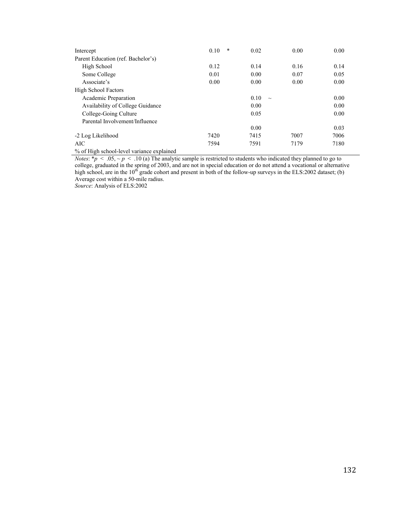| Intercept                          | $\ast$<br>0.10 | 0.02           | 0.00 | 0.00 |
|------------------------------------|----------------|----------------|------|------|
| Parent Education (ref. Bachelor's) |                |                |      |      |
| High School                        | 0.12           | 0.14           | 0.16 | 0.14 |
| Some College                       | 0.01           | 0.00           | 0.07 | 0.05 |
| Associate's                        | 0.00           | 0.00           | 0.00 | 0.00 |
| <b>High School Factors</b>         |                |                |      |      |
| Academic Preparation               |                | 0.10<br>$\sim$ |      | 0.00 |
| Availability of College Guidance   |                | 0.00           |      | 0.00 |
| College-Going Culture              |                | 0.05           |      | 0.00 |
| Parental Involvement/Influence     |                |                |      |      |
|                                    |                | 0.00           |      | 0.03 |
| -2 Log Likelihood                  | 7420           | 7415           | 7007 | 7006 |
| AIC                                | 7594           | 7591           | 7179 | 7180 |
|                                    |                |                |      |      |

% of High school-level variance explained

*Notes*:  $* p < .05, \, \sim p < .10$  (a) The analytic sample is restricted to students who indicated they planned to go to college, graduated in the spring of 2003, and are not in special education or do not attend a vocational or alternative high school, are in the  $10^{th}$  grade cohort and present in both of the follow-up surveys in the ELS:2002 dataset; (b) Average cost within a 50-mile radius.

*Source*: Analysis of ELS:2002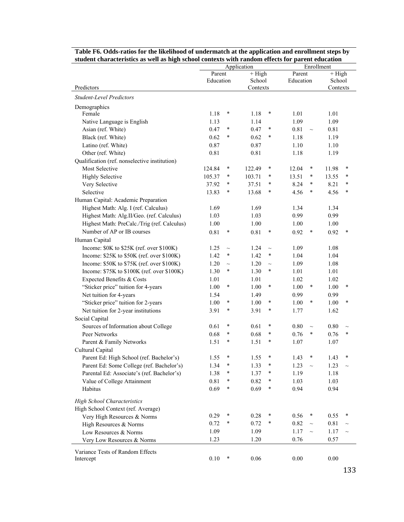|                                               | student characteristics as well as high school contexts with random effects for parent education<br>Enrollment |        |                              |        |           |        |          |        |
|-----------------------------------------------|----------------------------------------------------------------------------------------------------------------|--------|------------------------------|--------|-----------|--------|----------|--------|
|                                               | Application<br>$+$ High<br>Parent                                                                              |        | $+\overline{High}$<br>Parent |        |           |        |          |        |
|                                               | Education                                                                                                      |        | School                       |        | Education |        | School   |        |
| Predictors                                    |                                                                                                                |        | Contexts                     |        |           |        | Contexts |        |
| <b>Student-Level Predictors</b>               |                                                                                                                |        |                              |        |           |        |          |        |
| Demographics                                  |                                                                                                                |        |                              |        |           |        |          |        |
| Female                                        | 1.18                                                                                                           | ∗      | 1.18                         | $\ast$ | 1.01      |        | 1.01     |        |
| Native Language is English                    | 1.13                                                                                                           |        | 1.14                         |        | 1.09      |        | 1.09     |        |
| Asian (ref. White)                            | 0.47                                                                                                           | $\ast$ | 0.47                         | $\ast$ | 0.81      | $\sim$ | 0.81     |        |
| Black (ref. White)                            | 0.62                                                                                                           | $\ast$ | 0.62                         | $\ast$ | 1.18      |        | 1.19     |        |
| Latino (ref. White)                           | 0.87                                                                                                           |        | 0.87                         |        | 1.10      |        | 1.10     |        |
| Other (ref. White)                            | 0.81                                                                                                           |        | 0.81                         |        | 1.18      |        | 1.19     |        |
| Qualification (ref. nonselective institution) |                                                                                                                |        |                              |        |           |        |          |        |
| <b>Most Selective</b>                         | 124.84                                                                                                         | ∗      | 122.49                       | $\ast$ | 12.04     | $\ast$ | 11.98    | $\ast$ |
| <b>Highly Selective</b>                       | 105.37                                                                                                         | $\ast$ | 103.71                       | ∗      | 13.51     | *      | 13.55    | $\ast$ |
| Very Selective                                | 37.92                                                                                                          | $\ast$ | 37.51                        | $\ast$ | 8.24      | $\ast$ | 8.21     | $\ast$ |
| Selective                                     | 13.83                                                                                                          | $\ast$ | 13.68                        | *      | 4.56      | $\ast$ | 4.56     | $\ast$ |
| Human Capital: Academic Preparation           |                                                                                                                |        |                              |        |           |        |          |        |
| Highest Math: Alg. I (ref. Calculus)          | 1.69                                                                                                           |        | 1.69                         |        | 1.34      |        | 1.34     |        |
| Highest Math: Alg.II/Geo. (ref. Calculus)     | 1.03                                                                                                           |        | 1.03                         |        | 0.99      |        | 0.99     |        |
| Highest Math: PreCalc./Trig (ref. Calculus)   | 1.00                                                                                                           |        | 1.00                         |        | 1.00      |        | 1.00     |        |
| Number of AP or IB courses                    | 0.81                                                                                                           | $\ast$ | 0.81                         | $\ast$ | 0.92      | $\ast$ | 0.92     | $\ast$ |
| Human Capital                                 |                                                                                                                |        |                              |        |           |        |          |        |
| Income: \$0K to \$25K (ref. over \$100K)      | 1.25                                                                                                           | $\sim$ | 1.24                         | $\sim$ | 1.09      |        | 1.08     |        |
| Income: \$25K to \$50K (ref. over \$100K)     | 1.42                                                                                                           | $\ast$ | 1.42                         | $\ast$ | 1.04      |        | 1.04     |        |
| Income: \$50K to \$75K (ref. over \$100K)     | 1.20                                                                                                           | $\sim$ | 1.20                         | $\sim$ | 1.09      |        | 1.08     |        |
| Income: \$75K to \$100K (ref. over \$100K)    | 1.30                                                                                                           | $\ast$ | 1.30                         | $\ast$ | 1.01      |        | 1.01     |        |
| Expected Benefits & Costs                     | 1.01                                                                                                           |        | 1.01                         |        | 1.02      |        | 1.02     |        |
| "Sticker price" tuition for 4-years           | 1.00                                                                                                           | $\ast$ | 1.00                         | $\ast$ | 1.00      | $\ast$ | 1.00     | $\ast$ |
| Net tuition for 4-years                       | 1.54                                                                                                           |        | 1.49                         |        | 0.99      |        | 0.99     |        |
| "Sticker price" tuition for 2-years           | 1.00                                                                                                           | $\ast$ | 1.00                         | $\ast$ | 1.00      | $\ast$ | 1.00     | $\ast$ |
| Net tuition for 2-year institutions           | 3.91                                                                                                           | $\ast$ | 3.91                         | ∗      | 1.77      |        | 1.62     |        |
| Social Capital                                |                                                                                                                |        |                              |        |           |        |          |        |
| Sources of Information about College          | 0.61                                                                                                           | $\ast$ | 0.61                         | *      | 0.80      | $\sim$ | 0.80     | $\sim$ |
| Peer Networks                                 | 0.68                                                                                                           | $\ast$ | 0.68                         | *      | 0.76      | $\ast$ | 0.76     | $\ast$ |
| Parent & Family Networks                      | 1.51                                                                                                           | $\ast$ | 1.51                         | *      | 1.07      |        | 1.07     |        |
| Cultural Capital                              |                                                                                                                |        |                              |        |           |        |          |        |
| Parent Ed: High School (ref. Bachelor's)      | 1.55                                                                                                           | $\ast$ | 1.55                         | *      | 1.43      | *      | 1.43     | $\ast$ |
| Parent Ed: Some College (ref. Bachelor's)     | 1.34                                                                                                           | ∗      | 1.33                         | *      | 1.23      | $\sim$ | 1.23     |        |
| Parental Ed: Associate's (ref. Bachelor's)    | 1.38                                                                                                           | ∗      | 1.37                         | *      | 1.19      |        | 1.18     |        |
| Value of College Attainment                   | 0.81                                                                                                           | ∗      | 0.82                         | *      | 1.03      |        | 1.03     |        |
| Habitus                                       | 0.69                                                                                                           | ∗      | 0.69                         | ∗      | 0.94      |        | 0.94     |        |
| <b>High School Characteristics</b>            |                                                                                                                |        |                              |        |           |        |          |        |
| High School Context (ref. Average)            |                                                                                                                |        |                              |        |           |        |          |        |
| Very High Resources & Norms                   | 0.29                                                                                                           | ∗      | 0.28                         | $\ast$ | 0.56      | $\ast$ | 0.55     | $\ast$ |
| High Resources & Norms                        | 0.72                                                                                                           | $\ast$ | 0.72                         | ∗      | 0.82      | $\sim$ | $0.81\,$ |        |
| Low Resources & Norms                         | 1.09                                                                                                           |        | 1.09                         |        | 1.17      | $\sim$ | 1.17     |        |
| Very Low Resources & Norms                    | 1.23                                                                                                           |        | 1.20                         |        | 0.76      |        | 0.57     |        |
| Variance Tests of Random Effects              |                                                                                                                |        |                              |        |           |        |          |        |
| Intercept                                     | 0.10                                                                                                           | $\ast$ | 0.06                         |        | 0.00      |        | 0.00     |        |
|                                               |                                                                                                                |        |                              |        |           |        |          |        |

| Table F6. Odds-ratios for the likelihood of undermatch at the application and enrollment steps by |
|---------------------------------------------------------------------------------------------------|
| student characteristics as well as high school contexts with random effects for parent education  |

133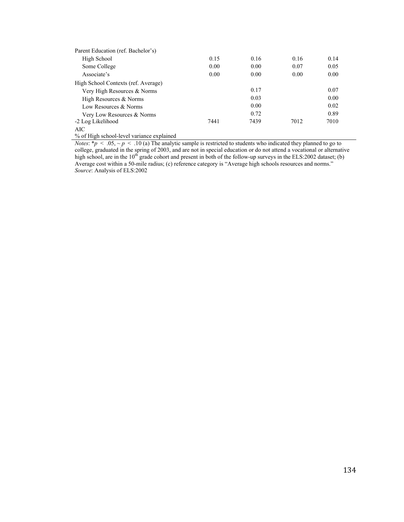| Parent Education (ref. Bachelor's)  |      |      |      |      |
|-------------------------------------|------|------|------|------|
| High School                         | 0.15 | 0.16 | 0.16 | 0.14 |
| Some College                        | 0.00 | 0.00 | 0.07 | 0.05 |
| Associate's                         | 0.00 | 0.00 | 0.00 | 0.00 |
| High School Contexts (ref. Average) |      |      |      |      |
| Very High Resources & Norms         |      | 0.17 |      | 0.07 |
| High Resources & Norms              |      | 0.03 |      | 0.00 |
| Low Resources & Norms               |      | 0.00 |      | 0.02 |
| Very Low Resources & Norms          |      | 0.72 |      | 0.89 |
| -2 Log Likelihood                   | 7441 | 7439 | 7012 | 7010 |
| AIC                                 |      |      |      |      |

% of High school-level variance explained

*Notes*: \* $p$  < .05, ~ $p$  < .10 (a) The analytic sample is restricted to students who indicated they planned to go to college, graduated in the spring of 2003, and are not in special education or do not attend a vocational or alternative high school, are in the  $10^{th}$  grade cohort and present in both of the follow-up surveys in the ELS:2002 dataset; (b) Average cost within a 50-mile radius; (c) reference category is "Average high schools resources and norms." *Source*: Analysis of ELS:2002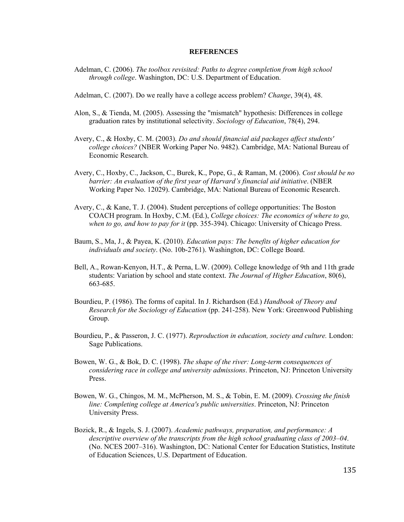## **REFERENCES**

- Adelman, C. (2006). *The toolbox revisited: Paths to degree completion from high school through college*. Washington, DC: U.S. Department of Education.
- Adelman, C. (2007). Do we really have a college access problem? *Change*, 39(4), 48.
- Alon, S., & Tienda, M. (2005). Assessing the "mismatch" hypothesis: Differences in college graduation rates by institutional selectivity. *Sociology of Education*, 78(4), 294.
- Avery, C., & Hoxby, C. M. (2003). *Do and should financial aid packages affect students' college choices?* (NBER Working Paper No. 9482). Cambridge, MA: National Bureau of Economic Research.
- Avery, C., Hoxby, C., Jackson, C., Burek, K., Pope, G., & Raman, M. (2006). *Cost should be no barrier: An evaluation of the first year of Harvard's financial aid initiative*. (NBER Working Paper No. 12029). Cambridge, MA: National Bureau of Economic Research.
- Avery, C., & Kane, T. J. (2004). Student perceptions of college opportunities: The Boston COACH program. In Hoxby, C.M. (Ed.), *College choices: The economics of where to go, when to go, and how to pay for it* (pp. 355-394). Chicago: University of Chicago Press.
- Baum, S., Ma, J., & Payea, K. (2010). *Education pays: The benefits of higher education for individuals and society*. (No. 10b-2761). Washington, DC: College Board.
- Bell, A., Rowan-Kenyon, H.T., & Perna, L.W. (2009). College knowledge of 9th and 11th grade students: Variation by school and state context. *The Journal of Higher Education*, 80(6), 663-685.
- Bourdieu, P. (1986). The forms of capital. In J. Richardson (Ed.) *Handbook of Theory and Research for the Sociology of Education* (pp. 241-258). New York: Greenwood Publishing Group.
- Bourdieu, P., & Passeron, J. C. (1977). *Reproduction in education, society and culture.* London: Sage Publications.
- Bowen, W. G., & Bok, D. C. (1998). *The shape of the river: Long-term consequences of considering race in college and university admissions*. Princeton, NJ: Princeton University Press.
- Bowen, W. G., Chingos, M. M., McPherson, M. S., & Tobin, E. M. (2009). *Crossing the finish line: Completing college at America's public universities*. Princeton, NJ: Princeton University Press.
- Bozick, R., & Ingels, S. J. (2007). *Academic pathways, preparation, and performance: A descriptive overview of the transcripts from the high school graduating class of 2003–04*. (No. NCES 2007–316). Washington, DC: National Center for Education Statistics, Institute of Education Sciences, U.S. Department of Education.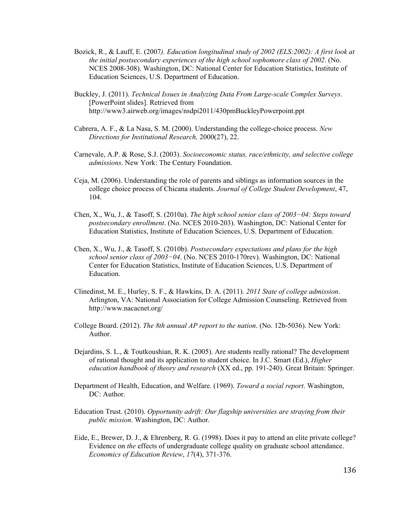- Bozick, R., & Lauff, E. (2007*). Education longitudinal study of 2002 (ELS:2002): A first look at the initial postsecondary experiences of the high school sophomore class of 2002*. (No. NCES 2008-308). Washington, DC: National Center for Education Statistics, Institute of Education Sciences, U.S. Department of Education.
- Buckley, J. (2011). *Technical Issues in Analyzing Data From Large-scale Complex Surveys*. [PowerPoint slides]. Retrieved from http://www3.airweb.org/images/nsdpi2011/430pmBuckleyPowerpoint.ppt
- Cabrera, A. F., & La Nasa, S. M. (2000). Understanding the college-choice process. *New Directions for Institutional Research,* 2000(27), 22.
- Carnevale, A.P. & Rose, S.J. (2003). *Socioeconomic status, race/ethnicity, and selective college admissions*. New York: The Century Foundation.
- Ceja, M. (2006). Understanding the role of parents and siblings as information sources in the college choice process of Chicana students. *Journal of College Student Development*, 47, 104.
- Chen, X., Wu, J., & Tasoff, S. (2010a). *The high school senior class of 2003−04: Steps toward postsecondary enrollment*. (No. NCES 2010-203). Washington, DC: National Center for Education Statistics, Institute of Education Sciences, U.S. Department of Education.
- Chen, X., Wu, J., & Tasoff, S. (2010b). *Postsecondary expectations and plans for the high school senior class of 2003−04*. (No. NCES 2010-170rev). Washington, DC: National Center for Education Statistics, Institute of Education Sciences, U.S. Department of Education.
- Clinedinst, M. E., Hurley, S. F., & Hawkins, D. A. (2011). *2011 State of college admission*. Arlington, VA: National Association for College Admission Counseling. Retrieved from http://www.nacacnet.org/
- College Board. (2012). *The 8th annual AP report to the nation*. (No. 12b-5036). New York: Author.
- Dejardins, S. L., & Toutkoushian, R. K. (2005). Are students really rational? The development of rational thought and its application to student choice. In J.C. Smart (Ed.), *Higher education handbook of theory and research* (XX ed., pp. 191-240). Great Britain: Springer.
- Department of Health, Education, and Welfare. (1969). *Toward a social report*. Washington, DC: Author.
- Education Trust. (2010). *Opportunity adrift: Our flagship universities are straying from their public mission*. Washington, DC: Author.
- Eide, E., Brewer, D. J., & Ehrenberg, R. G. (1998). Does it pay to attend an elite private college? Evidence on *the* effects of undergraduate college quality on graduate school attendance. *Economics of Education Review*, *17*(4), 371-376.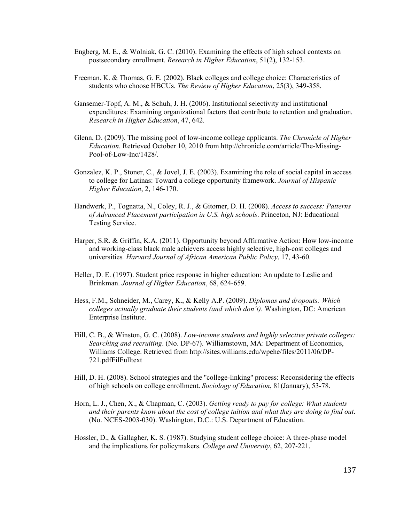- Engberg, M. E., & Wolniak, G. C. (2010). Examining the effects of high school contexts on postsecondary enrollment. *Research in Higher Education*, 51(2), 132-153.
- Freeman. K. & Thomas, G. E. (2002). Black colleges and college choice: Characteristics of students who choose HBCUs. *The Review of Higher Education*, 25(3), 349-358.
- Gansemer-Topf, A. M., & Schuh, J. H. (2006). Institutional selectivity and institutional expenditures: Examining organizational factors that contribute to retention and graduation. *Research in Higher Education*, 47, 642.
- Glenn, D. (2009). The missing pool of low-income college applicants. *The Chronicle of Higher Education*. Retrieved October 10, 2010 from http://chronicle.com/article/The-Missing-Pool-of-Low-Inc/1428/.
- Gonzalez, K. P., Stoner, C., & Jovel, J. E. (2003). Examining the role of social capital in access to college for Latinas: Toward a college opportunity framework. *Journal of Hispanic Higher Education*, 2, 146-170.
- Handwerk, P., Tognatta, N., Coley, R. J., & Gitomer, D. H. (2008). *Access to success: Patterns of Advanced Placement participation in U.S. high schools*. Princeton, NJ: Educational Testing Service.
- Harper, S.R. & Griffin, K.A. (2011). Opportunity beyond Affirmative Action: How low-income and working-class black male achievers access highly selective, high-cost colleges and universities*. Harvard Journal of African American Public Policy*, 17, 43-60.
- Heller, D. E. (1997). Student price response in higher education: An update to Leslie and Brinkman. *Journal of Higher Education*, 68, 624-659.
- Hess, F.M., Schneider, M., Carey, K., & Kelly A.P. (2009). *Diplomas and dropouts: Which colleges actually graduate their students (and which don't)*. Washington, DC: American Enterprise Institute.
- Hill, C. B., & Winston, G. C. (2008). *Low-income students and highly selective private colleges: Searching and recruiting*. (No. DP-67). Williamstown, MA: Department of Economics, Williams College. Retrieved from http://sites.williams.edu/wpehe/files/2011/06/DP-721.pdfFilFulltext
- Hill, D. H. (2008). School strategies and the ''college-linking'' process: Reconsidering the effects of high schools on college enrollment. *Sociology of Education*, 81(January), 53-78.
- Horn, L. J., Chen, X., & Chapman, C. (2003). *Getting ready to pay for college: What students and their parents know about the cost of college tuition and what they are doing to find out*. (No. NCES-2003-030). Washington, D.C.: U.S. Department of Education.
- Hossler, D., & Gallagher, K. S. (1987). Studying student college choice: A three-phase model and the implications for policymakers. *College and University*, 62, 207-221.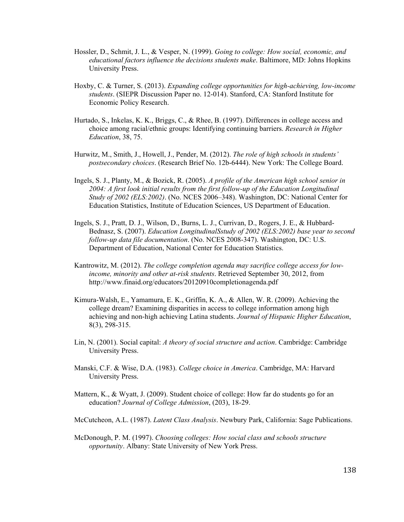- Hossler, D., Schmit, J. L., & Vesper, N. (1999). *Going to college: How social, economic, and educational factors influence the decisions students make*. Baltimore, MD: Johns Hopkins University Press.
- Hoxby, C. & Turner, S. (2013). *Expanding college opportunities for high-achieving, low-income students*. (SIEPR Discussion Paper no. 12-014). Stanford, CA: Stanford Institute for Economic Policy Research.
- Hurtado, S., Inkelas, K. K., Briggs, C., & Rhee, B. (1997). Differences in college access and choice among racial/ethnic groups: Identifying continuing barriers. *Research in Higher Education*, 38, 75.
- Hurwitz, M., Smith, J., Howell, J., Pender, M. (2012). *The role of high schools in students' postsecondary choices*. (Research Brief No. 12b-6444). New York: The College Board.
- Ingels, S. J., Planty, M., & Bozick, R. (2005). *A profile of the American high school senior in 2004: A first look initial results from the first follow-up of the Education Longitudinal Study of 2002 (ELS:2002)*. (No. NCES 2006–348). Washington, DC: National Center for Education Statistics, Institute of Education Sciences, US Department of Education.
- Ingels, S. J., Pratt, D. J., Wilson, D., Burns, L. J., Currivan, D., Rogers, J. E., & Hubbard-Bednasz, S. (2007). *Education LongitudinalSstudy of 2002 (ELS:2002) base year to second follow-up data file documentation*. (No. NCES 2008-347). Washington, DC: U.S. Department of Education, National Center for Education Statistics.
- Kantrowitz, M. (2012). *The college completion agenda may sacrifice college access for lowincome, minority and other at-risk students*. Retrieved September 30, 2012, from http://www.finaid.org/educators/20120910completionagenda.pdf
- Kimura-Walsh, E., Yamamura, E. K., Griffin, K. A., & Allen, W. R. (2009). Achieving the college dream? Examining disparities in access to college information among high achieving and non-high achieving Latina students. *Journal of Hispanic Higher Education*, 8(3), 298-315.
- Lin, N. (2001). Social capital: *A theory of social structure and action*. Cambridge: Cambridge University Press.
- Manski, C.F. & Wise, D.A. (1983). *College choice in America*. Cambridge, MA: Harvard University Press.
- Mattern, K., & Wyatt, J. (2009). Student choice of college: How far do students go for an education? *Journal of College Admission*, (203), 18-29.
- McCutcheon, A.L. (1987). *Latent Class Analysis*. Newbury Park, California: Sage Publications.
- McDonough, P. M. (1997). *Choosing colleges: How social class and schools structure opportunity*. Albany: State University of New York Press.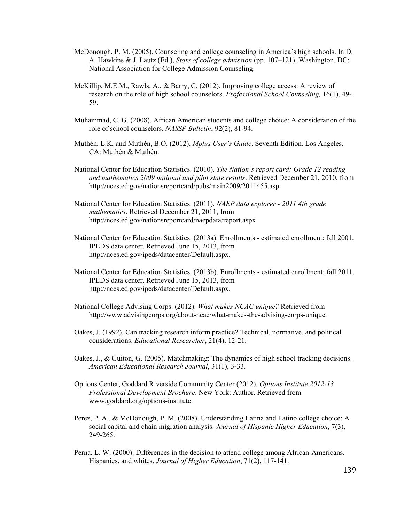- McDonough, P. M. (2005). Counseling and college counseling in America's high schools. In D. A. Hawkins & J. Lautz (Ed.), *State of college admission* (pp. 107–121). Washington, DC: National Association for College Admission Counseling.
- McKillip, M.E.M., Rawls, A., & Barry, C. (2012). Improving college access: A review of research on the role of high school counselors. *Professional School Counseling,* 16(1), 49- 59.
- Muhammad, C. G. (2008). African American students and college choice: A consideration of the role of school counselors. *NASSP Bulletin*, 92(2), 81-94.
- Muthén, L.K. and Muthén, B.O. (2012). *Mplus User's Guide*. Seventh Edition. Los Angeles, CA: Muthén & Muthén.
- National Center for Education Statistics. (2010). *The Nation's report card: Grade 12 reading and mathematics 2009 national and pilot state results*. Retrieved December 21, 2010, from http://nces.ed.gov/nationsreportcard/pubs/main2009/2011455.asp
- National Center for Education Statistics. (2011). *NAEP data explorer 2011 4th grade mathematics*. Retrieved December 21, 2011, from http://nces.ed.gov/nationsreportcard/naepdata/report.aspx
- National Center for Education Statistics. (2013a). Enrollments estimated enrollment: fall 2001. IPEDS data center. Retrieved June 15, 2013, from http://nces.ed.gov/ipeds/datacenter/Default.aspx.
- National Center for Education Statistics. (2013b). Enrollments estimated enrollment: fall 2011. IPEDS data center. Retrieved June 15, 2013, from http://nces.ed.gov/ipeds/datacenter/Default.aspx.
- National College Advising Corps. (2012). *What makes NCAC unique?* Retrieved from http://www.advisingcorps.org/about-ncac/what-makes-the-advising-corps-unique.
- Oakes, J. (1992). Can tracking research inform practice? Technical, normative, and political considerations. *Educational Researcher*, 21(4), 12-21.
- Oakes, J., & Guiton, G. (2005). Matchmaking: The dynamics of high school tracking decisions. *American Educational Research Journal*, 31(1), 3-33.
- Options Center, Goddard Riverside Community Center (2012). *Options Institute 2012-13 Professional Development Brochure*. New York: Author. Retrieved from www.goddard.org/options-institute.
- Perez, P. A., & McDonough, P. M. (2008). Understanding Latina and Latino college choice: A social capital and chain migration analysis. *Journal of Hispanic Higher Education*, 7(3), 249-265.
- Perna, L. W. (2000). Differences in the decision to attend college among African-Americans, Hispanics, and whites. *Journal of Higher Education*, 71(2), 117-141.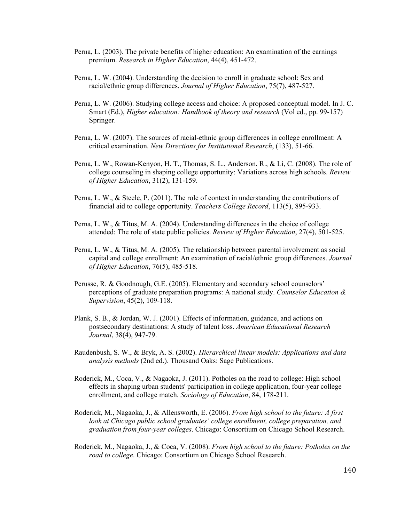- Perna, L. (2003). The private benefits of higher education: An examination of the earnings premium. *Research in Higher Education*, 44(4), 451-472.
- Perna, L. W. (2004). Understanding the decision to enroll in graduate school: Sex and racial/ethnic group differences. *Journal of Higher Education*, 75(7), 487-527.
- Perna, L. W. (2006). Studying college access and choice: A proposed conceptual model. In J. C. Smart (Ed.), *Higher education: Handbook of theory and research* (Vol ed., pp. 99-157) Springer.
- Perna, L. W. (2007). The sources of racial-ethnic group differences in college enrollment: A critical examination. *New Directions for Institutional Research*, (133), 51-66.
- Perna, L. W., Rowan-Kenyon, H. T., Thomas, S. L., Anderson, R., & Li, C. (2008). The role of college counseling in shaping college opportunity: Variations across high schools. *Review of Higher Education*, 31(2), 131-159.
- Perna, L. W., & Steele, P. (2011). The role of context in understanding the contributions of financial aid to college opportunity. *Teachers College Record*, 113(5), 895-933.
- Perna, L. W., & Titus, M. A. (2004). Understanding differences in the choice of college attended: The role of state public policies. *Review of Higher Education*, 27(4), 501-525.
- Perna, L. W., & Titus, M. A. (2005). The relationship between parental involvement as social capital and college enrollment: An examination of racial/ethnic group differences. *Journal of Higher Education*, 76(5), 485-518.
- Perusse, R. & Goodnough, G.E. (2005). Elementary and secondary school counselors' perceptions of graduate preparation programs: A national study. *Counselor Education & Supervision*, 45(2), 109-118.
- Plank, S. B., & Jordan, W. J. (2001). Effects of information, guidance, and actions on postsecondary destinations: A study of talent loss. *American Educational Research Journal*, 38(4), 947-79.
- Raudenbush, S. W., & Bryk, A. S. (2002). *Hierarchical linear models: Applications and data analysis methods* (2nd ed.). Thousand Oaks: Sage Publications.
- Roderick, M., Coca, V., & Nagaoka, J. (2011). Potholes on the road to college: High school effects in shaping urban students' participation in college application, four-year college enrollment, and college match. *Sociology of Education*, 84, 178-211.
- Roderick, M., Nagaoka, J., & Allensworth, E. (2006). *From high school to the future: A first look at Chicago public school graduates' college enrollment, college preparation, and graduation from four-year colleges*. Chicago: Consortium on Chicago School Research.
- Roderick, M., Nagaoka, J., & Coca, V. (2008). *From high school to the future: Potholes on the road to college*. Chicago: Consortium on Chicago School Research.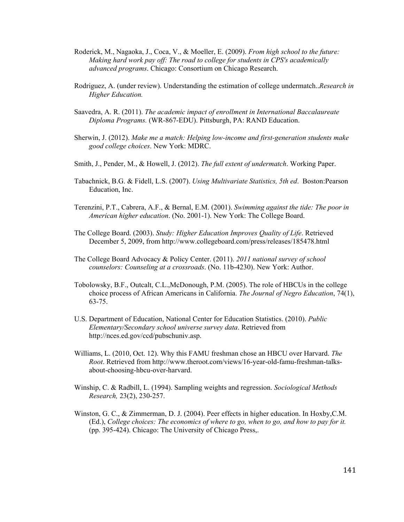- Roderick, M., Nagaoka, J., Coca, V., & Moeller, E. (2009). *From high school to the future: Making hard work pay off: The road to college for students in CPS's academically advanced programs*. Chicago: Consortium on Chicago Research.
- Rodriguez, A. (under review). Understanding the estimation of college undermatch..*Research in Higher Education.*
- Saavedra, A. R. (2011). *The academic impact of enrollment in International Baccalaureate Diploma Programs.* (WR-867-EDU). Pittsburgh, PA: RAND Education.
- Sherwin, J. (2012). *Make me a match: Helping low-income and first-generation students make good college choices*. New York: MDRC.
- Smith, J., Pender, M., & Howell, J. (2012). *The full extent of undermatch*. Working Paper.
- Tabachnick, B.G. & Fidell, L.S. (2007). *Using Multivariate Statistics, 5th ed*. Boston:Pearson Education, Inc.
- Terenzini, P.T., Cabrera, A.F., & Bernal, E.M. (2001). *Swimming against the tide: The poor in American higher education*. (No. 2001-1). New York: The College Board.
- The College Board. (2003). *Study: Higher Education Improves Quality of Life*. Retrieved December 5, 2009, from http://www.collegeboard.com/press/releases/185478.html
- The College Board Advocacy & Policy Center. (2011). *2011 national survey of school counselors: Counseling at a crossroads*. (No. 11b-4230). New York: Author.
- Tobolowsky, B.F., Outcalt, C.L.,McDonough, P.M. (2005). The role of HBCUs in the college choice process of African Americans in California. *The Journal of Negro Education*, 74(1), 63-75.
- U.S. Department of Education, National Center for Education Statistics. (2010). *Public Elementary/Secondary school universe survey data*. Retrieved from http://nces.ed.gov/ccd/pubschuniv.asp.
- Williams, L. (2010, Oct. 12). Why this FAMU freshman chose an HBCU over Harvard. *The Root*. Retrieved from http://www.theroot.com/views/16-year-old-famu-freshman-talksabout-choosing-hbcu-over-harvard.
- Winship, C. & Radbill, L. (1994). Sampling weights and regression. *Sociological Methods Research,* 23(2), 230-257.
- Winston, G. C., & Zimmerman, D. J. (2004). Peer effects in higher education. In Hoxby,C.M. (Ed.), *College choices: The economics of where to go, when to go, and how to pay for it.*  (pp. 395-424). Chicago: The University of Chicago Press,.